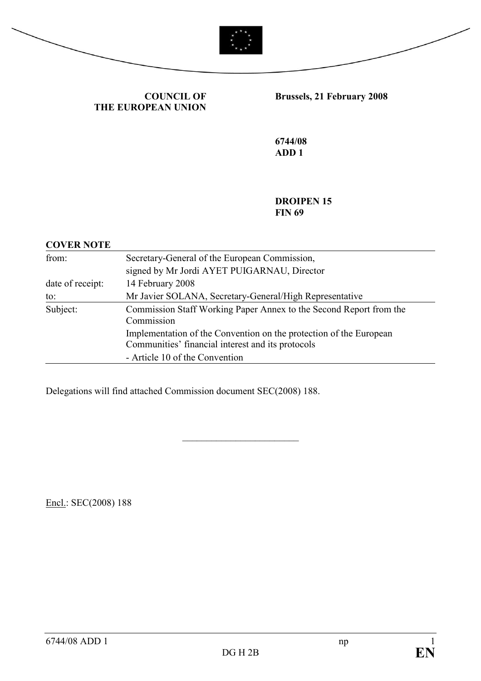



## COUNCIL OF THE EUROPEAN UNION

# Brussels, 21 February 2008

6744/08 ADD 1

DROIPEN 15 **FIN 69** 

#### COVER NOTE

| from:                                                                                        | Secretary-General of the European Commission,                                                                           |  |  |
|----------------------------------------------------------------------------------------------|-------------------------------------------------------------------------------------------------------------------------|--|--|
|                                                                                              | signed by Mr Jordi AYET PUIGARNAU, Director                                                                             |  |  |
| date of receipt:                                                                             | 14 February 2008                                                                                                        |  |  |
| to:                                                                                          | Mr Javier SOLANA, Secretary-General/High Representative                                                                 |  |  |
| Subject:<br>Commission Staff Working Paper Annex to the Second Report from the<br>Commission |                                                                                                                         |  |  |
|                                                                                              | Implementation of the Convention on the protection of the European<br>Communities' financial interest and its protocols |  |  |
|                                                                                              | - Article 10 of the Convention                                                                                          |  |  |

\_\_\_\_\_\_\_\_\_\_\_\_\_\_\_\_\_\_\_\_\_\_\_\_

Delegations will find attached Commission document SEC(2008) 188.

Encl.: SEC(2008) 188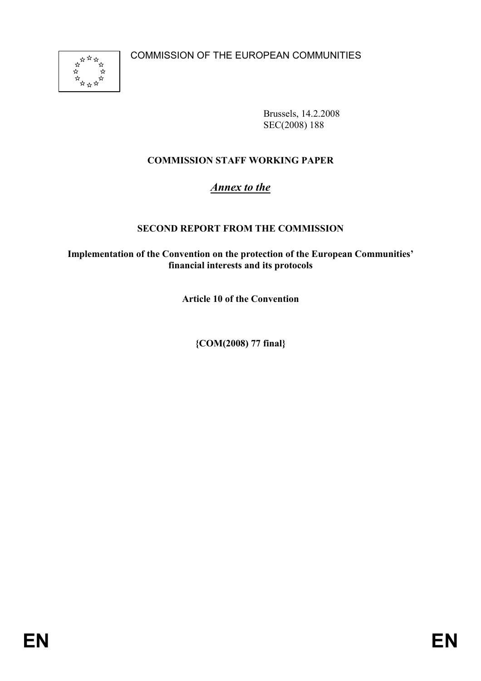

Brussels, 14.2.2008 SEC(2008) 188

# COMMISSION STAFF WORKING PAPER

# Annex to the

## SECOND REPORT FROM THE COMMISSION

Implementation of the Convention on the protection of the European Communities' financial interests and its protocols

Article 10 of the Convention

{COM(2008) 77 final}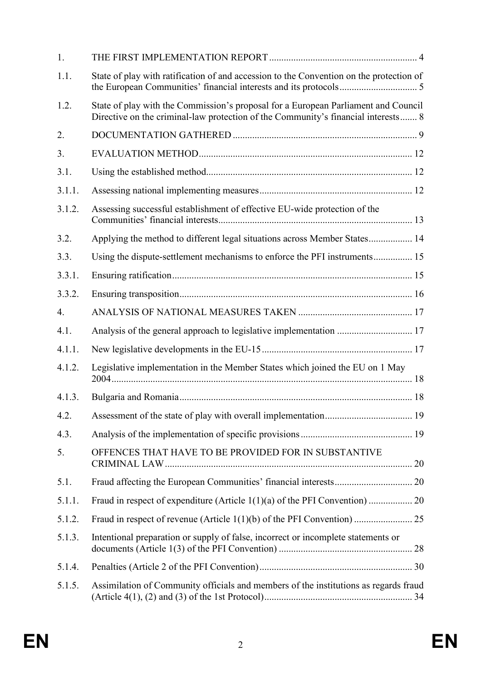| 1.     |                                                                                                                                                                         |  |
|--------|-------------------------------------------------------------------------------------------------------------------------------------------------------------------------|--|
| 1.1.   | State of play with ratification of and accession to the Convention on the protection of                                                                                 |  |
| 1.2.   | State of play with the Commission's proposal for a European Parliament and Council<br>Directive on the criminal-law protection of the Community's financial interests 8 |  |
| 2.     |                                                                                                                                                                         |  |
| 3.     |                                                                                                                                                                         |  |
| 3.1.   |                                                                                                                                                                         |  |
| 3.1.1. |                                                                                                                                                                         |  |
| 3.1.2. | Assessing successful establishment of effective EU-wide protection of the                                                                                               |  |
| 3.2.   | Applying the method to different legal situations across Member States 14                                                                                               |  |
| 3.3.   | Using the dispute-settlement mechanisms to enforce the PFI instruments 15                                                                                               |  |
| 3.3.1. |                                                                                                                                                                         |  |
| 3.3.2. |                                                                                                                                                                         |  |
| 4.     |                                                                                                                                                                         |  |
| 4.1.   |                                                                                                                                                                         |  |
| 4.1.1. |                                                                                                                                                                         |  |
| 4.1.2. | Legislative implementation in the Member States which joined the EU on 1 May                                                                                            |  |
| 4.1.3. |                                                                                                                                                                         |  |
|        |                                                                                                                                                                         |  |
| 4.3.   |                                                                                                                                                                         |  |
| 5.     | OFFENCES THAT HAVE TO BE PROVIDED FOR IN SUBSTANTIVE                                                                                                                    |  |
| 5.1.   |                                                                                                                                                                         |  |
| 5.1.1. |                                                                                                                                                                         |  |
| 5.1.2. |                                                                                                                                                                         |  |
| 5.1.3. | Intentional preparation or supply of false, incorrect or incomplete statements or                                                                                       |  |
| 5.1.4. |                                                                                                                                                                         |  |
| 5.1.5. | Assimilation of Community officials and members of the institutions as regards fraud                                                                                    |  |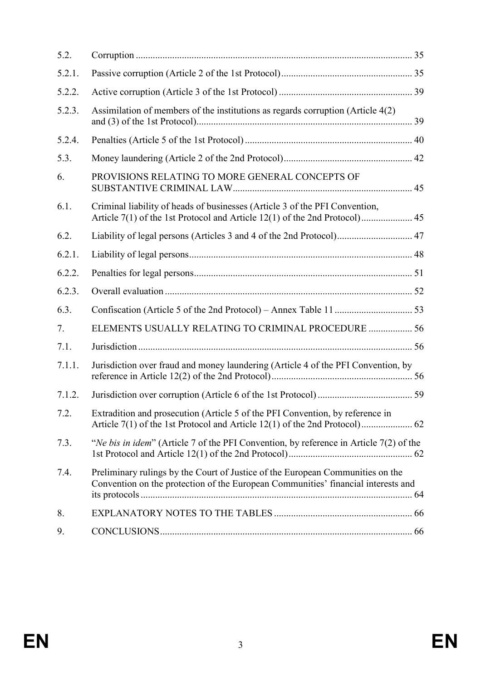| 5.2.   |                                                                                                                                                                     |  |
|--------|---------------------------------------------------------------------------------------------------------------------------------------------------------------------|--|
| 5.2.1. |                                                                                                                                                                     |  |
| 5.2.2. |                                                                                                                                                                     |  |
| 5.2.3. | Assimilation of members of the institutions as regards corruption (Article 4(2)                                                                                     |  |
| 5.2.4. |                                                                                                                                                                     |  |
| 5.3.   |                                                                                                                                                                     |  |
| 6.     | PROVISIONS RELATING TO MORE GENERAL CONCEPTS OF                                                                                                                     |  |
| 6.1.   | Criminal liability of heads of businesses (Article 3 of the PFI Convention,                                                                                         |  |
| 6.2.   |                                                                                                                                                                     |  |
| 6.2.1. |                                                                                                                                                                     |  |
| 6.2.2. |                                                                                                                                                                     |  |
| 6.2.3. |                                                                                                                                                                     |  |
| 6.3.   |                                                                                                                                                                     |  |
| 7.     | ELEMENTS USUALLY RELATING TO CRIMINAL PROCEDURE  56                                                                                                                 |  |
| 7.1.   |                                                                                                                                                                     |  |
| 7.1.1. | Jurisdiction over fraud and money laundering (Article 4 of the PFI Convention, by                                                                                   |  |
| 7.1.2. |                                                                                                                                                                     |  |
| 7.2.   | Extradition and prosecution (Article 5 of the PFI Convention, by reference in                                                                                       |  |
| 7.3.   | "Ne bis in idem" (Article 7 of the PFI Convention, by reference in Article $7(2)$ of the                                                                            |  |
| 7.4.   | Preliminary rulings by the Court of Justice of the European Communities on the<br>Convention on the protection of the European Communities' financial interests and |  |
| 8.     |                                                                                                                                                                     |  |
| 9.     |                                                                                                                                                                     |  |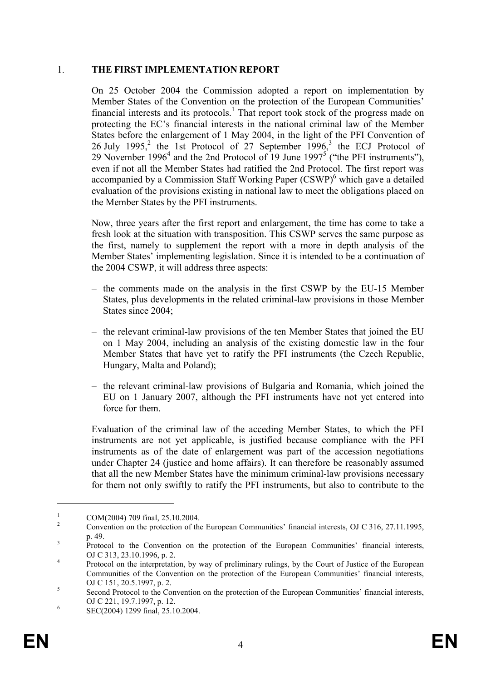#### 1. THE FIRST IMPLEMENTATION REPORT

On 25 October 2004 the Commission adopted a report on implementation by Member States of the Convention on the protection of the European Communities' financial interests and its protocols.<sup>1</sup> That report took stock of the progress made on protecting the EC's financial interests in the national criminal law of the Member States before the enlargement of 1 May 2004, in the light of the PFI Convention of 26 July 1995,<sup>2</sup> the 1st Protocol of 27 September 1996,<sup>3</sup> the ECJ Protocol of 29 November 1996<sup>4</sup> and the 2nd Protocol of 19 June 1997<sup>5</sup> ("the PFI instruments"), even if not all the Member States had ratified the 2nd Protocol. The first report was accompanied by a Commission Staff Working Paper (CSWP)<sup>6</sup> which gave a detailed evaluation of the provisions existing in national law to meet the obligations placed on the Member States by the PFI instruments.

Now, three years after the first report and enlargement, the time has come to take a fresh look at the situation with transposition. This CSWP serves the same purpose as the first, namely to supplement the report with a more in depth analysis of the Member States' implementing legislation. Since it is intended to be a continuation of the 2004 CSWP, it will address three aspects:

- the comments made on the analysis in the first CSWP by the EU-15 Member States, plus developments in the related criminal-law provisions in those Member States since 2004;
- the relevant criminal-law provisions of the ten Member States that joined the EU on 1 May 2004, including an analysis of the existing domestic law in the four Member States that have yet to ratify the PFI instruments (the Czech Republic, Hungary, Malta and Poland);
- the relevant criminal-law provisions of Bulgaria and Romania, which joined the EU on 1 January 2007, although the PFI instruments have not yet entered into force for them.

Evaluation of the criminal law of the acceding Member States, to which the PFI instruments are not yet applicable, is justified because compliance with the PFI instruments as of the date of enlargement was part of the accession negotiations under Chapter 24 (justice and home affairs). It can therefore be reasonably assumed that all the new Member States have the minimum criminal-law provisions necessary for them not only swiftly to ratify the PFI instruments, but also to contribute to the

<sup>1</sup> COM(2004) 709 final, 25.10.2004.

 $\overline{2}$  Convention on the protection of the European Communities' financial interests, OJ C 316, 27.11.1995, p. 49.

<sup>3</sup> Protocol to the Convention on the protection of the European Communities' financial interests, OJ C 313, 23.10.1996, p. 2.

<sup>4</sup> Protocol on the interpretation, by way of preliminary rulings, by the Court of Justice of the European Communities of the Convention on the protection of the European Communities' financial interests, OJ C 151, 20.5.1997, p. 2.

<sup>5</sup> Second Protocol to the Convention on the protection of the European Communities' financial interests, OJ C 221, 19.7.1997, p. 12.

<sup>6</sup> SEC(2004) 1299 final, 25.10.2004.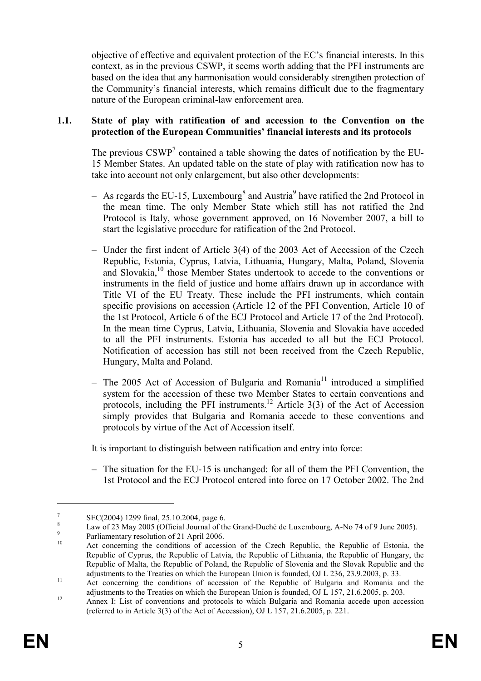objective of effective and equivalent protection of the EC's financial interests. In this context, as in the previous CSWP, it seems worth adding that the PFI instruments are based on the idea that any harmonisation would considerably strengthen protection of the Community's financial interests, which remains difficult due to the fragmentary nature of the European criminal-law enforcement area.

#### 1.1. State of play with ratification of and accession to the Convention on the protection of the European Communities' financial interests and its protocols

The previous  $\text{CSWP}^7$  contained a table showing the dates of notification by the EU-15 Member States. An updated table on the state of play with ratification now has to take into account not only enlargement, but also other developments:

- $-$  As regards the EU-15, Luxembourg<sup>8</sup> and Austria<sup>9</sup> have ratified the 2nd Protocol in the mean time. The only Member State which still has not ratified the 2nd Protocol is Italy, whose government approved, on 16 November 2007, a bill to start the legislative procedure for ratification of the 2nd Protocol.
- Under the first indent of Article 3(4) of the 2003 Act of Accession of the Czech Republic, Estonia, Cyprus, Latvia, Lithuania, Hungary, Malta, Poland, Slovenia and Slovakia,<sup>10</sup> those Member States undertook to accede to the conventions or instruments in the field of justice and home affairs drawn up in accordance with Title VI of the EU Treaty. These include the PFI instruments, which contain specific provisions on accession (Article 12 of the PFI Convention, Article 10 of the 1st Protocol, Article 6 of the ECJ Protocol and Article 17 of the 2nd Protocol). In the mean time Cyprus, Latvia, Lithuania, Slovenia and Slovakia have acceded to all the PFI instruments. Estonia has acceded to all but the ECJ Protocol. Notification of accession has still not been received from the Czech Republic, Hungary, Malta and Poland.
- The 2005 Act of Accession of Bulgaria and Romania<sup>11</sup> introduced a simplified system for the accession of these two Member States to certain conventions and protocols, including the PFI instruments.<sup>12</sup> Article 3(3) of the Act of Accession simply provides that Bulgaria and Romania accede to these conventions and protocols by virtue of the Act of Accession itself.

It is important to distinguish between ratification and entry into force:

– The situation for the EU-15 is unchanged: for all of them the PFI Convention, the 1st Protocol and the ECJ Protocol entered into force on 17 October 2002. The 2nd

<sup>7</sup> SEC(2004) 1299 final, 25.10.2004, page 6. 8

Law of 23 May 2005 (Official Journal of the Grand-Duché de Luxembourg, A-No 74 of 9 June 2005).

<sup>9</sup>  $P$ <sup>9</sup><br>Parliamentary resolution of 21 April 2006.

Act concerning the conditions of accession of the Czech Republic, the Republic of Estonia, the Republic of Cyprus, the Republic of Latvia, the Republic of Lithuania, the Republic of Hungary, the Republic of Malta, the Republic of Poland, the Republic of Slovenia and the Slovak Republic and the adjustments to the Treaties on which the European Union is founded, OJ L 236, 23.9.2003, p. 33.

<sup>&</sup>lt;sup>11</sup> Act concerning the conditions of accession of the Republic of Bulgaria and Romania and the adjustments to the Treaties on which the European Union is founded, OJ L 157, 21.6.2005, p. 203.

<sup>&</sup>lt;sup>12</sup> Annex I: List of conventions and protocols to which Bulgaria and Romania accede upon accession (referred to in Article 3(3) of the Act of Accession), OJ L 157, 21.6.2005, p. 221.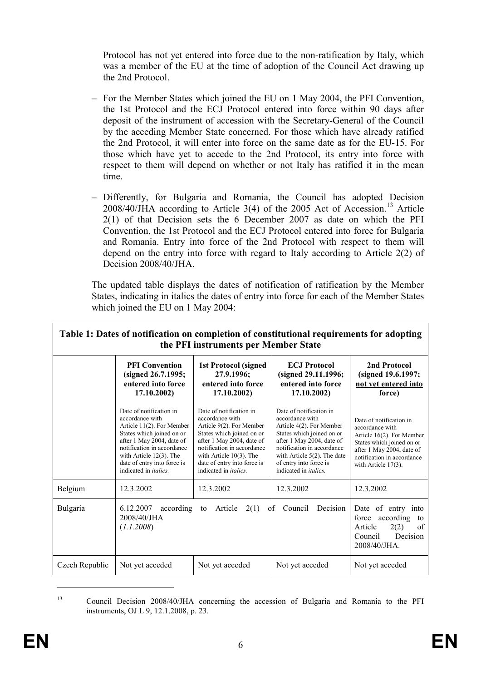Protocol has not yet entered into force due to the non-ratification by Italy, which was a member of the EU at the time of adoption of the Council Act drawing up the 2nd Protocol.

- For the Member States which joined the EU on 1 May 2004, the PFI Convention, the 1st Protocol and the ECJ Protocol entered into force within 90 days after deposit of the instrument of accession with the Secretary-General of the Council by the acceding Member State concerned. For those which have already ratified the 2nd Protocol, it will enter into force on the same date as for the EU-15. For those which have yet to accede to the 2nd Protocol, its entry into force with respect to them will depend on whether or not Italy has ratified it in the mean time.
- Differently, for Bulgaria and Romania, the Council has adopted Decision  $2008/40$ /JHA according to Article 3(4) of the 2005 Act of Accession.<sup>13</sup> Article 2(1) of that Decision sets the 6 December 2007 as date on which the PFI Convention, the 1st Protocol and the ECJ Protocol entered into force for Bulgaria and Romania. Entry into force of the 2nd Protocol with respect to them will depend on the entry into force with regard to Italy according to Article 2(2) of Decision 2008/40/JHA.

The updated table displays the dates of notification of ratification by the Member States, indicating in italics the dates of entry into force for each of the Member States which joined the EU on 1 May 2004:

|                | Table 1: Dates of notification on completion of constitutional requirements for adopting                                                                                                                                                                         | the PFI instruments per Member State                                                                                                                                                                                                                         |                                                                                                                                                                                                                                                             |                                                                                                                                                                                           |
|----------------|------------------------------------------------------------------------------------------------------------------------------------------------------------------------------------------------------------------------------------------------------------------|--------------------------------------------------------------------------------------------------------------------------------------------------------------------------------------------------------------------------------------------------------------|-------------------------------------------------------------------------------------------------------------------------------------------------------------------------------------------------------------------------------------------------------------|-------------------------------------------------------------------------------------------------------------------------------------------------------------------------------------------|
|                | <b>PFI Convention</b><br>(signed 26.7.1995;<br>entered into force<br>17.10.2002)                                                                                                                                                                                 | <b>ECJ</b> Protocol<br><b>1st Protocol (signed)</b><br>27.9.1996;<br>(signed 29.11.1996;<br>entered into force<br>entered into force<br>17.10.2002)<br>17.10.2002)                                                                                           |                                                                                                                                                                                                                                                             | 2nd Protocol<br>(signed 19.6.1997;<br>not yet entered into<br>force)                                                                                                                      |
|                | Date of notification in<br>accordance with<br>Article $11(2)$ . For Member<br>States which joined on or<br>after 1 May 2004, date of<br>notification in accordance<br>with Article $12(3)$ . The<br>date of entry into force is<br>indicated in <i>italics</i> . | Date of notification in<br>accordance with<br>Article 9(2). For Member<br>States which joined on or<br>after 1 May 2004, date of<br>notification in accordance<br>with Article $10(3)$ . The<br>date of entry into force is<br>indicated in <i>italics</i> . | Date of notification in<br>accordance with<br>Article 4(2). For Member<br>States which joined on or<br>after 1 May 2004, date of<br>notification in accordance<br>with Article $5(2)$ . The date<br>of entry into force is<br>indicated in <i>italics</i> . | Date of notification in<br>accordance with<br>Article 16(2). For Member<br>States which joined on or<br>after 1 May 2004, date of<br>notification in accordance<br>with Article $17(3)$ . |
| Belgium        | 12.3.2002                                                                                                                                                                                                                                                        | 12.3.2002                                                                                                                                                                                                                                                    | 12.3.2002                                                                                                                                                                                                                                                   | 12.3.2002                                                                                                                                                                                 |
| Bulgaria       | 6.12.2007<br>according<br>2008/40/JHA<br>(1.1.2008)                                                                                                                                                                                                              | 2(1)<br>Council<br>Decision<br>Article<br>of<br>to                                                                                                                                                                                                           |                                                                                                                                                                                                                                                             | Date of entry into<br>according<br>force<br>to<br>Article<br>of<br>2(2)<br>Council<br>Decision<br>$2008/40/JHA$ .                                                                         |
| Czech Republic | Not yet acceded                                                                                                                                                                                                                                                  | Not yet acceded                                                                                                                                                                                                                                              | Not yet acceded                                                                                                                                                                                                                                             | Not yet acceded                                                                                                                                                                           |

<sup>13</sup> Council Decision 2008/40/JHA concerning the accession of Bulgaria and Romania to the PFI instruments, OJ L 9, 12.1.2008, p. 23.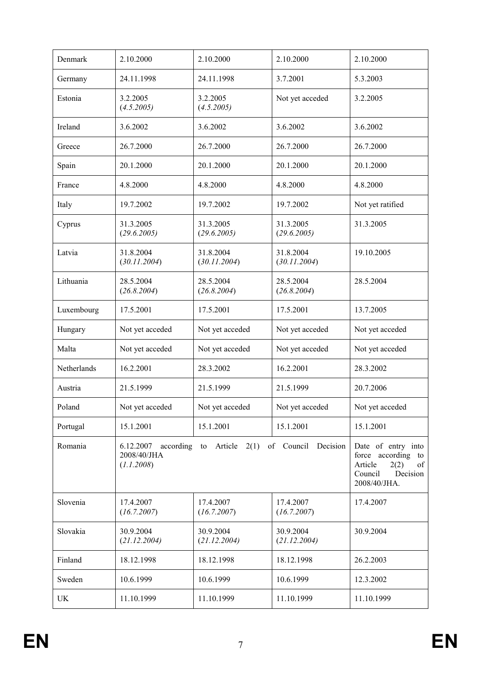| Denmark     | 2.10.2000                 | 2.10.2000<br>2.10.2000                                      |                                                                                                          | 2.10.2000        |
|-------------|---------------------------|-------------------------------------------------------------|----------------------------------------------------------------------------------------------------------|------------------|
| Germany     | 24.11.1998                | 24.11.1998                                                  | 3.7.2001<br>5.3.2003                                                                                     |                  |
| Estonia     | 3.2.2005<br>(4.5.2005)    | 3.2.2005<br>(4.5.2005)                                      | Not yet acceded                                                                                          | 3.2.2005         |
| Ireland     | 3.6.2002                  | 3.6.2002                                                    | 3.6.2002                                                                                                 | 3.6.2002         |
| Greece      | 26.7.2000                 | 26.7.2000                                                   | 26.7.2000                                                                                                | 26.7.2000        |
| Spain       | 20.1.2000                 | 20.1.2000                                                   | 20.1.2000                                                                                                | 20.1.2000        |
| France      | 4.8.2000                  | 4.8.2000                                                    | 4.8.2000                                                                                                 | 4.8.2000         |
| Italy       | 19.7.2002                 | 19.7.2002                                                   | 19.7.2002                                                                                                | Not yet ratified |
| Cyprus      | 31.3.2005<br>(29.6.2005)  | 31.3.2005<br>(29.6.2005)                                    | 31.3.2005<br>(29.6.2005)                                                                                 | 31.3.2005        |
| Latvia      | 31.8.2004<br>(30.11.2004) | 31.8.2004<br>(30.11.2004)                                   | 31.8.2004<br>(30.11.2004)                                                                                | 19.10.2005       |
| Lithuania   | 28.5.2004<br>(26.8.2004)  | 28.5.2004<br>(26.8.2004)                                    | 28.5.2004<br>(26.8.2004)                                                                                 | 28.5.2004        |
| Luxembourg  | 17.5.2001                 | 17.5.2001                                                   | 17.5.2001                                                                                                | 13.7.2005        |
| Hungary     | Not yet acceded           | Not yet acceded                                             | Not yet acceded                                                                                          | Not yet acceded  |
| Malta       | Not yet acceded           | Not yet acceded                                             | Not yet acceded                                                                                          | Not yet acceded  |
| Netherlands | 16.2.2001                 | 28.3.2002                                                   | 16.2.2001                                                                                                | 28.3.2002        |
| Austria     | 21.5.1999                 | 21.5.1999                                                   | 21.5.1999                                                                                                | 20.7.2006        |
| Poland      | Not yet acceded           | Not yet acceded                                             | Not yet acceded                                                                                          | Not yet acceded  |
| Portugal    | 15.1.2001                 | 15.1.2001                                                   | 15.1.2001                                                                                                | 15.1.2001        |
| Romania     | 2008/40/JHA<br>(1.1.2008) | $6.12.2007$ according to Article $2(1)$ of Council Decision | Date of entry into<br>force according to<br>Article<br>2(2)<br>of<br>Council<br>Decision<br>2008/40/JHA. |                  |
| Slovenia    | 17.4.2007<br>(16.7.2007)  | 17.4.2007<br>(16.7.2007)                                    | 17.4.2007<br>(16.7.2007)                                                                                 | 17.4.2007        |
| Slovakia    | 30.9.2004<br>(21.12.2004) | 30.9.2004<br>(21.12.2004)                                   | 30.9.2004<br>(21.12.2004)                                                                                | 30.9.2004        |
| Finland     | 18.12.1998                | 18.12.1998                                                  | 18.12.1998                                                                                               | 26.2.2003        |
| Sweden      | 10.6.1999                 | 10.6.1999                                                   | 10.6.1999                                                                                                | 12.3.2002        |
| UK          | 11.10.1999                | 11.10.1999                                                  | 11.10.1999                                                                                               | 11.10.1999       |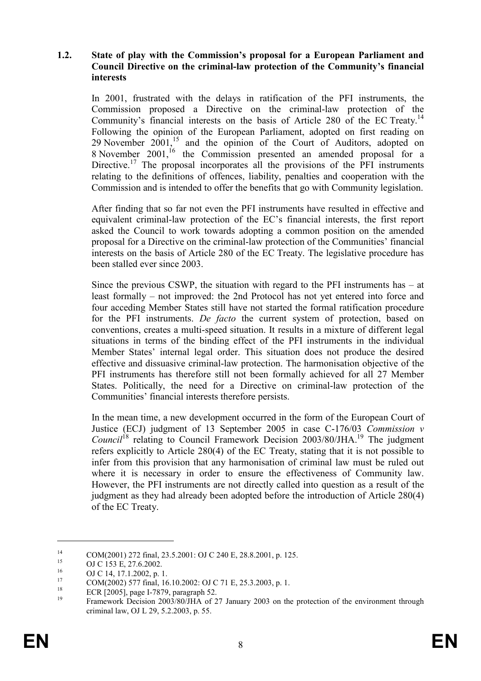#### 1.2. State of play with the Commission's proposal for a European Parliament and Council Directive on the criminal-law protection of the Community's financial interests

In 2001, frustrated with the delays in ratification of the PFI instruments, the Commission proposed a Directive on the criminal-law protection of the Community's financial interests on the basis of Article 280 of the EC Treaty.<sup>14</sup> Following the opinion of the European Parliament, adopted on first reading on 29 November  $2001$ ,<sup>15</sup> and the opinion of the Court of Auditors, adopted on 8 November 2001,<sup>16</sup> the Commission presented an amended proposal for a Directive.<sup>17</sup> The proposal incorporates all the provisions of the  $\Pr$  instruments relating to the definitions of offences, liability, penalties and cooperation with the Commission and is intended to offer the benefits that go with Community legislation.

After finding that so far not even the PFI instruments have resulted in effective and equivalent criminal-law protection of the EC's financial interests, the first report asked the Council to work towards adopting a common position on the amended proposal for a Directive on the criminal-law protection of the Communities' financial interests on the basis of Article 280 of the EC Treaty. The legislative procedure has been stalled ever since 2003.

Since the previous CSWP, the situation with regard to the PFI instruments has  $-$  at least formally – not improved: the 2nd Protocol has not yet entered into force and four acceding Member States still have not started the formal ratification procedure for the PFI instruments. De facto the current system of protection, based on conventions, creates a multi-speed situation. It results in a mixture of different legal situations in terms of the binding effect of the PFI instruments in the individual Member States' internal legal order. This situation does not produce the desired effective and dissuasive criminal-law protection. The harmonisation objective of the PFI instruments has therefore still not been formally achieved for all 27 Member States. Politically, the need for a Directive on criminal-law protection of the Communities' financial interests therefore persists.

In the mean time, a new development occurred in the form of the European Court of Justice (ECJ) judgment of 13 September 2005 in case C-176/03 Commission  $v$ Council<sup>18</sup> relating to Council Framework Decision 2003/80/JHA.<sup>19</sup> The judgment refers explicitly to Article 280(4) of the EC Treaty, stating that it is not possible to infer from this provision that any harmonisation of criminal law must be ruled out where it is necessary in order to ensure the effectiveness of Community law. However, the PFI instruments are not directly called into question as a result of the judgment as they had already been adopted before the introduction of Article 280(4) of the EC Treaty.

<sup>&</sup>lt;sup>14</sup> COM(2001) 272 final, 23.5.2001: OJ C 240 E, 28.8.2001, p. 125.

<sup>&</sup>lt;sup>15</sup> OJ C 153 E, 27.6.2002.

 $^{16}$  OJ C 14, 17.1.2002, p. 1.

<sup>&</sup>lt;sup>17</sup> COM(2002) 577 final, 16.10.2002: OJ C 71 E, 25.3.2003, p. 1.<br><sup>18</sup> ECP [2005] page J 7870, page repeated 52

<sup>&</sup>lt;sup>18</sup> ECR [2005], page I-7879, paragraph 52.

<sup>19</sup> Framework Decision 2003/80/JHA of 27 January 2003 on the protection of the environment through criminal law, OJ L 29, 5.2.2003, p. 55.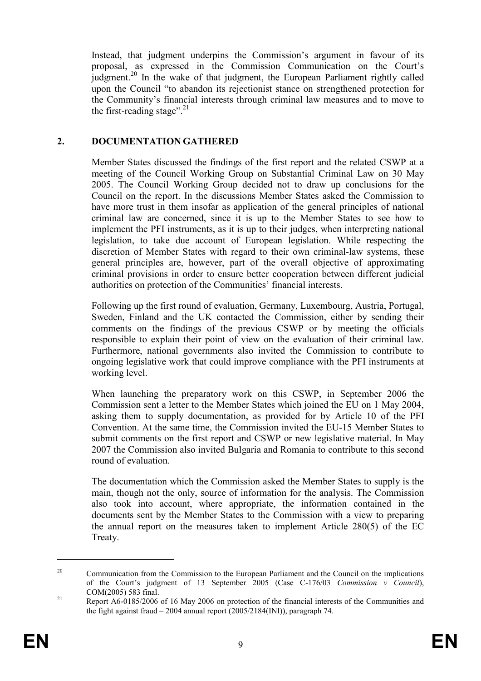Instead, that judgment underpins the Commission's argument in favour of its proposal, as expressed in the Commission Communication on the Court's judgment.<sup>20</sup> In the wake of that judgment, the European Parliament rightly called upon the Council "to abandon its rejectionist stance on strengthened protection for the Community's financial interests through criminal law measures and to move to the first-reading stage".<sup>21</sup>

#### 2. DOCUMENTATION GATHERED

Member States discussed the findings of the first report and the related CSWP at a meeting of the Council Working Group on Substantial Criminal Law on 30 May 2005. The Council Working Group decided not to draw up conclusions for the Council on the report. In the discussions Member States asked the Commission to have more trust in them insofar as application of the general principles of national criminal law are concerned, since it is up to the Member States to see how to implement the PFI instruments, as it is up to their judges, when interpreting national legislation, to take due account of European legislation. While respecting the discretion of Member States with regard to their own criminal-law systems, these general principles are, however, part of the overall objective of approximating criminal provisions in order to ensure better cooperation between different judicial authorities on protection of the Communities' financial interests.

Following up the first round of evaluation, Germany, Luxembourg, Austria, Portugal, Sweden, Finland and the UK contacted the Commission, either by sending their comments on the findings of the previous CSWP or by meeting the officials responsible to explain their point of view on the evaluation of their criminal law. Furthermore, national governments also invited the Commission to contribute to ongoing legislative work that could improve compliance with the PFI instruments at working level.

When launching the preparatory work on this CSWP, in September 2006 the Commission sent a letter to the Member States which joined the EU on 1 May 2004, asking them to supply documentation, as provided for by Article 10 of the PFI Convention. At the same time, the Commission invited the EU-15 Member States to submit comments on the first report and CSWP or new legislative material. In May 2007 the Commission also invited Bulgaria and Romania to contribute to this second round of evaluation.

The documentation which the Commission asked the Member States to supply is the main, though not the only, source of information for the analysis. The Commission also took into account, where appropriate, the information contained in the documents sent by the Member States to the Commission with a view to preparing the annual report on the measures taken to implement Article 280(5) of the EC Treaty.

<sup>&</sup>lt;sup>20</sup> Communication from the Commission to the European Parliament and the Council on the implications of the Court's judgment of 13 September 2005 (Case C-176/03 Commission v Council), COM(2005) 583 final.

<sup>&</sup>lt;sup>21</sup> Report A6-0185/2006 of 16 May 2006 on protection of the financial interests of the Communities and the fight against fraud – 2004 annual report (2005/2184(INI)), paragraph 74.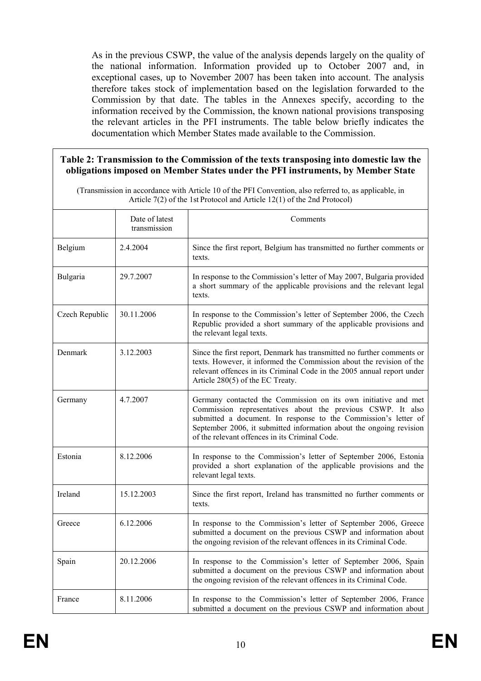As in the previous CSWP, the value of the analysis depends largely on the quality of the national information. Information provided up to October 2007 and, in exceptional cases, up to November 2007 has been taken into account. The analysis therefore takes stock of implementation based on the legislation forwarded to the Commission by that date. The tables in the Annexes specify, according to the information received by the Commission, the known national provisions transposing the relevant articles in the PFI instruments. The table below briefly indicates the documentation which Member States made available to the Commission.

#### Table 2: Transmission to the Commission of the texts transposing into domestic law the obligations imposed on Member States under the PFI instruments, by Member State

(Transmission in accordance with Article 10 of the PFI Convention, also referred to, as applicable, in Article 7(2) of the 1st Protocol and Article 12(1) of the 2nd Protocol)

|                | Date of latest<br>transmission | Comments                                                                                                                                                                                                                                                                                                                  |  |
|----------------|--------------------------------|---------------------------------------------------------------------------------------------------------------------------------------------------------------------------------------------------------------------------------------------------------------------------------------------------------------------------|--|
| Belgium        | 2.4.2004                       | Since the first report, Belgium has transmitted no further comments or<br>texts.                                                                                                                                                                                                                                          |  |
| Bulgaria       | 29.7.2007                      | In response to the Commission's letter of May 2007, Bulgaria provided<br>a short summary of the applicable provisions and the relevant legal<br>texts.                                                                                                                                                                    |  |
| Czech Republic | 30.11.2006                     | In response to the Commission's letter of September 2006, the Czech<br>Republic provided a short summary of the applicable provisions and<br>the relevant legal texts.                                                                                                                                                    |  |
| Denmark        | 3.12.2003                      | Since the first report, Denmark has transmitted no further comments or<br>texts. However, it informed the Commission about the revision of the<br>relevant offences in its Criminal Code in the 2005 annual report under<br>Article 280(5) of the EC Treaty.                                                              |  |
| Germany        | 4.7.2007                       | Germany contacted the Commission on its own initiative and met<br>Commission representatives about the previous CSWP. It also<br>submitted a document. In response to the Commission's letter of<br>September 2006, it submitted information about the ongoing revision<br>of the relevant offences in its Criminal Code. |  |
| Estonia        | 8.12.2006                      | In response to the Commission's letter of September 2006, Estonia<br>provided a short explanation of the applicable provisions and the<br>relevant legal texts.                                                                                                                                                           |  |
| Ireland        | 15.12.2003                     | Since the first report, Ireland has transmitted no further comments or<br>texts.                                                                                                                                                                                                                                          |  |
| Greece         | 6.12.2006                      | In response to the Commission's letter of September 2006, Greece<br>submitted a document on the previous CSWP and information about<br>the ongoing revision of the relevant offences in its Criminal Code.                                                                                                                |  |
| Spain          | 20.12.2006                     | In response to the Commission's letter of September 2006, Spain<br>submitted a document on the previous CSWP and information about<br>the ongoing revision of the relevant offences in its Criminal Code.                                                                                                                 |  |
| France         | 8.11.2006                      | In response to the Commission's letter of September 2006, France<br>submitted a document on the previous CSWP and information about                                                                                                                                                                                       |  |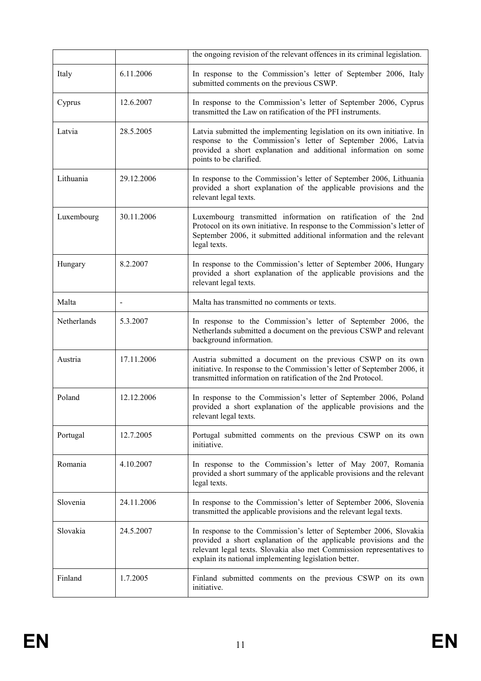|             |            | the ongoing revision of the relevant offences in its criminal legislation.                                                                                                                                                                                                |
|-------------|------------|---------------------------------------------------------------------------------------------------------------------------------------------------------------------------------------------------------------------------------------------------------------------------|
| Italy       | 6.11.2006  | In response to the Commission's letter of September 2006, Italy<br>submitted comments on the previous CSWP.                                                                                                                                                               |
| Cyprus      | 12.6.2007  | In response to the Commission's letter of September 2006, Cyprus<br>transmitted the Law on ratification of the PFI instruments.                                                                                                                                           |
| Latvia      | 28.5.2005  | Latvia submitted the implementing legislation on its own initiative. In<br>response to the Commission's letter of September 2006, Latvia<br>provided a short explanation and additional information on some<br>points to be clarified.                                    |
| Lithuania   | 29.12.2006 | In response to the Commission's letter of September 2006, Lithuania<br>provided a short explanation of the applicable provisions and the<br>relevant legal texts.                                                                                                         |
| Luxembourg  | 30.11.2006 | Luxembourg transmitted information on ratification of the 2nd<br>Protocol on its own initiative. In response to the Commission's letter of<br>September 2006, it submitted additional information and the relevant<br>legal texts.                                        |
| Hungary     | 8.2.2007   | In response to the Commission's letter of September 2006, Hungary<br>provided a short explanation of the applicable provisions and the<br>relevant legal texts.                                                                                                           |
| Malta       |            | Malta has transmitted no comments or texts.                                                                                                                                                                                                                               |
| Netherlands | 5.3.2007   | In response to the Commission's letter of September 2006, the<br>Netherlands submitted a document on the previous CSWP and relevant<br>background information.                                                                                                            |
| Austria     | 17.11.2006 | Austria submitted a document on the previous CSWP on its own<br>initiative. In response to the Commission's letter of September 2006, it<br>transmitted information on ratification of the 2nd Protocol.                                                                  |
| Poland      | 12.12.2006 | In response to the Commission's letter of September 2006, Poland<br>provided a short explanation of the applicable provisions and the<br>relevant legal texts.                                                                                                            |
| Portugal    | 12.7.2005  | Portugal submitted comments on the previous CSWP on its own<br>initiative.                                                                                                                                                                                                |
| Romania     | 4.10.2007  | In response to the Commission's letter of May 2007, Romania<br>provided a short summary of the applicable provisions and the relevant<br>legal texts.                                                                                                                     |
| Slovenia    | 24.11.2006 | In response to the Commission's letter of September 2006, Slovenia<br>transmitted the applicable provisions and the relevant legal texts.                                                                                                                                 |
| Slovakia    | 24.5.2007  | In response to the Commission's letter of September 2006, Slovakia<br>provided a short explanation of the applicable provisions and the<br>relevant legal texts. Slovakia also met Commission representatives to<br>explain its national implementing legislation better. |
| Finland     | 1.7.2005   | Finland submitted comments on the previous CSWP on its own<br>initiative.                                                                                                                                                                                                 |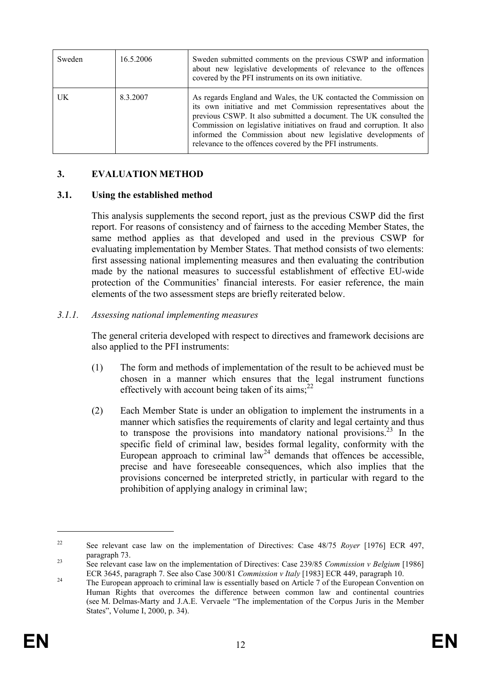| Sweden | 16.5.2006 | Sweden submitted comments on the previous CSWP and information<br>about new legislative developments of relevance to the offences<br>covered by the PFI instruments on its own initiative.                                                                                                                                                                                                                       |
|--------|-----------|------------------------------------------------------------------------------------------------------------------------------------------------------------------------------------------------------------------------------------------------------------------------------------------------------------------------------------------------------------------------------------------------------------------|
| UK     | 8.3.2007  | As regards England and Wales, the UK contacted the Commission on<br>its own initiative and met Commission representatives about the<br>previous CSWP. It also submitted a document. The UK consulted the<br>Commission on legislative initiatives on fraud and corruption. It also<br>informed the Commission about new legislative developments of<br>relevance to the offences covered by the PFI instruments. |

## 3. EVALUATION METHOD

#### 3.1. Using the established method

This analysis supplements the second report, just as the previous CSWP did the first report. For reasons of consistency and of fairness to the acceding Member States, the same method applies as that developed and used in the previous CSWP for evaluating implementation by Member States. That method consists of two elements: first assessing national implementing measures and then evaluating the contribution made by the national measures to successful establishment of effective EU-wide protection of the Communities' financial interests. For easier reference, the main elements of the two assessment steps are briefly reiterated below.

#### 3.1.1. Assessing national implementing measures

The general criteria developed with respect to directives and framework decisions are also applied to the PFI instruments:

- (1) The form and methods of implementation of the result to be achieved must be chosen in a manner which ensures that the legal instrument functions effectively with account being taken of its aims; $^{22}$
- (2) Each Member State is under an obligation to implement the instruments in a manner which satisfies the requirements of clarity and legal certainty and thus to transpose the provisions into mandatory national provisions.<sup>23</sup> In the specific field of criminal law, besides formal legality, conformity with the European approach to criminal law<sup>24</sup> demands that offences be accessible, precise and have foreseeable consequences, which also implies that the provisions concerned be interpreted strictly, in particular with regard to the prohibition of applying analogy in criminal law;

<sup>&</sup>lt;sup>22</sup> See relevant case law on the implementation of Directives: Case  $48/75$  Royer [1976] ECR 497, paragraph 73.

<sup>&</sup>lt;sup>23</sup> See relevant case law on the implementation of Directives: Case 239/85 *Commission v Belgium* [1986] ECR 3645, paragraph 7. See also Case 300/81 Commission v Italy [1983] ECR 449, paragraph 10.

<sup>&</sup>lt;sup>24</sup> The European approach to criminal law is essentially based on Article 7 of the European Convention on Human Rights that overcomes the difference between common law and continental countries (see M. Delmas-Marty and J.A.E. Vervaele "The implementation of the Corpus Juris in the Member States", Volume I, 2000, p. 34).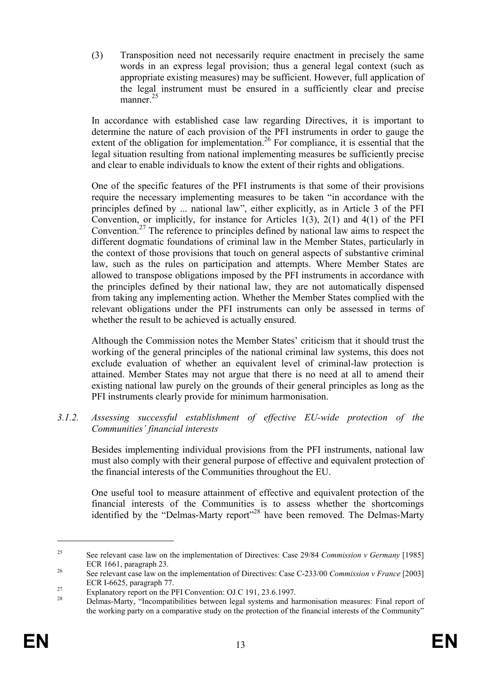(3) Transposition need not necessarily require enactment in precisely the same words in an express legal provision; thus a general legal context (such as appropriate existing measures) may be sufficient. However, full application of the legal instrument must be ensured in a sufficiently clear and precise manner.<sup>25</sup>

In accordance with established case law regarding Directives, it is important to determine the nature of each provision of the PFI instruments in order to gauge the extent of the obligation for implementation.<sup>26</sup> For compliance, it is essential that the legal situation resulting from national implementing measures be sufficiently precise and clear to enable individuals to know the extent of their rights and obligations.

One of the specific features of the PFI instruments is that some of their provisions require the necessary implementing measures to be taken "in accordance with the principles defined by ... national law", either explicitly, as in Article 3 of the PFI Convention, or implicitly, for instance for Articles  $1(3)$ ,  $2(1)$  and  $4(1)$  of the PFI Convention.<sup>27</sup> The reference to principles defined by national law aims to respect the different dogmatic foundations of criminal law in the Member States, particularly in the context of those provisions that touch on general aspects of substantive criminal law, such as the rules on participation and attempts. Where Member States are allowed to transpose obligations imposed by the PFI instruments in accordance with the principles defined by their national law, they are not automatically dispensed from taking any implementing action. Whether the Member States complied with the relevant obligations under the PFI instruments can only be assessed in terms of whether the result to be achieved is actually ensured.

Although the Commission notes the Member States' criticism that it should trust the working of the general principles of the national criminal law systems, this does not exclude evaluation of whether an equivalent level of criminal-law protection is attained. Member States may not argue that there is no need at all to amend their existing national law purely on the grounds of their general principles as long as the PFI instruments clearly provide for minimum harmonisation.

#### 3.1.2. Assessing successful establishment of effective EU-wide protection of the Communities' financial interests

Besides implementing individual provisions from the PFI instruments, national law must also comply with their general purpose of effective and equivalent protection of the financial interests of the Communities throughout the EU.

One useful tool to measure attainment of effective and equivalent protection of the financial interests of the Communities is to assess whether the shortcomings identified by the "Delmas-Marty report"<sup>28</sup> have been removed. The Delmas-Marty

<sup>&</sup>lt;sup>25</sup> See relevant case law on the implementation of Directives: Case 29/84 Commission v Germany [1985] ECR 1661, paragraph 23.

<sup>&</sup>lt;sup>26</sup> See relevant case law on the implementation of Directives: Case C-233/00 Commission v France [2003] ECR I-6625, paragraph 77.

<sup>&</sup>lt;sup>27</sup><br>
Explanatory report on the PFI Convention: OJ C 191, 23.6.1997.<br>
Relaxe Merits "Formerical little a between local systems and he

<sup>28</sup> Delmas-Marty, "Incompatibilities between legal systems and harmonisation measures: Final report of the working party on a comparative study on the protection of the financial interests of the Community"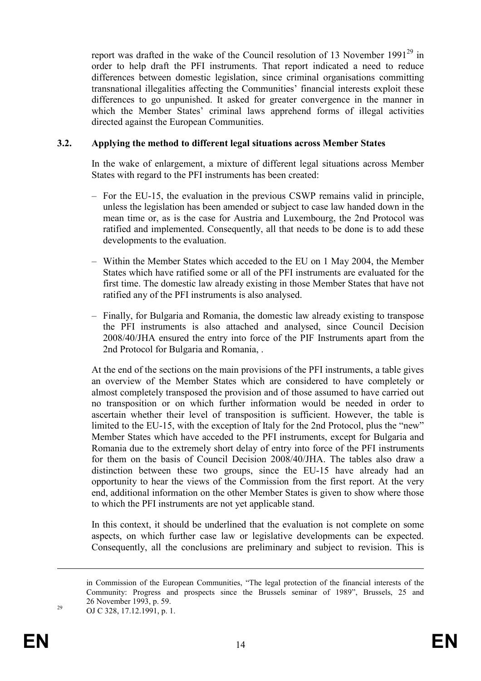report was drafted in the wake of the Council resolution of 13 November 1991 $^{29}$  in order to help draft the PFI instruments. That report indicated a need to reduce differences between domestic legislation, since criminal organisations committing transnational illegalities affecting the Communities' financial interests exploit these differences to go unpunished. It asked for greater convergence in the manner in which the Member States' criminal laws apprehend forms of illegal activities directed against the European Communities.

## 3.2. Applying the method to different legal situations across Member States

In the wake of enlargement, a mixture of different legal situations across Member States with regard to the PFI instruments has been created:

- For the EU-15, the evaluation in the previous CSWP remains valid in principle, unless the legislation has been amended or subject to case law handed down in the mean time or, as is the case for Austria and Luxembourg, the 2nd Protocol was ratified and implemented. Consequently, all that needs to be done is to add these developments to the evaluation.
- Within the Member States which acceded to the EU on 1 May 2004, the Member States which have ratified some or all of the PFI instruments are evaluated for the first time. The domestic law already existing in those Member States that have not ratified any of the PFI instruments is also analysed.
- Finally, for Bulgaria and Romania, the domestic law already existing to transpose the PFI instruments is also attached and analysed, since Council Decision 2008/40/JHA ensured the entry into force of the PIF Instruments apart from the 2nd Protocol for Bulgaria and Romania, .

At the end of the sections on the main provisions of the PFI instruments, a table gives an overview of the Member States which are considered to have completely or almost completely transposed the provision and of those assumed to have carried out no transposition or on which further information would be needed in order to ascertain whether their level of transposition is sufficient. However, the table is limited to the EU-15, with the exception of Italy for the 2nd Protocol, plus the "new" Member States which have acceded to the PFI instruments, except for Bulgaria and Romania due to the extremely short delay of entry into force of the PFI instruments for them on the basis of Council Decision 2008/40/JHA. The tables also draw a distinction between these two groups, since the EU-15 have already had an opportunity to hear the views of the Commission from the first report. At the very end, additional information on the other Member States is given to show where those to which the PFI instruments are not yet applicable stand.

In this context, it should be underlined that the evaluation is not complete on some aspects, on which further case law or legislative developments can be expected. Consequently, all the conclusions are preliminary and subject to revision. This is

<u>.</u>

in Commission of the European Communities, "The legal protection of the financial interests of the Community: Progress and prospects since the Brussels seminar of 1989", Brussels, 25 and 26 November 1993, p. 59.

<sup>29</sup> OJ C 328, 17.12.1991, p. 1.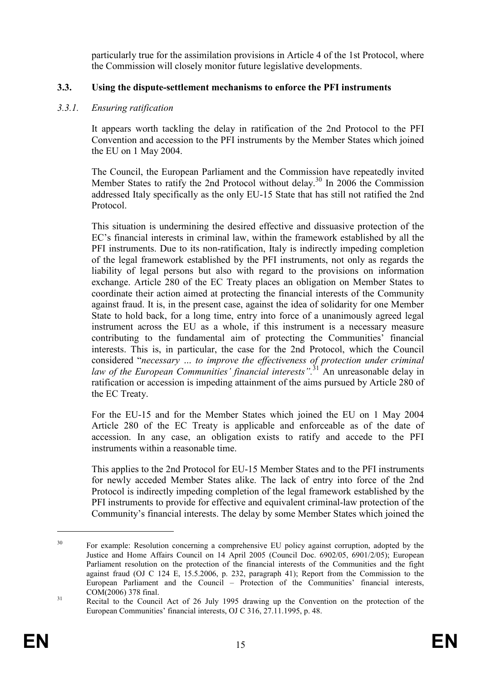particularly true for the assimilation provisions in Article 4 of the 1st Protocol, where the Commission will closely monitor future legislative developments.

## 3.3. Using the dispute-settlement mechanisms to enforce the PFI instruments

## 3.3.1. Ensuring ratification

It appears worth tackling the delay in ratification of the 2nd Protocol to the PFI Convention and accession to the PFI instruments by the Member States which joined the EU on 1 May 2004.

The Council, the European Parliament and the Commission have repeatedly invited Member States to ratify the 2nd Protocol without delay.<sup>30</sup> In 2006 the Commission addressed Italy specifically as the only EU-15 State that has still not ratified the 2nd Protocol.

This situation is undermining the desired effective and dissuasive protection of the EC's financial interests in criminal law, within the framework established by all the PFI instruments. Due to its non-ratification, Italy is indirectly impeding completion of the legal framework established by the PFI instruments, not only as regards the liability of legal persons but also with regard to the provisions on information exchange. Article 280 of the EC Treaty places an obligation on Member States to coordinate their action aimed at protecting the financial interests of the Community against fraud. It is, in the present case, against the idea of solidarity for one Member State to hold back, for a long time, entry into force of a unanimously agreed legal instrument across the EU as a whole, if this instrument is a necessary measure contributing to the fundamental aim of protecting the Communities' financial interests. This is, in particular, the case for the 2nd Protocol, which the Council considered "necessary … to improve the effectiveness of protection under criminal law of the European Communities' financial interests".<sup>31</sup> An unreasonable delay in ratification or accession is impeding attainment of the aims pursued by Article 280 of the EC Treaty.

For the EU-15 and for the Member States which joined the EU on 1 May 2004 Article 280 of the EC Treaty is applicable and enforceable as of the date of accession. In any case, an obligation exists to ratify and accede to the PFI instruments within a reasonable time.

This applies to the 2nd Protocol for EU-15 Member States and to the PFI instruments for newly acceded Member States alike. The lack of entry into force of the 2nd Protocol is indirectly impeding completion of the legal framework established by the PFI instruments to provide for effective and equivalent criminal-law protection of the Community's financial interests. The delay by some Member States which joined the

<sup>&</sup>lt;sup>30</sup> For example: Resolution concerning a comprehensive EU policy against corruption, adopted by the Justice and Home Affairs Council on 14 April 2005 (Council Doc. 6902/05, 6901/2/05); European Parliament resolution on the protection of the financial interests of the Communities and the fight against fraud (OJ C 124 E, 15.5.2006, p. 232, paragraph 41); Report from the Commission to the European Parliament and the Council – Protection of the Communities' financial interests, COM(2006) 378 final.

<sup>&</sup>lt;sup>31</sup> Recital to the Council Act of 26 July 1995 drawing up the Convention on the protection of the European Communities' financial interests, OJ C 316, 27.11.1995, p. 48.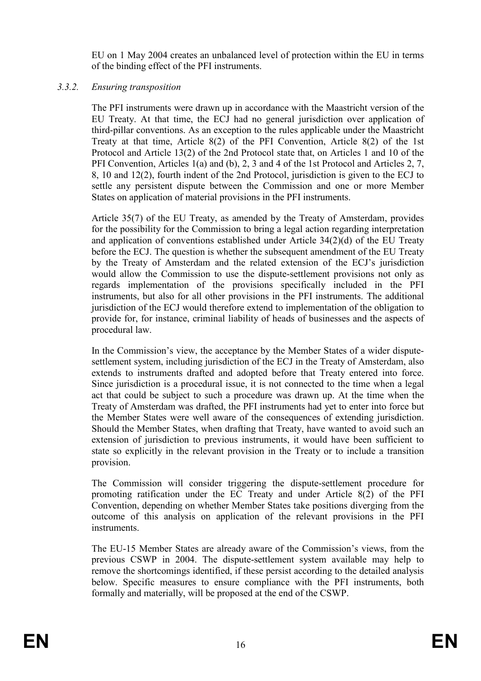EU on 1 May 2004 creates an unbalanced level of protection within the EU in terms of the binding effect of the PFI instruments.

## 3.3.2. Ensuring transposition

The PFI instruments were drawn up in accordance with the Maastricht version of the EU Treaty. At that time, the ECJ had no general jurisdiction over application of third-pillar conventions. As an exception to the rules applicable under the Maastricht Treaty at that time, Article 8(2) of the PFI Convention, Article 8(2) of the 1st Protocol and Article 13(2) of the 2nd Protocol state that, on Articles 1 and 10 of the PFI Convention, Articles 1(a) and (b), 2, 3 and 4 of the 1st Protocol and Articles 2, 7, 8, 10 and 12(2), fourth indent of the 2nd Protocol, jurisdiction is given to the ECJ to settle any persistent dispute between the Commission and one or more Member States on application of material provisions in the PFI instruments.

Article 35(7) of the EU Treaty, as amended by the Treaty of Amsterdam, provides for the possibility for the Commission to bring a legal action regarding interpretation and application of conventions established under Article 34(2)(d) of the EU Treaty before the ECJ. The question is whether the subsequent amendment of the EU Treaty by the Treaty of Amsterdam and the related extension of the ECJ's jurisdiction would allow the Commission to use the dispute-settlement provisions not only as regards implementation of the provisions specifically included in the PFI instruments, but also for all other provisions in the PFI instruments. The additional jurisdiction of the ECJ would therefore extend to implementation of the obligation to provide for, for instance, criminal liability of heads of businesses and the aspects of procedural law.

In the Commission's view, the acceptance by the Member States of a wider disputesettlement system, including jurisdiction of the ECJ in the Treaty of Amsterdam, also extends to instruments drafted and adopted before that Treaty entered into force. Since jurisdiction is a procedural issue, it is not connected to the time when a legal act that could be subject to such a procedure was drawn up. At the time when the Treaty of Amsterdam was drafted, the PFI instruments had yet to enter into force but the Member States were well aware of the consequences of extending jurisdiction. Should the Member States, when drafting that Treaty, have wanted to avoid such an extension of jurisdiction to previous instruments, it would have been sufficient to state so explicitly in the relevant provision in the Treaty or to include a transition provision.

The Commission will consider triggering the dispute-settlement procedure for promoting ratification under the EC Treaty and under Article 8(2) of the PFI Convention, depending on whether Member States take positions diverging from the outcome of this analysis on application of the relevant provisions in the PFI **instruments** 

The EU-15 Member States are already aware of the Commission's views, from the previous CSWP in 2004. The dispute-settlement system available may help to remove the shortcomings identified, if these persist according to the detailed analysis below. Specific measures to ensure compliance with the PFI instruments, both formally and materially, will be proposed at the end of the CSWP.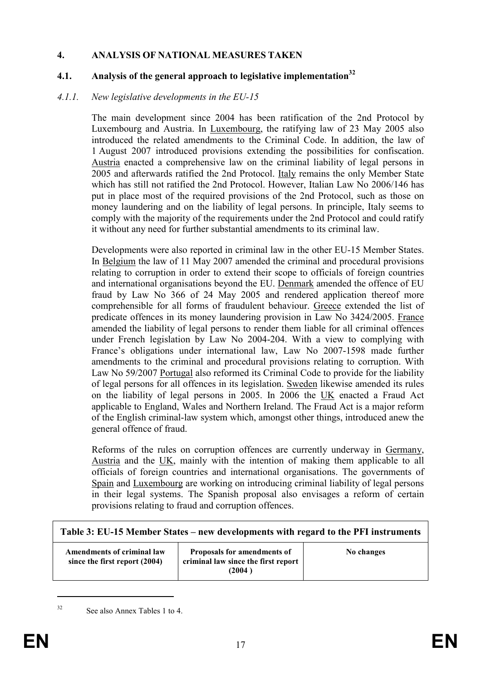## 4. ANALYSIS OF NATIONAL MEASURES TAKEN

## 4.1. Analysis of the general approach to legislative implementation<sup>32</sup>

#### 4.1.1. New legislative developments in the EU-15

The main development since 2004 has been ratification of the 2nd Protocol by Luxembourg and Austria. In Luxembourg, the ratifying law of 23 May 2005 also introduced the related amendments to the Criminal Code. In addition, the law of 1 August 2007 introduced provisions extending the possibilities for confiscation. Austria enacted a comprehensive law on the criminal liability of legal persons in 2005 and afterwards ratified the 2nd Protocol. Italy remains the only Member State which has still not ratified the 2nd Protocol. However, Italian Law No 2006/146 has put in place most of the required provisions of the 2nd Protocol, such as those on money laundering and on the liability of legal persons. In principle, Italy seems to comply with the majority of the requirements under the 2nd Protocol and could ratify it without any need for further substantial amendments to its criminal law.

Developments were also reported in criminal law in the other EU-15 Member States. In Belgium the law of 11 May 2007 amended the criminal and procedural provisions relating to corruption in order to extend their scope to officials of foreign countries and international organisations beyond the EU. Denmark amended the offence of EU fraud by Law No 366 of 24 May 2005 and rendered application thereof more comprehensible for all forms of fraudulent behaviour. Greece extended the list of predicate offences in its money laundering provision in Law No 3424/2005. France amended the liability of legal persons to render them liable for all criminal offences under French legislation by Law No 2004-204. With a view to complying with France's obligations under international law, Law No 2007-1598 made further amendments to the criminal and procedural provisions relating to corruption. With Law No 59/2007 Portugal also reformed its Criminal Code to provide for the liability of legal persons for all offences in its legislation. Sweden likewise amended its rules on the liability of legal persons in 2005. In 2006 the UK enacted a Fraud Act applicable to England, Wales and Northern Ireland. The Fraud Act is a major reform of the English criminal-law system which, amongst other things, introduced anew the general offence of fraud.

Reforms of the rules on corruption offences are currently underway in Germany, Austria and the UK, mainly with the intention of making them applicable to all officials of foreign countries and international organisations. The governments of Spain and Luxembourg are working on introducing criminal liability of legal persons in their legal systems. The Spanish proposal also envisages a reform of certain provisions relating to fraud and corruption offences.

| Table 3: EU-15 Member States – new developments with regard to the PFI instruments |                                                                              |            |  |  |
|------------------------------------------------------------------------------------|------------------------------------------------------------------------------|------------|--|--|
| Amendments of criminal law<br>since the first report (2004)                        | Proposals for amendments of<br>criminal law since the first report<br>(2004) | No changes |  |  |

<sup>32</sup> See also Annex Tables 1 to 4.

 $\overline{a}$ 

٦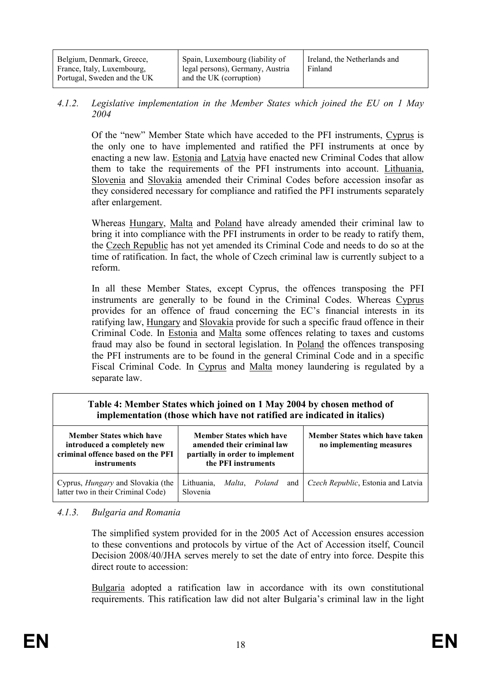| Belgium, Denmark, Greece,                                 | Spain, Luxembourg (liability of                             | Ireland, the Netherlands and |  |
|-----------------------------------------------------------|-------------------------------------------------------------|------------------------------|--|
| France, Italy, Luxembourg,<br>Portugal, Sweden and the UK | legal persons), Germany, Austria<br>and the UK (corruption) | Finland                      |  |

#### 4.1.2. Legislative implementation in the Member States which joined the EU on 1 May 2004

Of the "new" Member State which have acceded to the PFI instruments, Cyprus is the only one to have implemented and ratified the PFI instruments at once by enacting a new law. Estonia and Latvia have enacted new Criminal Codes that allow them to take the requirements of the PFI instruments into account. Lithuania, Slovenia and Slovakia amended their Criminal Codes before accession insofar as they considered necessary for compliance and ratified the PFI instruments separately after enlargement.

Whereas Hungary, Malta and Poland have already amended their criminal law to bring it into compliance with the PFI instruments in order to be ready to ratify them, the Czech Republic has not yet amended its Criminal Code and needs to do so at the time of ratification. In fact, the whole of Czech criminal law is currently subject to a reform.

In all these Member States, except Cyprus, the offences transposing the PFI instruments are generally to be found in the Criminal Codes. Whereas Cyprus provides for an offence of fraud concerning the EC's financial interests in its ratifying law, Hungary and Slovakia provide for such a specific fraud offence in their Criminal Code. In Estonia and Malta some offences relating to taxes and customs fraud may also be found in sectoral legislation. In Poland the offences transposing the PFI instruments are to be found in the general Criminal Code and in a specific Fiscal Criminal Code. In Cyprus and Malta money laundering is regulated by a separate law.

## Table 4: Member States which joined on 1 May 2004 by chosen method of implementation (those which have not ratified are indicated in italics)

| <b>Member States which have</b><br>introduced a completely new<br>criminal offence based on the PFI<br>instruments | <b>Member States which have</b><br>amended their criminal law<br>partially in order to implement<br>the PFI instruments |  |               | Member States which have taken<br>no implementing measures |                                          |
|--------------------------------------------------------------------------------------------------------------------|-------------------------------------------------------------------------------------------------------------------------|--|---------------|------------------------------------------------------------|------------------------------------------|
| Cyprus, <i>Hungary</i> and Slovakia (the<br>latter two in their Criminal Code)                                     | Lithuania,<br>Slovenia                                                                                                  |  | Malta, Poland |                                                            | and   Czech Republic, Estonia and Latvia |

#### 4.1.3. Bulgaria and Romania

The simplified system provided for in the 2005 Act of Accession ensures accession to these conventions and protocols by virtue of the Act of Accession itself, Council Decision 2008/40/JHA serves merely to set the date of entry into force. Despite this direct route to accession:

Bulgaria adopted a ratification law in accordance with its own constitutional requirements. This ratification law did not alter Bulgaria's criminal law in the light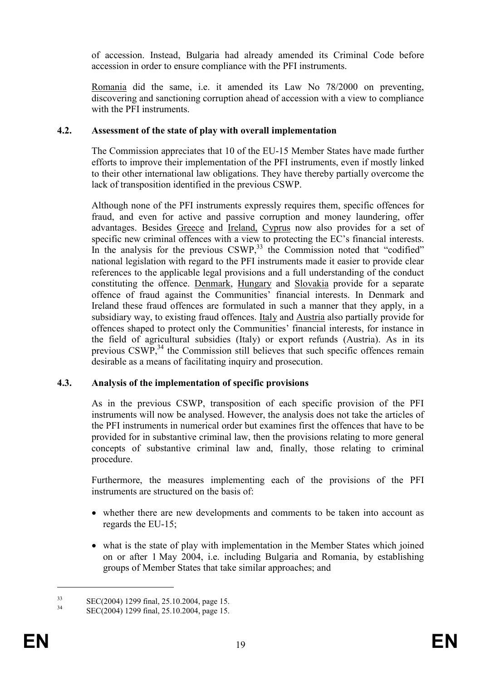of accession. Instead, Bulgaria had already amended its Criminal Code before accession in order to ensure compliance with the PFI instruments.

Romania did the same, i.e. it amended its Law No 78/2000 on preventing, discovering and sanctioning corruption ahead of accession with a view to compliance with the PFI instruments.

## 4.2. Assessment of the state of play with overall implementation

The Commission appreciates that 10 of the EU-15 Member States have made further efforts to improve their implementation of the PFI instruments, even if mostly linked to their other international law obligations. They have thereby partially overcome the lack of transposition identified in the previous CSWP.

Although none of the PFI instruments expressly requires them, specific offences for fraud, and even for active and passive corruption and money laundering, offer advantages. Besides Greece and Ireland, Cyprus now also provides for a set of specific new criminal offences with a view to protecting the EC's financial interests. In the analysis for the previous CSWP,<sup>33</sup> the Commission noted that "codified" national legislation with regard to the PFI instruments made it easier to provide clear references to the applicable legal provisions and a full understanding of the conduct constituting the offence. Denmark, Hungary and Slovakia provide for a separate offence of fraud against the Communities' financial interests. In Denmark and Ireland these fraud offences are formulated in such a manner that they apply, in a subsidiary way, to existing fraud offences. Italy and Austria also partially provide for offences shaped to protect only the Communities' financial interests, for instance in the field of agricultural subsidies (Italy) or export refunds (Austria). As in its previous  $\cos WP^{34}$  the Commission still believes that such specific offences remain desirable as a means of facilitating inquiry and prosecution.

## 4.3. Analysis of the implementation of specific provisions

As in the previous CSWP, transposition of each specific provision of the PFI instruments will now be analysed. However, the analysis does not take the articles of the PFI instruments in numerical order but examines first the offences that have to be provided for in substantive criminal law, then the provisions relating to more general concepts of substantive criminal law and, finally, those relating to criminal procedure.

Furthermore, the measures implementing each of the provisions of the PFI instruments are structured on the basis of:

- whether there are new developments and comments to be taken into account as regards the EU-15;
- what is the state of play with implementation in the Member States which joined on or after 1 May 2004, i.e. including Bulgaria and Romania, by establishing groups of Member States that take similar approaches; and

 $\text{SEC}(2004)$  1299 final, 25.10.2004, page 15.

SEC(2004) 1299 final, 25.10.2004, page 15.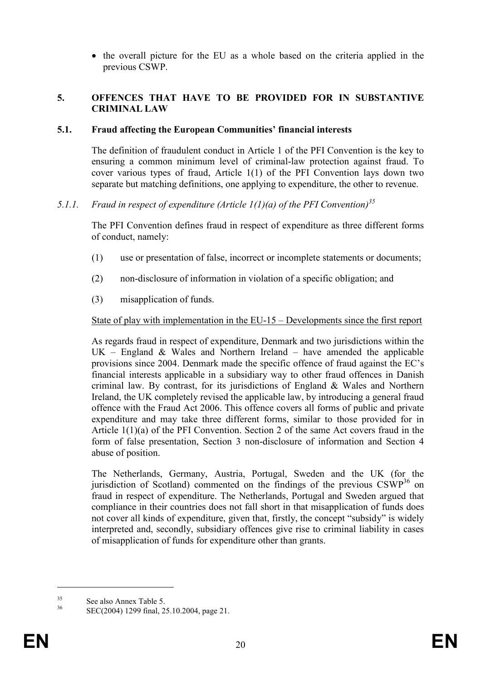• the overall picture for the EU as a whole based on the criteria applied in the previous CSWP.

## 5. OFFENCES THAT HAVE TO BE PROVIDED FOR IN SUBSTANTIVE CRIMINAL LAW

## 5.1. Fraud affecting the European Communities' financial interests

The definition of fraudulent conduct in Article 1 of the PFI Convention is the key to ensuring a common minimum level of criminal-law protection against fraud. To cover various types of fraud, Article 1(1) of the PFI Convention lays down two separate but matching definitions, one applying to expenditure, the other to revenue.

# 5.1.1. Fraud in respect of expenditure (Article  $1(1)(a)$  of the PFI Convention)<sup>35</sup>

The PFI Convention defines fraud in respect of expenditure as three different forms of conduct, namely:

- (1) use or presentation of false, incorrect or incomplete statements or documents;
- (2) non-disclosure of information in violation of a specific obligation; and
- (3) misapplication of funds.

## State of play with implementation in the EU-15 – Developments since the first report

As regards fraud in respect of expenditure, Denmark and two jurisdictions within the  $UK$  – England & Wales and Northern Ireland – have amended the applicable provisions since 2004. Denmark made the specific offence of fraud against the EC's financial interests applicable in a subsidiary way to other fraud offences in Danish criminal law. By contrast, for its jurisdictions of England & Wales and Northern Ireland, the UK completely revised the applicable law, by introducing a general fraud offence with the Fraud Act 2006. This offence covers all forms of public and private expenditure and may take three different forms, similar to those provided for in Article 1(1)(a) of the PFI Convention. Section 2 of the same Act covers fraud in the form of false presentation, Section 3 non-disclosure of information and Section 4 abuse of position.

The Netherlands, Germany, Austria, Portugal, Sweden and the UK (for the jurisdiction of Scotland) commented on the findings of the previous  $CSWP^{36}$  on fraud in respect of expenditure. The Netherlands, Portugal and Sweden argued that compliance in their countries does not fall short in that misapplication of funds does not cover all kinds of expenditure, given that, firstly, the concept "subsidy" is widely interpreted and, secondly, subsidiary offences give rise to criminal liability in cases of misapplication of funds for expenditure other than grants.

 $\frac{35}{36}$  See also Annex Table 5.

<sup>36</sup> SEC(2004) 1299 final, 25.10.2004, page 21.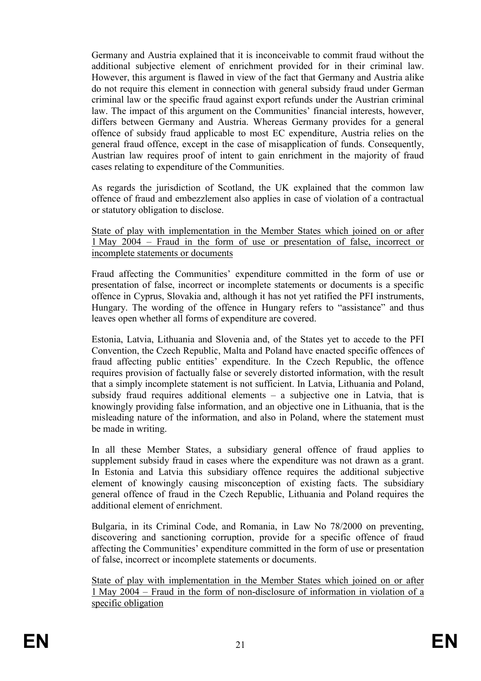Germany and Austria explained that it is inconceivable to commit fraud without the additional subjective element of enrichment provided for in their criminal law. However, this argument is flawed in view of the fact that Germany and Austria alike do not require this element in connection with general subsidy fraud under German criminal law or the specific fraud against export refunds under the Austrian criminal law. The impact of this argument on the Communities' financial interests, however, differs between Germany and Austria. Whereas Germany provides for a general offence of subsidy fraud applicable to most EC expenditure, Austria relies on the general fraud offence, except in the case of misapplication of funds. Consequently, Austrian law requires proof of intent to gain enrichment in the majority of fraud cases relating to expenditure of the Communities.

As regards the jurisdiction of Scotland, the UK explained that the common law offence of fraud and embezzlement also applies in case of violation of a contractual or statutory obligation to disclose.

State of play with implementation in the Member States which joined on or after 1 May 2004 – Fraud in the form of use or presentation of false, incorrect or incomplete statements or documents

Fraud affecting the Communities' expenditure committed in the form of use or presentation of false, incorrect or incomplete statements or documents is a specific offence in Cyprus, Slovakia and, although it has not yet ratified the PFI instruments, Hungary. The wording of the offence in Hungary refers to "assistance" and thus leaves open whether all forms of expenditure are covered.

Estonia, Latvia, Lithuania and Slovenia and, of the States yet to accede to the PFI Convention, the Czech Republic, Malta and Poland have enacted specific offences of fraud affecting public entities' expenditure. In the Czech Republic, the offence requires provision of factually false or severely distorted information, with the result that a simply incomplete statement is not sufficient. In Latvia, Lithuania and Poland, subsidy fraud requires additional elements – a subjective one in Latvia, that is knowingly providing false information, and an objective one in Lithuania, that is the misleading nature of the information, and also in Poland, where the statement must be made in writing.

In all these Member States, a subsidiary general offence of fraud applies to supplement subsidy fraud in cases where the expenditure was not drawn as a grant. In Estonia and Latvia this subsidiary offence requires the additional subjective element of knowingly causing misconception of existing facts. The subsidiary general offence of fraud in the Czech Republic, Lithuania and Poland requires the additional element of enrichment.

Bulgaria, in its Criminal Code, and Romania, in Law No 78/2000 on preventing, discovering and sanctioning corruption, provide for a specific offence of fraud affecting the Communities' expenditure committed in the form of use or presentation of false, incorrect or incomplete statements or documents.

State of play with implementation in the Member States which joined on or after 1 May 2004 – Fraud in the form of non-disclosure of information in violation of a specific obligation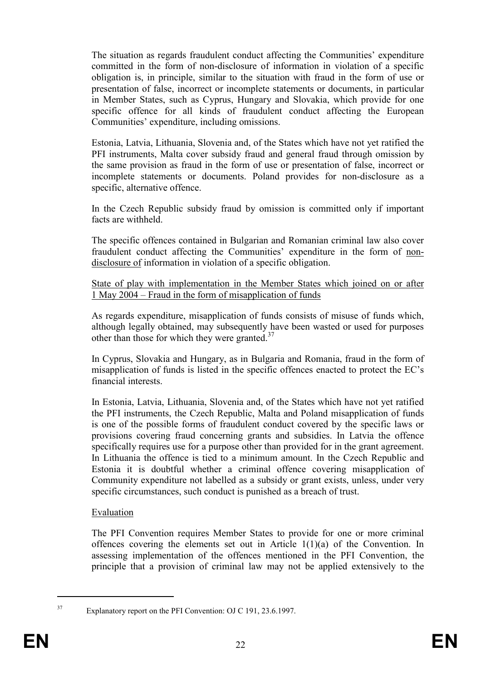The situation as regards fraudulent conduct affecting the Communities' expenditure committed in the form of non-disclosure of information in violation of a specific obligation is, in principle, similar to the situation with fraud in the form of use or presentation of false, incorrect or incomplete statements or documents, in particular in Member States, such as Cyprus, Hungary and Slovakia, which provide for one specific offence for all kinds of fraudulent conduct affecting the European Communities' expenditure, including omissions.

Estonia, Latvia, Lithuania, Slovenia and, of the States which have not yet ratified the PFI instruments, Malta cover subsidy fraud and general fraud through omission by the same provision as fraud in the form of use or presentation of false, incorrect or incomplete statements or documents. Poland provides for non-disclosure as a specific, alternative offence.

In the Czech Republic subsidy fraud by omission is committed only if important facts are withheld.

The specific offences contained in Bulgarian and Romanian criminal law also cover fraudulent conduct affecting the Communities' expenditure in the form of nondisclosure of information in violation of a specific obligation.

State of play with implementation in the Member States which joined on or after 1 May 2004 – Fraud in the form of misapplication of funds

As regards expenditure, misapplication of funds consists of misuse of funds which, although legally obtained, may subsequently have been wasted or used for purposes other than those for which they were granted.<sup>37</sup>

In Cyprus, Slovakia and Hungary, as in Bulgaria and Romania, fraud in the form of misapplication of funds is listed in the specific offences enacted to protect the EC's financial interests.

In Estonia, Latvia, Lithuania, Slovenia and, of the States which have not yet ratified the PFI instruments, the Czech Republic, Malta and Poland misapplication of funds is one of the possible forms of fraudulent conduct covered by the specific laws or provisions covering fraud concerning grants and subsidies. In Latvia the offence specifically requires use for a purpose other than provided for in the grant agreement. In Lithuania the offence is tied to a minimum amount. In the Czech Republic and Estonia it is doubtful whether a criminal offence covering misapplication of Community expenditure not labelled as a subsidy or grant exists, unless, under very specific circumstances, such conduct is punished as a breach of trust.

#### Evaluation

The PFI Convention requires Member States to provide for one or more criminal offences covering the elements set out in Article 1(1)(a) of the Convention. In assessing implementation of the offences mentioned in the PFI Convention, the principle that a provision of criminal law may not be applied extensively to the

 $\overline{a}$ 

<sup>37</sup> Explanatory report on the PFI Convention: OJ C 191, 23.6.1997.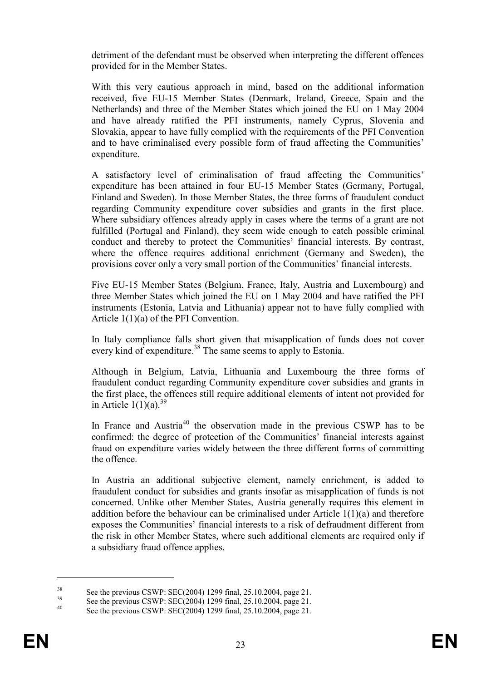detriment of the defendant must be observed when interpreting the different offences provided for in the Member States.

With this very cautious approach in mind, based on the additional information received, five EU-15 Member States (Denmark, Ireland, Greece, Spain and the Netherlands) and three of the Member States which joined the EU on 1 May 2004 and have already ratified the PFI instruments, namely Cyprus, Slovenia and Slovakia, appear to have fully complied with the requirements of the PFI Convention and to have criminalised every possible form of fraud affecting the Communities' expenditure.

A satisfactory level of criminalisation of fraud affecting the Communities' expenditure has been attained in four EU-15 Member States (Germany, Portugal, Finland and Sweden). In those Member States, the three forms of fraudulent conduct regarding Community expenditure cover subsidies and grants in the first place. Where subsidiary offences already apply in cases where the terms of a grant are not fulfilled (Portugal and Finland), they seem wide enough to catch possible criminal conduct and thereby to protect the Communities' financial interests. By contrast, where the offence requires additional enrichment (Germany and Sweden), the provisions cover only a very small portion of the Communities' financial interests.

Five EU-15 Member States (Belgium, France, Italy, Austria and Luxembourg) and three Member States which joined the EU on 1 May 2004 and have ratified the PFI instruments (Estonia, Latvia and Lithuania) appear not to have fully complied with Article 1(1)(a) of the PFI Convention.

In Italy compliance falls short given that misapplication of funds does not cover every kind of expenditure.<sup>38</sup> The same seems to apply to Estonia.

Although in Belgium, Latvia, Lithuania and Luxembourg the three forms of fraudulent conduct regarding Community expenditure cover subsidies and grants in the first place, the offences still require additional elements of intent not provided for in Article  $1(1)(a)$ .<sup>39</sup>

In France and Austria<sup>40</sup> the observation made in the previous CSWP has to be confirmed: the degree of protection of the Communities' financial interests against fraud on expenditure varies widely between the three different forms of committing the offence.

In Austria an additional subjective element, namely enrichment, is added to fraudulent conduct for subsidies and grants insofar as misapplication of funds is not concerned. Unlike other Member States, Austria generally requires this element in addition before the behaviour can be criminalised under Article 1(1)(a) and therefore exposes the Communities' financial interests to a risk of defraudment different from the risk in other Member States, where such additional elements are required only if a subsidiary fraud offence applies.

<sup>&</sup>lt;sup>38</sup> See the previous CSWP: SEC(2004) 1299 final, 25.10.2004, page 21.

<sup>&</sup>lt;sup>39</sup> See the previous CSWP: SEC(2004) 1299 final, 25.10.2004, page 21.

See the previous CSWP: SEC(2004) 1299 final, 25.10.2004, page 21.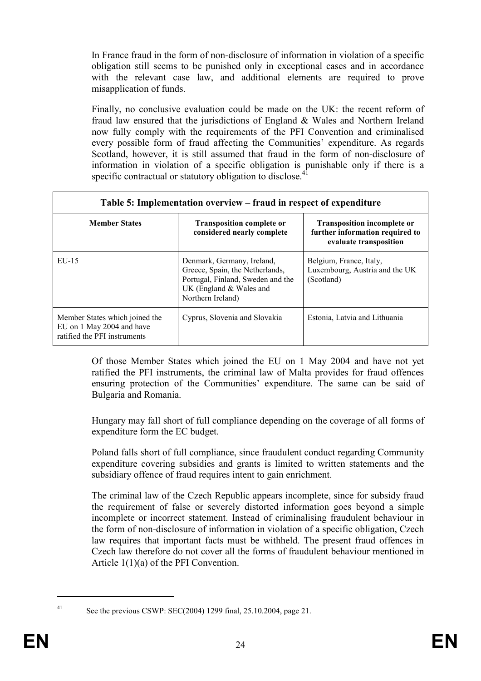In France fraud in the form of non-disclosure of information in violation of a specific obligation still seems to be punished only in exceptional cases and in accordance with the relevant case law, and additional elements are required to prove misapplication of funds.

Finally, no conclusive evaluation could be made on the UK: the recent reform of fraud law ensured that the jurisdictions of England & Wales and Northern Ireland now fully comply with the requirements of the PFI Convention and criminalised every possible form of fraud affecting the Communities' expenditure. As regards Scotland, however, it is still assumed that fraud in the form of non-disclosure of information in violation of a specific obligation is punishable only if there is a specific contractual or statutory obligation to disclose.<sup>41</sup>

| Table 5: Implementation overview – fraud in respect of expenditure                          |                                                                                                                                                      |                                                                                                 |  |  |
|---------------------------------------------------------------------------------------------|------------------------------------------------------------------------------------------------------------------------------------------------------|-------------------------------------------------------------------------------------------------|--|--|
| <b>Member States</b>                                                                        | <b>Transposition complete or</b><br>considered nearly complete                                                                                       | <b>Transposition incomplete or</b><br>further information required to<br>evaluate transposition |  |  |
| $EU-15$                                                                                     | Denmark, Germany, Ireland,<br>Greece, Spain, the Netherlands,<br>Portugal, Finland, Sweden and the<br>UK (England $&$ Wales and<br>Northern Ireland) | Belgium, France, Italy,<br>Luxembourg, Austria and the UK<br>(Scotland)                         |  |  |
| Member States which joined the<br>EU on 1 May 2004 and have<br>ratified the PFI instruments | Cyprus, Slovenia and Slovakia                                                                                                                        | Estonia, Latvia and Lithuania                                                                   |  |  |

Of those Member States which joined the EU on 1 May 2004 and have not yet ratified the PFI instruments, the criminal law of Malta provides for fraud offences ensuring protection of the Communities' expenditure. The same can be said of Bulgaria and Romania.

Hungary may fall short of full compliance depending on the coverage of all forms of expenditure form the EC budget.

Poland falls short of full compliance, since fraudulent conduct regarding Community expenditure covering subsidies and grants is limited to written statements and the subsidiary offence of fraud requires intent to gain enrichment.

The criminal law of the Czech Republic appears incomplete, since for subsidy fraud the requirement of false or severely distorted information goes beyond a simple incomplete or incorrect statement. Instead of criminalising fraudulent behaviour in the form of non-disclosure of information in violation of a specific obligation, Czech law requires that important facts must be withheld. The present fraud offences in Czech law therefore do not cover all the forms of fraudulent behaviour mentioned in Article 1(1)(a) of the PFI Convention.

 $\overline{a}$ 

<sup>41</sup> See the previous CSWP: SEC(2004) 1299 final, 25.10.2004, page 21.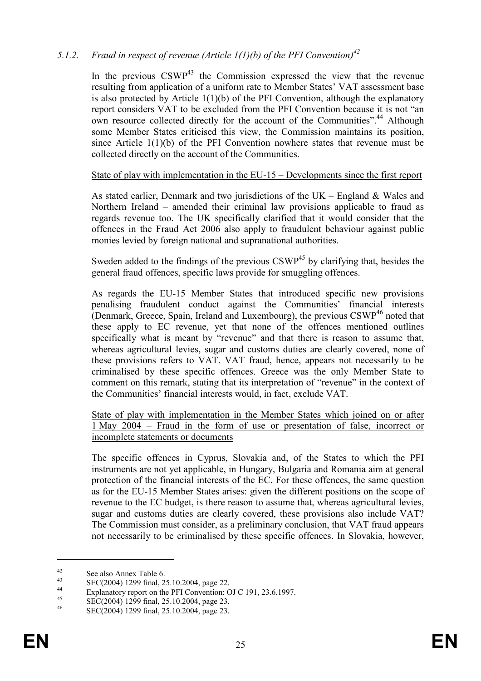## 5.1.2. Fraud in respect of revenue (Article 1(1)(b) of the PFI Convention)<sup>42</sup>

In the previous  $CSWP<sup>43</sup>$  the Commission expressed the view that the revenue resulting from application of a uniform rate to Member States' VAT assessment base is also protected by Article  $1(1)(b)$  of the PFI Convention, although the explanatory report considers VAT to be excluded from the PFI Convention because it is not "an own resource collected directly for the account of the Communities".<sup>44</sup> Although some Member States criticised this view, the Commission maintains its position, since Article 1(1)(b) of the PFI Convention nowhere states that revenue must be collected directly on the account of the Communities.

## State of play with implementation in the EU-15 – Developments since the first report

As stated earlier, Denmark and two jurisdictions of the UK – England  $&$  Wales and Northern Ireland – amended their criminal law provisions applicable to fraud as regards revenue too. The UK specifically clarified that it would consider that the offences in the Fraud Act 2006 also apply to fraudulent behaviour against public monies levied by foreign national and supranational authorities.

Sweden added to the findings of the previous CSWP<sup>45</sup> by clarifying that, besides the general fraud offences, specific laws provide for smuggling offences.

As regards the EU-15 Member States that introduced specific new provisions penalising fraudulent conduct against the Communities' financial interests (Denmark, Greece, Spain, Ireland and Luxembourg), the previous  $\text{CSWP}^{46}$  noted that these apply to EC revenue, yet that none of the offences mentioned outlines specifically what is meant by "revenue" and that there is reason to assume that, whereas agricultural levies, sugar and customs duties are clearly covered, none of these provisions refers to VAT. VAT fraud, hence, appears not necessarily to be criminalised by these specific offences. Greece was the only Member State to comment on this remark, stating that its interpretation of "revenue" in the context of the Communities' financial interests would, in fact, exclude VAT.

State of play with implementation in the Member States which joined on or after 1 May 2004 – Fraud in the form of use or presentation of false, incorrect or incomplete statements or documents

The specific offences in Cyprus, Slovakia and, of the States to which the PFI instruments are not yet applicable, in Hungary, Bulgaria and Romania aim at general protection of the financial interests of the EC. For these offences, the same question as for the EU-15 Member States arises: given the different positions on the scope of revenue to the EC budget, is there reason to assume that, whereas agricultural levies, sugar and customs duties are clearly covered, these provisions also include VAT? The Commission must consider, as a preliminary conclusion, that VAT fraud appears not necessarily to be criminalised by these specific offences. In Slovakia, however,

<sup>&</sup>lt;sup>42</sup> See also Annex Table 6.<br><sup>43</sup> SEG(2004) 1200  $\zeta$  1.2

 $\text{SEC}(2004)$  1299 final, 25.10.2004, page 22.

<sup>&</sup>lt;sup>44</sup> Explanatory report on the PFI Convention: OJ C 191, 23.6.1997.

 $\frac{45}{46}$  SEC(2004) 1299 final, 25.10.2004, page 23.

SEC(2004) 1299 final, 25.10.2004, page 23.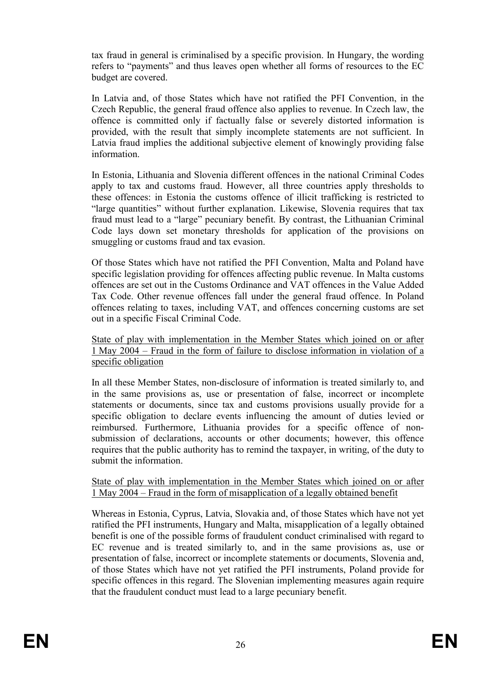tax fraud in general is criminalised by a specific provision. In Hungary, the wording refers to "payments" and thus leaves open whether all forms of resources to the EC budget are covered.

In Latvia and, of those States which have not ratified the PFI Convention, in the Czech Republic, the general fraud offence also applies to revenue. In Czech law, the offence is committed only if factually false or severely distorted information is provided, with the result that simply incomplete statements are not sufficient. In Latvia fraud implies the additional subjective element of knowingly providing false information.

In Estonia, Lithuania and Slovenia different offences in the national Criminal Codes apply to tax and customs fraud. However, all three countries apply thresholds to these offences: in Estonia the customs offence of illicit trafficking is restricted to "large quantities" without further explanation. Likewise, Slovenia requires that tax fraud must lead to a "large" pecuniary benefit. By contrast, the Lithuanian Criminal Code lays down set monetary thresholds for application of the provisions on smuggling or customs fraud and tax evasion.

Of those States which have not ratified the PFI Convention, Malta and Poland have specific legislation providing for offences affecting public revenue. In Malta customs offences are set out in the Customs Ordinance and VAT offences in the Value Added Tax Code. Other revenue offences fall under the general fraud offence. In Poland offences relating to taxes, including VAT, and offences concerning customs are set out in a specific Fiscal Criminal Code.

State of play with implementation in the Member States which joined on or after 1 May 2004 – Fraud in the form of failure to disclose information in violation of a specific obligation

In all these Member States, non-disclosure of information is treated similarly to, and in the same provisions as, use or presentation of false, incorrect or incomplete statements or documents, since tax and customs provisions usually provide for a specific obligation to declare events influencing the amount of duties levied or reimbursed. Furthermore, Lithuania provides for a specific offence of nonsubmission of declarations, accounts or other documents; however, this offence requires that the public authority has to remind the taxpayer, in writing, of the duty to submit the information.

## State of play with implementation in the Member States which joined on or after 1 May 2004 – Fraud in the form of misapplication of a legally obtained benefit

Whereas in Estonia, Cyprus, Latvia, Slovakia and, of those States which have not yet ratified the PFI instruments, Hungary and Malta, misapplication of a legally obtained benefit is one of the possible forms of fraudulent conduct criminalised with regard to EC revenue and is treated similarly to, and in the same provisions as, use or presentation of false, incorrect or incomplete statements or documents, Slovenia and, of those States which have not yet ratified the PFI instruments, Poland provide for specific offences in this regard. The Slovenian implementing measures again require that the fraudulent conduct must lead to a large pecuniary benefit.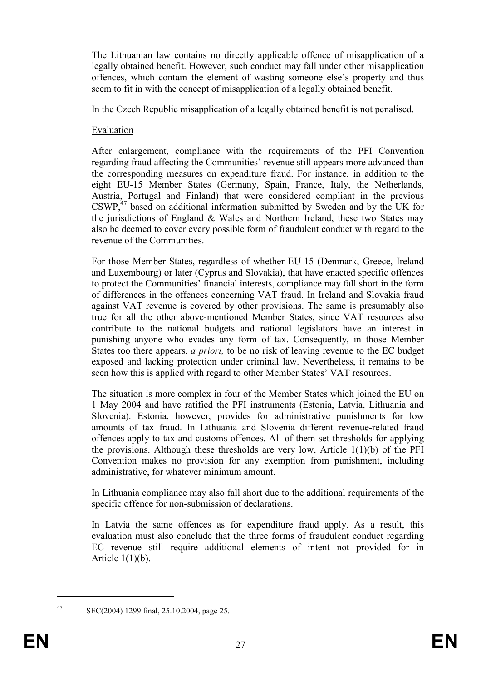The Lithuanian law contains no directly applicable offence of misapplication of a legally obtained benefit. However, such conduct may fall under other misapplication offences, which contain the element of wasting someone else's property and thus seem to fit in with the concept of misapplication of a legally obtained benefit.

In the Czech Republic misapplication of a legally obtained benefit is not penalised.

## Evaluation

After enlargement, compliance with the requirements of the PFI Convention regarding fraud affecting the Communities' revenue still appears more advanced than the corresponding measures on expenditure fraud. For instance, in addition to the eight EU-15 Member States (Germany, Spain, France, Italy, the Netherlands, Austria, Portugal and Finland) that were considered compliant in the previous  $CSWP<sup>47</sup>$  based on additional information submitted by Sweden and by the UK for the jurisdictions of England & Wales and Northern Ireland, these two States may also be deemed to cover every possible form of fraudulent conduct with regard to the revenue of the Communities.

For those Member States, regardless of whether EU-15 (Denmark, Greece, Ireland and Luxembourg) or later (Cyprus and Slovakia), that have enacted specific offences to protect the Communities' financial interests, compliance may fall short in the form of differences in the offences concerning VAT fraud. In Ireland and Slovakia fraud against VAT revenue is covered by other provisions. The same is presumably also true for all the other above-mentioned Member States, since VAT resources also contribute to the national budgets and national legislators have an interest in punishing anyone who evades any form of tax. Consequently, in those Member States too there appears, *a priori*, to be no risk of leaving revenue to the EC budget exposed and lacking protection under criminal law. Nevertheless, it remains to be seen how this is applied with regard to other Member States' VAT resources.

The situation is more complex in four of the Member States which joined the EU on 1 May 2004 and have ratified the PFI instruments (Estonia, Latvia, Lithuania and Slovenia). Estonia, however, provides for administrative punishments for low amounts of tax fraud. In Lithuania and Slovenia different revenue-related fraud offences apply to tax and customs offences. All of them set thresholds for applying the provisions. Although these thresholds are very low, Article 1(1)(b) of the PFI Convention makes no provision for any exemption from punishment, including administrative, for whatever minimum amount.

In Lithuania compliance may also fall short due to the additional requirements of the specific offence for non-submission of declarations.

In Latvia the same offences as for expenditure fraud apply. As a result, this evaluation must also conclude that the three forms of fraudulent conduct regarding EC revenue still require additional elements of intent not provided for in Article  $1(1)(b)$ .

 $\overline{a}$ 

<sup>47</sup> SEC(2004) 1299 final, 25.10.2004, page 25.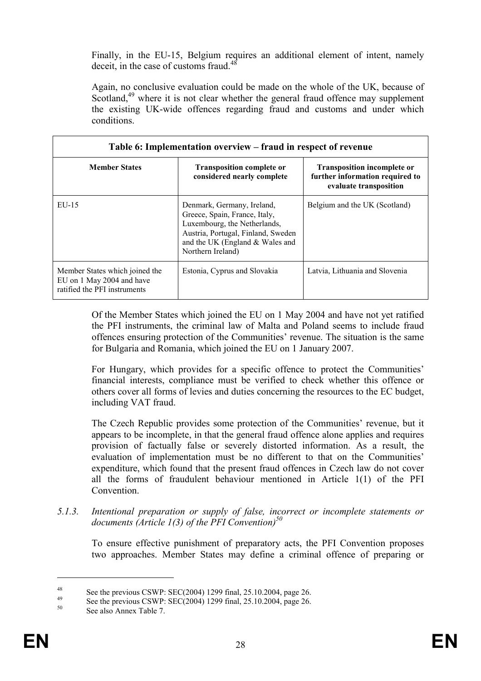Finally, in the EU-15, Belgium requires an additional element of intent, namely deceit, in the case of customs fraud.<sup>48</sup>

Again, no conclusive evaluation could be made on the whole of the UK, because of Scotland,<sup>49</sup> where it is not clear whether the general fraud offence may supplement the existing UK-wide offences regarding fraud and customs and under which conditions.

| Table 6: Implementation overview – fraud in respect of revenue                              |                                                                                                                                                                                           |                                                                                                 |
|---------------------------------------------------------------------------------------------|-------------------------------------------------------------------------------------------------------------------------------------------------------------------------------------------|-------------------------------------------------------------------------------------------------|
| <b>Member States</b>                                                                        | <b>Transposition complete or</b><br>considered nearly complete                                                                                                                            | <b>Transposition incomplete or</b><br>further information required to<br>evaluate transposition |
| $EU-15$                                                                                     | Denmark, Germany, Ireland,<br>Greece, Spain, France, Italy,<br>Luxembourg, the Netherlands,<br>Austria, Portugal, Finland, Sweden<br>and the UK (England & Wales and<br>Northern Ireland) | Belgium and the UK (Scotland)                                                                   |
| Member States which joined the<br>EU on 1 May 2004 and have<br>ratified the PFI instruments | Estonia, Cyprus and Slovakia                                                                                                                                                              | Latvia, Lithuania and Slovenia                                                                  |

Of the Member States which joined the EU on 1 May 2004 and have not yet ratified the PFI instruments, the criminal law of Malta and Poland seems to include fraud offences ensuring protection of the Communities' revenue. The situation is the same for Bulgaria and Romania, which joined the EU on 1 January 2007.

For Hungary, which provides for a specific offence to protect the Communities' financial interests, compliance must be verified to check whether this offence or others cover all forms of levies and duties concerning the resources to the EC budget, including VAT fraud.

The Czech Republic provides some protection of the Communities' revenue, but it appears to be incomplete, in that the general fraud offence alone applies and requires provision of factually false or severely distorted information. As a result, the evaluation of implementation must be no different to that on the Communities' expenditure, which found that the present fraud offences in Czech law do not cover all the forms of fraudulent behaviour mentioned in Article 1(1) of the PFI Convention.

5.1.3. Intentional preparation or supply of false, incorrect or incomplete statements or documents (Article 1(3) of the PFI Convention)<sup>50</sup>

To ensure effective punishment of preparatory acts, the PFI Convention proposes two approaches. Member States may define a criminal offence of preparing or

<sup>&</sup>lt;sup>48</sup> See the previous CSWP: SEC(2004) 1299 final, 25.10.2004, page 26.

<sup>&</sup>lt;sup>49</sup> See the previous CSWP: SEC(2004) 1299 final, 25.10.2004, page 26.

See also Annex Table 7.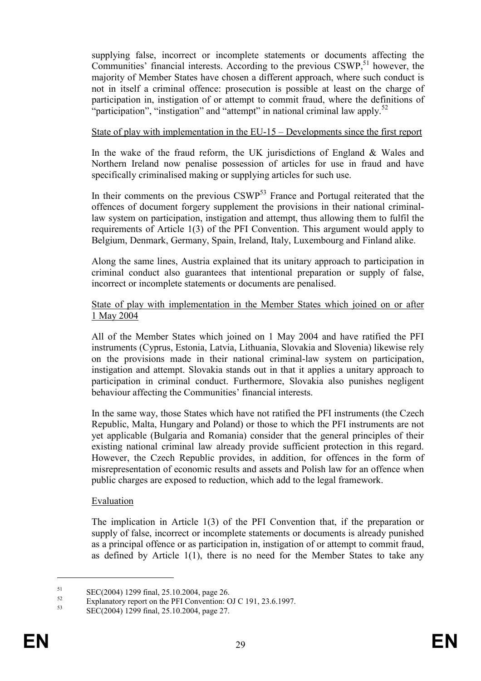supplying false, incorrect or incomplete statements or documents affecting the Communities' financial interests. According to the previous CSWP,<sup>51</sup> however, the majority of Member States have chosen a different approach, where such conduct is not in itself a criminal offence: prosecution is possible at least on the charge of participation in, instigation of or attempt to commit fraud, where the definitions of "participation", "instigation" and "attempt" in national criminal law apply.<sup>52</sup>

#### State of play with implementation in the EU-15 – Developments since the first report

In the wake of the fraud reform, the UK jurisdictions of England & Wales and Northern Ireland now penalise possession of articles for use in fraud and have specifically criminalised making or supplying articles for such use.

In their comments on the previous  $\text{CSWP}^{53}$  France and Portugal reiterated that the offences of document forgery supplement the provisions in their national criminallaw system on participation, instigation and attempt, thus allowing them to fulfil the requirements of Article 1(3) of the PFI Convention. This argument would apply to Belgium, Denmark, Germany, Spain, Ireland, Italy, Luxembourg and Finland alike.

Along the same lines, Austria explained that its unitary approach to participation in criminal conduct also guarantees that intentional preparation or supply of false, incorrect or incomplete statements or documents are penalised.

#### State of play with implementation in the Member States which joined on or after 1 May 2004

All of the Member States which joined on 1 May 2004 and have ratified the PFI instruments (Cyprus, Estonia, Latvia, Lithuania, Slovakia and Slovenia) likewise rely on the provisions made in their national criminal-law system on participation, instigation and attempt. Slovakia stands out in that it applies a unitary approach to participation in criminal conduct. Furthermore, Slovakia also punishes negligent behaviour affecting the Communities' financial interests.

In the same way, those States which have not ratified the PFI instruments (the Czech Republic, Malta, Hungary and Poland) or those to which the PFI instruments are not yet applicable (Bulgaria and Romania) consider that the general principles of their existing national criminal law already provide sufficient protection in this regard. However, the Czech Republic provides, in addition, for offences in the form of misrepresentation of economic results and assets and Polish law for an offence when public charges are exposed to reduction, which add to the legal framework.

#### Evaluation

The implication in Article 1(3) of the PFI Convention that, if the preparation or supply of false, incorrect or incomplete statements or documents is already punished as a principal offence or as participation in, instigation of or attempt to commit fraud, as defined by Article 1(1), there is no need for the Member States to take any

 $51$  SEC(2004) 1299 final, 25.10.2004, page 26.

 $^{52}$  Explanatory report on the PFI Convention: OJ C 191, 23.6.1997.

<sup>53</sup> SEC(2004) 1299 final, 25.10.2004, page 27.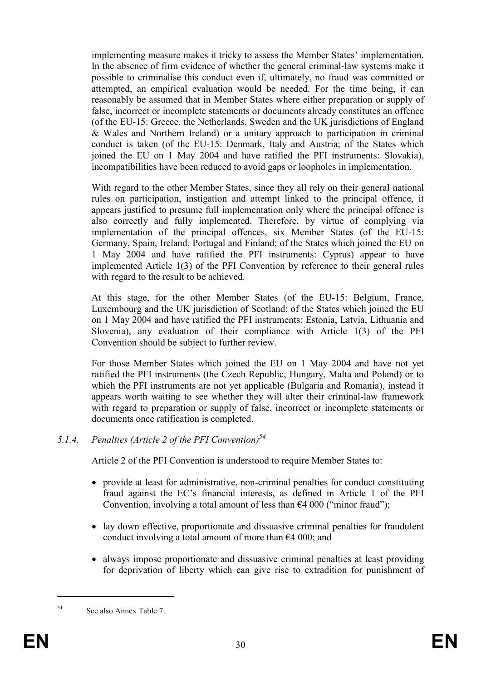implementing measure makes it tricky to assess the Member States' implementation. In the absence of firm evidence of whether the general criminal-law systems make it possible to criminalise this conduct even if, ultimately, no fraud was committed or attempted, an empirical evaluation would be needed. For the time being, it can reasonably be assumed that in Member States where either preparation or supply of false, incorrect or incomplete statements or documents already constitutes an offence (of the EU-15: Greece, the Netherlands, Sweden and the UK jurisdictions of England & Wales and Northern Ireland) or a unitary approach to participation in criminal conduct is taken (of the EU-15: Denmark, Italy and Austria; of the States which joined the EU on 1 May 2004 and have ratified the PFI instruments: Slovakia), incompatibilities have been reduced to avoid gaps or loopholes in implementation.

With regard to the other Member States, since they all rely on their general national rules on participation, instigation and attempt linked to the principal offence, it appears justified to presume full implementation only where the principal offence is also correctly and fully implemented. Therefore, by virtue of complying via implementation of the principal offences, six Member States (of the EU-15: Germany, Spain, Ireland, Portugal and Finland; of the States which joined the EU on 1 May 2004 and have ratified the PFI instruments: Cyprus) appear to have implemented Article 1(3) of the PFI Convention by reference to their general rules with regard to the result to be achieved.

At this stage, for the other Member States (of the EU-15: Belgium, France, Luxembourg and the UK jurisdiction of Scotland; of the States which joined the EU on 1 May 2004 and have ratified the PFI instruments: Estonia, Latvia, Lithuania and Slovenia), any evaluation of their compliance with Article 1(3) of the PFI Convention should be subject to further review.

For those Member States which joined the EU on 1 May 2004 and have not yet ratified the PFI instruments (the Czech Republic, Hungary, Malta and Poland) or to which the PFI instruments are not yet applicable (Bulgaria and Romania), instead it appears worth waiting to see whether they will alter their criminal-law framework with regard to preparation or supply of false, incorrect or incomplete statements or documents once ratification is completed.

## 5.1.4. Penalties (Article 2 of the PFI Convention)<sup>54</sup>

Article 2 of the PFI Convention is understood to require Member States to:

- provide at least for administrative, non-criminal penalties for conduct constituting fraud against the EC's financial interests, as defined in Article 1 of the PFI Convention, involving a total amount of less than  $64\,000$  ("minor fraud");
- lay down effective, proportionate and dissuasive criminal penalties for fraudulent conduct involving a total amount of more than  $\epsilon$ 4 000; and
- always impose proportionate and dissuasive criminal penalties at least providing for deprivation of liberty which can give rise to extradition for punishment of

<sup>54</sup> See also Annex Table 7.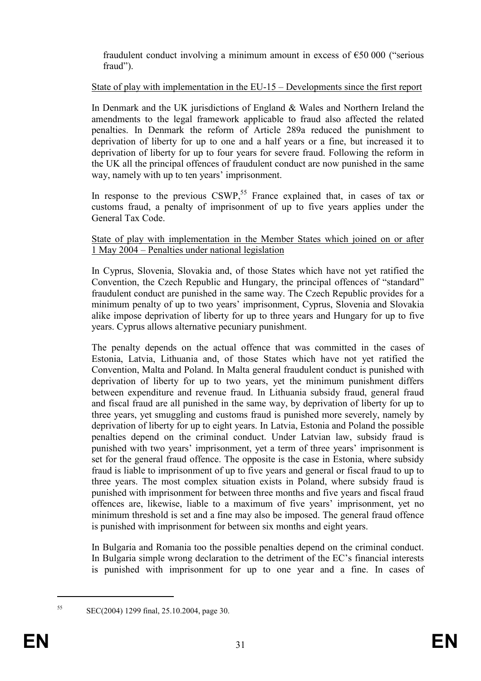fraudulent conduct involving a minimum amount in excess of  $\epsilon$ 50 000 ("serious fraud").

## State of play with implementation in the EU-15 – Developments since the first report

In Denmark and the UK jurisdictions of England & Wales and Northern Ireland the amendments to the legal framework applicable to fraud also affected the related penalties. In Denmark the reform of Article 289a reduced the punishment to deprivation of liberty for up to one and a half years or a fine, but increased it to deprivation of liberty for up to four years for severe fraud. Following the reform in the UK all the principal offences of fraudulent conduct are now punished in the same way, namely with up to ten years' imprisonment.

In response to the previous CSWP,<sup>55</sup> France explained that, in cases of tax or customs fraud, a penalty of imprisonment of up to five years applies under the General Tax Code.

## State of play with implementation in the Member States which joined on or after 1 May 2004 – Penalties under national legislation

In Cyprus, Slovenia, Slovakia and, of those States which have not yet ratified the Convention, the Czech Republic and Hungary, the principal offences of "standard" fraudulent conduct are punished in the same way. The Czech Republic provides for a minimum penalty of up to two years' imprisonment, Cyprus, Slovenia and Slovakia alike impose deprivation of liberty for up to three years and Hungary for up to five years. Cyprus allows alternative pecuniary punishment.

The penalty depends on the actual offence that was committed in the cases of Estonia, Latvia, Lithuania and, of those States which have not yet ratified the Convention, Malta and Poland. In Malta general fraudulent conduct is punished with deprivation of liberty for up to two years, yet the minimum punishment differs between expenditure and revenue fraud. In Lithuania subsidy fraud, general fraud and fiscal fraud are all punished in the same way, by deprivation of liberty for up to three years, yet smuggling and customs fraud is punished more severely, namely by deprivation of liberty for up to eight years. In Latvia, Estonia and Poland the possible penalties depend on the criminal conduct. Under Latvian law, subsidy fraud is punished with two years' imprisonment, yet a term of three years' imprisonment is set for the general fraud offence. The opposite is the case in Estonia, where subsidy fraud is liable to imprisonment of up to five years and general or fiscal fraud to up to three years. The most complex situation exists in Poland, where subsidy fraud is punished with imprisonment for between three months and five years and fiscal fraud offences are, likewise, liable to a maximum of five years' imprisonment, yet no minimum threshold is set and a fine may also be imposed. The general fraud offence is punished with imprisonment for between six months and eight years.

In Bulgaria and Romania too the possible penalties depend on the criminal conduct. In Bulgaria simple wrong declaration to the detriment of the EC's financial interests is punished with imprisonment for up to one year and a fine. In cases of

<sup>55</sup> SEC(2004) 1299 final, 25.10.2004, page 30.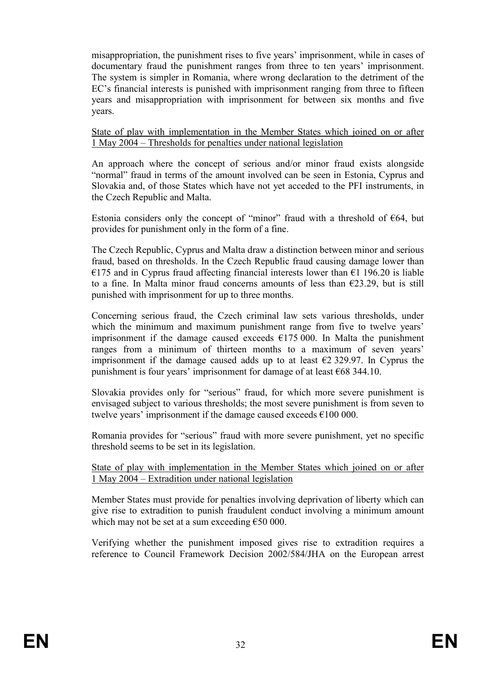misappropriation, the punishment rises to five years' imprisonment, while in cases of documentary fraud the punishment ranges from three to ten years' imprisonment. The system is simpler in Romania, where wrong declaration to the detriment of the EC's financial interests is punished with imprisonment ranging from three to fifteen years and misappropriation with imprisonment for between six months and five years.

State of play with implementation in the Member States which joined on or after 1 May 2004 – Thresholds for penalties under national legislation

An approach where the concept of serious and/or minor fraud exists alongside "normal" fraud in terms of the amount involved can be seen in Estonia, Cyprus and Slovakia and, of those States which have not yet acceded to the PFI instruments, in the Czech Republic and Malta.

Estonia considers only the concept of "minor" fraud with a threshold of  $E64$ , but provides for punishment only in the form of a fine.

The Czech Republic, Cyprus and Malta draw a distinction between minor and serious fraud, based on thresholds. In the Czech Republic fraud causing damage lower than €175 and in Cyprus fraud affecting financial interests lower than €1 196.20 is liable to a fine. In Malta minor fraud concerns amounts of less than  $E$ 23.29, but is still punished with imprisonment for up to three months.

Concerning serious fraud, the Czech criminal law sets various thresholds, under which the minimum and maximum punishment range from five to twelve years' imprisonment if the damage caused exceeds  $\epsilon$ 175 000. In Malta the punishment ranges from a minimum of thirteen months to a maximum of seven years' imprisonment if the damage caused adds up to at least  $\epsilon$ 2 329.97. In Cyprus the punishment is four years' imprisonment for damage of at least €68 344.10.

Slovakia provides only for "serious" fraud, for which more severe punishment is envisaged subject to various thresholds; the most severe punishment is from seven to twelve years' imprisonment if the damage caused exceeds €100 000.

Romania provides for "serious" fraud with more severe punishment, yet no specific threshold seems to be set in its legislation.

State of play with implementation in the Member States which joined on or after 1 May 2004 – Extradition under national legislation

Member States must provide for penalties involving deprivation of liberty which can give rise to extradition to punish fraudulent conduct involving a minimum amount which may not be set at a sum exceeding  $€50000$ .

Verifying whether the punishment imposed gives rise to extradition requires a reference to Council Framework Decision 2002/584/JHA on the European arrest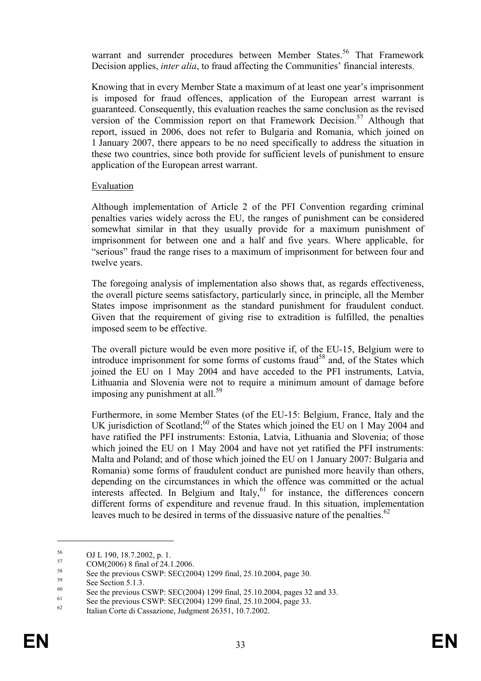warrant and surrender procedures between Member States.<sup>56</sup> That Framework Decision applies, *inter alia*, to fraud affecting the Communities' financial interests.

Knowing that in every Member State a maximum of at least one year's imprisonment is imposed for fraud offences, application of the European arrest warrant is guaranteed. Consequently, this evaluation reaches the same conclusion as the revised version of the Commission report on that Framework Decision.<sup>57</sup> Although that report, issued in 2006, does not refer to Bulgaria and Romania, which joined on 1 January 2007, there appears to be no need specifically to address the situation in these two countries, since both provide for sufficient levels of punishment to ensure application of the European arrest warrant.

## Evaluation

Although implementation of Article 2 of the PFI Convention regarding criminal penalties varies widely across the EU, the ranges of punishment can be considered somewhat similar in that they usually provide for a maximum punishment of imprisonment for between one and a half and five years. Where applicable, for "serious" fraud the range rises to a maximum of imprisonment for between four and twelve years.

The foregoing analysis of implementation also shows that, as regards effectiveness, the overall picture seems satisfactory, particularly since, in principle, all the Member States impose imprisonment as the standard punishment for fraudulent conduct. Given that the requirement of giving rise to extradition is fulfilled, the penalties imposed seem to be effective.

The overall picture would be even more positive if, of the EU-15, Belgium were to introduce imprisonment for some forms of customs fraud<sup>58</sup> and, of the States which joined the EU on 1 May 2004 and have acceded to the PFI instruments, Latvia, Lithuania and Slovenia were not to require a minimum amount of damage before imposing any punishment at all. $^{59}$ 

Furthermore, in some Member States (of the EU-15: Belgium, France, Italy and the UK jurisdiction of Scotland;<sup>60</sup> of the States which joined the EU on 1 May 2004 and have ratified the PFI instruments: Estonia, Latvia, Lithuania and Slovenia; of those which joined the EU on 1 May 2004 and have not yet ratified the PFI instruments: Malta and Poland; and of those which joined the EU on 1 January 2007: Bulgaria and Romania) some forms of fraudulent conduct are punished more heavily than others, depending on the circumstances in which the offence was committed or the actual interests affected. In Belgium and Italy,<sup>61</sup> for instance, the differences concern different forms of expenditure and revenue fraud. In this situation, implementation leaves much to be desired in terms of the dissuasive nature of the penalties.<sup>62</sup>

 $^{56}$  OJ L 190, 18.7.2002, p. 1.<br> $^{57}$  COM(2006) 9.5, 1, 524.1

 $57 \text{ COM}(2006) \text{ 8 final of } 24.1.2006.$ 

<sup>&</sup>lt;sup>58</sup> See the previous CSWP: SEC(2004) 1299 final, 25.10.2004, page 30.

 $59$  See Section 5.1.3.

<sup>&</sup>lt;sup>60</sup> See the previous CSWP: SEC(2004) 1299 final, 25.10.2004, pages 32 and 33.

<sup>&</sup>lt;sup>61</sup> See the previous CSWP: SEC(2004) 1299 final, 25.10.2004, page 33.

Italian Corte di Cassazione, Judgment 26351, 10.7.2002.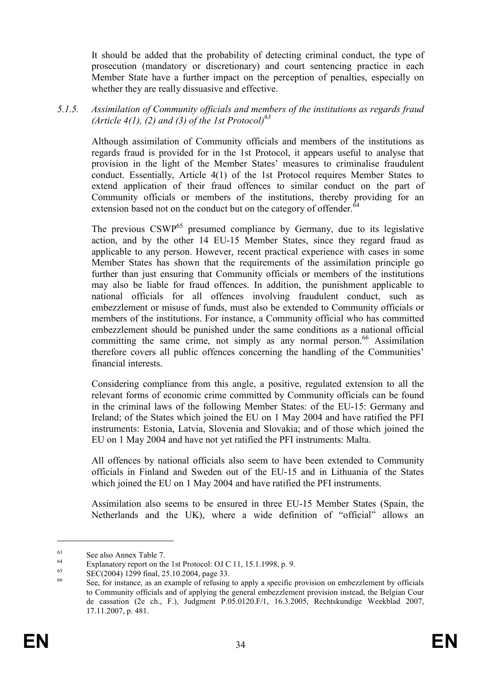It should be added that the probability of detecting criminal conduct, the type of prosecution (mandatory or discretionary) and court sentencing practice in each Member State have a further impact on the perception of penalties, especially on whether they are really dissuasive and effective.

5.1.5. Assimilation of Community officials and members of the institutions as regards fraud (Article 4(1), (2) and (3) of the 1st Protocol)<sup>63</sup>

Although assimilation of Community officials and members of the institutions as regards fraud is provided for in the 1st Protocol, it appears useful to analyse that provision in the light of the Member States' measures to criminalise fraudulent conduct. Essentially, Article 4(1) of the 1st Protocol requires Member States to extend application of their fraud offences to similar conduct on the part of Community officials or members of the institutions, thereby providing for an extension based not on the conduct but on the category of offender.<sup>64</sup>

The previous  $CSWP^{65}$  presumed compliance by Germany, due to its legislative action, and by the other 14 EU-15 Member States, since they regard fraud as applicable to any person. However, recent practical experience with cases in some Member States has shown that the requirements of the assimilation principle go further than just ensuring that Community officials or members of the institutions may also be liable for fraud offences. In addition, the punishment applicable to national officials for all offences involving fraudulent conduct, such as embezzlement or misuse of funds, must also be extended to Community officials or members of the institutions. For instance, a Community official who has committed embezzlement should be punished under the same conditions as a national official committing the same crime, not simply as any normal person.<sup>66</sup> Assimilation therefore covers all public offences concerning the handling of the Communities' financial interests.

Considering compliance from this angle, a positive, regulated extension to all the relevant forms of economic crime committed by Community officials can be found in the criminal laws of the following Member States: of the EU-15: Germany and Ireland; of the States which joined the EU on 1 May 2004 and have ratified the PFI instruments: Estonia, Latvia, Slovenia and Slovakia; and of those which joined the EU on 1 May 2004 and have not yet ratified the PFI instruments: Malta.

All offences by national officials also seem to have been extended to Community officials in Finland and Sweden out of the EU-15 and in Lithuania of the States which joined the EU on 1 May 2004 and have ratified the PFI instruments.

Assimilation also seems to be ensured in three EU-15 Member States (Spain, the Netherlands and the UK), where a wide definition of "official" allows an

 $63$  See also Annex Table 7.

<sup>&</sup>lt;sup>64</sup> Explanatory report on the 1st Protocol: OJ C 11, 15.1.1998, p. 9.<br>
<u>65</u> EXC(2004) 1200  $5 - 1.25102004$ 

 $65$  SEC(2004) 1299 final, 25.10.2004, page 33.

See, for instance, as an example of refusing to apply a specific provision on embezzlement by officials to Community officials and of applying the general embezzlement provision instead, the Belgian Cour de cassation (2e ch., F.), Judgment P.05.0120.F/1, 16.3.2005, Rechtskundige Weekblad 2007, 17.11.2007, p. 481.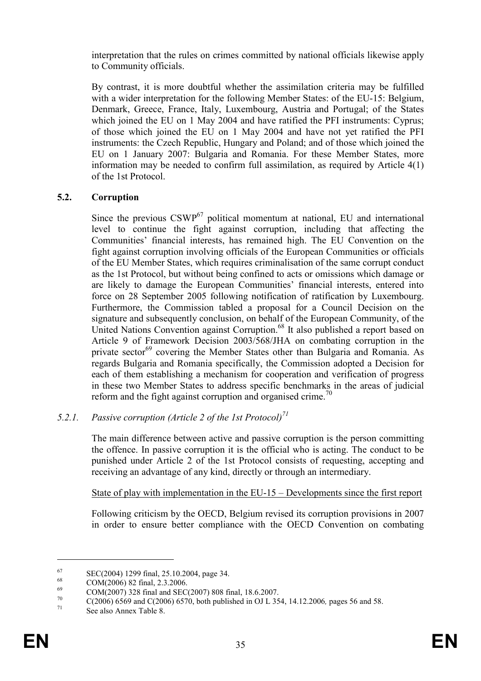interpretation that the rules on crimes committed by national officials likewise apply to Community officials.

By contrast, it is more doubtful whether the assimilation criteria may be fulfilled with a wider interpretation for the following Member States: of the EU-15: Belgium, Denmark, Greece, France, Italy, Luxembourg, Austria and Portugal; of the States which joined the EU on 1 May 2004 and have ratified the PFI instruments: Cyprus; of those which joined the EU on 1 May 2004 and have not yet ratified the PFI instruments: the Czech Republic, Hungary and Poland; and of those which joined the EU on 1 January 2007: Bulgaria and Romania. For these Member States, more information may be needed to confirm full assimilation, as required by Article 4(1) of the 1st Protocol.

## 5.2. Corruption

Since the previous  $CSWP^{67}$  political momentum at national, EU and international level to continue the fight against corruption, including that affecting the Communities' financial interests, has remained high. The EU Convention on the fight against corruption involving officials of the European Communities or officials of the EU Member States, which requires criminalisation of the same corrupt conduct as the 1st Protocol, but without being confined to acts or omissions which damage or are likely to damage the European Communities' financial interests, entered into force on 28 September 2005 following notification of ratification by Luxembourg. Furthermore, the Commission tabled a proposal for a Council Decision on the signature and subsequently conclusion, on behalf of the European Community, of the United Nations Convention against Corruption.<sup>68</sup> It also published a report based on Article 9 of Framework Decision 2003/568/JHA on combating corruption in the private sector<sup>69</sup> covering the Member States other than Bulgaria and Romania. As regards Bulgaria and Romania specifically, the Commission adopted a Decision for each of them establishing a mechanism for cooperation and verification of progress in these two Member States to address specific benchmarks in the areas of judicial reform and the fight against corruption and organised crime.<sup>70</sup>

## 5.2.1. Passive corruption (Article 2 of the 1st Protocol)<sup>71</sup>

The main difference between active and passive corruption is the person committing the offence. In passive corruption it is the official who is acting. The conduct to be punished under Article 2 of the 1st Protocol consists of requesting, accepting and receiving an advantage of any kind, directly or through an intermediary.

## State of play with implementation in the EU-15 – Developments since the first report

Following criticism by the OECD, Belgium revised its corruption provisions in 2007 in order to ensure better compliance with the OECD Convention on combating

 $^{67}$  SEC(2004) 1299 final, 25.10.2004, page 34.

 $^{68}$  COM(2006) 82 final, 2.3.2006.

<sup>&</sup>lt;sup>69</sup> COM(2007) 328 final and SEC(2007) 808 final, 18.6.2007.<br><sup>70</sup> C(2006) 6560 and C(2006) 6570, both published in OUL 35

 $^{70}$  C(2006) 6569 and C(2006) 6570, both published in OJ L 354, 14.12.2006, pages 56 and 58.

See also Annex Table 8.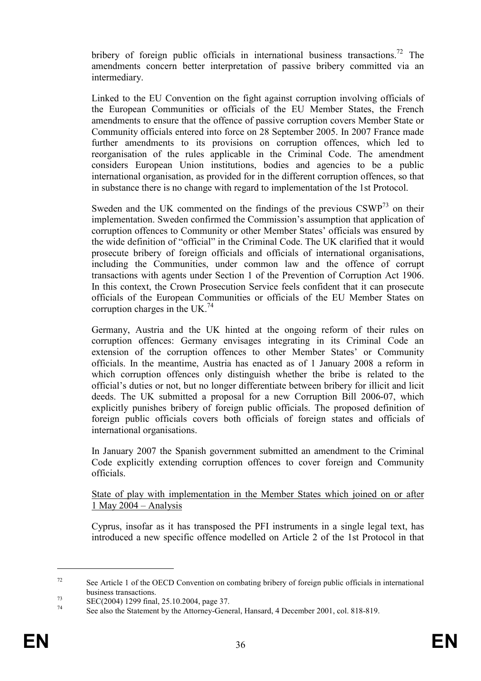bribery of foreign public officials in international business transactions.<sup>72</sup> The amendments concern better interpretation of passive bribery committed via an intermediary.

Linked to the EU Convention on the fight against corruption involving officials of the European Communities or officials of the EU Member States, the French amendments to ensure that the offence of passive corruption covers Member State or Community officials entered into force on 28 September 2005. In 2007 France made further amendments to its provisions on corruption offences, which led to reorganisation of the rules applicable in the Criminal Code. The amendment considers European Union institutions, bodies and agencies to be a public international organisation, as provided for in the different corruption offences, so that in substance there is no change with regard to implementation of the 1st Protocol.

Sweden and the UK commented on the findings of the previous  $CSWP<sup>73</sup>$  on their implementation. Sweden confirmed the Commission's assumption that application of corruption offences to Community or other Member States' officials was ensured by the wide definition of "official" in the Criminal Code. The UK clarified that it would prosecute bribery of foreign officials and officials of international organisations, including the Communities, under common law and the offence of corrupt transactions with agents under Section 1 of the Prevention of Corruption Act 1906. In this context, the Crown Prosecution Service feels confident that it can prosecute officials of the European Communities or officials of the EU Member States on corruption charges in the UK.<sup>74</sup>

Germany, Austria and the UK hinted at the ongoing reform of their rules on corruption offences: Germany envisages integrating in its Criminal Code an extension of the corruption offences to other Member States' or Community officials. In the meantime, Austria has enacted as of 1 January 2008 a reform in which corruption offences only distinguish whether the bribe is related to the official's duties or not, but no longer differentiate between bribery for illicit and licit deeds. The UK submitted a proposal for a new Corruption Bill 2006-07, which explicitly punishes bribery of foreign public officials. The proposed definition of foreign public officials covers both officials of foreign states and officials of international organisations.

In January 2007 the Spanish government submitted an amendment to the Criminal Code explicitly extending corruption offences to cover foreign and Community officials.

#### State of play with implementation in the Member States which joined on or after 1 May 2004 – Analysis

Cyprus, insofar as it has transposed the PFI instruments in a single legal text, has introduced a new specific offence modelled on Article 2 of the 1st Protocol in that

 $72$  See Article 1 of the OECD Convention on combating bribery of foreign public officials in international business transactions.

<sup>73</sup> SEC(2004) 1299 final, 25.10.2004, page 37.

<sup>74</sup> See also the Statement by the Attorney-General, Hansard, 4 December 2001, col. 818-819.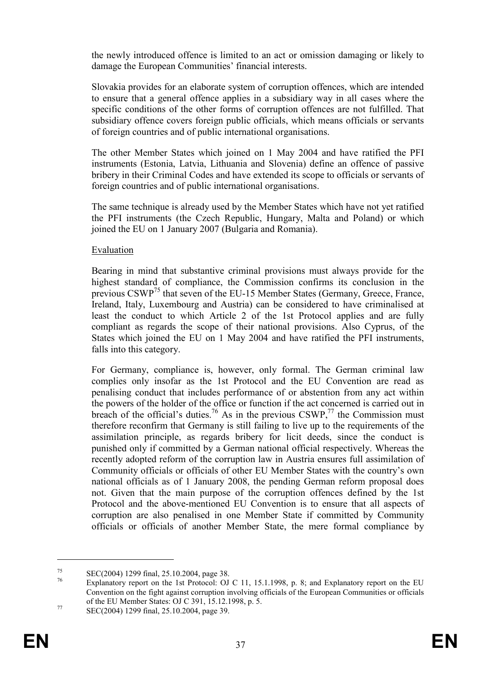the newly introduced offence is limited to an act or omission damaging or likely to damage the European Communities' financial interests.

Slovakia provides for an elaborate system of corruption offences, which are intended to ensure that a general offence applies in a subsidiary way in all cases where the specific conditions of the other forms of corruption offences are not fulfilled. That subsidiary offence covers foreign public officials, which means officials or servants of foreign countries and of public international organisations.

The other Member States which joined on 1 May 2004 and have ratified the PFI instruments (Estonia, Latvia, Lithuania and Slovenia) define an offence of passive bribery in their Criminal Codes and have extended its scope to officials or servants of foreign countries and of public international organisations.

The same technique is already used by the Member States which have not yet ratified the PFI instruments (the Czech Republic, Hungary, Malta and Poland) or which joined the EU on 1 January 2007 (Bulgaria and Romania).

## Evaluation

Bearing in mind that substantive criminal provisions must always provide for the highest standard of compliance, the Commission confirms its conclusion in the previous CSWP<sup>75</sup> that seven of the EU-15 Member States (Germany, Greece, France, Ireland, Italy, Luxembourg and Austria) can be considered to have criminalised at least the conduct to which Article 2 of the 1st Protocol applies and are fully compliant as regards the scope of their national provisions. Also Cyprus, of the States which joined the EU on 1 May 2004 and have ratified the PFI instruments, falls into this category.

For Germany, compliance is, however, only formal. The German criminal law complies only insofar as the 1st Protocol and the EU Convention are read as penalising conduct that includes performance of or abstention from any act within the powers of the holder of the office or function if the act concerned is carried out in breach of the official's duties.<sup>76</sup> As in the previous  $CSWP$ ,<sup>77</sup> the Commission must therefore reconfirm that Germany is still failing to live up to the requirements of the assimilation principle, as regards bribery for licit deeds, since the conduct is punished only if committed by a German national official respectively. Whereas the recently adopted reform of the corruption law in Austria ensures full assimilation of Community officials or officials of other EU Member States with the country's own national officials as of 1 January 2008, the pending German reform proposal does not. Given that the main purpose of the corruption offences defined by the 1st Protocol and the above-mentioned EU Convention is to ensure that all aspects of corruption are also penalised in one Member State if committed by Community officials or officials of another Member State, the mere formal compliance by

<sup>&</sup>lt;sup>75</sup> SEC(2004) 1299 final, 25.10.2004, page 38.

Explanatory report on the 1st Protocol: OJ C 11, 15.1.1998, p. 8; and Explanatory report on the EU Convention on the fight against corruption involving officials of the European Communities or officials of the EU Member States: OJ C 391, 15.12.1998, p. 5.

<sup>77</sup> SEC(2004) 1299 final, 25.10.2004, page 39.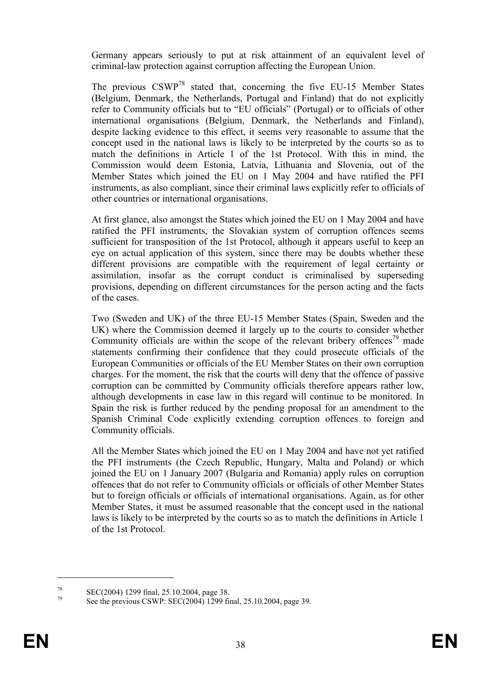Germany appears seriously to put at risk attainment of an equivalent level of criminal-law protection against corruption affecting the European Union.

The previous CSWP<sup>78</sup> stated that, concerning the five EU-15 Member States (Belgium, Denmark, the Netherlands, Portugal and Finland) that do not explicitly refer to Community officials but to "EU officials" (Portugal) or to officials of other international organisations (Belgium, Denmark, the Netherlands and Finland), despite lacking evidence to this effect, it seems very reasonable to assume that the concept used in the national laws is likely to be interpreted by the courts so as to match the definitions in Article 1 of the 1st Protocol. With this in mind, the Commission would deem Estonia, Latvia, Lithuania and Slovenia, out of the Member States which joined the EU on 1 May 2004 and have ratified the PFI instruments, as also compliant, since their criminal laws explicitly refer to officials of other countries or international organisations.

At first glance, also amongst the States which joined the EU on 1 May 2004 and have ratified the PFI instruments, the Slovakian system of corruption offences seems sufficient for transposition of the 1st Protocol, although it appears useful to keep an eye on actual application of this system, since there may be doubts whether these different provisions are compatible with the requirement of legal certainty or assimilation, insofar as the corrupt conduct is criminalised by superseding provisions, depending on different circumstances for the person acting and the facts of the cases.

Two (Sweden and UK) of the three EU-15 Member States (Spain, Sweden and the UK) where the Commission deemed it largely up to the courts to consider whether Community officials are within the scope of the relevant bribery offences<sup>79</sup> made statements confirming their confidence that they could prosecute officials of the European Communities or officials of the EU Member States on their own corruption charges. For the moment, the risk that the courts will deny that the offence of passive corruption can be committed by Community officials therefore appears rather low, although developments in case law in this regard will continue to be monitored. In Spain the risk is further reduced by the pending proposal for an amendment to the Spanish Criminal Code explicitly extending corruption offences to foreign and Community officials.

All the Member States which joined the EU on 1 May 2004 and have not yet ratified the PFI instruments (the Czech Republic, Hungary, Malta and Poland) or which joined the EU on 1 January 2007 (Bulgaria and Romania) apply rules on corruption offences that do not refer to Community officials or officials of other Member States but to foreign officials or officials of international organisations. Again, as for other Member States, it must be assumed reasonable that the concept used in the national laws is likely to be interpreted by the courts so as to match the definitions in Article 1 of the 1st Protocol.

 $^{78}$  SEC(2004) 1299 final, 25.10.2004, page 38.<br> $^{79}$  See the graviture CSWD: SEC(2004) 1200 fin

See the previous CSWP: SEC(2004) 1299 final, 25.10.2004, page 39.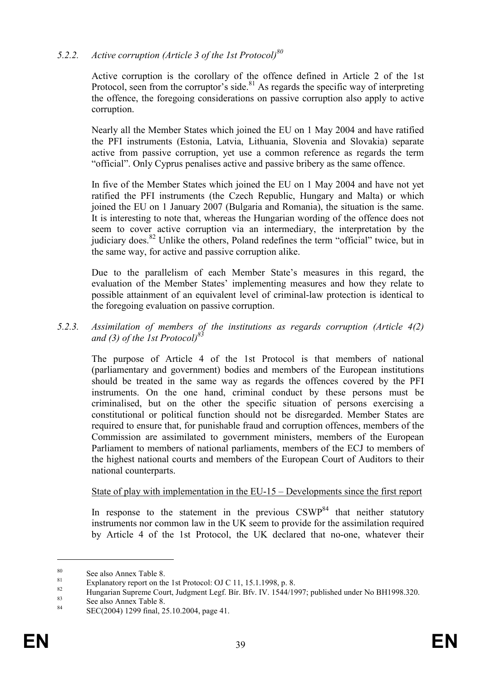# 5.2.2. Active corruption (Article 3 of the 1st Protocol) $80$

Active corruption is the corollary of the offence defined in Article 2 of the 1st Protocol, seen from the corruptor's side.<sup>81</sup> As regards the specific way of interpreting the offence, the foregoing considerations on passive corruption also apply to active corruption.

Nearly all the Member States which joined the EU on 1 May 2004 and have ratified the PFI instruments (Estonia, Latvia, Lithuania, Slovenia and Slovakia) separate active from passive corruption, yet use a common reference as regards the term "official". Only Cyprus penalises active and passive bribery as the same offence.

In five of the Member States which joined the EU on 1 May 2004 and have not yet ratified the PFI instruments (the Czech Republic, Hungary and Malta) or which joined the EU on 1 January 2007 (Bulgaria and Romania), the situation is the same. It is interesting to note that, whereas the Hungarian wording of the offence does not seem to cover active corruption via an intermediary, the interpretation by the judiciary does.<sup>82</sup> Unlike the others, Poland redefines the term "official" twice, but in the same way, for active and passive corruption alike.

Due to the parallelism of each Member State's measures in this regard, the evaluation of the Member States' implementing measures and how they relate to possible attainment of an equivalent level of criminal-law protection is identical to the foregoing evaluation on passive corruption.

## 5.2.3. Assimilation of members of the institutions as regards corruption (Article 4(2) and (3) of the 1st Protocol)<sup>8.</sup>

The purpose of Article 4 of the 1st Protocol is that members of national (parliamentary and government) bodies and members of the European institutions should be treated in the same way as regards the offences covered by the PFI instruments. On the one hand, criminal conduct by these persons must be criminalised, but on the other the specific situation of persons exercising a constitutional or political function should not be disregarded. Member States are required to ensure that, for punishable fraud and corruption offences, members of the Commission are assimilated to government ministers, members of the European Parliament to members of national parliaments, members of the ECJ to members of the highest national courts and members of the European Court of Auditors to their national counterparts.

#### State of play with implementation in the EU-15 – Developments since the first report

In response to the statement in the previous  $CSWP^{84}$  that neither statutory instruments nor common law in the UK seem to provide for the assimilation required by Article 4 of the 1st Protocol, the UK declared that no-one, whatever their

 $\frac{80}{81}$  See also Annex Table 8.

<sup>&</sup>lt;sup>81</sup> Explanatory report on the 1st Protocol: OJ C 11, 15.1.1998, p. 8.

<sup>&</sup>lt;sup>82</sup> Hungarian Supreme Court, Judgment Legf. Bír. Bfv. IV. 1544/1997; published under No BH1998.320.

<sup>&</sup>lt;sup>83</sup> See also Annex Table 8.

SEC(2004) 1299 final, 25.10.2004, page 41.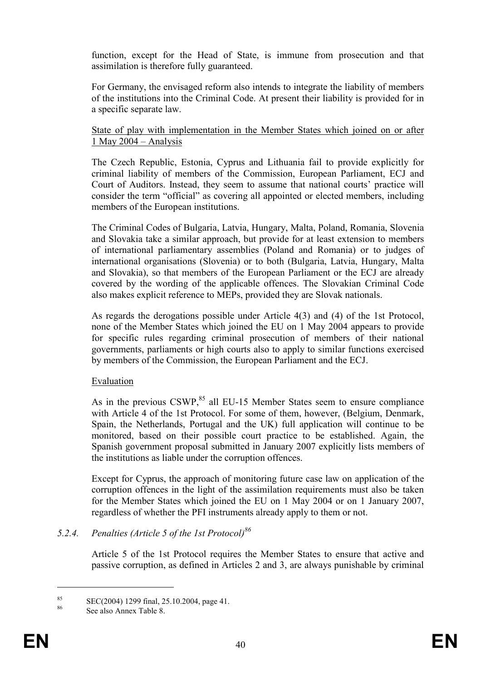function, except for the Head of State, is immune from prosecution and that assimilation is therefore fully guaranteed.

For Germany, the envisaged reform also intends to integrate the liability of members of the institutions into the Criminal Code. At present their liability is provided for in a specific separate law.

#### State of play with implementation in the Member States which joined on or after 1 May 2004 – Analysis

The Czech Republic, Estonia, Cyprus and Lithuania fail to provide explicitly for criminal liability of members of the Commission, European Parliament, ECJ and Court of Auditors. Instead, they seem to assume that national courts' practice will consider the term "official" as covering all appointed or elected members, including members of the European institutions.

The Criminal Codes of Bulgaria, Latvia, Hungary, Malta, Poland, Romania, Slovenia and Slovakia take a similar approach, but provide for at least extension to members of international parliamentary assemblies (Poland and Romania) or to judges of international organisations (Slovenia) or to both (Bulgaria, Latvia, Hungary, Malta and Slovakia), so that members of the European Parliament or the ECJ are already covered by the wording of the applicable offences. The Slovakian Criminal Code also makes explicit reference to MEPs, provided they are Slovak nationals.

As regards the derogations possible under Article 4(3) and (4) of the 1st Protocol, none of the Member States which joined the EU on 1 May 2004 appears to provide for specific rules regarding criminal prosecution of members of their national governments, parliaments or high courts also to apply to similar functions exercised by members of the Commission, the European Parliament and the ECJ.

## Evaluation

As in the previous CSWP,<sup>85</sup> all EU-15 Member States seem to ensure compliance with Article 4 of the 1st Protocol. For some of them, however, (Belgium, Denmark, Spain, the Netherlands, Portugal and the UK) full application will continue to be monitored, based on their possible court practice to be established. Again, the Spanish government proposal submitted in January 2007 explicitly lists members of the institutions as liable under the corruption offences.

Except for Cyprus, the approach of monitoring future case law on application of the corruption offences in the light of the assimilation requirements must also be taken for the Member States which joined the EU on 1 May 2004 or on 1 January 2007, regardless of whether the PFI instruments already apply to them or not.

## 5.2.4. Penalties (Article 5 of the 1st Protocol)<sup>86</sup>

Article 5 of the 1st Protocol requires the Member States to ensure that active and passive corruption, as defined in Articles 2 and 3, are always punishable by criminal

<sup>&</sup>lt;sup>85</sup> SEC(2004) 1299 final, 25.10.2004, page 41.

See also Annex Table 8.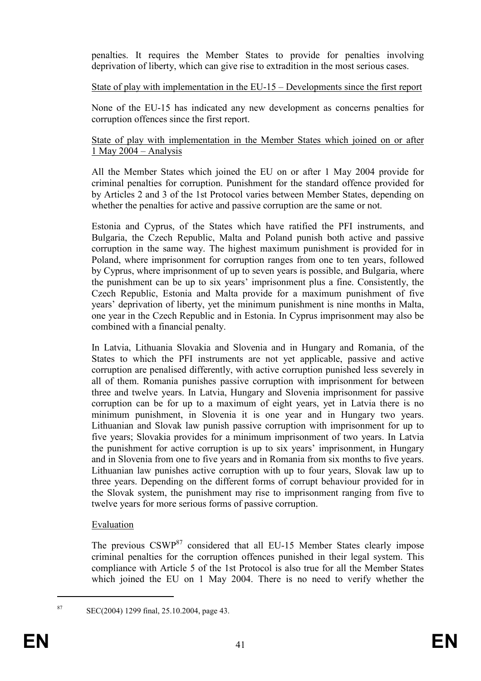penalties. It requires the Member States to provide for penalties involving deprivation of liberty, which can give rise to extradition in the most serious cases.

## State of play with implementation in the EU-15 – Developments since the first report

None of the EU-15 has indicated any new development as concerns penalties for corruption offences since the first report.

#### State of play with implementation in the Member States which joined on or after 1 May 2004 – Analysis

All the Member States which joined the EU on or after 1 May 2004 provide for criminal penalties for corruption. Punishment for the standard offence provided for by Articles 2 and 3 of the 1st Protocol varies between Member States, depending on whether the penalties for active and passive corruption are the same or not.

Estonia and Cyprus, of the States which have ratified the PFI instruments, and Bulgaria, the Czech Republic, Malta and Poland punish both active and passive corruption in the same way. The highest maximum punishment is provided for in Poland, where imprisonment for corruption ranges from one to ten years, followed by Cyprus, where imprisonment of up to seven years is possible, and Bulgaria, where the punishment can be up to six years' imprisonment plus a fine. Consistently, the Czech Republic, Estonia and Malta provide for a maximum punishment of five years' deprivation of liberty, yet the minimum punishment is nine months in Malta, one year in the Czech Republic and in Estonia. In Cyprus imprisonment may also be combined with a financial penalty.

In Latvia, Lithuania Slovakia and Slovenia and in Hungary and Romania, of the States to which the PFI instruments are not yet applicable, passive and active corruption are penalised differently, with active corruption punished less severely in all of them. Romania punishes passive corruption with imprisonment for between three and twelve years. In Latvia, Hungary and Slovenia imprisonment for passive corruption can be for up to a maximum of eight years, yet in Latvia there is no minimum punishment, in Slovenia it is one year and in Hungary two years. Lithuanian and Slovak law punish passive corruption with imprisonment for up to five years; Slovakia provides for a minimum imprisonment of two years. In Latvia the punishment for active corruption is up to six years' imprisonment, in Hungary and in Slovenia from one to five years and in Romania from six months to five years. Lithuanian law punishes active corruption with up to four years, Slovak law up to three years. Depending on the different forms of corrupt behaviour provided for in the Slovak system, the punishment may rise to imprisonment ranging from five to twelve years for more serious forms of passive corruption.

## Evaluation

The previous CSWP<sup>87</sup> considered that all EU-15 Member States clearly impose criminal penalties for the corruption offences punished in their legal system. This compliance with Article 5 of the 1st Protocol is also true for all the Member States which joined the EU on 1 May 2004. There is no need to verify whether the

 $\text{SEC}(2004)$  1299 final, 25, 10, 2004, page 43.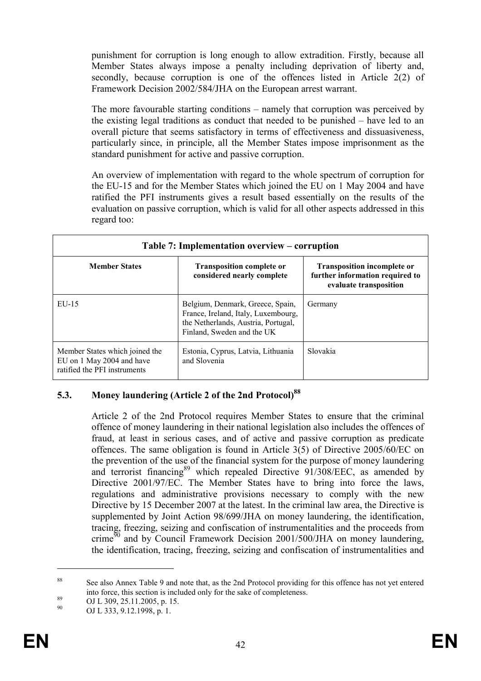punishment for corruption is long enough to allow extradition. Firstly, because all Member States always impose a penalty including deprivation of liberty and, secondly, because corruption is one of the offences listed in Article 2(2) of Framework Decision 2002/584/JHA on the European arrest warrant.

The more favourable starting conditions – namely that corruption was perceived by the existing legal traditions as conduct that needed to be punished – have led to an overall picture that seems satisfactory in terms of effectiveness and dissuasiveness, particularly since, in principle, all the Member States impose imprisonment as the standard punishment for active and passive corruption.

An overview of implementation with regard to the whole spectrum of corruption for the EU-15 and for the Member States which joined the EU on 1 May 2004 and have ratified the PFI instruments gives a result based essentially on the results of the evaluation on passive corruption, which is valid for all other aspects addressed in this regard too:

| Table 7: Implementation overview – corruption                                               |                                                                                                                                              |                                                                                                 |  |  |  |
|---------------------------------------------------------------------------------------------|----------------------------------------------------------------------------------------------------------------------------------------------|-------------------------------------------------------------------------------------------------|--|--|--|
| <b>Member States</b>                                                                        | <b>Transposition complete or</b><br>considered nearly complete                                                                               | <b>Transposition incomplete or</b><br>further information required to<br>evaluate transposition |  |  |  |
| $EU-15$                                                                                     | Belgium, Denmark, Greece, Spain,<br>France, Ireland, Italy, Luxembourg,<br>the Netherlands, Austria, Portugal,<br>Finland, Sweden and the UK | Germany                                                                                         |  |  |  |
| Member States which joined the<br>EU on 1 May 2004 and have<br>ratified the PFI instruments | Estonia, Cyprus, Latvia, Lithuania<br>and Slovenia                                                                                           | Slovakia                                                                                        |  |  |  |

## 5.3. Money laundering (Article 2 of the 2nd Protocol)<sup>88</sup>

Article 2 of the 2nd Protocol requires Member States to ensure that the criminal offence of money laundering in their national legislation also includes the offences of fraud, at least in serious cases, and of active and passive corruption as predicate offences. The same obligation is found in Article 3(5) of Directive 2005/60/EC on the prevention of the use of the financial system for the purpose of money laundering and terrorist financing<sup>89</sup> which repealed Directive  $91/308/EEC$ , as amended by Directive 2001/97/EC. The Member States have to bring into force the laws, regulations and administrative provisions necessary to comply with the new Directive by 15 December 2007 at the latest. In the criminal law area, the Directive is supplemented by Joint Action 98/699/JHA on money laundering, the identification, tracing, freezing, seizing and confiscation of instrumentalities and the proceeds from crime<sup>90</sup> and by Council Framework Decision 2001/500/JHA on money laundering, the identification, tracing, freezing, seizing and confiscation of instrumentalities and

<sup>&</sup>lt;sup>88</sup> See also Annex Table 9 and note that, as the 2nd Protocol providing for this offence has not yet entered into force, this section is included only for the sake of completeness.

 $^{89}$  OJ L 309, 25.11.2005, p. 15.

OJ L 333, 9.12.1998, p. 1.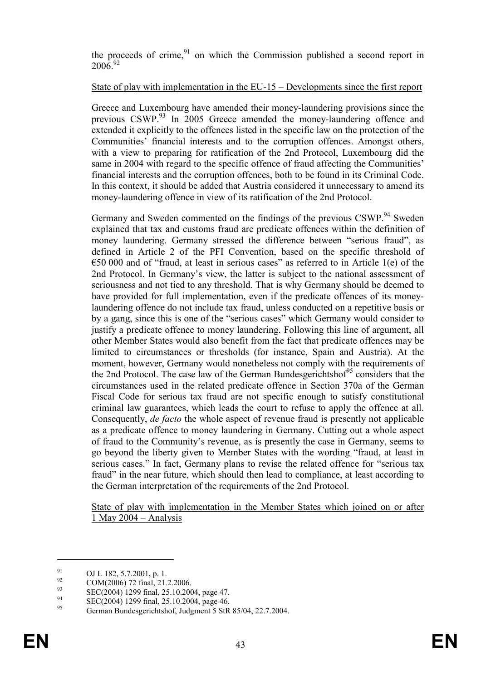the proceeds of crime, $91$  on which the Commission published a second report in  $2006^{92}$ 

#### State of play with implementation in the EU-15 – Developments since the first report

Greece and Luxembourg have amended their money-laundering provisions since the previous CSWP.<sup>93</sup> In 2005 Greece amended the money-laundering offence and extended it explicitly to the offences listed in the specific law on the protection of the Communities' financial interests and to the corruption offences. Amongst others, with a view to preparing for ratification of the 2nd Protocol, Luxembourg did the same in 2004 with regard to the specific offence of fraud affecting the Communities' financial interests and the corruption offences, both to be found in its Criminal Code. In this context, it should be added that Austria considered it unnecessary to amend its money-laundering offence in view of its ratification of the 2nd Protocol.

Germany and Sweden commented on the findings of the previous CSWP.<sup>94</sup> Sweden explained that tax and customs fraud are predicate offences within the definition of money laundering. Germany stressed the difference between "serious fraud", as defined in Article 2 of the PFI Convention, based on the specific threshold of  $\epsilon$ 50 000 and of "fraud, at least in serious cases" as referred to in Article 1(e) of the 2nd Protocol. In Germany's view, the latter is subject to the national assessment of seriousness and not tied to any threshold. That is why Germany should be deemed to have provided for full implementation, even if the predicate offences of its moneylaundering offence do not include tax fraud, unless conducted on a repetitive basis or by a gang, since this is one of the "serious cases" which Germany would consider to justify a predicate offence to money laundering. Following this line of argument, all other Member States would also benefit from the fact that predicate offences may be limited to circumstances or thresholds (for instance, Spain and Austria). At the moment, however, Germany would nonetheless not comply with the requirements of the 2nd Protocol. The case law of the German Bundesgerichtshof<sup>95</sup> considers that the circumstances used in the related predicate offence in Section 370a of the German Fiscal Code for serious tax fraud are not specific enough to satisfy constitutional criminal law guarantees, which leads the court to refuse to apply the offence at all. Consequently, de facto the whole aspect of revenue fraud is presently not applicable as a predicate offence to money laundering in Germany. Cutting out a whole aspect of fraud to the Community's revenue, as is presently the case in Germany, seems to go beyond the liberty given to Member States with the wording "fraud, at least in serious cases." In fact, Germany plans to revise the related offence for "serious tax fraud" in the near future, which should then lead to compliance, at least according to the German interpretation of the requirements of the 2nd Protocol.

State of play with implementation in the Member States which joined on or after 1 May 2004 – Analysis

 $^{91}_{92}$  OJ L 182, 5.7.2001, p. 1.

 $^{92}$  COM(2006) 72 final, 21.2.2006.

 $\text{SEC}(2004)$  1299 final, 25.10.2004, page 47.

<sup>&</sup>lt;sup>94</sup> SEC(2004) 1299 final, 25.10.2004, page 46.

<sup>95</sup> German Bundesgerichtshof, Judgment 5 StR 85/04, 22.7.2004.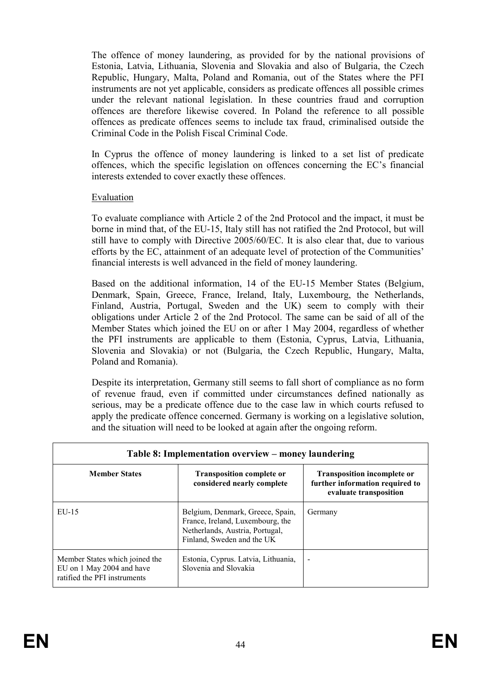The offence of money laundering, as provided for by the national provisions of Estonia, Latvia, Lithuania, Slovenia and Slovakia and also of Bulgaria, the Czech Republic, Hungary, Malta, Poland and Romania, out of the States where the PFI instruments are not yet applicable, considers as predicate offences all possible crimes under the relevant national legislation. In these countries fraud and corruption offences are therefore likewise covered. In Poland the reference to all possible offences as predicate offences seems to include tax fraud, criminalised outside the Criminal Code in the Polish Fiscal Criminal Code.

In Cyprus the offence of money laundering is linked to a set list of predicate offences, which the specific legislation on offences concerning the EC's financial interests extended to cover exactly these offences.

### Evaluation

To evaluate compliance with Article 2 of the 2nd Protocol and the impact, it must be borne in mind that, of the EU-15, Italy still has not ratified the 2nd Protocol, but will still have to comply with Directive 2005/60/EC. It is also clear that, due to various efforts by the EC, attainment of an adequate level of protection of the Communities' financial interests is well advanced in the field of money laundering.

Based on the additional information, 14 of the EU-15 Member States (Belgium, Denmark, Spain, Greece, France, Ireland, Italy, Luxembourg, the Netherlands, Finland, Austria, Portugal, Sweden and the UK) seem to comply with their obligations under Article 2 of the 2nd Protocol. The same can be said of all of the Member States which joined the EU on or after 1 May 2004, regardless of whether the PFI instruments are applicable to them (Estonia, Cyprus, Latvia, Lithuania, Slovenia and Slovakia) or not (Bulgaria, the Czech Republic, Hungary, Malta, Poland and Romania).

Despite its interpretation, Germany still seems to fall short of compliance as no form of revenue fraud, even if committed under circumstances defined nationally as serious, may be a predicate offence due to the case law in which courts refused to apply the predicate offence concerned. Germany is working on a legislative solution, and the situation will need to be looked at again after the ongoing reform.

| Table 8: Implementation overview – money laundering                                         |                                                                                                                                       |                                                                                                 |  |  |  |
|---------------------------------------------------------------------------------------------|---------------------------------------------------------------------------------------------------------------------------------------|-------------------------------------------------------------------------------------------------|--|--|--|
| <b>Member States</b>                                                                        | <b>Transposition complete or</b><br>considered nearly complete                                                                        | <b>Transposition incomplete or</b><br>further information required to<br>evaluate transposition |  |  |  |
| $EU-15$                                                                                     | Belgium, Denmark, Greece, Spain,<br>France, Ireland, Luxembourg, the<br>Netherlands, Austria, Portugal,<br>Finland, Sweden and the UK | Germany                                                                                         |  |  |  |
| Member States which joined the<br>EU on 1 May 2004 and have<br>ratified the PFI instruments | Estonia, Cyprus. Latvia, Lithuania,<br>Slovenia and Slovakia                                                                          |                                                                                                 |  |  |  |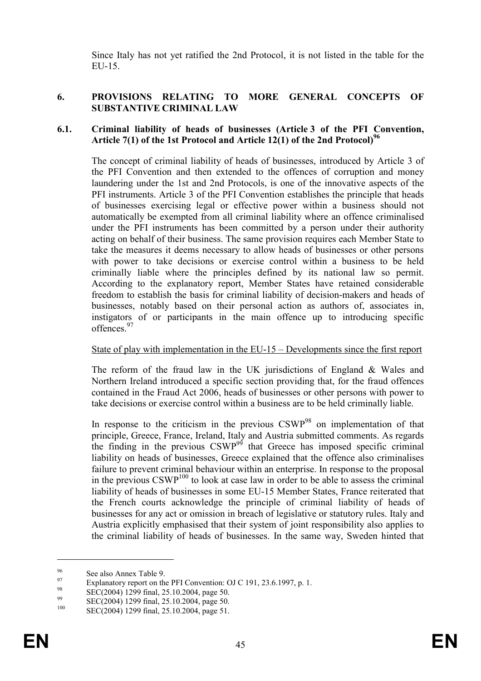Since Italy has not yet ratified the 2nd Protocol, it is not listed in the table for the  $E$ U-15.

## 6. PROVISIONS RELATING TO MORE GENERAL CONCEPTS OF SUBSTANTIVE CRIMINAL LAW

## 6.1. Criminal liability of heads of businesses (Article 3 of the PFI Convention, Article 7(1) of the 1st Protocol and Article 12(1) of the 2nd Protocol)<sup>96</sup>

The concept of criminal liability of heads of businesses, introduced by Article 3 of the PFI Convention and then extended to the offences of corruption and money laundering under the 1st and 2nd Protocols, is one of the innovative aspects of the PFI instruments. Article 3 of the PFI Convention establishes the principle that heads of businesses exercising legal or effective power within a business should not automatically be exempted from all criminal liability where an offence criminalised under the PFI instruments has been committed by a person under their authority acting on behalf of their business. The same provision requires each Member State to take the measures it deems necessary to allow heads of businesses or other persons with power to take decisions or exercise control within a business to be held criminally liable where the principles defined by its national law so permit. According to the explanatory report, Member States have retained considerable freedom to establish the basis for criminal liability of decision-makers and heads of businesses, notably based on their personal action as authors of, associates in, instigators of or participants in the main offence up to introducing specific offences.<sup>97</sup>

#### State of play with implementation in the EU-15 – Developments since the first report

The reform of the fraud law in the UK jurisdictions of England & Wales and Northern Ireland introduced a specific section providing that, for the fraud offences contained in the Fraud Act 2006, heads of businesses or other persons with power to take decisions or exercise control within a business are to be held criminally liable.

In response to the criticism in the previous  $CSWP^{98}$  on implementation of that principle, Greece, France, Ireland, Italy and Austria submitted comments. As regards the finding in the previous  $\text{CSWP}^{99}$  that Greece has imposed specific criminal liability on heads of businesses, Greece explained that the offence also criminalises failure to prevent criminal behaviour within an enterprise. In response to the proposal in the previous  $CSWP^{100}$  to look at case law in order to be able to assess the criminal liability of heads of businesses in some EU-15 Member States, France reiterated that the French courts acknowledge the principle of criminal liability of heads of businesses for any act or omission in breach of legislative or statutory rules. Italy and Austria explicitly emphasised that their system of joint responsibility also applies to the criminal liability of heads of businesses. In the same way, Sweden hinted that

 $\frac{96}{97}$  See also Annex Table 9.

<sup>&</sup>lt;sup>97</sup> Explanatory report on the PFI Convention: OJ C 191, 23.6.1997, p. 1.<br><sup>98</sup> EXECCION: 1200 S 1, 25.10.2004

 $\frac{98}{99}$  SEC(2004) 1299 final, 25.10.2004, page 50.

<sup>&</sup>lt;sup>99</sup> SEC(2004) 1299 final, 25.10.2004, page 50.

SEC(2004) 1299 final, 25.10.2004, page 51.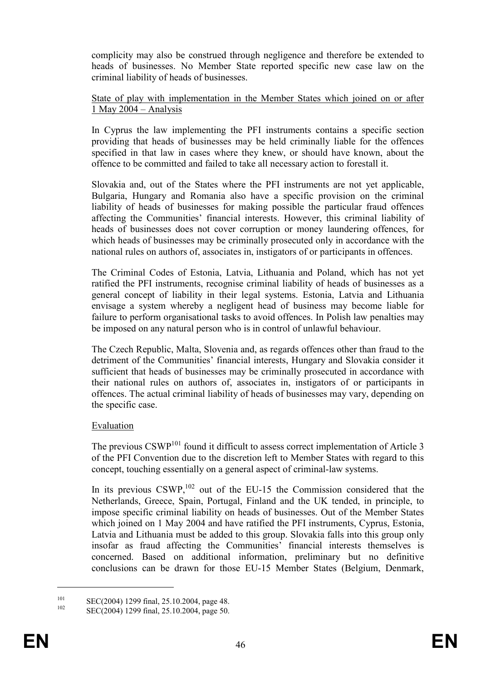complicity may also be construed through negligence and therefore be extended to heads of businesses. No Member State reported specific new case law on the criminal liability of heads of businesses.

State of play with implementation in the Member States which joined on or after 1 May 2004 – Analysis

In Cyprus the law implementing the PFI instruments contains a specific section providing that heads of businesses may be held criminally liable for the offences specified in that law in cases where they knew, or should have known, about the offence to be committed and failed to take all necessary action to forestall it.

Slovakia and, out of the States where the PFI instruments are not yet applicable, Bulgaria, Hungary and Romania also have a specific provision on the criminal liability of heads of businesses for making possible the particular fraud offences affecting the Communities' financial interests. However, this criminal liability of heads of businesses does not cover corruption or money laundering offences, for which heads of businesses may be criminally prosecuted only in accordance with the national rules on authors of, associates in, instigators of or participants in offences.

The Criminal Codes of Estonia, Latvia, Lithuania and Poland, which has not yet ratified the PFI instruments, recognise criminal liability of heads of businesses as a general concept of liability in their legal systems. Estonia, Latvia and Lithuania envisage a system whereby a negligent head of business may become liable for failure to perform organisational tasks to avoid offences. In Polish law penalties may be imposed on any natural person who is in control of unlawful behaviour.

The Czech Republic, Malta, Slovenia and, as regards offences other than fraud to the detriment of the Communities' financial interests, Hungary and Slovakia consider it sufficient that heads of businesses may be criminally prosecuted in accordance with their national rules on authors of, associates in, instigators of or participants in offences. The actual criminal liability of heads of businesses may vary, depending on the specific case.

## Evaluation

The previous CSWP<sup>101</sup> found it difficult to assess correct implementation of Article 3 of the PFI Convention due to the discretion left to Member States with regard to this concept, touching essentially on a general aspect of criminal-law systems.

In its previous  $CSWP$ ,<sup>102</sup> out of the EU-15 the Commission considered that the Netherlands, Greece, Spain, Portugal, Finland and the UK tended, in principle, to impose specific criminal liability on heads of businesses. Out of the Member States which joined on 1 May 2004 and have ratified the PFI instruments, Cyprus, Estonia, Latvia and Lithuania must be added to this group. Slovakia falls into this group only insofar as fraud affecting the Communities' financial interests themselves is concerned. Based on additional information, preliminary but no definitive conclusions can be drawn for those EU-15 Member States (Belgium, Denmark,

<sup>&</sup>lt;sup>101</sup> SEC(2004) 1299 final, 25.10.2004, page 48.

SEC(2004) 1299 final, 25.10.2004, page 50.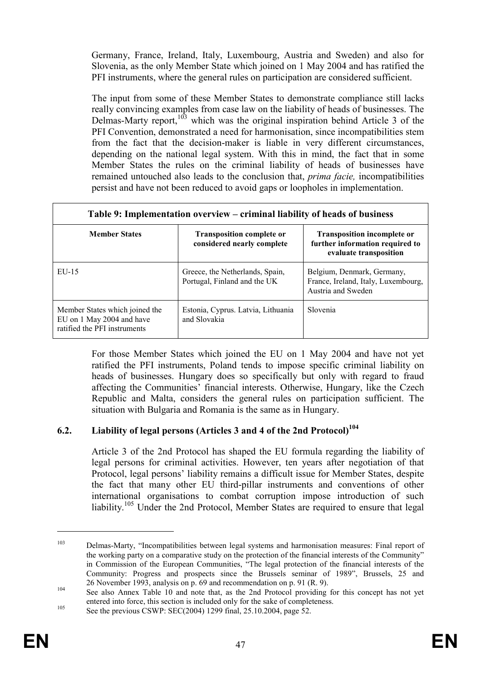Germany, France, Ireland, Italy, Luxembourg, Austria and Sweden) and also for Slovenia, as the only Member State which joined on 1 May 2004 and has ratified the PFI instruments, where the general rules on participation are considered sufficient.

The input from some of these Member States to demonstrate compliance still lacks really convincing examples from case law on the liability of heads of businesses. The Delmas-Marty report, $103$  which was the original inspiration behind Article 3 of the PFI Convention, demonstrated a need for harmonisation, since incompatibilities stem from the fact that the decision-maker is liable in very different circumstances, depending on the national legal system. With this in mind, the fact that in some Member States the rules on the criminal liability of heads of businesses have remained untouched also leads to the conclusion that, *prima facie*, incompatibilities persist and have not been reduced to avoid gaps or loopholes in implementation.

| Table 9: Implementation overview – criminal liability of heads of business                  |                                                                 |                                                                                                 |  |  |  |
|---------------------------------------------------------------------------------------------|-----------------------------------------------------------------|-------------------------------------------------------------------------------------------------|--|--|--|
| <b>Member States</b>                                                                        | <b>Transposition complete or</b><br>considered nearly complete  | <b>Transposition incomplete or</b><br>further information required to<br>evaluate transposition |  |  |  |
| EU-15                                                                                       | Greece, the Netherlands, Spain,<br>Portugal, Finland and the UK | Belgium, Denmark, Germany,<br>France, Ireland, Italy, Luxembourg,<br>Austria and Sweden         |  |  |  |
| Member States which joined the<br>EU on 1 May 2004 and have<br>ratified the PFI instruments | Estonia, Cyprus. Latvia, Lithuania<br>and Slovakia              | Slovenia                                                                                        |  |  |  |

For those Member States which joined the EU on 1 May 2004 and have not yet ratified the PFI instruments, Poland tends to impose specific criminal liability on heads of businesses. Hungary does so specifically but only with regard to fraud affecting the Communities' financial interests. Otherwise, Hungary, like the Czech Republic and Malta, considers the general rules on participation sufficient. The situation with Bulgaria and Romania is the same as in Hungary.

## 6.2. Liability of legal persons (Articles 3 and 4 of the 2nd Protocol) $104$

Article 3 of the 2nd Protocol has shaped the EU formula regarding the liability of legal persons for criminal activities. However, ten years after negotiation of that Protocol, legal persons' liability remains a difficult issue for Member States, despite the fact that many other EU third-pillar instruments and conventions of other international organisations to combat corruption impose introduction of such liability.<sup>105</sup> Under the 2nd Protocol, Member States are required to ensure that legal

<sup>103</sup> Delmas-Marty, "Incompatibilities between legal systems and harmonisation measures: Final report of the working party on a comparative study on the protection of the financial interests of the Community" in Commission of the European Communities, "The legal protection of the financial interests of the Community: Progress and prospects since the Brussels seminar of 1989", Brussels, 25 and 26 November 1993, analysis on p. 69 and recommendation on p. 91 (R. 9).

<sup>104</sup> See also Annex Table 10 and note that, as the 2nd Protocol providing for this concept has not yet entered into force, this section is included only for the sake of completeness. <sup>105</sup> See the previous CSWP: SEC(2004) 1299 final, 25.10.2004, page 52.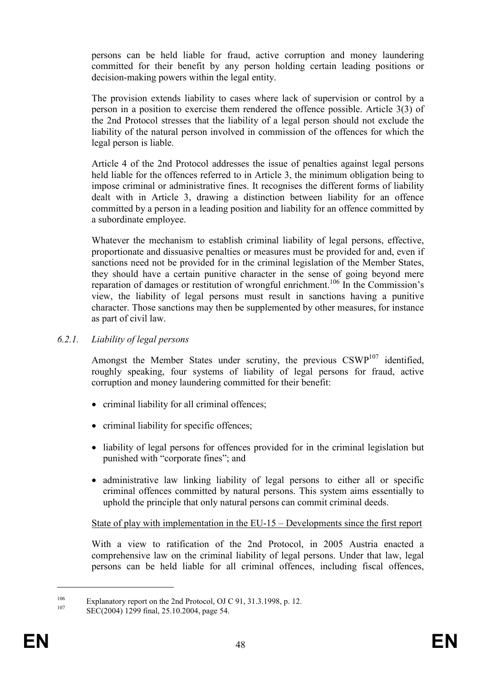persons can be held liable for fraud, active corruption and money laundering committed for their benefit by any person holding certain leading positions or decision-making powers within the legal entity.

The provision extends liability to cases where lack of supervision or control by a person in a position to exercise them rendered the offence possible. Article 3(3) of the 2nd Protocol stresses that the liability of a legal person should not exclude the liability of the natural person involved in commission of the offences for which the legal person is liable.

Article 4 of the 2nd Protocol addresses the issue of penalties against legal persons held liable for the offences referred to in Article 3, the minimum obligation being to impose criminal or administrative fines. It recognises the different forms of liability dealt with in Article 3, drawing a distinction between liability for an offence committed by a person in a leading position and liability for an offence committed by a subordinate employee.

Whatever the mechanism to establish criminal liability of legal persons, effective, proportionate and dissuasive penalties or measures must be provided for and, even if sanctions need not be provided for in the criminal legislation of the Member States, they should have a certain punitive character in the sense of going beyond mere reparation of damages or restitution of wrongful enrichment.<sup>106</sup> In the Commission's view, the liability of legal persons must result in sanctions having a punitive character. Those sanctions may then be supplemented by other measures, for instance as part of civil law.

#### 6.2.1. Liability of legal persons

Amongst the Member States under scrutiny, the previous  $\text{CSWP}^{107}$  identified, roughly speaking, four systems of liability of legal persons for fraud, active corruption and money laundering committed for their benefit:

- criminal liability for all criminal offences;
- criminal liability for specific offences;
- liability of legal persons for offences provided for in the criminal legislation but punished with "corporate fines"; and
- administrative law linking liability of legal persons to either all or specific criminal offences committed by natural persons. This system aims essentially to uphold the principle that only natural persons can commit criminal deeds.

## State of play with implementation in the EU-15 – Developments since the first report

With a view to ratification of the 2nd Protocol, in 2005 Austria enacted a comprehensive law on the criminal liability of legal persons. Under that law, legal persons can be held liable for all criminal offences, including fiscal offences,

<sup>&</sup>lt;sup>106</sup> Explanatory report on the 2nd Protocol, OJ C 91, 31.3.1998, p. 12.

SEC(2004) 1299 final, 25.10.2004, page 54.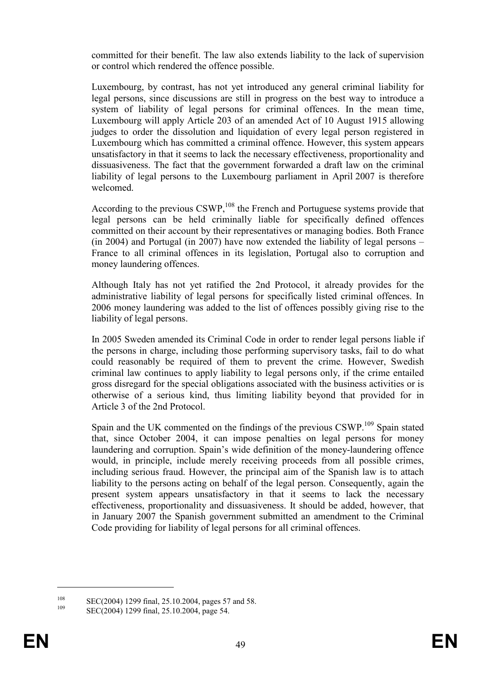committed for their benefit. The law also extends liability to the lack of supervision or control which rendered the offence possible.

Luxembourg, by contrast, has not yet introduced any general criminal liability for legal persons, since discussions are still in progress on the best way to introduce a system of liability of legal persons for criminal offences. In the mean time, Luxembourg will apply Article 203 of an amended Act of 10 August 1915 allowing judges to order the dissolution and liquidation of every legal person registered in Luxembourg which has committed a criminal offence. However, this system appears unsatisfactory in that it seems to lack the necessary effectiveness, proportionality and dissuasiveness. The fact that the government forwarded a draft law on the criminal liability of legal persons to the Luxembourg parliament in April 2007 is therefore welcomed.

According to the previous  $CSWP<sub>108</sub>$  the French and Portuguese systems provide that legal persons can be held criminally liable for specifically defined offences committed on their account by their representatives or managing bodies. Both France (in 2004) and Portugal (in 2007) have now extended the liability of legal persons – France to all criminal offences in its legislation, Portugal also to corruption and money laundering offences.

Although Italy has not yet ratified the 2nd Protocol, it already provides for the administrative liability of legal persons for specifically listed criminal offences. In 2006 money laundering was added to the list of offences possibly giving rise to the liability of legal persons.

In 2005 Sweden amended its Criminal Code in order to render legal persons liable if the persons in charge, including those performing supervisory tasks, fail to do what could reasonably be required of them to prevent the crime. However, Swedish criminal law continues to apply liability to legal persons only, if the crime entailed gross disregard for the special obligations associated with the business activities or is otherwise of a serious kind, thus limiting liability beyond that provided for in Article 3 of the 2nd Protocol.

Spain and the UK commented on the findings of the previous CSWP.<sup>109</sup> Spain stated that, since October 2004, it can impose penalties on legal persons for money laundering and corruption. Spain's wide definition of the money-laundering offence would, in principle, include merely receiving proceeds from all possible crimes, including serious fraud. However, the principal aim of the Spanish law is to attach liability to the persons acting on behalf of the legal person. Consequently, again the present system appears unsatisfactory in that it seems to lack the necessary effectiveness, proportionality and dissuasiveness. It should be added, however, that in January 2007 the Spanish government submitted an amendment to the Criminal Code providing for liability of legal persons for all criminal offences.

 $\frac{108}{109}$  SEC(2004) 1299 final, 25.10.2004, pages 57 and 58.

SEC(2004) 1299 final, 25.10.2004, page 54.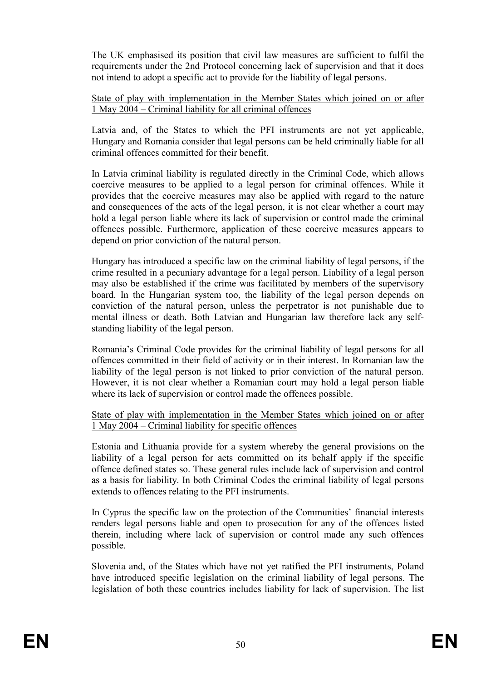The UK emphasised its position that civil law measures are sufficient to fulfil the requirements under the 2nd Protocol concerning lack of supervision and that it does not intend to adopt a specific act to provide for the liability of legal persons.

State of play with implementation in the Member States which joined on or after 1 May 2004 – Criminal liability for all criminal offences

Latvia and, of the States to which the PFI instruments are not yet applicable, Hungary and Romania consider that legal persons can be held criminally liable for all criminal offences committed for their benefit.

In Latvia criminal liability is regulated directly in the Criminal Code, which allows coercive measures to be applied to a legal person for criminal offences. While it provides that the coercive measures may also be applied with regard to the nature and consequences of the acts of the legal person, it is not clear whether a court may hold a legal person liable where its lack of supervision or control made the criminal offences possible. Furthermore, application of these coercive measures appears to depend on prior conviction of the natural person.

Hungary has introduced a specific law on the criminal liability of legal persons, if the crime resulted in a pecuniary advantage for a legal person. Liability of a legal person may also be established if the crime was facilitated by members of the supervisory board. In the Hungarian system too, the liability of the legal person depends on conviction of the natural person, unless the perpetrator is not punishable due to mental illness or death. Both Latvian and Hungarian law therefore lack any selfstanding liability of the legal person.

Romania's Criminal Code provides for the criminal liability of legal persons for all offences committed in their field of activity or in their interest. In Romanian law the liability of the legal person is not linked to prior conviction of the natural person. However, it is not clear whether a Romanian court may hold a legal person liable where its lack of supervision or control made the offences possible.

#### State of play with implementation in the Member States which joined on or after 1 May 2004 – Criminal liability for specific offences

Estonia and Lithuania provide for a system whereby the general provisions on the liability of a legal person for acts committed on its behalf apply if the specific offence defined states so. These general rules include lack of supervision and control as a basis for liability. In both Criminal Codes the criminal liability of legal persons extends to offences relating to the PFI instruments.

In Cyprus the specific law on the protection of the Communities' financial interests renders legal persons liable and open to prosecution for any of the offences listed therein, including where lack of supervision or control made any such offences possible.

Slovenia and, of the States which have not yet ratified the PFI instruments, Poland have introduced specific legislation on the criminal liability of legal persons. The legislation of both these countries includes liability for lack of supervision. The list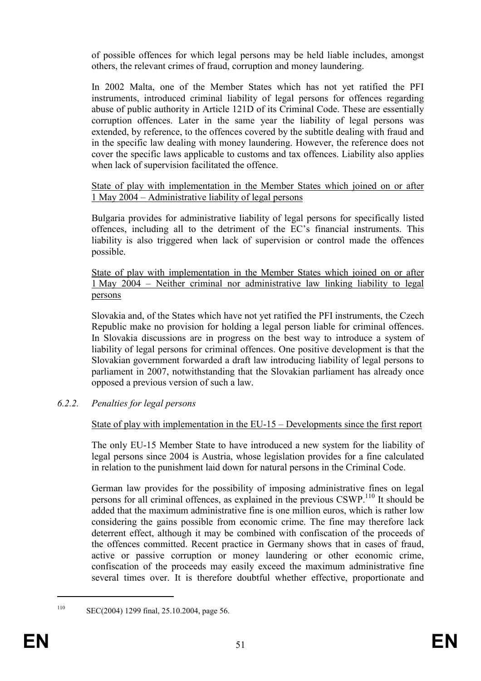of possible offences for which legal persons may be held liable includes, amongst others, the relevant crimes of fraud, corruption and money laundering.

In 2002 Malta, one of the Member States which has not yet ratified the PFI instruments, introduced criminal liability of legal persons for offences regarding abuse of public authority in Article 121D of its Criminal Code. These are essentially corruption offences. Later in the same year the liability of legal persons was extended, by reference, to the offences covered by the subtitle dealing with fraud and in the specific law dealing with money laundering. However, the reference does not cover the specific laws applicable to customs and tax offences. Liability also applies when lack of supervision facilitated the offence.

### State of play with implementation in the Member States which joined on or after 1 May 2004 – Administrative liability of legal persons

Bulgaria provides for administrative liability of legal persons for specifically listed offences, including all to the detriment of the EC's financial instruments. This liability is also triggered when lack of supervision or control made the offences possible.

State of play with implementation in the Member States which joined on or after 1 May 2004 – Neither criminal nor administrative law linking liability to legal persons

Slovakia and, of the States which have not yet ratified the PFI instruments, the Czech Republic make no provision for holding a legal person liable for criminal offences. In Slovakia discussions are in progress on the best way to introduce a system of liability of legal persons for criminal offences. One positive development is that the Slovakian government forwarded a draft law introducing liability of legal persons to parliament in 2007, notwithstanding that the Slovakian parliament has already once opposed a previous version of such a law.

## 6.2.2. Penalties for legal persons

## State of play with implementation in the EU-15 – Developments since the first report

The only EU-15 Member State to have introduced a new system for the liability of legal persons since 2004 is Austria, whose legislation provides for a fine calculated in relation to the punishment laid down for natural persons in the Criminal Code.

German law provides for the possibility of imposing administrative fines on legal persons for all criminal offences, as explained in the previous CSWP.<sup>110</sup> It should be added that the maximum administrative fine is one million euros, which is rather low considering the gains possible from economic crime. The fine may therefore lack deterrent effect, although it may be combined with confiscation of the proceeds of the offences committed. Recent practice in Germany shows that in cases of fraud, active or passive corruption or money laundering or other economic crime, confiscation of the proceeds may easily exceed the maximum administrative fine several times over. It is therefore doubtful whether effective, proportionate and

<sup>110</sup> SEC(2004) 1299 final, 25.10.2004, page 56.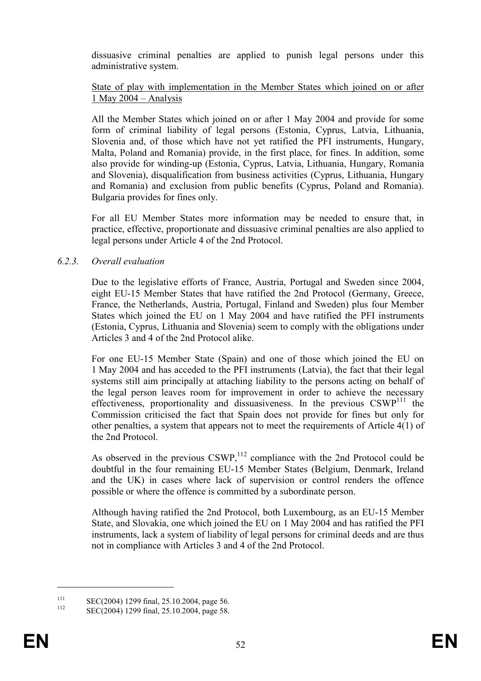dissuasive criminal penalties are applied to punish legal persons under this administrative system.

#### State of play with implementation in the Member States which joined on or after 1 May 2004 – Analysis

All the Member States which joined on or after 1 May 2004 and provide for some form of criminal liability of legal persons (Estonia, Cyprus, Latvia, Lithuania, Slovenia and, of those which have not yet ratified the PFI instruments, Hungary, Malta, Poland and Romania) provide, in the first place, for fines. In addition, some also provide for winding-up (Estonia, Cyprus, Latvia, Lithuania, Hungary, Romania and Slovenia), disqualification from business activities (Cyprus, Lithuania, Hungary and Romania) and exclusion from public benefits (Cyprus, Poland and Romania). Bulgaria provides for fines only.

For all EU Member States more information may be needed to ensure that, in practice, effective, proportionate and dissuasive criminal penalties are also applied to legal persons under Article 4 of the 2nd Protocol.

### 6.2.3. Overall evaluation

Due to the legislative efforts of France, Austria, Portugal and Sweden since 2004, eight EU-15 Member States that have ratified the 2nd Protocol (Germany, Greece, France, the Netherlands, Austria, Portugal, Finland and Sweden) plus four Member States which joined the EU on 1 May 2004 and have ratified the PFI instruments (Estonia, Cyprus, Lithuania and Slovenia) seem to comply with the obligations under Articles 3 and 4 of the 2nd Protocol alike.

For one EU-15 Member State (Spain) and one of those which joined the EU on 1 May 2004 and has acceded to the PFI instruments (Latvia), the fact that their legal systems still aim principally at attaching liability to the persons acting on behalf of the legal person leaves room for improvement in order to achieve the necessary effectiveness, proportionality and dissuasiveness. In the previous  $CSWP<sup>111</sup>$  the Commission criticised the fact that Spain does not provide for fines but only for other penalties, a system that appears not to meet the requirements of Article 4(1) of the 2nd Protocol.

As observed in the previous  $CSWP$ ,<sup>112</sup> compliance with the 2nd Protocol could be doubtful in the four remaining EU-15 Member States (Belgium, Denmark, Ireland and the UK) in cases where lack of supervision or control renders the offence possible or where the offence is committed by a subordinate person.

Although having ratified the 2nd Protocol, both Luxembourg, as an EU-15 Member State, and Slovakia, one which joined the EU on 1 May 2004 and has ratified the PFI instruments, lack a system of liability of legal persons for criminal deeds and are thus not in compliance with Articles 3 and 4 of the 2nd Protocol.

<sup>111</sup> SEC(2004) 1299 final, 25.10.2004, page 56.

SEC(2004) 1299 final, 25.10.2004, page 58.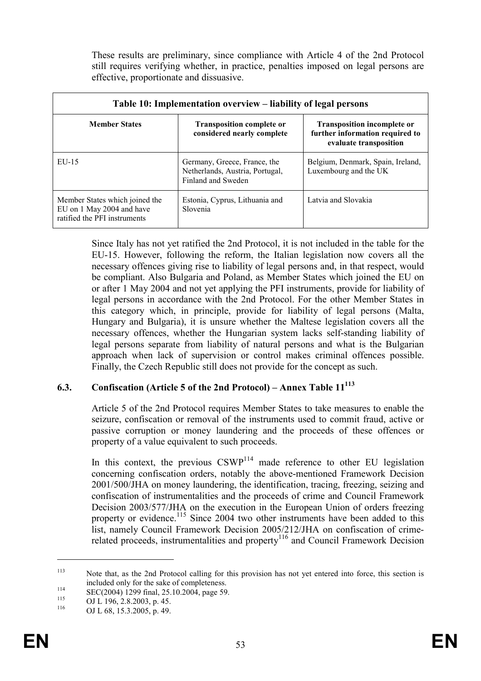These results are preliminary, since compliance with Article 4 of the 2nd Protocol still requires verifying whether, in practice, penalties imposed on legal persons are effective, proportionate and dissuasive.

| Table 10: Implementation overview – liability of legal persons                              |                                                                                       |                                                                                                 |  |  |  |
|---------------------------------------------------------------------------------------------|---------------------------------------------------------------------------------------|-------------------------------------------------------------------------------------------------|--|--|--|
| <b>Member States</b>                                                                        | <b>Transposition complete or</b><br>considered nearly complete                        | <b>Transposition incomplete or</b><br>further information required to<br>evaluate transposition |  |  |  |
| $EU-15$                                                                                     | Germany, Greece, France, the<br>Netherlands, Austria, Portugal,<br>Finland and Sweden | Belgium, Denmark, Spain, Ireland,<br>Luxembourg and the UK                                      |  |  |  |
| Member States which joined the<br>EU on 1 May 2004 and have<br>ratified the PFI instruments | Estonia, Cyprus, Lithuania and<br>Slovenia                                            | Latvia and Slovakia                                                                             |  |  |  |

Since Italy has not yet ratified the 2nd Protocol, it is not included in the table for the EU-15. However, following the reform, the Italian legislation now covers all the necessary offences giving rise to liability of legal persons and, in that respect, would be compliant. Also Bulgaria and Poland, as Member States which joined the EU on or after 1 May 2004 and not yet applying the PFI instruments, provide for liability of legal persons in accordance with the 2nd Protocol. For the other Member States in this category which, in principle, provide for liability of legal persons (Malta, Hungary and Bulgaria), it is unsure whether the Maltese legislation covers all the necessary offences, whether the Hungarian system lacks self-standing liability of legal persons separate from liability of natural persons and what is the Bulgarian approach when lack of supervision or control makes criminal offences possible. Finally, the Czech Republic still does not provide for the concept as such.

## 6.3. Confiscation (Article 5 of the 2nd Protocol) – Annex Table  $11^{113}$

Article 5 of the 2nd Protocol requires Member States to take measures to enable the seizure, confiscation or removal of the instruments used to commit fraud, active or passive corruption or money laundering and the proceeds of these offences or property of a value equivalent to such proceeds.

In this context, the previous  $CSWP<sup>114</sup>$  made reference to other EU legislation concerning confiscation orders, notably the above-mentioned Framework Decision 2001/500/JHA on money laundering, the identification, tracing, freezing, seizing and confiscation of instrumentalities and the proceeds of crime and Council Framework Decision 2003/577/JHA on the execution in the European Union of orders freezing property or evidence.<sup>115</sup> Since 2004 two other instruments have been added to this list, namely Council Framework Decision 2005/212/JHA on confiscation of crimerelated proceeds, instrumentalities and property<sup>116</sup> and Council Framework Decision

<sup>113</sup> Note that, as the 2nd Protocol calling for this provision has not yet entered into force, this section is included only for the sake of completeness.

<sup>114</sup> SEC(2004) 1299 final, 25.10.2004, page 59.

<sup>&</sup>lt;sup>115</sup> OJ L 196, 2.8.2003, p. 45.

OJ L 68, 15.3.2005, p. 49.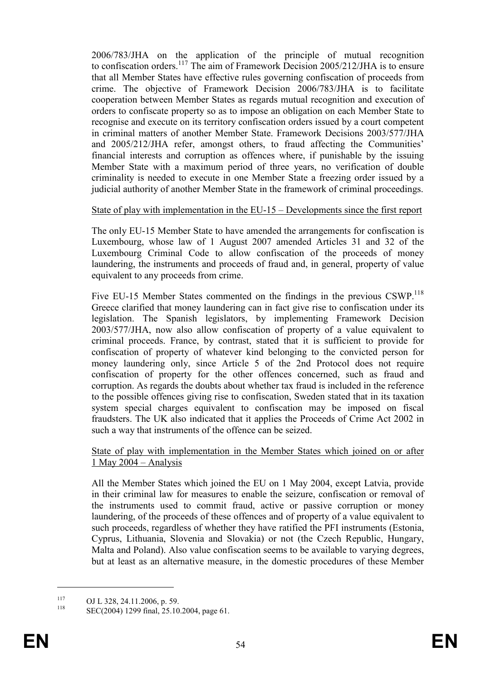2006/783/JHA on the application of the principle of mutual recognition to confiscation orders.<sup>117</sup> The aim of Framework Decision 2005/212/JHA is to ensure that all Member States have effective rules governing confiscation of proceeds from crime. The objective of Framework Decision 2006/783/JHA is to facilitate cooperation between Member States as regards mutual recognition and execution of orders to confiscate property so as to impose an obligation on each Member State to recognise and execute on its territory confiscation orders issued by a court competent in criminal matters of another Member State. Framework Decisions 2003/577/JHA and 2005/212/JHA refer, amongst others, to fraud affecting the Communities' financial interests and corruption as offences where, if punishable by the issuing Member State with a maximum period of three years, no verification of double criminality is needed to execute in one Member State a freezing order issued by a judicial authority of another Member State in the framework of criminal proceedings.

#### State of play with implementation in the EU-15 – Developments since the first report

The only EU-15 Member State to have amended the arrangements for confiscation is Luxembourg, whose law of 1 August 2007 amended Articles 31 and 32 of the Luxembourg Criminal Code to allow confiscation of the proceeds of money laundering, the instruments and proceeds of fraud and, in general, property of value equivalent to any proceeds from crime.

Five EU-15 Member States commented on the findings in the previous CSWP.<sup>118</sup> Greece clarified that money laundering can in fact give rise to confiscation under its legislation. The Spanish legislators, by implementing Framework Decision 2003/577/JHA, now also allow confiscation of property of a value equivalent to criminal proceeds. France, by contrast, stated that it is sufficient to provide for confiscation of property of whatever kind belonging to the convicted person for money laundering only, since Article 5 of the 2nd Protocol does not require confiscation of property for the other offences concerned, such as fraud and corruption. As regards the doubts about whether tax fraud is included in the reference to the possible offences giving rise to confiscation, Sweden stated that in its taxation system special charges equivalent to confiscation may be imposed on fiscal fraudsters. The UK also indicated that it applies the Proceeds of Crime Act 2002 in such a way that instruments of the offence can be seized.

State of play with implementation in the Member States which joined on or after 1 May 2004 – Analysis

All the Member States which joined the EU on 1 May 2004, except Latvia, provide in their criminal law for measures to enable the seizure, confiscation or removal of the instruments used to commit fraud, active or passive corruption or money laundering, of the proceeds of these offences and of property of a value equivalent to such proceeds, regardless of whether they have ratified the PFI instruments (Estonia, Cyprus, Lithuania, Slovenia and Slovakia) or not (the Czech Republic, Hungary, Malta and Poland). Also value confiscation seems to be available to varying degrees, but at least as an alternative measure, in the domestic procedures of these Member

 $117$  OJ L 328, 24.11.2006, p. 59.

SEC(2004) 1299 final, 25.10.2004, page 61.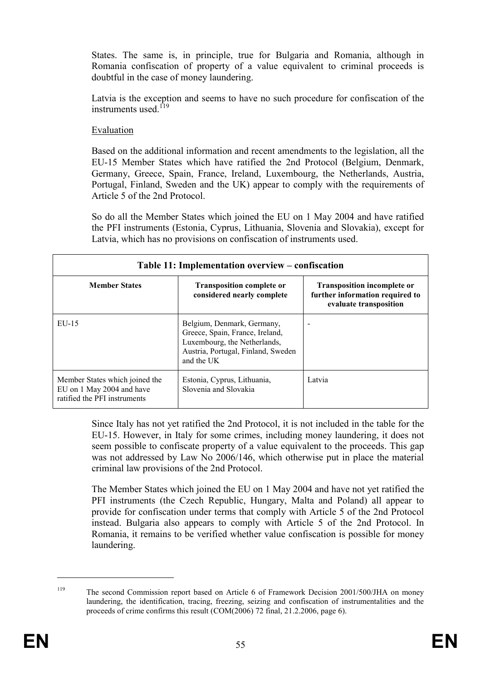States. The same is, in principle, true for Bulgaria and Romania, although in Romania confiscation of property of a value equivalent to criminal proceeds is doubtful in the case of money laundering.

Latvia is the exception and seems to have no such procedure for confiscation of the instruments used  $^{119}$ 

## Evaluation

Based on the additional information and recent amendments to the legislation, all the EU-15 Member States which have ratified the 2nd Protocol (Belgium, Denmark, Germany, Greece, Spain, France, Ireland, Luxembourg, the Netherlands, Austria, Portugal, Finland, Sweden and the UK) appear to comply with the requirements of Article 5 of the 2nd Protocol.

So do all the Member States which joined the EU on 1 May 2004 and have ratified the PFI instruments (Estonia, Cyprus, Lithuania, Slovenia and Slovakia), except for Latvia, which has no provisions on confiscation of instruments used.

| Table 11: Implementation overview – confiscation                                            |                                                                                                                                                   |                                                                                                 |  |  |  |
|---------------------------------------------------------------------------------------------|---------------------------------------------------------------------------------------------------------------------------------------------------|-------------------------------------------------------------------------------------------------|--|--|--|
| <b>Member States</b>                                                                        | <b>Transposition complete or</b><br>considered nearly complete                                                                                    | <b>Transposition incomplete or</b><br>further information required to<br>evaluate transposition |  |  |  |
| $EU-15$                                                                                     | Belgium, Denmark, Germany,<br>Greece, Spain, France, Ireland,<br>Luxembourg, the Netherlands,<br>Austria, Portugal, Finland, Sweden<br>and the UK |                                                                                                 |  |  |  |
| Member States which joined the<br>EU on 1 May 2004 and have<br>ratified the PFI instruments | Estonia, Cyprus, Lithuania,<br>Slovenia and Slovakia                                                                                              | Latvia                                                                                          |  |  |  |

Since Italy has not yet ratified the 2nd Protocol, it is not included in the table for the EU-15. However, in Italy for some crimes, including money laundering, it does not seem possible to confiscate property of a value equivalent to the proceeds. This gap was not addressed by Law No 2006/146, which otherwise put in place the material criminal law provisions of the 2nd Protocol.

The Member States which joined the EU on 1 May 2004 and have not yet ratified the PFI instruments (the Czech Republic, Hungary, Malta and Poland) all appear to provide for confiscation under terms that comply with Article 5 of the 2nd Protocol instead. Bulgaria also appears to comply with Article 5 of the 2nd Protocol. In Romania, it remains to be verified whether value confiscation is possible for money laundering.

<sup>&</sup>lt;sup>119</sup> The second Commission report based on Article 6 of Framework Decision 2001/500/JHA on money laundering, the identification, tracing, freezing, seizing and confiscation of instrumentalities and the proceeds of crime confirms this result  $(COM(2006) 72$  final,  $21.2.2006$ , page 6).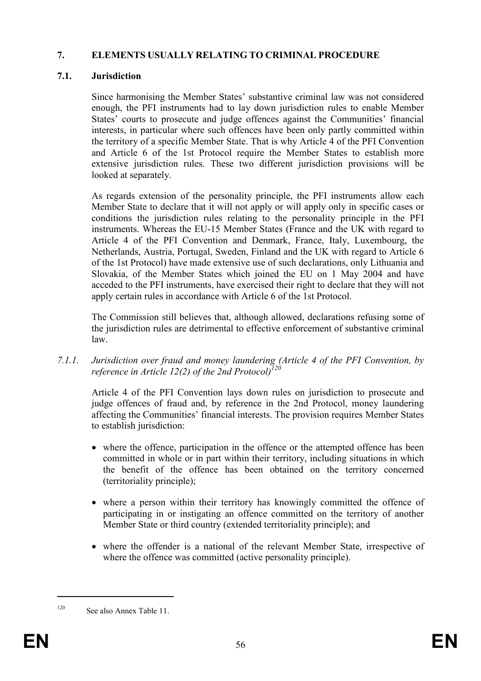## 7. ELEMENTS USUALLY RELATING TO CRIMINAL PROCEDURE

## 7.1. Jurisdiction

Since harmonising the Member States' substantive criminal law was not considered enough, the PFI instruments had to lay down jurisdiction rules to enable Member States' courts to prosecute and judge offences against the Communities' financial interests, in particular where such offences have been only partly committed within the territory of a specific Member State. That is why Article 4 of the PFI Convention and Article 6 of the 1st Protocol require the Member States to establish more extensive jurisdiction rules. These two different jurisdiction provisions will be looked at separately.

As regards extension of the personality principle, the PFI instruments allow each Member State to declare that it will not apply or will apply only in specific cases or conditions the jurisdiction rules relating to the personality principle in the PFI instruments. Whereas the EU-15 Member States (France and the UK with regard to Article 4 of the PFI Convention and Denmark, France, Italy, Luxembourg, the Netherlands, Austria, Portugal, Sweden, Finland and the UK with regard to Article 6 of the 1st Protocol) have made extensive use of such declarations, only Lithuania and Slovakia, of the Member States which joined the EU on 1 May 2004 and have acceded to the PFI instruments, have exercised their right to declare that they will not apply certain rules in accordance with Article 6 of the 1st Protocol.

The Commission still believes that, although allowed, declarations refusing some of the jurisdiction rules are detrimental to effective enforcement of substantive criminal law.

7.1.1. Jurisdiction over fraud and money laundering (Article 4 of the PFI Convention, by reference in Article 12(2) of the 2nd Protocol $\vec{J}$ 

Article 4 of the PFI Convention lays down rules on jurisdiction to prosecute and judge offences of fraud and, by reference in the 2nd Protocol, money laundering affecting the Communities' financial interests. The provision requires Member States to establish jurisdiction:

- where the offence, participation in the offence or the attempted offence has been committed in whole or in part within their territory, including situations in which the benefit of the offence has been obtained on the territory concerned (territoriality principle);
- where a person within their territory has knowingly committed the offence of participating in or instigating an offence committed on the territory of another Member State or third country (extended territoriality principle); and
- where the offender is a national of the relevant Member State, irrespective of where the offence was committed (active personality principle).

<sup>120</sup> See also Annex Table 11.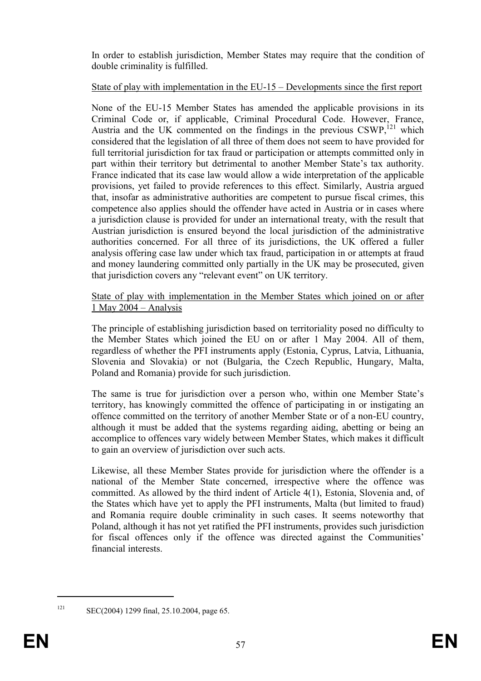In order to establish jurisdiction, Member States may require that the condition of double criminality is fulfilled.

## State of play with implementation in the EU-15 – Developments since the first report

None of the EU-15 Member States has amended the applicable provisions in its Criminal Code or, if applicable, Criminal Procedural Code. However, France, Austria and the UK commented on the findings in the previous  $CSWP$ <sup>121</sup>, which considered that the legislation of all three of them does not seem to have provided for full territorial jurisdiction for tax fraud or participation or attempts committed only in part within their territory but detrimental to another Member State's tax authority. France indicated that its case law would allow a wide interpretation of the applicable provisions, yet failed to provide references to this effect. Similarly, Austria argued that, insofar as administrative authorities are competent to pursue fiscal crimes, this competence also applies should the offender have acted in Austria or in cases where a jurisdiction clause is provided for under an international treaty, with the result that Austrian jurisdiction is ensured beyond the local jurisdiction of the administrative authorities concerned. For all three of its jurisdictions, the UK offered a fuller analysis offering case law under which tax fraud, participation in or attempts at fraud and money laundering committed only partially in the UK may be prosecuted, given that jurisdiction covers any "relevant event" on UK territory.

State of play with implementation in the Member States which joined on or after 1 May 2004 – Analysis

The principle of establishing jurisdiction based on territoriality posed no difficulty to the Member States which joined the EU on or after 1 May 2004. All of them, regardless of whether the PFI instruments apply (Estonia, Cyprus, Latvia, Lithuania, Slovenia and Slovakia) or not (Bulgaria, the Czech Republic, Hungary, Malta, Poland and Romania) provide for such jurisdiction.

The same is true for jurisdiction over a person who, within one Member State's territory, has knowingly committed the offence of participating in or instigating an offence committed on the territory of another Member State or of a non-EU country, although it must be added that the systems regarding aiding, abetting or being an accomplice to offences vary widely between Member States, which makes it difficult to gain an overview of jurisdiction over such acts.

Likewise, all these Member States provide for jurisdiction where the offender is a national of the Member State concerned, irrespective where the offence was committed. As allowed by the third indent of Article 4(1), Estonia, Slovenia and, of the States which have yet to apply the PFI instruments, Malta (but limited to fraud) and Romania require double criminality in such cases. It seems noteworthy that Poland, although it has not yet ratified the PFI instruments, provides such jurisdiction for fiscal offences only if the offence was directed against the Communities' financial interests.

 $\overline{a}$ 

<sup>121</sup> SEC(2004) 1299 final, 25.10.2004, page 65.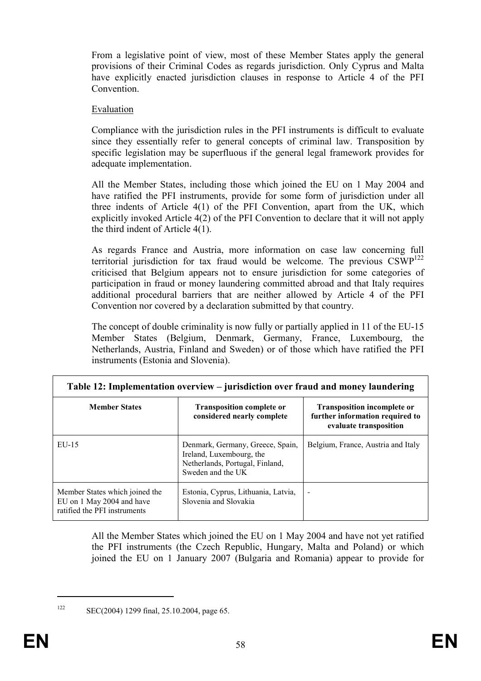From a legislative point of view, most of these Member States apply the general provisions of their Criminal Codes as regards jurisdiction. Only Cyprus and Malta have explicitly enacted jurisdiction clauses in response to Article 4 of the PFI **Convention** 

#### Evaluation

Compliance with the jurisdiction rules in the PFI instruments is difficult to evaluate since they essentially refer to general concepts of criminal law. Transposition by specific legislation may be superfluous if the general legal framework provides for adequate implementation.

All the Member States, including those which joined the EU on 1 May 2004 and have ratified the PFI instruments, provide for some form of jurisdiction under all three indents of Article 4(1) of the PFI Convention, apart from the UK, which explicitly invoked Article 4(2) of the PFI Convention to declare that it will not apply the third indent of Article 4(1).

As regards France and Austria, more information on case law concerning full territorial jurisdiction for tax fraud would be welcome. The previous  $CSWP^{122}$ criticised that Belgium appears not to ensure jurisdiction for some categories of participation in fraud or money laundering committed abroad and that Italy requires additional procedural barriers that are neither allowed by Article 4 of the PFI Convention nor covered by a declaration submitted by that country.

The concept of double criminality is now fully or partially applied in 11 of the EU-15 Member States (Belgium, Denmark, Germany, France, Luxembourg, the Netherlands, Austria, Finland and Sweden) or of those which have ratified the PFI instruments (Estonia and Slovenia).

| Table 12: Implementation overview – jurisdiction over fraud and money laundering            |                                                                                                                      |                                                                                                 |  |  |  |  |
|---------------------------------------------------------------------------------------------|----------------------------------------------------------------------------------------------------------------------|-------------------------------------------------------------------------------------------------|--|--|--|--|
| <b>Member States</b>                                                                        | <b>Transposition complete or</b><br>considered nearly complete                                                       | <b>Transposition incomplete or</b><br>further information required to<br>evaluate transposition |  |  |  |  |
| $EU-15$                                                                                     | Denmark, Germany, Greece, Spain,<br>Ireland, Luxembourg, the<br>Netherlands, Portugal, Finland,<br>Sweden and the UK | Belgium, France, Austria and Italy                                                              |  |  |  |  |
| Member States which joined the<br>EU on 1 May 2004 and have<br>ratified the PFI instruments | Estonia, Cyprus, Lithuania, Latvia,<br>Slovenia and Slovakia                                                         | $\overline{\phantom{a}}$                                                                        |  |  |  |  |

All the Member States which joined the EU on 1 May 2004 and have not yet ratified the PFI instruments (the Czech Republic, Hungary, Malta and Poland) or which joined the EU on 1 January 2007 (Bulgaria and Romania) appear to provide for

<sup>122</sup> SEC(2004) 1299 final, 25.10.2004, page 65.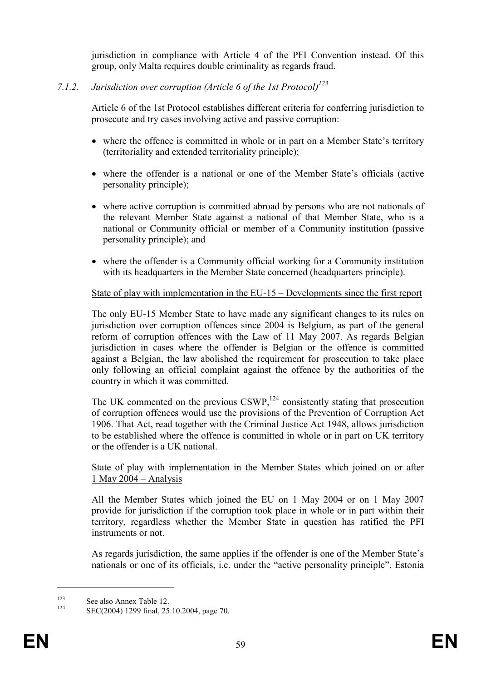jurisdiction in compliance with Article 4 of the PFI Convention instead. Of this group, only Malta requires double criminality as regards fraud.

## 7.1.2. Jurisdiction over corruption (Article 6 of the 1st Protocol)<sup>123</sup>

Article 6 of the 1st Protocol establishes different criteria for conferring jurisdiction to prosecute and try cases involving active and passive corruption:

- where the offence is committed in whole or in part on a Member State's territory (territoriality and extended territoriality principle);
- where the offender is a national or one of the Member State's officials (active personality principle);
- where active corruption is committed abroad by persons who are not nationals of the relevant Member State against a national of that Member State, who is a national or Community official or member of a Community institution (passive personality principle); and
- where the offender is a Community official working for a Community institution with its headquarters in the Member State concerned (headquarters principle).

## State of play with implementation in the EU-15 – Developments since the first report

The only EU-15 Member State to have made any significant changes to its rules on jurisdiction over corruption offences since 2004 is Belgium, as part of the general reform of corruption offences with the Law of 11 May 2007. As regards Belgian jurisdiction in cases where the offender is Belgian or the offence is committed against a Belgian, the law abolished the requirement for prosecution to take place only following an official complaint against the offence by the authorities of the country in which it was committed.

The UK commented on the previous  $CSWP$ ,<sup>124</sup> consistently stating that prosecution of corruption offences would use the provisions of the Prevention of Corruption Act 1906. That Act, read together with the Criminal Justice Act 1948, allows jurisdiction to be established where the offence is committed in whole or in part on UK territory or the offender is a UK national.

#### State of play with implementation in the Member States which joined on or after 1 May 2004 – Analysis

All the Member States which joined the EU on 1 May 2004 or on 1 May 2007 provide for jurisdiction if the corruption took place in whole or in part within their territory, regardless whether the Member State in question has ratified the PFI instruments or not.

As regards jurisdiction, the same applies if the offender is one of the Member State's nationals or one of its officials, i.e. under the "active personality principle". Estonia

<sup>&</sup>lt;sup>123</sup> See also Annex Table 12.

SEC(2004) 1299 final, 25.10.2004, page 70.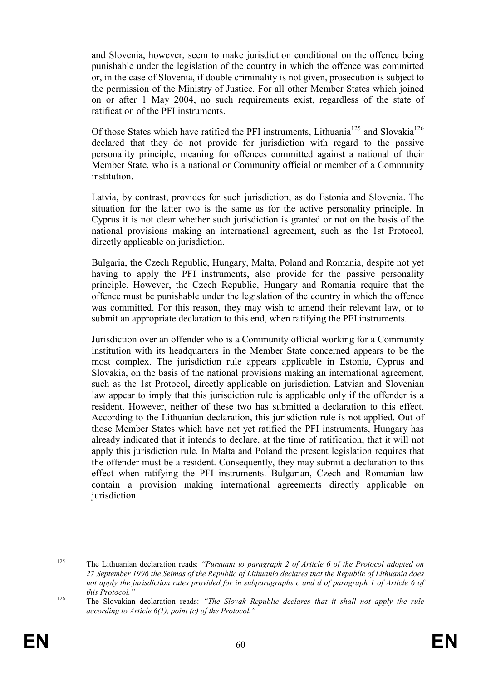and Slovenia, however, seem to make jurisdiction conditional on the offence being punishable under the legislation of the country in which the offence was committed or, in the case of Slovenia, if double criminality is not given, prosecution is subject to the permission of the Ministry of Justice. For all other Member States which joined on or after 1 May 2004, no such requirements exist, regardless of the state of ratification of the PFI instruments.

Of those States which have ratified the PFI instruments, Lithuania<sup>125</sup> and Slovakia<sup>126</sup> declared that they do not provide for jurisdiction with regard to the passive personality principle, meaning for offences committed against a national of their Member State, who is a national or Community official or member of a Community institution.

Latvia, by contrast, provides for such jurisdiction, as do Estonia and Slovenia. The situation for the latter two is the same as for the active personality principle. In Cyprus it is not clear whether such jurisdiction is granted or not on the basis of the national provisions making an international agreement, such as the 1st Protocol, directly applicable on jurisdiction.

Bulgaria, the Czech Republic, Hungary, Malta, Poland and Romania, despite not yet having to apply the PFI instruments, also provide for the passive personality principle. However, the Czech Republic, Hungary and Romania require that the offence must be punishable under the legislation of the country in which the offence was committed. For this reason, they may wish to amend their relevant law, or to submit an appropriate declaration to this end, when ratifying the PFI instruments.

Jurisdiction over an offender who is a Community official working for a Community institution with its headquarters in the Member State concerned appears to be the most complex. The jurisdiction rule appears applicable in Estonia, Cyprus and Slovakia, on the basis of the national provisions making an international agreement, such as the 1st Protocol, directly applicable on jurisdiction. Latvian and Slovenian law appear to imply that this jurisdiction rule is applicable only if the offender is a resident. However, neither of these two has submitted a declaration to this effect. According to the Lithuanian declaration, this jurisdiction rule is not applied. Out of those Member States which have not yet ratified the PFI instruments, Hungary has already indicated that it intends to declare, at the time of ratification, that it will not apply this jurisdiction rule. In Malta and Poland the present legislation requires that the offender must be a resident. Consequently, they may submit a declaration to this effect when ratifying the PFI instruments. Bulgarian, Czech and Romanian law contain a provision making international agreements directly applicable on jurisdiction.

<sup>&</sup>lt;sup>125</sup> The Lithuanian declaration reads: "Pursuant to paragraph 2 of Article 6 of the Protocol adopted on 27 September 1996 the Seimas of the Republic of Lithuania declares that the Republic of Lithuania does not apply the jurisdiction rules provided for in subparagraphs c and d of paragraph 1 of Article 6 of this Protocol."

 $126$  The Slovakian declaration reads: "The Slovak Republic declares that it shall not apply the rule according to Article 6(1), point (c) of the Protocol."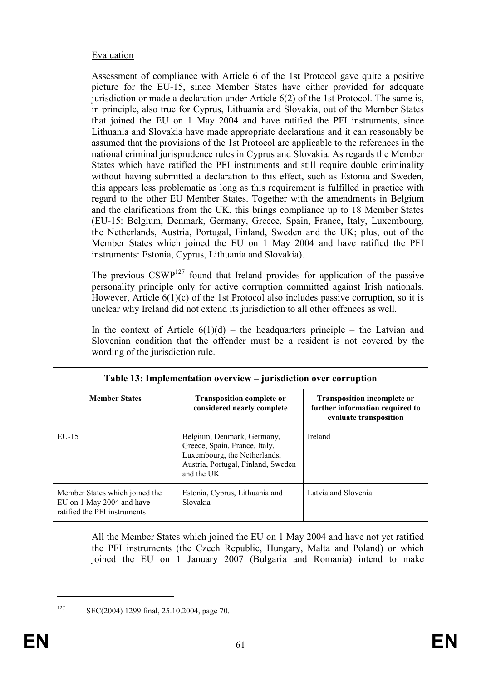## **Evaluation**

Assessment of compliance with Article 6 of the 1st Protocol gave quite a positive picture for the EU-15, since Member States have either provided for adequate jurisdiction or made a declaration under Article 6(2) of the 1st Protocol. The same is, in principle, also true for Cyprus, Lithuania and Slovakia, out of the Member States that joined the EU on 1 May 2004 and have ratified the PFI instruments, since Lithuania and Slovakia have made appropriate declarations and it can reasonably be assumed that the provisions of the 1st Protocol are applicable to the references in the national criminal jurisprudence rules in Cyprus and Slovakia. As regards the Member States which have ratified the PFI instruments and still require double criminality without having submitted a declaration to this effect, such as Estonia and Sweden, this appears less problematic as long as this requirement is fulfilled in practice with regard to the other EU Member States. Together with the amendments in Belgium and the clarifications from the UK, this brings compliance up to 18 Member States (EU-15: Belgium, Denmark, Germany, Greece, Spain, France, Italy, Luxembourg, the Netherlands, Austria, Portugal, Finland, Sweden and the UK; plus, out of the Member States which joined the EU on 1 May 2004 and have ratified the PFI instruments: Estonia, Cyprus, Lithuania and Slovakia).

The previous  $CSWP^{127}$  found that Ireland provides for application of the passive personality principle only for active corruption committed against Irish nationals. However, Article  $6(1)(c)$  of the 1st Protocol also includes passive corruption, so it is unclear why Ireland did not extend its jurisdiction to all other offences as well.

In the context of Article  $6(1)(d)$  – the headquarters principle – the Latvian and Slovenian condition that the offender must be a resident is not covered by the wording of the jurisdiction rule.

| Table 13: Implementation overview – jurisdiction over corruption                            |                                                                                                                                                 |                                                                                                 |  |  |  |
|---------------------------------------------------------------------------------------------|-------------------------------------------------------------------------------------------------------------------------------------------------|-------------------------------------------------------------------------------------------------|--|--|--|
| <b>Member States</b><br>$EU-15$                                                             | <b>Transposition complete or</b><br>considered nearly complete                                                                                  | <b>Transposition incomplete or</b><br>further information required to<br>evaluate transposition |  |  |  |
|                                                                                             | Belgium, Denmark, Germany,<br>Greece, Spain, France, Italy,<br>Luxembourg, the Netherlands,<br>Austria, Portugal, Finland, Sweden<br>and the UK | Ireland                                                                                         |  |  |  |
| Member States which joined the<br>EU on 1 May 2004 and have<br>ratified the PFI instruments | Estonia, Cyprus, Lithuania and<br>Slovakia                                                                                                      | Latvia and Slovenia                                                                             |  |  |  |

All the Member States which joined the EU on 1 May 2004 and have not yet ratified the PFI instruments (the Czech Republic, Hungary, Malta and Poland) or which joined the EU on 1 January 2007 (Bulgaria and Romania) intend to make

<sup>127</sup> SEC(2004) 1299 final, 25.10.2004, page 70.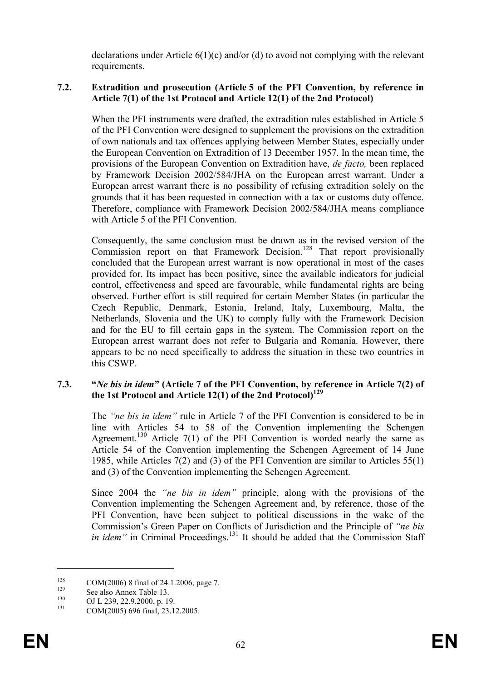declarations under Article 6(1)(c) and/or (d) to avoid not complying with the relevant requirements.

## 7.2. Extradition and prosecution (Article 5 of the PFI Convention, by reference in Article 7(1) of the 1st Protocol and Article 12(1) of the 2nd Protocol)

When the PFI instruments were drafted, the extradition rules established in Article 5 of the PFI Convention were designed to supplement the provisions on the extradition of own nationals and tax offences applying between Member States, especially under the European Convention on Extradition of 13 December 1957. In the mean time, the provisions of the European Convention on Extradition have, de facto, been replaced by Framework Decision 2002/584/JHA on the European arrest warrant. Under a European arrest warrant there is no possibility of refusing extradition solely on the grounds that it has been requested in connection with a tax or customs duty offence. Therefore, compliance with Framework Decision 2002/584/JHA means compliance with Article 5 of the PFI Convention.

Consequently, the same conclusion must be drawn as in the revised version of the Commission report on that Framework Decision.<sup>128</sup> That report provisionally concluded that the European arrest warrant is now operational in most of the cases provided for. Its impact has been positive, since the available indicators for judicial control, effectiveness and speed are favourable, while fundamental rights are being observed. Further effort is still required for certain Member States (in particular the Czech Republic, Denmark, Estonia, Ireland, Italy, Luxembourg, Malta, the Netherlands, Slovenia and the UK) to comply fully with the Framework Decision and for the EU to fill certain gaps in the system. The Commission report on the European arrest warrant does not refer to Bulgaria and Romania. However, there appears to be no need specifically to address the situation in these two countries in this CSWP.

#### 7.3. "Ne bis in idem" (Article 7 of the PFI Convention, by reference in Article 7(2) of the 1st Protocol and Article 12(1) of the 2nd Protocol $1^{129}$

The "ne bis in idem" rule in Article 7 of the PFI Convention is considered to be in line with Articles 54 to 58 of the Convention implementing the Schengen Agreement.<sup>130</sup> Article  $7(1)$  of the PFI Convention is worded nearly the same as Article 54 of the Convention implementing the Schengen Agreement of 14 June 1985, while Articles 7(2) and (3) of the PFI Convention are similar to Articles 55(1) and (3) of the Convention implementing the Schengen Agreement.

Since 2004 the "ne bis in idem" principle, along with the provisions of the Convention implementing the Schengen Agreement and, by reference, those of the PFI Convention, have been subject to political discussions in the wake of the Commission's Green Paper on Conflicts of Jurisdiction and the Principle of "ne bis in idem" in Criminal Proceedings.<sup>131</sup> It should be added that the Commission Staff

<sup>&</sup>lt;sup>128</sup> COM(2006) 8 final of 24.1.2006, page 7.

 $129$  See also Annex Table 13.

 $^{130}$  OJ L 239, 22.9.2000, p. 19.

COM(2005) 696 final, 23.12.2005.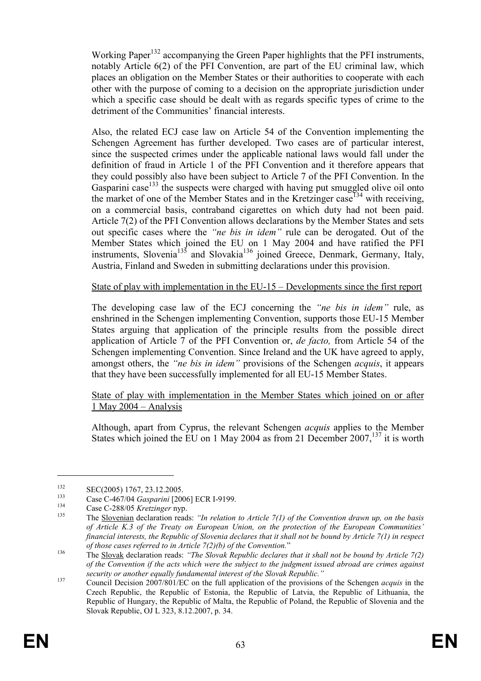Working Paper<sup>132</sup> accompanying the Green Paper highlights that the PFI instruments, notably Article 6(2) of the PFI Convention, are part of the EU criminal law, which places an obligation on the Member States or their authorities to cooperate with each other with the purpose of coming to a decision on the appropriate jurisdiction under which a specific case should be dealt with as regards specific types of crime to the detriment of the Communities' financial interests.

Also, the related ECJ case law on Article 54 of the Convention implementing the Schengen Agreement has further developed. Two cases are of particular interest, since the suspected crimes under the applicable national laws would fall under the definition of fraud in Article 1 of the PFI Convention and it therefore appears that they could possibly also have been subject to Article 7 of the PFI Convention. In the Gasparini case<sup>133</sup> the suspects were charged with having put smuggled olive oil onto the market of one of the Member States and in the Kretzinger case<sup>134</sup> with receiving, on a commercial basis, contraband cigarettes on which duty had not been paid. Article 7(2) of the PFI Convention allows declarations by the Member States and sets out specific cases where the "ne bis in idem" rule can be derogated. Out of the Member States which joined the EU on 1 May 2004 and have ratified the PFI instruments, Slovenia<sup>135</sup> and Slovakia<sup>136</sup> joined Greece, Denmark, Germany, Italy, Austria, Finland and Sweden in submitting declarations under this provision.

### State of play with implementation in the EU-15 – Developments since the first report

The developing case law of the ECJ concerning the "ne bis in idem" rule, as enshrined in the Schengen implementing Convention, supports those EU-15 Member States arguing that application of the principle results from the possible direct application of Article 7 of the PFI Convention or, de facto, from Article 54 of the Schengen implementing Convention. Since Ireland and the UK have agreed to apply, amongst others, the "ne bis in idem" provisions of the Schengen *acquis*, it appears that they have been successfully implemented for all EU-15 Member States.

State of play with implementation in the Member States which joined on or after 1 May 2004 – Analysis

Although, apart from Cyprus, the relevant Schengen acquis applies to the Member States which joined the EU on 1 May 2004 as from 21 December  $2007$ ,  $137$  it is worth

 $\text{SEC}(2005) \, 1767, \, 23.12.2005.$ 

<sup>&</sup>lt;sup>133</sup> Case C-467/04 *Gasparini* [2006] ECR I-9199.

 $134$  Case C-288/05 Kretzinger nyp.<br>
The Slovenian deeleration reed

The Slovenian declaration reads: "In relation to Article 7(1) of the Convention drawn up, on the basis of Article K.3 of the Treaty on European Union, on the protection of the European Communities' financial interests, the Republic of Slovenia declares that it shall not be bound by Article 7(1) in respect of those cases referred to in Article 7(2)(b) of the Convention."

<sup>136</sup> The Slovak declaration reads: "The Slovak Republic declares that it shall not be bound by Article 7(2) of the Convention if the acts which were the subject to the judgment issued abroad are crimes against security or another equally fundamental interest of the Slovak Republic."

<sup>137</sup> Council Decision 2007/801/EC on the full application of the provisions of the Schengen *acquis* in the Czech Republic, the Republic of Estonia, the Republic of Latvia, the Republic of Lithuania, the Republic of Hungary, the Republic of Malta, the Republic of Poland, the Republic of Slovenia and the Slovak Republic, OJ L 323, 8.12.2007, p. 34.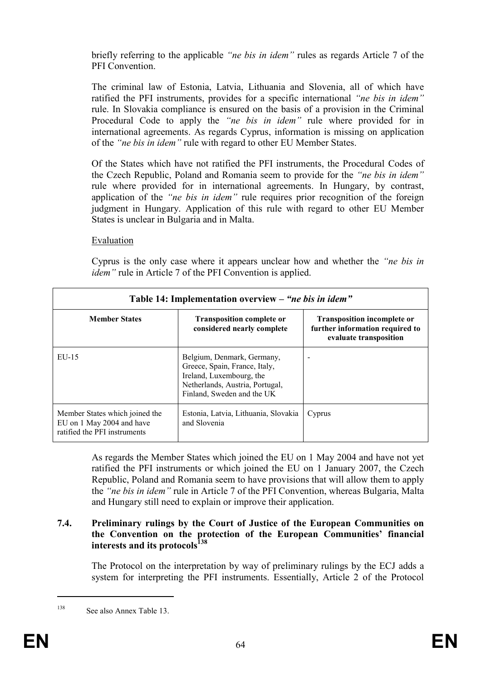briefly referring to the applicable "ne bis in idem" rules as regards Article 7 of the PFI Convention

The criminal law of Estonia, Latvia, Lithuania and Slovenia, all of which have ratified the PFI instruments, provides for a specific international "ne bis in idem" rule. In Slovakia compliance is ensured on the basis of a provision in the Criminal Procedural Code to apply the "*ne bis in idem*" rule where provided for in international agreements. As regards Cyprus, information is missing on application of the "ne bis in idem" rule with regard to other EU Member States.

Of the States which have not ratified the PFI instruments, the Procedural Codes of the Czech Republic, Poland and Romania seem to provide for the "ne bis in idem" rule where provided for in international agreements. In Hungary, by contrast, application of the "ne bis in idem" rule requires prior recognition of the foreign judgment in Hungary. Application of this rule with regard to other EU Member States is unclear in Bulgaria and in Malta.

## Evaluation

Cyprus is the only case where it appears unclear how and whether the "ne bis in idem" rule in Article 7 of the PFI Convention is applied.

| Table 14: Implementation overview – "ne bis in idem"                                        |                                                                                                                                                          |                                                                                                 |  |  |  |
|---------------------------------------------------------------------------------------------|----------------------------------------------------------------------------------------------------------------------------------------------------------|-------------------------------------------------------------------------------------------------|--|--|--|
| <b>Member States</b>                                                                        | <b>Transposition complete or</b><br>considered nearly complete                                                                                           | <b>Transposition incomplete or</b><br>further information required to<br>evaluate transposition |  |  |  |
| $EU-15$                                                                                     | Belgium, Denmark, Germany,<br>Greece, Spain, France, Italy,<br>Ireland, Luxembourg, the<br>Netherlands, Austria, Portugal,<br>Finland, Sweden and the UK |                                                                                                 |  |  |  |
| Member States which joined the<br>EU on 1 May 2004 and have<br>ratified the PFI instruments | Estonia, Latvia, Lithuania, Slovakia<br>and Slovenia                                                                                                     | Cyprus                                                                                          |  |  |  |

As regards the Member States which joined the EU on 1 May 2004 and have not yet ratified the PFI instruments or which joined the EU on 1 January 2007, the Czech Republic, Poland and Romania seem to have provisions that will allow them to apply the "ne bis in idem" rule in Article 7 of the PFI Convention, whereas Bulgaria, Malta and Hungary still need to explain or improve their application.

#### 7.4. Preliminary rulings by the Court of Justice of the European Communities on the Convention on the protection of the European Communities' financial interests and its protocols<sup>138</sup>

The Protocol on the interpretation by way of preliminary rulings by the ECJ adds a system for interpreting the PFI instruments. Essentially, Article 2 of the Protocol

<sup>138</sup> See also Annex Table 13.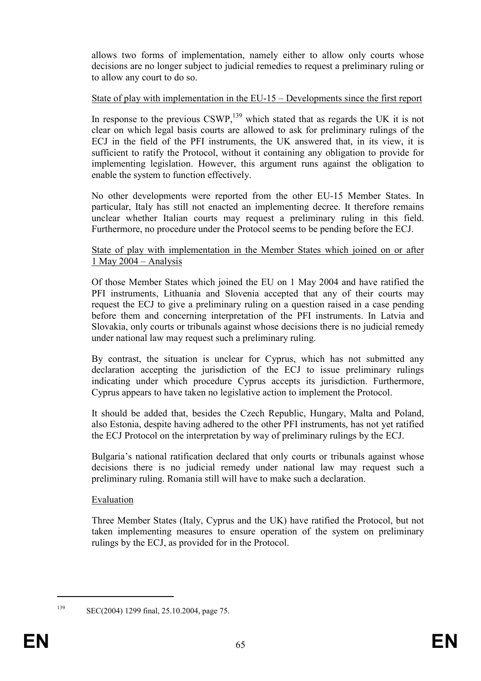allows two forms of implementation, namely either to allow only courts whose decisions are no longer subject to judicial remedies to request a preliminary ruling or to allow any court to do so.

## State of play with implementation in the EU-15 – Developments since the first report

In response to the previous  $CSWP<sub>139</sub>$  which stated that as regards the UK it is not clear on which legal basis courts are allowed to ask for preliminary rulings of the ECJ in the field of the PFI instruments, the UK answered that, in its view, it is sufficient to ratify the Protocol, without it containing any obligation to provide for implementing legislation. However, this argument runs against the obligation to enable the system to function effectively.

No other developments were reported from the other EU-15 Member States. In particular, Italy has still not enacted an implementing decree. It therefore remains unclear whether Italian courts may request a preliminary ruling in this field. Furthermore, no procedure under the Protocol seems to be pending before the ECJ.

State of play with implementation in the Member States which joined on or after 1 May 2004 – Analysis

Of those Member States which joined the EU on 1 May 2004 and have ratified the PFI instruments, Lithuania and Slovenia accepted that any of their courts may request the ECJ to give a preliminary ruling on a question raised in a case pending before them and concerning interpretation of the PFI instruments. In Latvia and Slovakia, only courts or tribunals against whose decisions there is no judicial remedy under national law may request such a preliminary ruling.

By contrast, the situation is unclear for Cyprus, which has not submitted any declaration accepting the jurisdiction of the ECJ to issue preliminary rulings indicating under which procedure Cyprus accepts its jurisdiction. Furthermore, Cyprus appears to have taken no legislative action to implement the Protocol.

It should be added that, besides the Czech Republic, Hungary, Malta and Poland, also Estonia, despite having adhered to the other PFI instruments, has not yet ratified the ECJ Protocol on the interpretation by way of preliminary rulings by the ECJ.

Bulgaria's national ratification declared that only courts or tribunals against whose decisions there is no judicial remedy under national law may request such a preliminary ruling. Romania still will have to make such a declaration.

#### Evaluation

Three Member States (Italy, Cyprus and the UK) have ratified the Protocol, but not taken implementing measures to ensure operation of the system on preliminary rulings by the ECJ, as provided for in the Protocol.

 $\overline{a}$ 

<sup>139</sup> SEC(2004) 1299 final, 25.10.2004, page 75.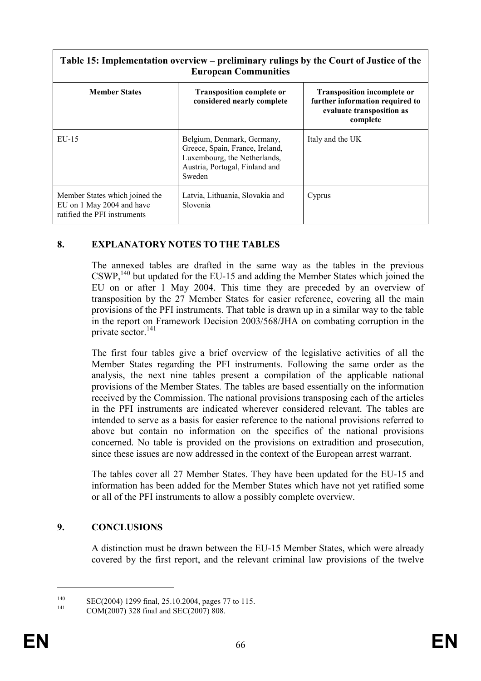| Table 15: Implementation overview – preliminary rulings by the Court of Justice of the<br><b>European Communities</b> |                                                                                                                                           |                                                                                                                |  |  |  |  |
|-----------------------------------------------------------------------------------------------------------------------|-------------------------------------------------------------------------------------------------------------------------------------------|----------------------------------------------------------------------------------------------------------------|--|--|--|--|
| <b>Member States</b>                                                                                                  | <b>Transposition complete or</b><br>considered nearly complete                                                                            | <b>Transposition incomplete or</b><br>further information required to<br>evaluate transposition as<br>complete |  |  |  |  |
| $EU-15$                                                                                                               | Belgium, Denmark, Germany,<br>Greece, Spain, France, Ireland,<br>Luxembourg, the Netherlands,<br>Austria, Portugal, Finland and<br>Sweden | Italy and the UK                                                                                               |  |  |  |  |
| Member States which joined the<br>EU on 1 May 2004 and have<br>ratified the PFI instruments                           | Latvia, Lithuania, Slovakia and<br>Slovenia                                                                                               | Cyprus                                                                                                         |  |  |  |  |

## 8. EXPLANATORY NOTES TO THE TABLES

The annexed tables are drafted in the same way as the tables in the previous  $\text{CSWP}^{\,140}_{\,1}$  but updated for the EU-15 and adding the Member States which joined the EU on or after 1 May 2004. This time they are preceded by an overview of transposition by the 27 Member States for easier reference, covering all the main provisions of the PFI instruments. That table is drawn up in a similar way to the table in the report on Framework Decision 2003/568/JHA on combating corruption in the private sector. $141$ 

The first four tables give a brief overview of the legislative activities of all the Member States regarding the PFI instruments. Following the same order as the analysis, the next nine tables present a compilation of the applicable national provisions of the Member States. The tables are based essentially on the information received by the Commission. The national provisions transposing each of the articles in the PFI instruments are indicated wherever considered relevant. The tables are intended to serve as a basis for easier reference to the national provisions referred to above but contain no information on the specifics of the national provisions concerned. No table is provided on the provisions on extradition and prosecution, since these issues are now addressed in the context of the European arrest warrant.

The tables cover all 27 Member States. They have been updated for the EU-15 and information has been added for the Member States which have not yet ratified some or all of the PFI instruments to allow a possibly complete overview.

#### 9. CONCLUSIONS

A distinction must be drawn between the EU-15 Member States, which were already covered by the first report, and the relevant criminal law provisions of the twelve

<sup>&</sup>lt;sup>140</sup> SEC(2004) 1299 final, 25.10.2004, pages 77 to 115.

COM(2007) 328 final and SEC(2007) 808.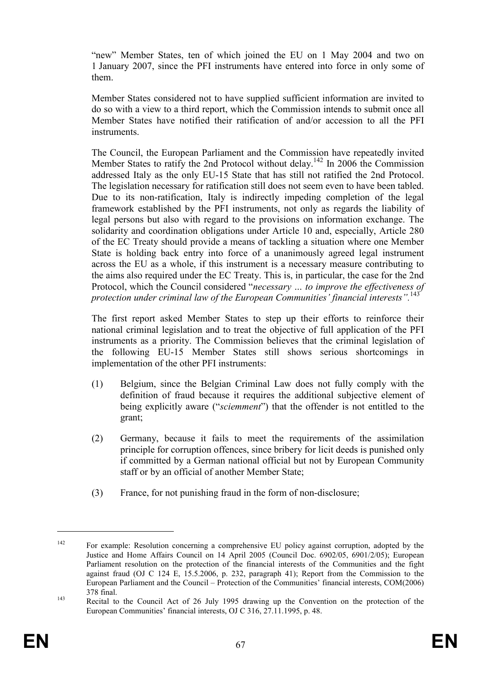"new" Member States, ten of which joined the EU on 1 May 2004 and two on 1 January 2007, since the PFI instruments have entered into force in only some of them.

Member States considered not to have supplied sufficient information are invited to do so with a view to a third report, which the Commission intends to submit once all Member States have notified their ratification of and/or accession to all the PFI instruments.

The Council, the European Parliament and the Commission have repeatedly invited Member States to ratify the 2nd Protocol without delay.<sup>142</sup> In 2006 the Commission addressed Italy as the only EU-15 State that has still not ratified the 2nd Protocol. The legislation necessary for ratification still does not seem even to have been tabled. Due to its non-ratification, Italy is indirectly impeding completion of the legal framework established by the PFI instruments, not only as regards the liability of legal persons but also with regard to the provisions on information exchange. The solidarity and coordination obligations under Article 10 and, especially, Article 280 of the EC Treaty should provide a means of tackling a situation where one Member State is holding back entry into force of a unanimously agreed legal instrument across the EU as a whole, if this instrument is a necessary measure contributing to the aims also required under the EC Treaty. This is, in particular, the case for the 2nd Protocol, which the Council considered "necessary … to improve the effectiveness of protection under criminal law of the European Communities' financial interests".<sup>143</sup>

The first report asked Member States to step up their efforts to reinforce their national criminal legislation and to treat the objective of full application of the PFI instruments as a priority. The Commission believes that the criminal legislation of the following EU-15 Member States still shows serious shortcomings in implementation of the other PFI instruments:

- (1) Belgium, since the Belgian Criminal Law does not fully comply with the definition of fraud because it requires the additional subjective element of being explicitly aware ("*sciemment*") that the offender is not entitled to the grant;
- (2) Germany, because it fails to meet the requirements of the assimilation principle for corruption offences, since bribery for licit deeds is punished only if committed by a German national official but not by European Community staff or by an official of another Member State;
- (3) France, for not punishing fraud in the form of non-disclosure;

<sup>&</sup>lt;sup>142</sup> For example: Resolution concerning a comprehensive EU policy against corruption, adopted by the Justice and Home Affairs Council on 14 April 2005 (Council Doc. 6902/05, 6901/2/05); European Parliament resolution on the protection of the financial interests of the Communities and the fight against fraud (OJ C 124 E, 15.5.2006, p. 232, paragraph 41); Report from the Commission to the European Parliament and the Council – Protection of the Communities' financial interests, COM(2006) 378 final.

<sup>&</sup>lt;sup>143</sup> Recital to the Council Act of 26 July 1995 drawing up the Convention on the protection of the European Communities' financial interests, OJ C 316, 27.11.1995, p. 48.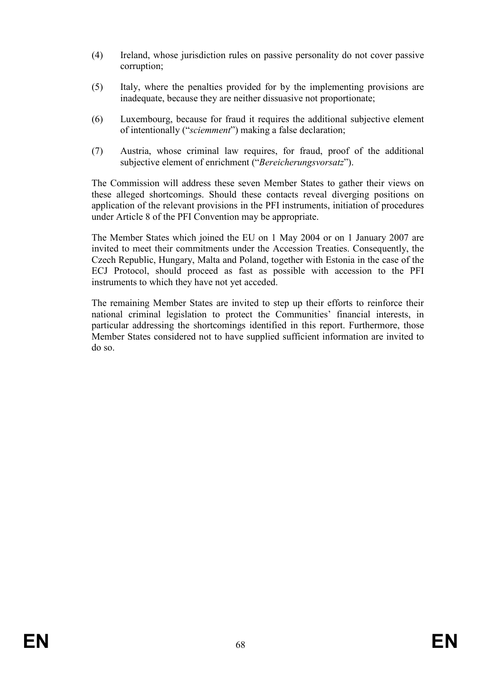- (4) Ireland, whose jurisdiction rules on passive personality do not cover passive corruption;
- (5) Italy, where the penalties provided for by the implementing provisions are inadequate, because they are neither dissuasive not proportionate;
- (6) Luxembourg, because for fraud it requires the additional subjective element of intentionally ("sciemment") making a false declaration;
- (7) Austria, whose criminal law requires, for fraud, proof of the additional subjective element of enrichment ("Bereicherungsvorsatz").

The Commission will address these seven Member States to gather their views on these alleged shortcomings. Should these contacts reveal diverging positions on application of the relevant provisions in the PFI instruments, initiation of procedures under Article 8 of the PFI Convention may be appropriate.

The Member States which joined the EU on 1 May 2004 or on 1 January 2007 are invited to meet their commitments under the Accession Treaties. Consequently, the Czech Republic, Hungary, Malta and Poland, together with Estonia in the case of the ECJ Protocol, should proceed as fast as possible with accession to the PFI instruments to which they have not yet acceded.

The remaining Member States are invited to step up their efforts to reinforce their national criminal legislation to protect the Communities' financial interests, in particular addressing the shortcomings identified in this report. Furthermore, those Member States considered not to have supplied sufficient information are invited to do so.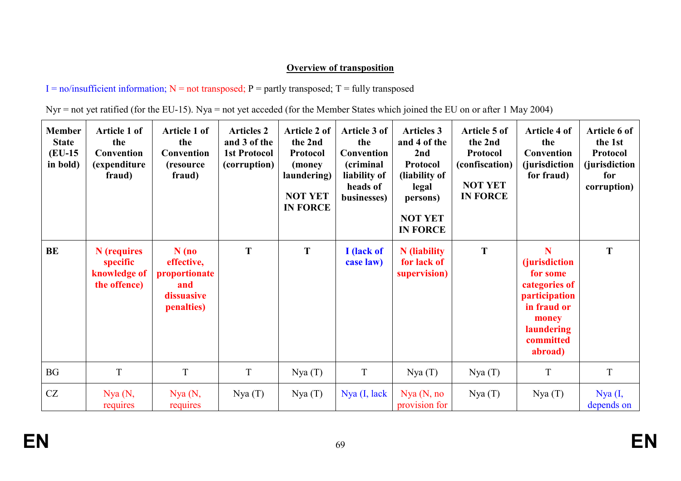# **Overview of transposition**

 $I = no/insufficient information; N = not transposed; P = partly transposed; T = fully transposed$ 

|  | $Nyr = not$ yet ratified (for the EU-15). Nya = not yet acceded (for the Member States which joined the EU on or after 1 May 2004) |  |
|--|------------------------------------------------------------------------------------------------------------------------------------|--|

| <b>Member</b><br><b>State</b><br>$(EU-15)$<br>in bold) | Article 1 of<br>the<br>Convention<br>(expenditure<br>fraud) | Article 1 of<br>the<br>Convention<br>(resource)<br>fraud)                 | <b>Articles 2</b><br>and 3 of the<br><b>1st Protocol</b><br>(corruption) | <b>Article 2 of</b><br>the 2nd<br>Protocol<br>(money)<br>laundering)<br><b>NOT YET</b><br><b>IN FORCE</b> | Article 3 of<br>the<br>Convention<br>(criminal<br>liability of<br>heads of<br>businesses) | <b>Articles 3</b><br>and 4 of the<br>2nd<br>Protocol<br>(liability of<br>legal<br>persons)<br><b>NOT YET</b><br><b>IN FORCE</b> | Article 5 of<br>the 2nd<br><b>Protocol</b><br>(confiscation)<br><b>NOT YET</b><br><b>IN FORCE</b> | <b>Article 4 of</b><br>the<br>Convention<br><i>(jurisdiction)</i><br>for fraud)                                                        | Article 6 of<br>the 1st<br>Protocol<br>(jurisdiction<br>for<br>corruption) |
|--------------------------------------------------------|-------------------------------------------------------------|---------------------------------------------------------------------------|--------------------------------------------------------------------------|-----------------------------------------------------------------------------------------------------------|-------------------------------------------------------------------------------------------|---------------------------------------------------------------------------------------------------------------------------------|---------------------------------------------------------------------------------------------------|----------------------------------------------------------------------------------------------------------------------------------------|----------------------------------------------------------------------------|
| BE                                                     | N (requires<br>specific<br>knowledge of<br>the offence)     | $N$ (no<br>effective,<br>proportionate<br>and<br>dissuasive<br>penalties) | T                                                                        | T                                                                                                         | I (lack of<br>case law)                                                                   | <b>N</b> (liability<br>for lack of<br>supervision)                                                                              | T                                                                                                 | N<br><i>(jurisdiction)</i><br>for some<br>categories of<br>participation<br>in fraud or<br>money<br>laundering<br>committed<br>abroad) | T                                                                          |
| <b>BG</b>                                              | T                                                           | T                                                                         | T                                                                        | Nya(T)                                                                                                    | T                                                                                         | Nya(T)                                                                                                                          | Nya(T)                                                                                            | T                                                                                                                                      | T                                                                          |
| CZ                                                     | Nya(N,<br>requires                                          | Nya(N,<br>requires                                                        | Nya(T)                                                                   | Nya(T)                                                                                                    | $Nya$ (I, lack                                                                            | Nya (N, no)<br>provision for                                                                                                    | Nya(T)                                                                                            | Nya(T)                                                                                                                                 | Nya (I,<br>depends on                                                      |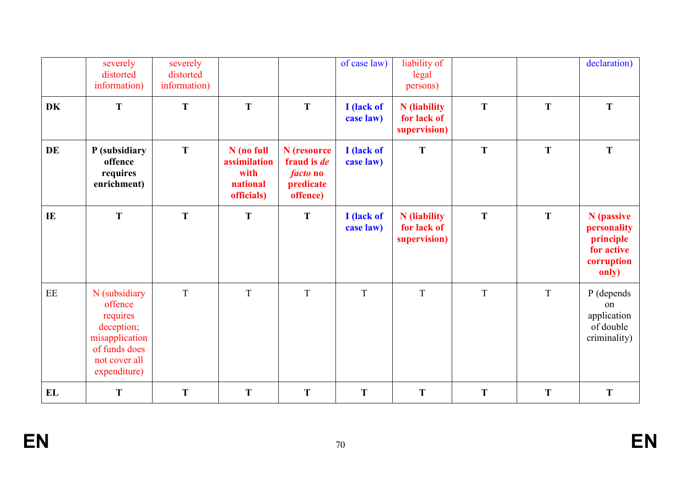|           | severely<br>distorted<br>information)                                                                                  | severely<br>distorted<br>information) |                                                              |                                                                               | of case law)            | liability of<br>legal<br>persons)                  |   |   | declaration)                                                                |
|-----------|------------------------------------------------------------------------------------------------------------------------|---------------------------------------|--------------------------------------------------------------|-------------------------------------------------------------------------------|-------------------------|----------------------------------------------------|---|---|-----------------------------------------------------------------------------|
| <b>DK</b> | T                                                                                                                      | T                                     | T                                                            | T                                                                             | I (lack of<br>case law) | <b>N</b> (liability<br>for lack of<br>supervision) | T | T | T                                                                           |
| <b>DE</b> | P (subsidiary<br>offence<br>requires<br>enrichment)                                                                    | T                                     | N (no full<br>assimilation<br>with<br>national<br>officials) | N (resource<br>fraud is <i>de</i><br><i>facto</i> no<br>predicate<br>offence) | I (lack of<br>case law) | T                                                  | T | T | T                                                                           |
| IE        | T                                                                                                                      | T                                     | T                                                            | T                                                                             | I (lack of<br>case law) | N (liability<br>for lack of<br>supervision)        | T | T | N (passive<br>personality<br>principle<br>for active<br>corruption<br>only) |
| EE        | N (subsidiary<br>offence<br>requires<br>deception;<br>misapplication<br>of funds does<br>not cover all<br>expenditure) | $\mathbf T$                           | $\mathbf T$                                                  | T                                                                             | T                       | T                                                  | T | T | P (depends<br>on<br>application<br>of double<br>criminality)                |
| EL        | T                                                                                                                      | T                                     | T                                                            | T                                                                             | T                       | T                                                  | T | T | T                                                                           |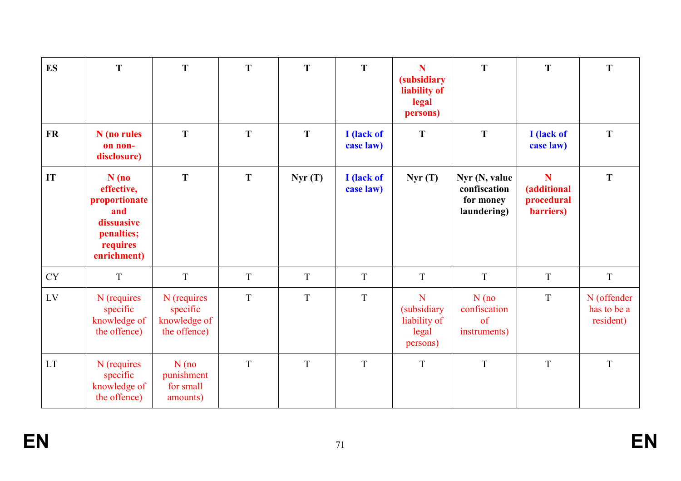| <b>ES</b>                  | T                                                                                                    | T                                                       | T           | T      | T                       | N<br><i>(subsidiary)</i><br>liability of<br>legal<br>persons) | T                                                         | T                                                   | T                                       |
|----------------------------|------------------------------------------------------------------------------------------------------|---------------------------------------------------------|-------------|--------|-------------------------|---------------------------------------------------------------|-----------------------------------------------------------|-----------------------------------------------------|-----------------------------------------|
| <b>FR</b>                  | N (no rules<br>on non-<br>disclosure)                                                                | T                                                       | T           | T      | I (lack of<br>case law) | T                                                             | T                                                         | I (lack of<br>case law)                             | T                                       |
| IT                         | $N$ (no<br>effective,<br>proportionate<br>and<br>dissuasive<br>penalties;<br>requires<br>enrichment) | T                                                       | T           | Nyr(T) | I (lack of<br>case law) | Nyr(T)                                                        | Nyr (N, value<br>confiscation<br>for money<br>laundering) | N<br><i>(additional)</i><br>procedural<br>barriers) | T                                       |
| <b>CY</b>                  | $\mathbf T$                                                                                          | $\mathbf T$                                             | $\mathbf T$ | T      | $\mathbf T$             | $\mathbf T$                                                   | T                                                         | T                                                   | T                                       |
| LV                         | N (requires<br>specific<br>knowledge of<br>the offence)                                              | N (requires<br>specific<br>knowledge of<br>the offence) | $\mathbf T$ | T      | $\mathbf T$             | N<br><i>(subsidiary)</i><br>liability of<br>legal<br>persons) | $N$ (no<br>confiscation<br>of<br>instruments)             | T                                                   | N (offender<br>has to be a<br>resident) |
| $\mathop{\rm LT}\nolimits$ | N (requires<br>specific<br>knowledge of<br>the offence)                                              | $N$ (no<br>punishment<br>for small<br>amounts)          | T           | T      | $\mathbf T$             | $\mathbf T$                                                   | $\overline{T}$                                            | $\mathbf T$                                         | $\mathbf T$                             |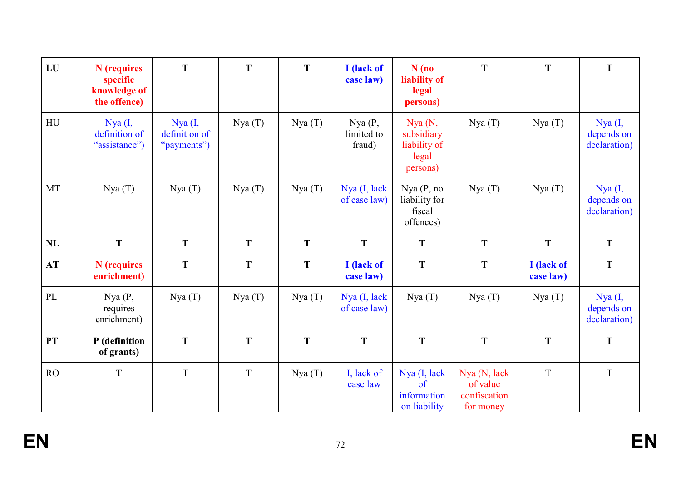| LU                     | N (requires<br>specific<br>knowledge of<br>the offence) | T                                       | T           | T      | I (lack of<br>case law)        | $N$ (no<br>liability of<br>legal<br>persons)              | T                        | T                       | T                                     |
|------------------------|---------------------------------------------------------|-----------------------------------------|-------------|--------|--------------------------------|-----------------------------------------------------------|--------------------------|-------------------------|---------------------------------------|
| HU                     | Nya (I,<br>definition of<br>"assistance")               | Nya (I,<br>definition of<br>"payments") | Nya(T)      | Nya(T) | Nya(P,<br>limited to<br>fraud) | Nya(N,<br>subsidiary<br>liability of<br>legal<br>persons) | Nya(T)                   | Nya(T)                  | Nya (I,<br>depends on<br>declaration) |
| MT                     | Nya(T)                                                  | Nya(T)                                  | Nya(T)      | Nya(T) | Nya (I, lack<br>of case law)   | Nya(P, no<br>liability for<br>fiscal<br>offences)         | Nya(T)                   | Nya(T)                  | Nya (I,<br>depends on<br>declaration) |
| NL                     | T                                                       | T                                       | T           | T      | T                              | T                                                         | T                        | T                       | T                                     |
| AT                     | N (requires<br>enrichment)                              | T                                       | $\mathbf T$ | T      | I (lack of<br>case law)        | T                                                         | T                        | I (lack of<br>case law) | ${\bf T}$                             |
| $\mathbf{P}\mathbf{L}$ | Nya(P,<br>requires<br>enrichment)                       | Nya(T)                                  | Nya(T)      | Nya(T) | Nya (I, lack<br>of case law)   | Nya(T)                                                    | Nya(T)                   | Nya(T)                  | Nya (I,<br>depends on<br>declaration) |
| PT                     | P (definition<br>of grants)                             | T                                       | T           | T      | T                              | T                                                         | T                        | T                       | T                                     |
| RO                     | T                                                       | $\mathbf T$                             | $\mathbf T$ | Nya(T) | I, lack of<br>case law         | Nya (I, lack<br>of                                        | Nya (N, lack<br>of value | T                       | $\mathbf T$                           |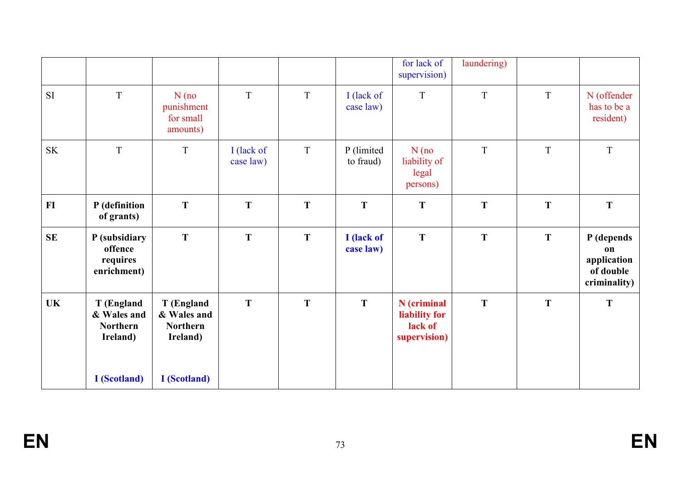|                                                  |                                                          |                                                          |                         |   |                         | for lack of<br>supervision)                             | laundering) |   |                                                              |
|--------------------------------------------------|----------------------------------------------------------|----------------------------------------------------------|-------------------------|---|-------------------------|---------------------------------------------------------|-------------|---|--------------------------------------------------------------|
| <b>SI</b>                                        | $\mathbf T$                                              | $N$ (no<br>punishment<br>for small<br>amounts)           | $\mathbf T$             | T | I (lack of<br>case law) | $\overline{\mathrm{T}}$                                 | T           | T | N (offender<br>has to be a<br>resident)                      |
| $\ensuremath{\mathbf{S}}\ensuremath{\mathbf{K}}$ | T                                                        | $\mathbf T$                                              | I (lack of<br>case law) | T | P (limited<br>to fraud) | $N$ (no<br>liability of<br>legal<br>persons)            | T           | T | $\bar{T}$                                                    |
| $FI$                                             | P (definition<br>of grants)                              | T                                                        | $\mathbf T$             | T | T                       | T                                                       | T           | T | $\mathbf T$                                                  |
| <b>SE</b>                                        | P (subsidiary<br>offence<br>requires<br>enrichment)      | T                                                        | T                       | T | I (lack of<br>case law) | T                                                       | T           | T | P (depends<br>on<br>application<br>of double<br>criminality) |
| <b>UK</b>                                        | T (England<br>& Wales and<br><b>Northern</b><br>Ireland) | T (England<br>& Wales and<br><b>Northern</b><br>Ireland) | T                       | T | T                       | N (criminal<br>liability for<br>lack of<br>supervision) | T           | T | $\mathbf T$                                                  |
|                                                  | <b>I</b> (Scotland)                                      | <b>I</b> (Scotland)                                      |                         |   |                         |                                                         |             |   |                                                              |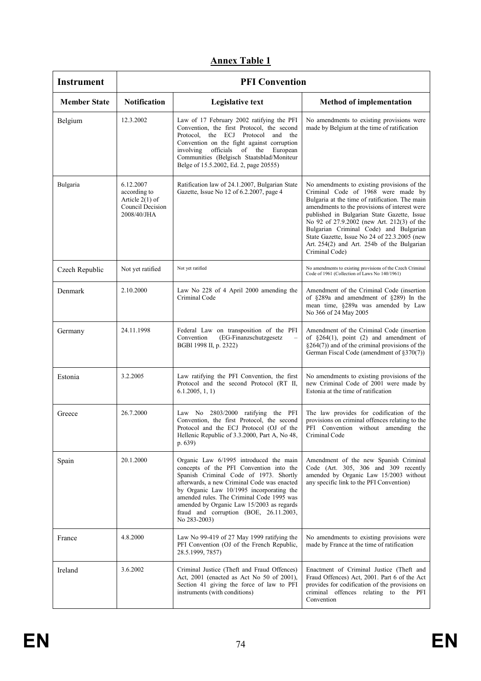| <b>Instrument</b>   | <b>PFI Convention</b>                                                           |                                                                                                                                                                                                                                                                                                                                                                            |                                                                                                                                                                                                                                                                                                                                                                                                                                             |  |  |  |
|---------------------|---------------------------------------------------------------------------------|----------------------------------------------------------------------------------------------------------------------------------------------------------------------------------------------------------------------------------------------------------------------------------------------------------------------------------------------------------------------------|---------------------------------------------------------------------------------------------------------------------------------------------------------------------------------------------------------------------------------------------------------------------------------------------------------------------------------------------------------------------------------------------------------------------------------------------|--|--|--|
| <b>Member State</b> | <b>Notification</b>                                                             | <b>Legislative text</b>                                                                                                                                                                                                                                                                                                                                                    | <b>Method of implementation</b>                                                                                                                                                                                                                                                                                                                                                                                                             |  |  |  |
| Belgium             | 12.3.2002                                                                       | Law of 17 February 2002 ratifying the PFI<br>Convention, the first Protocol, the second<br>Protocol, the ECJ Protocol<br>and the<br>Convention on the fight against corruption<br>involving officials of the<br>European<br>Communities (Belgisch Staatsblad/Moniteur<br>Belge of 15.5.2002, Ed. 2, page 20555)                                                            | No amendments to existing provisions were<br>made by Belgium at the time of ratification                                                                                                                                                                                                                                                                                                                                                    |  |  |  |
| Bulgaria            | 6.12.2007<br>according to<br>Article 2(1) of<br>Council Decision<br>2008/40/JHA | Ratification law of 24.1.2007, Bulgarian State<br>Gazette, Issue No 12 of 6.2.2007, page 4                                                                                                                                                                                                                                                                                 | No amendments to existing provisions of the<br>Criminal Code of 1968 were made by<br>Bulgaria at the time of ratification. The main<br>amendments to the provisions of interest were<br>published in Bulgarian State Gazette, Issue<br>No 92 of 27.9.2002 (new Art. 212(3) of the<br>Bulgarian Criminal Code) and Bulgarian<br>State Gazette, Issue No 24 of 22.3.2005 (new<br>Art. 254(2) and Art. 254b of the Bulgarian<br>Criminal Code) |  |  |  |
| Czech Republic      | Not yet ratified                                                                | Not yet ratified                                                                                                                                                                                                                                                                                                                                                           | No amendments to existing provisions of the Czech Criminal<br>Code of 1961 (Collection of Laws No 140/1961)                                                                                                                                                                                                                                                                                                                                 |  |  |  |
| Denmark             | 2.10.2000                                                                       | Law No 228 of 4 April 2000 amending the<br>Criminal Code                                                                                                                                                                                                                                                                                                                   | Amendment of the Criminal Code (insertion)<br>of §289a and amendment of §289) In the<br>mean time, §289a was amended by Law<br>No 366 of 24 May 2005                                                                                                                                                                                                                                                                                        |  |  |  |
| Germany             | 24.11.1998                                                                      | Federal Law on transposition of the PFI<br>Convention<br>(EG-Finanzschutzgesetz<br>$\overline{\phantom{m}}$<br>BGBI 1998 II, p. 2322)                                                                                                                                                                                                                                      | Amendment of the Criminal Code (insertion<br>of $\S264(1)$ , point (2) and amendment of<br>$\S264(7)$ ) and of the criminal provisions of the<br>German Fiscal Code (amendment of $\S370(7)$ )                                                                                                                                                                                                                                              |  |  |  |
| Estonia             | 3.2.2005                                                                        | Law ratifying the PFI Convention, the first<br>Protocol and the second Protocol (RT II,<br>6.1.2005, 1, 1)                                                                                                                                                                                                                                                                 | No amendments to existing provisions of the<br>new Criminal Code of 2001 were made by<br>Estonia at the time of ratification                                                                                                                                                                                                                                                                                                                |  |  |  |
| Greece              | 26.7.2000                                                                       | Law No 2803/2000 ratifying the PFI<br>Convention, the first Protocol, the second<br>Protocol and the ECJ Protocol (OJ of the<br>Hellenic Republic of 3.3.2000, Part A, No 48,<br>p.639                                                                                                                                                                                     | The law provides for codification of the<br>provisions on criminal offences relating to the<br>PFI Convention without amending the<br>Criminal Code                                                                                                                                                                                                                                                                                         |  |  |  |
| Spain               | 20.1.2000                                                                       | Organic Law 6/1995 introduced the main<br>concepts of the PFI Convention into the<br>Spanish Criminal Code of 1973. Shortly<br>afterwards, a new Criminal Code was enacted<br>by Organic Law 10/1995 incorporating the<br>amended rules. The Criminal Code 1995 was<br>amended by Organic Law 15/2003 as regards<br>fraud and corruption (BOE, 26.11.2003,<br>No 283-2003) | Amendment of the new Spanish Criminal<br>Code (Art. 305, 306 and 309 recently<br>amended by Organic Law 15/2003 without<br>any specific link to the PFI Convention)                                                                                                                                                                                                                                                                         |  |  |  |
| France              | 4.8.2000                                                                        | Law No 99-419 of 27 May 1999 ratifying the<br>PFI Convention (OJ of the French Republic,<br>28.5.1999, 7857)                                                                                                                                                                                                                                                               | No amendments to existing provisions were<br>made by France at the time of ratification                                                                                                                                                                                                                                                                                                                                                     |  |  |  |
| Ireland             | 3.6.2002                                                                        | Criminal Justice (Theft and Fraud Offences)<br>Act, 2001 (enacted as Act No 50 of 2001),<br>Section 41 giving the force of law to PFI<br>instruments (with conditions)                                                                                                                                                                                                     | Enactment of Criminal Justice (Theft and<br>Fraud Offences) Act, 2001. Part 6 of the Act<br>provides for codification of the provisions on<br>criminal offences relating to the PFI<br>Convention                                                                                                                                                                                                                                           |  |  |  |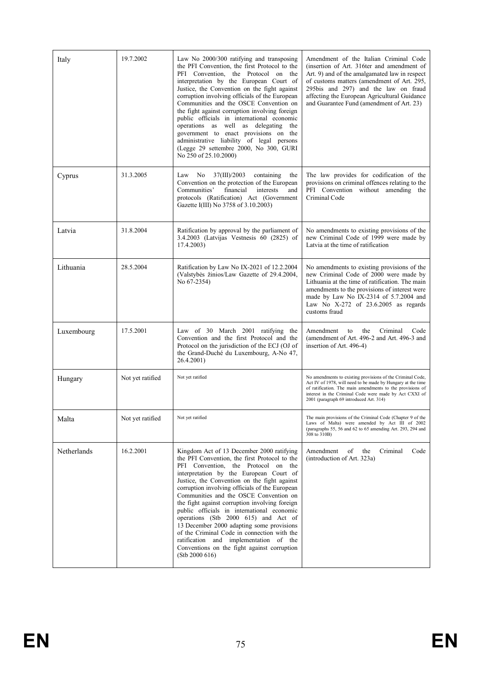| Italy       | 19.7.2002        | Law No 2000/300 ratifying and transposing<br>the PFI Convention, the first Protocol to the<br>PFI Convention, the Protocol on the<br>interpretation by the European Court of<br>Justice, the Convention on the fight against<br>corruption involving officials of the European<br>Communities and the OSCE Convention on<br>the fight against corruption involving foreign<br>public officials in international economic<br>operations as well as delegating<br>the<br>government to enact provisions on the<br>administrative liability of legal persons<br>(Legge 29 settembre 2000, No 300, GURI<br>No 250 of 25.10.2000)                                            | Amendment of the Italian Criminal Code<br>(insertion of Art. 316ter and amendment of<br>Art. 9) and of the amalgamated law in respect<br>of customs matters (amendment of Art. 295,<br>295bis and 297) and the law on fraud<br>affecting the European Agricultural Guidance<br>and Guarantee Fund (amendment of Art. 23) |
|-------------|------------------|-------------------------------------------------------------------------------------------------------------------------------------------------------------------------------------------------------------------------------------------------------------------------------------------------------------------------------------------------------------------------------------------------------------------------------------------------------------------------------------------------------------------------------------------------------------------------------------------------------------------------------------------------------------------------|--------------------------------------------------------------------------------------------------------------------------------------------------------------------------------------------------------------------------------------------------------------------------------------------------------------------------|
| Cyprus      | 31.3.2005        | 37(III)/2003<br>Law<br>No<br>containing<br>the<br>Convention on the protection of the European<br>financial<br>Communities'<br>interests<br>and<br>protocols (Ratification) Act (Government<br>Gazette I(III) No 3758 of 3.10.2003)                                                                                                                                                                                                                                                                                                                                                                                                                                     | The law provides for codification of the<br>provisions on criminal offences relating to the<br>PFI Convention without amending the<br>Criminal Code                                                                                                                                                                      |
| Latvia      | 31.8.2004        | Ratification by approval by the parliament of<br>3.4.2003 (Latvijas Vestnesis 60 (2825) of<br>17.4.2003)                                                                                                                                                                                                                                                                                                                                                                                                                                                                                                                                                                | No amendments to existing provisions of the<br>new Criminal Code of 1999 were made by<br>Latvia at the time of ratification                                                                                                                                                                                              |
| Lithuania   | 28.5.2004        | Ratification by Law No IX-2021 of 12.2.2004<br>(Valstybės žinios/Law Gazette of 29.4.2004,<br>No 67-2354)                                                                                                                                                                                                                                                                                                                                                                                                                                                                                                                                                               | No amendments to existing provisions of the<br>new Criminal Code of 2000 were made by<br>Lithuania at the time of ratification. The main<br>amendments to the provisions of interest were<br>made by Law No IX-2314 of 5.7.2004 and<br>Law No X-272 of 23.6.2005 as regards<br>customs fraud                             |
| Luxembourg  | 17.5.2001        | Law of 30 March 2001 ratifying the<br>Convention and the first Protocol and the<br>Protocol on the jurisdiction of the ECJ (OJ of<br>the Grand-Duché du Luxembourg, A-No 47,<br>26.4.2001)                                                                                                                                                                                                                                                                                                                                                                                                                                                                              | Amendment<br>Criminal<br>to<br>the<br>Code<br>(amendment of Art. 496-2 and Art. 496-3 and<br>insertion of Art. 496-4)                                                                                                                                                                                                    |
| Hungary     | Not yet ratified | Not yet ratified                                                                                                                                                                                                                                                                                                                                                                                                                                                                                                                                                                                                                                                        | No amendments to existing provisions of the Criminal Code,<br>Act IV of 1978, will need to be made by Hungary at the time<br>of ratification. The main amendments to the provisions of<br>interest in the Criminal Code were made by Act CXXI of<br>2001 (paragraph 69 introduced Art. 314)                              |
| Malta       | Not yet ratified | Not yet ratified                                                                                                                                                                                                                                                                                                                                                                                                                                                                                                                                                                                                                                                        | The main provisions of the Criminal Code (Chapter 9 of the<br>Laws of Malta) were amended by Act III of 2002<br>(paragraphs 55, 56 and 62 to 65 amending Art. 293, 294 and<br>308 to 310B)                                                                                                                               |
| Netherlands | 16.2.2001        | Kingdom Act of 13 December 2000 ratifying<br>the PFI Convention, the first Protocol to the<br>PFI Convention, the Protocol on the<br>interpretation by the European Court of<br>Justice, the Convention on the fight against<br>corruption involving officials of the European<br>Communities and the OSCE Convention on<br>the fight against corruption involving foreign<br>public officials in international economic<br>operations (Stb 2000 615) and Act of<br>13 December 2000 adapting some provisions<br>of the Criminal Code in connection with the<br>ratification and implementation of the<br>Conventions on the fight against corruption<br>(Stb 2000 616) | Amendment<br>of<br>Criminal<br>the<br>Code<br>(introduction of Art. 323a)                                                                                                                                                                                                                                                |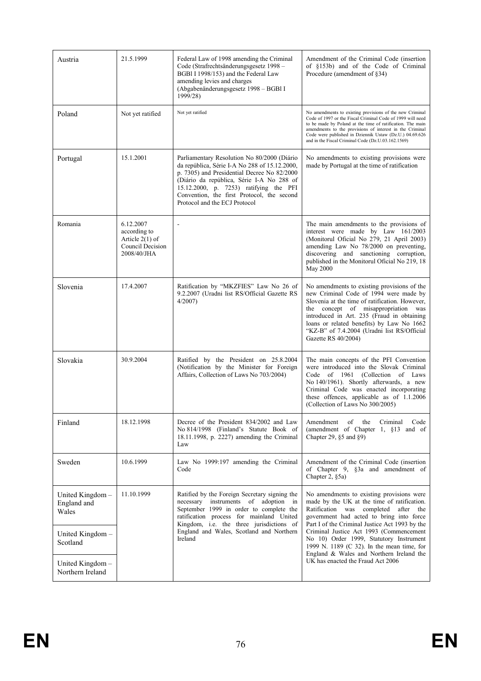| Austria                                 | 21.5.1999                                                                         | Federal Law of 1998 amending the Criminal<br>Code (Strafrechtsänderungsgesetz 1998 –<br>BGBI I 1998/153) and the Federal Law<br>amending levies and charges<br>(Abgabenänderungsgesetz 1998 - BGBI I<br>1999/28)                                                                                                  | Amendment of the Criminal Code (insertion)<br>of §153b) and of the Code of Criminal<br>Procedure (amendment of §34)                                                                                                                                                                                                                                               |
|-----------------------------------------|-----------------------------------------------------------------------------------|-------------------------------------------------------------------------------------------------------------------------------------------------------------------------------------------------------------------------------------------------------------------------------------------------------------------|-------------------------------------------------------------------------------------------------------------------------------------------------------------------------------------------------------------------------------------------------------------------------------------------------------------------------------------------------------------------|
| Poland                                  | Not yet ratified                                                                  | Not yet ratified                                                                                                                                                                                                                                                                                                  | No amendments to existing provisions of the new Criminal<br>Code of 1997 or the Fiscal Criminal Code of 1999 will need<br>to be made by Poland at the time of ratification. The main<br>amendments to the provisions of interest in the Criminal<br>Code were published in Dziennik Ustaw (Dz.U.) 04.69.626<br>and in the Fiscal Criminal Code (Dz.U.03.162.1569) |
| Portugal                                | 15.1.2001                                                                         | Parliamentary Resolution No 80/2000 (Diário<br>da república, Série I-A No 288 of 15.12.2000,<br>p. 7305) and Presidential Decree No 82/2000<br>(Diário da república, Série I-A No 288 of<br>15.12.2000, p. 7253) ratifying the PFI<br>Convention, the first Protocol, the second<br>Protocol and the ECJ Protocol | No amendments to existing provisions were<br>made by Portugal at the time of ratification                                                                                                                                                                                                                                                                         |
| Romania                                 | 6.12.2007<br>according to<br>Article $2(1)$ of<br>Council Decision<br>2008/40/JHA |                                                                                                                                                                                                                                                                                                                   | The main amendments to the provisions of<br>interest were made by Law 161/2003<br>(Monitorul Oficial No 279, 21 April 2003)<br>amending Law No 78/2000 on preventing,<br>discovering and sanctioning corruption,<br>published in the Monitorul Oficial No 219, 18<br>May 2000                                                                                     |
| Slovenia                                | 17.4.2007                                                                         | Ratification by "MKZFIES" Law No 26 of<br>9.2.2007 (Uradni list RS/Official Gazette RS<br>4/2007                                                                                                                                                                                                                  | No amendments to existing provisions of the<br>new Criminal Code of 1994 were made by<br>Slovenia at the time of ratification. However,<br>the concept of misappropriation was<br>introduced in Art. 235 (Fraud in obtaining<br>loans or related benefits) by Law No 1662<br>"KZ-B" of 7.4.2004 (Uradni list RS/Official<br>Gazette RS 40/2004)                   |
| Slovakia                                | 30.9.2004                                                                         | Ratified by the President on 25.8.2004<br>(Notification by the Minister for Foreign<br>Affairs, Collection of Laws No 703/2004)                                                                                                                                                                                   | The main concepts of the PFI Convention<br>were introduced into the Slovak Criminal<br>Code of 1961 (Collection of Laws<br>No 140/1961). Shortly afterwards, a new<br>Criminal Code was enacted incorporating<br>these offences, applicable as of 1.1.2006<br>(Collection of Laws No 300/2005)                                                                    |
| Finland                                 | 18.12.1998                                                                        | Decree of the President 834/2002 and Law<br>No 814/1998 (Finland's Statute Book of<br>18.11.1998, p. 2227) amending the Criminal<br>Law                                                                                                                                                                           | Amendment<br>of<br>the<br>Criminal<br>Code<br>(amendment of Chapter 1, §13 and of<br>Chapter 29, $\S5$ and $\S9$ )                                                                                                                                                                                                                                                |
| Sweden                                  | 10.6.1999                                                                         | Law No 1999:197 amending the Criminal<br>Code                                                                                                                                                                                                                                                                     | Amendment of the Criminal Code (insertion)<br>of Chapter 9, §3a and amendment of<br>Chapter 2, §5a)                                                                                                                                                                                                                                                               |
| United Kingdom-<br>England and<br>Wales | 11.10.1999                                                                        | Ratified by the Foreign Secretary signing the<br>necessary instruments of adoption<br>in<br>September 1999 in order to complete the<br>ratification process for mainland United<br>Kingdom, i.e. the three jurisdictions of                                                                                       | No amendments to existing provisions were<br>made by the UK at the time of ratification.<br>Ratification was<br>completed<br>after the<br>government had acted to bring into force<br>Part I of the Criminal Justice Act 1993 by the                                                                                                                              |
| United Kingdom $-$<br>Scotland          |                                                                                   | England and Wales, Scotland and Northern<br>Ireland                                                                                                                                                                                                                                                               | Criminal Justice Act 1993 (Commencement<br>No 10) Order 1999, Statutory Instrument<br>1999 N. 1189 (C 32). In the mean time, for<br>England & Wales and Northern Ireland the                                                                                                                                                                                      |
| United Kingdom-<br>Northern Ireland     |                                                                                   |                                                                                                                                                                                                                                                                                                                   | UK has enacted the Fraud Act 2006                                                                                                                                                                                                                                                                                                                                 |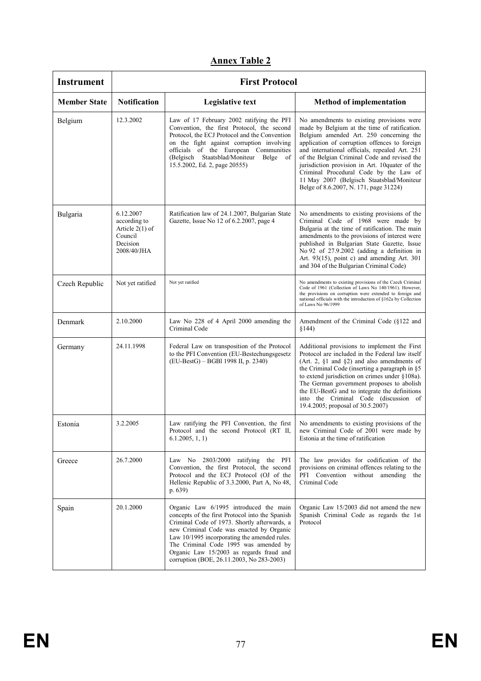| <b>Instrument</b>   | <b>First Protocol</b>                                                                |                                                                                                                                                                                                                                                                                                                                                                         |                                                                                                                                                                                                                                                                                                                                                                                                                                                                            |  |  |  |
|---------------------|--------------------------------------------------------------------------------------|-------------------------------------------------------------------------------------------------------------------------------------------------------------------------------------------------------------------------------------------------------------------------------------------------------------------------------------------------------------------------|----------------------------------------------------------------------------------------------------------------------------------------------------------------------------------------------------------------------------------------------------------------------------------------------------------------------------------------------------------------------------------------------------------------------------------------------------------------------------|--|--|--|
| <b>Member State</b> | <b>Notification</b>                                                                  | <b>Legislative text</b>                                                                                                                                                                                                                                                                                                                                                 | <b>Method of implementation</b>                                                                                                                                                                                                                                                                                                                                                                                                                                            |  |  |  |
| Belgium             | 12.3.2002                                                                            | Law of 17 February 2002 ratifying the PFI<br>Convention, the first Protocol, the second<br>Protocol, the ECJ Protocol and the Convention<br>on the fight against corruption involving<br>officials of the European Communities<br>(Belgisch Staatsblad/Moniteur Belge<br>of<br>15.5.2002, Ed. 2, page 20555)                                                            | No amendments to existing provisions were<br>made by Belgium at the time of ratification.<br>Belgium amended Art. 250 concerning the<br>application of corruption offences to foreign<br>and international officials, repealed Art. 251<br>of the Belgian Criminal Code and revised the<br>jurisdiction provision in Art. 10quater of the<br>Criminal Procedural Code by the Law of<br>11 May 2007 (Belgisch Staatsblad/Moniteur<br>Belge of 8.6.2007, N. 171, page 31224) |  |  |  |
| Bulgaria            | 6.12.2007<br>according to<br>Article $2(1)$ of<br>Council<br>Decision<br>2008/40/JHA | Ratification law of 24.1.2007, Bulgarian State<br>Gazette, Issue No 12 of 6.2.2007, page 4                                                                                                                                                                                                                                                                              | No amendments to existing provisions of the<br>Criminal Code of 1968 were made by<br>Bulgaria at the time of ratification. The main<br>amendments to the provisions of interest were<br>published in Bulgarian State Gazette, Issue<br>No 92 of $27.9.2002$ (adding a definition in<br>Art. 93(15), point c) and amending Art. 301<br>and 304 of the Bulgarian Criminal Code)                                                                                              |  |  |  |
| Czech Republic      | Not yet ratified                                                                     | Not yet ratified                                                                                                                                                                                                                                                                                                                                                        | No amendments to existing provisions of the Czech Criminal<br>Code of 1961 (Collection of Laws No 140/1961). However,<br>the provisions on corruption were extended to foreign and<br>national officials with the introduction of §162a by Collection<br>of Laws No 96/1999                                                                                                                                                                                                |  |  |  |
| Denmark             | 2.10.2000                                                                            | Law No 228 of 4 April 2000 amending the<br>Criminal Code                                                                                                                                                                                                                                                                                                                | Amendment of the Criminal Code (§122 and<br>§144)                                                                                                                                                                                                                                                                                                                                                                                                                          |  |  |  |
| Germany             | 24.11.1998                                                                           | Federal Law on transposition of the Protocol<br>to the PFI Convention (EU-Bestechungsgesetz)<br>(EU-BestG) – BGBI 1998 II, p. 2340)                                                                                                                                                                                                                                     | Additional provisions to implement the First<br>Protocol are included in the Federal law itself<br>(Art. 2, $\S1$ and $\S2$ ) and also amendments of<br>the Criminal Code (inserting a paragraph in §5<br>to extend jurisdiction on crimes under $§108a$ ).<br>The German government proposes to abolish<br>the EU-BestG and to integrate the definitions<br>into the Criminal Code (discussion of<br>19.4.2005; proposal of 30.5.2007)                                    |  |  |  |
| Estonia             | 3.2.2005                                                                             | Law ratifying the PFI Convention, the first<br>Protocol and the second Protocol (RT II,<br>6.1.2005, 1, 1)                                                                                                                                                                                                                                                              | No amendments to existing provisions of the<br>new Criminal Code of 2001 were made by<br>Estonia at the time of ratification                                                                                                                                                                                                                                                                                                                                               |  |  |  |
| Greece              | 26.7.2000                                                                            | Law No 2803/2000 ratifying the PFI<br>Convention, the first Protocol, the second<br>Protocol and the ECJ Protocol (OJ of the<br>Hellenic Republic of 3.3.2000, Part A, No 48,<br>p. 639)                                                                                                                                                                                | The law provides for codification of the<br>provisions on criminal offences relating to the<br>PFI Convention without amending the<br>Criminal Code                                                                                                                                                                                                                                                                                                                        |  |  |  |
| Spain               | 20.1.2000                                                                            | Organic Law 6/1995 introduced the main<br>concepts of the first Protocol into the Spanish<br>Criminal Code of 1973. Shortly afterwards, a<br>new Criminal Code was enacted by Organic<br>Law 10/1995 incorporating the amended rules.<br>The Criminal Code 1995 was amended by<br>Organic Law 15/2003 as regards fraud and<br>corruption (BOE, 26.11.2003, No 283-2003) | Organic Law 15/2003 did not amend the new<br>Spanish Criminal Code as regards the 1st<br>Protocol                                                                                                                                                                                                                                                                                                                                                                          |  |  |  |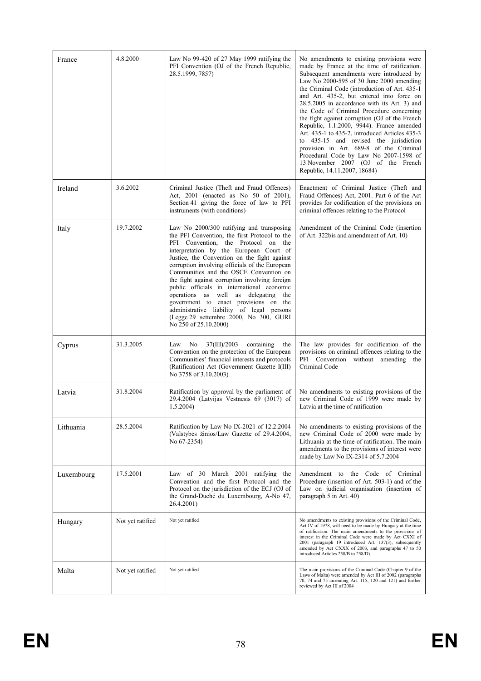| France     | 4.8.2000         | Law No 99-420 of 27 May 1999 ratifying the<br>PFI Convention (OJ of the French Republic,<br>28.5.1999, 7857)                                                                                                                                                                                                                                                                                                                                                                                                                                                                                                              | No amendments to existing provisions were<br>made by France at the time of ratification.<br>Subsequent amendments were introduced by<br>Law No 2000-595 of 30 June 2000 amending<br>the Criminal Code (introduction of Art. 435-1)<br>and Art. 435-2, but entered into force on<br>28.5.2005 in accordance with its Art. 3) and<br>the Code of Criminal Procedure concerning<br>the fight against corruption (OJ of the French<br>Republic, 1.1.2000, 9944). France amended<br>Art. 435-1 to 435-2, introduced Articles 435-3<br>to 435-15 and revised the jurisdiction<br>provision in Art. 689-8 of the Criminal<br>Procedural Code by Law No 2007-1598 of<br>13 November 2007 (OJ of the French<br>Republic, 14.11.2007, 18684) |
|------------|------------------|---------------------------------------------------------------------------------------------------------------------------------------------------------------------------------------------------------------------------------------------------------------------------------------------------------------------------------------------------------------------------------------------------------------------------------------------------------------------------------------------------------------------------------------------------------------------------------------------------------------------------|------------------------------------------------------------------------------------------------------------------------------------------------------------------------------------------------------------------------------------------------------------------------------------------------------------------------------------------------------------------------------------------------------------------------------------------------------------------------------------------------------------------------------------------------------------------------------------------------------------------------------------------------------------------------------------------------------------------------------------|
| Ireland    | 3.6.2002         | Criminal Justice (Theft and Fraud Offences)<br>Act, 2001 (enacted as No 50 of 2001),<br>Section 41 giving the force of law to PFI<br>instruments (with conditions)                                                                                                                                                                                                                                                                                                                                                                                                                                                        | Enactment of Criminal Justice (Theft and<br>Fraud Offences) Act, 2001. Part 6 of the Act<br>provides for codification of the provisions on<br>criminal offences relating to the Protocol                                                                                                                                                                                                                                                                                                                                                                                                                                                                                                                                           |
| Italy      | 19.7.2002        | Law No 2000/300 ratifying and transposing<br>the PFI Convention, the first Protocol to the<br>PFI Convention, the Protocol on the<br>interpretation by the European Court of<br>Justice, the Convention on the fight against<br>corruption involving officials of the European<br>Communities and the OSCE Convention on<br>the fight against corruption involving foreign<br>public officials in international economic<br>operations as well as delegating the<br>government to enact provisions on the<br>administrative liability of legal persons<br>(Legge 29 settembre 2000, No 300, GURI<br>No 250 of 25.10.2000) | Amendment of the Criminal Code (insertion<br>of Art. 322bis and amendment of Art. 10)                                                                                                                                                                                                                                                                                                                                                                                                                                                                                                                                                                                                                                              |
| Cyprus     | 31.3.2005        | No<br>37(III)/2003<br>containing<br>Law<br>the<br>Convention on the protection of the European<br>Communities' financial interests and protocols<br>(Ratification) Act (Government Gazette I(III)<br>No 3758 of 3.10.2003)                                                                                                                                                                                                                                                                                                                                                                                                | The law provides for codification of the<br>provisions on criminal offences relating to the<br>PFI Convention without amending the<br>Criminal Code                                                                                                                                                                                                                                                                                                                                                                                                                                                                                                                                                                                |
| Latvia     | 31.8.2004        | Ratification by approval by the parliament of<br>29.4.2004 (Latvijas Vestnesis 69 (3017) of<br>$1.5.2004$ )                                                                                                                                                                                                                                                                                                                                                                                                                                                                                                               | No amendments to existing provisions of the<br>new Criminal Code of 1999 were made by<br>Latvia at the time of ratification                                                                                                                                                                                                                                                                                                                                                                                                                                                                                                                                                                                                        |
| Lithuania  | 28.5.2004        | Ratification by Law No IX-2021 of 12.2.2004<br>(Valstybės žinios/Law Gazette of 29.4.2004,<br>No 67-2354)                                                                                                                                                                                                                                                                                                                                                                                                                                                                                                                 | No amendments to existing provisions of the<br>new Criminal Code of 2000 were made by<br>Lithuania at the time of ratification. The main<br>amendments to the provisions of interest were<br>made by Law No IX-2314 of 5.7.2004                                                                                                                                                                                                                                                                                                                                                                                                                                                                                                    |
| Luxembourg | 17.5.2001        | Law of 30 March 2001 ratifying the<br>Convention and the first Protocol and the<br>Protocol on the jurisdiction of the ECJ (OJ of<br>the Grand-Duché du Luxembourg, A-No 47,<br>26.4.2001)                                                                                                                                                                                                                                                                                                                                                                                                                                | Amendment to the Code of Criminal<br>Procedure (insertion of Art. 503-1) and of the<br>Law on judicial organisation (insertion of<br>paragraph 5 in Art. 40)                                                                                                                                                                                                                                                                                                                                                                                                                                                                                                                                                                       |
| Hungary    | Not yet ratified | Not yet ratified                                                                                                                                                                                                                                                                                                                                                                                                                                                                                                                                                                                                          | No amendments to existing provisions of the Criminal Code,<br>Act IV of 1978, will need to be made by Hungary at the time<br>of ratification. The main amendments to the provisions of<br>interest in the Criminal Code were made by Act CXXI of<br>2001 (paragraph 19 introduced Art. 137(3), subsequently<br>amended by Act CXXX of 2003, and paragraphs 47 to 50<br>introduced Articles 258/B to 258/D)                                                                                                                                                                                                                                                                                                                         |
| Malta      | Not yet ratified | Not yet ratified                                                                                                                                                                                                                                                                                                                                                                                                                                                                                                                                                                                                          | The main provisions of the Criminal Code (Chapter 9 of the<br>Laws of Malta) were amended by Act III of 2002 (paragraphs<br>70, 74 and 75 amending Art. 115, 120 and 121) and further<br>reviewed by Act III of 2004                                                                                                                                                                                                                                                                                                                                                                                                                                                                                                               |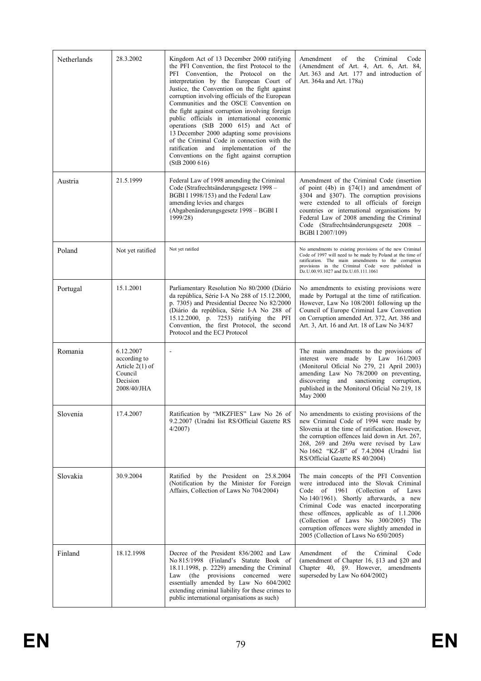| Netherlands | 28.3.2002                                                                            | Kingdom Act of 13 December 2000 ratifying<br>the PFI Convention, the first Protocol to the<br>PFI Convention, the Protocol on the<br>interpretation by the European Court of<br>Justice, the Convention on the fight against<br>corruption involving officials of the European<br>Communities and the OSCE Convention on<br>the fight against corruption involving foreign<br>public officials in international economic<br>operations (StB 2000 615) and Act of<br>13 December 2000 adapting some provisions<br>of the Criminal Code in connection with the<br>ratification and implementation of the<br>Conventions on the fight against corruption<br>(StB 2000 616) | Criminal<br>Code<br>Amendment<br>of<br>the<br>(Amendment of Art. 4, Art. 6, Art. 84,<br>Art. 363 and Art. 177 and introduction of<br>Art. 364a and Art. 178a)                                                                                                                                                                                                                                     |
|-------------|--------------------------------------------------------------------------------------|-------------------------------------------------------------------------------------------------------------------------------------------------------------------------------------------------------------------------------------------------------------------------------------------------------------------------------------------------------------------------------------------------------------------------------------------------------------------------------------------------------------------------------------------------------------------------------------------------------------------------------------------------------------------------|---------------------------------------------------------------------------------------------------------------------------------------------------------------------------------------------------------------------------------------------------------------------------------------------------------------------------------------------------------------------------------------------------|
| Austria     | 21.5.1999                                                                            | Federal Law of 1998 amending the Criminal<br>Code (Strafrechtsänderungsgesetz 1998 –<br>BGBI I 1998/153) and the Federal Law<br>amending levies and charges<br>(Abgabenänderungsgesetz 1998 – BGBI I<br>1999/28)                                                                                                                                                                                                                                                                                                                                                                                                                                                        | Amendment of the Criminal Code (insertion)<br>of point (4b) in $\S74(1)$ and amendment of<br>§304 and §307). The corruption provisions<br>were extended to all officials of foreign<br>countries or international organisations by<br>Federal Law of 2008 amending the Criminal<br>Code (Strafrechtsänderungsgesetz 2008 –<br>BGBI I 2007/109)                                                    |
| Poland      | Not yet ratified                                                                     | Not yet ratified                                                                                                                                                                                                                                                                                                                                                                                                                                                                                                                                                                                                                                                        | No amendments to existing provisions of the new Criminal<br>Code of 1997 will need to be made by Poland at the time of<br>ratification. The main amendments to the corruption<br>provisions in the Criminal Code were published in<br>Dz.U.00.93.1027 and Dz.U.03.111.1061                                                                                                                        |
| Portugal    | 15.1.2001                                                                            | Parliamentary Resolution No 80/2000 (Diário<br>da república, Série I-A No 288 of 15.12.2000,<br>p. 7305) and Presidential Decree No 82/2000<br>(Diário da república, Série I-A No 288 of<br>15.12.2000, p. 7253) ratifying the PFI<br>Convention, the first Protocol, the second<br>Protocol and the ECJ Protocol                                                                                                                                                                                                                                                                                                                                                       | No amendments to existing provisions were<br>made by Portugal at the time of ratification.<br>However, Law No 108/2001 following up the<br>Council of Europe Criminal Law Convention<br>on Corruption amended Art. 372, Art. 386 and<br>Art. 3, Art. 16 and Art. 18 of Law No 34/87                                                                                                               |
| Romania     | 6.12.2007<br>according to<br>Article $2(1)$ of<br>Council<br>Decision<br>2008/40/JHA | $\blacksquare$                                                                                                                                                                                                                                                                                                                                                                                                                                                                                                                                                                                                                                                          | The main amendments to the provisions of<br>interest were made by Law 161/2003<br>(Monitorul Oficial No 279, 21 April 2003)<br>amending Law No 78/2000 on preventing,<br>discovering and sanctioning corruption,<br>published in the Monitorul Oficial No 219, 18<br>May 2000                                                                                                                     |
| Slovenia    | 17.4.2007                                                                            | Ratification by "MKZFIES" Law No 26 of<br>9.2.2007 (Uradni list RS/Official Gazette RS<br>4/2007                                                                                                                                                                                                                                                                                                                                                                                                                                                                                                                                                                        | No amendments to existing provisions of the<br>new Criminal Code of 1994 were made by<br>Slovenia at the time of ratification. However,<br>the corruption offences laid down in Art. 267,<br>268, 269 and 269a were revised by Law<br>No 1662 "KZ-B" of 7.4.2004 (Uradni list<br>RS/Official Gazette RS 40/2004)                                                                                  |
| Slovakia    | 30.9.2004                                                                            | Ratified by the President on 25.8.2004<br>(Notification by the Minister for Foreign<br>Affairs, Collection of Laws No 704/2004)                                                                                                                                                                                                                                                                                                                                                                                                                                                                                                                                         | The main concepts of the PFI Convention<br>were introduced into the Slovak Criminal<br>Code<br>of 1961<br>(Collection of Laws<br>No 140/1961). Shortly afterwards, a new<br>Criminal Code was enacted incorporating<br>these offences, applicable as of 1.1.2006<br>(Collection of Laws No 300/2005) The<br>corruption offences were slightly amended in<br>2005 (Collection of Laws No 650/2005) |
| Finland     | 18.12.1998                                                                           | Decree of the President 836/2002 and Law<br>No 815/1998 (Finland's Statute Book of<br>18.11.1998, p. 2229) amending the Criminal<br>Law (the provisions concerned<br>were<br>essentially amended by Law No 604/2002<br>extending criminal liability for these crimes to<br>public international organisations as such)                                                                                                                                                                                                                                                                                                                                                  | Amendment<br>of<br>the<br>Criminal<br>Code<br>(amendment of Chapter 16, §13 and §20 and<br>Chapter 40, §9. However, amendments<br>superseded by Law No 604/2002)                                                                                                                                                                                                                                  |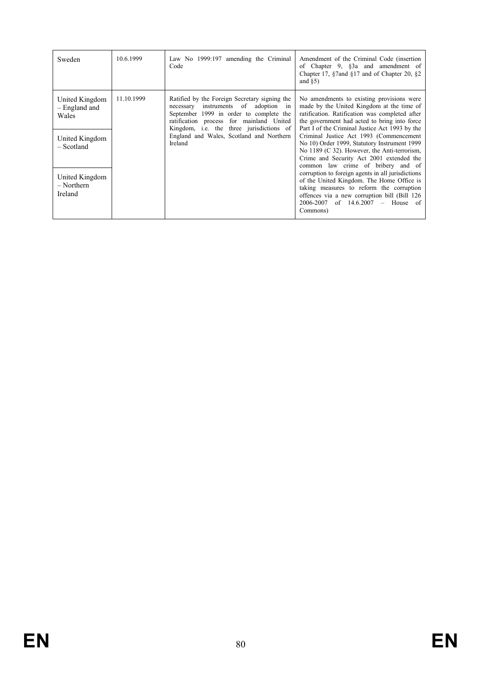| Sweden                                                                                                                | 10.6.1999  | Law No 1999:197 amending the Criminal<br>Code                                                                                                                                                                                                                                             | Amendment of the Criminal Code (insertion)<br>of Chapter 9, §3a and amendment of<br>Chapter 17, $\S 7$ and $\S 17$ and of Chapter 20, $\S 2$<br>and $\S5$ )                                                                                                                                                                                                                                                                                                                                                                                                                                                                                                                                                                    |
|-----------------------------------------------------------------------------------------------------------------------|------------|-------------------------------------------------------------------------------------------------------------------------------------------------------------------------------------------------------------------------------------------------------------------------------------------|--------------------------------------------------------------------------------------------------------------------------------------------------------------------------------------------------------------------------------------------------------------------------------------------------------------------------------------------------------------------------------------------------------------------------------------------------------------------------------------------------------------------------------------------------------------------------------------------------------------------------------------------------------------------------------------------------------------------------------|
| United Kingdom<br>- England and<br>Wales<br>United Kingdom<br>- Scotland<br>United Kingdom<br>$-$ Northern<br>Ireland | 11.10.1999 | Ratified by the Foreign Secretary signing the<br>instruments of adoption in<br>necessary<br>September 1999 in order to complete the<br>ratification process for mainland United<br>Kingdom, <i>i.e.</i> the three jurisdictions of<br>England and Wales, Scotland and Northern<br>Ireland | No amendments to existing provisions were<br>made by the United Kingdom at the time of<br>ratification. Ratification was completed after<br>the government had acted to bring into force<br>Part I of the Criminal Justice Act 1993 by the<br>Criminal Justice Act 1993 (Commencement<br>No 10) Order 1999, Statutory Instrument 1999<br>No $1189$ (C 32). However, the Anti-terrorism,<br>Crime and Security Act 2001 extended the<br>common law crime of bribery and of<br>corruption to foreign agents in all jurisdictions<br>of the United Kingdom. The Home Office is<br>taking measures to reform the corruption<br>offences via a new corruption bill (Bill 126<br>$2006 - 2007$ of $14.6.2007$ – House of<br>Commons) |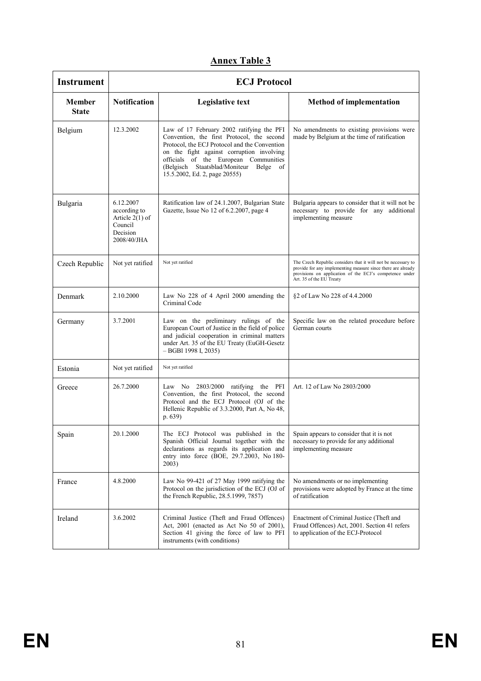| <b>Instrument</b>      | <b>ECJ Protocol</b>                                                                  |                                                                                                                                                                                                                                                                                                           |                                                                                                                                                                                                                      |  |  |  |
|------------------------|--------------------------------------------------------------------------------------|-----------------------------------------------------------------------------------------------------------------------------------------------------------------------------------------------------------------------------------------------------------------------------------------------------------|----------------------------------------------------------------------------------------------------------------------------------------------------------------------------------------------------------------------|--|--|--|
| Member<br><b>State</b> | <b>Notification</b>                                                                  | <b>Legislative text</b>                                                                                                                                                                                                                                                                                   | <b>Method of implementation</b>                                                                                                                                                                                      |  |  |  |
| Belgium                | 12.3.2002                                                                            | Law of 17 February 2002 ratifying the PFI<br>Convention, the first Protocol, the second<br>Protocol, the ECJ Protocol and the Convention<br>on the fight against corruption involving<br>officials of the European Communities<br>(Belgisch Staatsblad/Moniteur Belge of<br>15.5.2002, Ed. 2, page 20555) | No amendments to existing provisions were<br>made by Belgium at the time of ratification                                                                                                                             |  |  |  |
| Bulgaria               | 6.12.2007<br>according to<br>Article $2(1)$ of<br>Council<br>Decision<br>2008/40/JHA | Ratification law of 24.1.2007, Bulgarian State<br>Gazette, Issue No 12 of 6.2.2007, page 4                                                                                                                                                                                                                | Bulgaria appears to consider that it will not be<br>necessary to provide for any additional<br>implementing measure                                                                                                  |  |  |  |
| Czech Republic         | Not yet ratified                                                                     | Not yet ratified                                                                                                                                                                                                                                                                                          | The Czech Republic considers that it will not be necessary to<br>provide for any implementing measure since there are already<br>provisions on application of the ECJ's competence under<br>Art. 35 of the EU Treaty |  |  |  |
| Denmark                | 2.10.2000                                                                            | Law No 228 of 4 April 2000 amending the<br>Criminal Code                                                                                                                                                                                                                                                  | §2 of Law No 228 of 4.4.2000                                                                                                                                                                                         |  |  |  |
| Germany                | 3.7.2001                                                                             | Law on the preliminary rulings of the<br>European Court of Justice in the field of police<br>and judicial cooperation in criminal matters<br>under Art. 35 of the EU Treaty (EuGH-Gesetz<br>$-$ BGBI 1998 I, 2035)                                                                                        | Specific law on the related procedure before<br>German courts                                                                                                                                                        |  |  |  |
| Estonia                | Not yet ratified                                                                     | Not yet ratified                                                                                                                                                                                                                                                                                          |                                                                                                                                                                                                                      |  |  |  |
| Greece                 | 26.7.2000                                                                            | Law No 2803/2000 ratifying the PFI<br>Convention, the first Protocol, the second<br>Protocol and the ECJ Protocol (OJ of the<br>Hellenic Republic of 3.3.2000, Part A, No 48,<br>p. 639)                                                                                                                  | Art. 12 of Law No 2803/2000                                                                                                                                                                                          |  |  |  |
| Spain                  | 20.1.2000                                                                            | The ECJ Protocol was published in the Spain appears to consider that it is not<br>Spanish Official Journal together with the<br>declarations as regards its application and<br>entry into force (BOE, 29.7.2003, No 180-<br>2003)                                                                         | necessary to provide for any additional<br>implementing measure                                                                                                                                                      |  |  |  |
| France                 | 4.8.2000                                                                             | Law No 99-421 of 27 May 1999 ratifying the<br>Protocol on the jurisdiction of the ECJ (OJ of<br>the French Republic, 28.5.1999, 7857)                                                                                                                                                                     | No amendments or no implementing<br>provisions were adopted by France at the time<br>of ratification                                                                                                                 |  |  |  |
| Ireland                | 3.6.2002                                                                             | Criminal Justice (Theft and Fraud Offences)<br>Act, 2001 (enacted as Act No 50 of 2001),<br>Section 41 giving the force of law to PFI<br>instruments (with conditions)                                                                                                                                    | Enactment of Criminal Justice (Theft and<br>Fraud Offences) Act, 2001. Section 41 refers<br>to application of the ECJ-Protocol                                                                                       |  |  |  |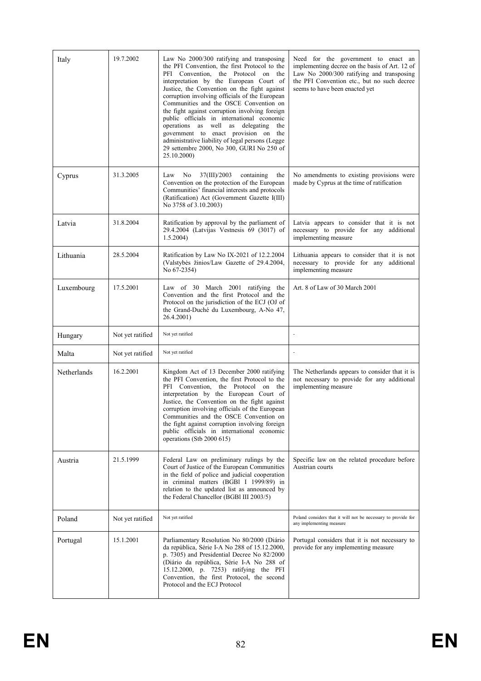| Italy       | 19.7.2002        | Law No 2000/300 ratifying and transposing<br>the PFI Convention, the first Protocol to the<br>PFI Convention, the Protocol on the<br>interpretation by the European Court of<br>Justice, the Convention on the fight against<br>corruption involving officials of the European<br>Communities and the OSCE Convention on<br>the fight against corruption involving foreign<br>public officials in international economic<br>operations as well as delegating the<br>government to enact provision on the<br>administrative liability of legal persons (Legge<br>29 settembre 2000, No 300, GURI No 250 of<br>25.10.2000) | Need for the government to enact an<br>implementing decree on the basis of Art. 12 of<br>Law No 2000/300 ratifying and transposing<br>the PFI Convention etc., but no such decree<br>seems to have been enacted yet |
|-------------|------------------|--------------------------------------------------------------------------------------------------------------------------------------------------------------------------------------------------------------------------------------------------------------------------------------------------------------------------------------------------------------------------------------------------------------------------------------------------------------------------------------------------------------------------------------------------------------------------------------------------------------------------|---------------------------------------------------------------------------------------------------------------------------------------------------------------------------------------------------------------------|
| Cyprus      | 31.3.2005        | 37(III)/2003<br>Law<br>No.<br>containing<br>the<br>Convention on the protection of the European<br>Communities' financial interests and protocols<br>(Ratification) Act (Government Gazette I(III)<br>No 3758 of 3.10.2003)                                                                                                                                                                                                                                                                                                                                                                                              | No amendments to existing provisions were<br>made by Cyprus at the time of ratification                                                                                                                             |
| Latvia      | 31.8.2004        | Ratification by approval by the parliament of<br>29.4.2004 (Latvijas Vestnesis 69 (3017) of<br>1.5.2004                                                                                                                                                                                                                                                                                                                                                                                                                                                                                                                  | Latvia appears to consider that it is not<br>necessary to provide for any additional<br>implementing measure                                                                                                        |
| Lithuania   | 28.5.2004        | Ratification by Law No IX-2021 of 12.2.2004<br>(Valstybės žinios/Law Gazette of 29.4.2004,<br>No 67-2354)                                                                                                                                                                                                                                                                                                                                                                                                                                                                                                                | Lithuania appears to consider that it is not<br>necessary to provide for any additional<br>implementing measure                                                                                                     |
| Luxembourg  | 17.5.2001        | Law of 30 March 2001 ratifying the<br>Convention and the first Protocol and the<br>Protocol on the jurisdiction of the ECJ (OJ of<br>the Grand-Duché du Luxembourg, A-No 47,<br>26.4.2001)                                                                                                                                                                                                                                                                                                                                                                                                                               | Art. 8 of Law of 30 March 2001                                                                                                                                                                                      |
| Hungary     | Not yet ratified | Not yet ratified                                                                                                                                                                                                                                                                                                                                                                                                                                                                                                                                                                                                         |                                                                                                                                                                                                                     |
| Malta       | Not yet ratified | Not yet ratified                                                                                                                                                                                                                                                                                                                                                                                                                                                                                                                                                                                                         | $\overline{a}$                                                                                                                                                                                                      |
| Netherlands | 16.2.2001        | Kingdom Act of 13 December 2000 ratifying<br>the PFI Convention, the first Protocol to the<br>PFI Convention, the Protocol on the<br>interpretation by the European Court of<br>Justice, the Convention on the fight against<br>corruption involving officials of the European<br>Communities and the OSCE Convention on<br>the fight against corruption involving foreign<br>public officials in international economic<br>operations (Stb 2000 615)                                                                                                                                                                    | The Netherlands appears to consider that it is<br>not necessary to provide for any additional<br>implementing measure                                                                                               |
| Austria     | 21.5.1999        | Federal Law on preliminary rulings by the<br>Court of Justice of the European Communities<br>in the field of police and judicial cooperation<br>in criminal matters (BGBI I 1999/89) in<br>relation to the updated list as announced by<br>the Federal Chancellor (BGBI III 2003/5)                                                                                                                                                                                                                                                                                                                                      | Specific law on the related procedure before<br>Austrian courts                                                                                                                                                     |
| Poland      | Not yet ratified | Not yet ratified                                                                                                                                                                                                                                                                                                                                                                                                                                                                                                                                                                                                         | Poland considers that it will not be necessary to provide for<br>any implementing measure                                                                                                                           |
| Portugal    | 15.1.2001        | Parliamentary Resolution No 80/2000 (Diário<br>da república, Série I-A No 288 of 15.12.2000,<br>p. 7305) and Presidential Decree No 82/2000<br>(Diário da república, Série I-A No 288 of<br>15.12.2000, p. 7253) ratifying the PFI<br>Convention, the first Protocol, the second<br>Protocol and the ECJ Protocol                                                                                                                                                                                                                                                                                                        | Portugal considers that it is not necessary to<br>provide for any implementing measure                                                                                                                              |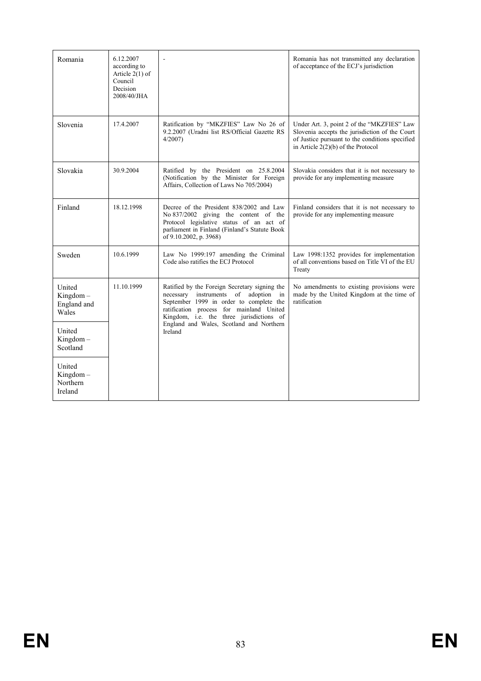| Romania                                       | 6.12.2007<br>according to<br>Article $2(1)$ of<br>Council<br>Decision<br>2008/40/JHA |                                                                                                                                                                                                                             | Romania has not transmitted any declaration<br>of acceptance of the ECJ's jurisdiction                                                                                                  |
|-----------------------------------------------|--------------------------------------------------------------------------------------|-----------------------------------------------------------------------------------------------------------------------------------------------------------------------------------------------------------------------------|-----------------------------------------------------------------------------------------------------------------------------------------------------------------------------------------|
| Slovenia                                      | 17.4.2007                                                                            | Ratification by "MKZFIES" Law No 26 of<br>9.2.2007 (Uradni list RS/Official Gazette RS<br>$4/2007$ )                                                                                                                        | Under Art. 3, point 2 of the "MKZFIES" Law<br>Slovenia accepts the jurisdiction of the Court<br>of Justice pursuant to the conditions specified<br>in Article $2(2)(b)$ of the Protocol |
| Slovakia                                      | 30.9.2004                                                                            | Ratified by the President on 25.8.2004<br>(Notification by the Minister for Foreign<br>Affairs, Collection of Laws No 705/2004)                                                                                             | Slovakia considers that it is not necessary to<br>provide for any implementing measure                                                                                                  |
| Finland                                       | 18.12.1998                                                                           | Decree of the President 838/2002 and Law<br>No 837/2002 giving the content of the<br>Protocol legislative status of an act of<br>parliament in Finland (Finland's Statute Book<br>of 9.10.2002, p. 3968)                    | Finland considers that it is not necessary to<br>provide for any implementing measure                                                                                                   |
| Sweden                                        | 10.6.1999                                                                            | Law No 1999:197 amending the Criminal<br>Code also ratifies the ECJ Protocol                                                                                                                                                | Law 1998:1352 provides for implementation<br>of all conventions based on Title VI of the EU<br>Treaty                                                                                   |
| United<br>$Kingdom -$<br>England and<br>Wales | 11.10.1999                                                                           | Ratified by the Foreign Secretary signing the<br>necessary instruments of<br>adoption in<br>September 1999 in order to complete the<br>ratification process for mainland United<br>Kingdom, i.e. the three jurisdictions of | No amendments to existing provisions were<br>made by the United Kingdom at the time of<br>ratification                                                                                  |
| United<br>$Kingdom -$<br>Scotland             |                                                                                      | England and Wales, Scotland and Northern<br>Ireland                                                                                                                                                                         |                                                                                                                                                                                         |
| United<br>$Kingdom -$<br>Northern<br>Ireland  |                                                                                      |                                                                                                                                                                                                                             |                                                                                                                                                                                         |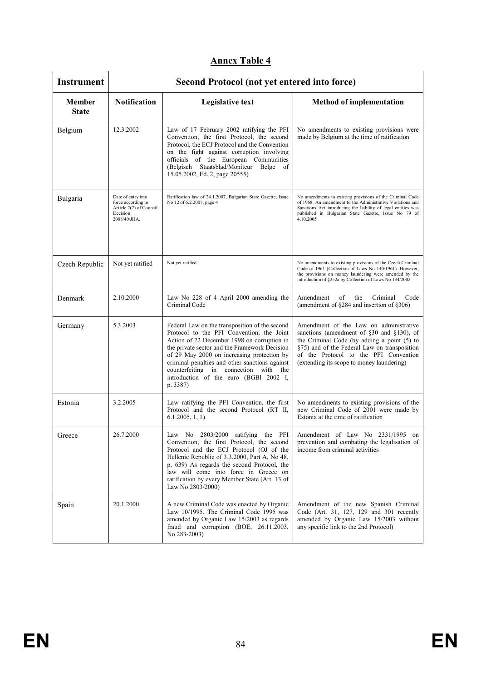| <b>Instrument</b>             | Second Protocol (not yet entered into force)                                                    |                                                                                                                                                                                                                                                                                                                                                                                            |                                                                                                                                                                                                                                                                          |  |
|-------------------------------|-------------------------------------------------------------------------------------------------|--------------------------------------------------------------------------------------------------------------------------------------------------------------------------------------------------------------------------------------------------------------------------------------------------------------------------------------------------------------------------------------------|--------------------------------------------------------------------------------------------------------------------------------------------------------------------------------------------------------------------------------------------------------------------------|--|
| <b>Member</b><br><b>State</b> | <b>Notification</b>                                                                             | <b>Legislative text</b>                                                                                                                                                                                                                                                                                                                                                                    | <b>Method of implementation</b>                                                                                                                                                                                                                                          |  |
| Belgium                       | 12.3.2002                                                                                       | Law of 17 February 2002 ratifying the PFI<br>Convention, the first Protocol, the second<br>Protocol, the ECJ Protocol and the Convention<br>on the fight against corruption involving<br>officials of the European Communities<br>(Belgisch Staatsblad/Moniteur Belge of<br>15.05.2002, Ed. 2, page 20555)                                                                                 | No amendments to existing provisions were<br>made by Belgium at the time of ratification                                                                                                                                                                                 |  |
| Bulgaria                      | Date of entry into<br>force according to<br>Article 2(2) of Council<br>Decision<br>2008/40/JHA. | Ratification law of 24.1.2007, Bulgarian State Gazette, Issue<br>No 12 of 6.2.2007, page 4                                                                                                                                                                                                                                                                                                 | No amendments to existing provisions of the Criminal Code<br>of 1968. An amendment to the Administrative Violations and<br>Sanctions Act introducing the liability of legal entities was<br>published in Bulgarian State Gazette, Issue No 79 of<br>4.10.2005            |  |
| Czech Republic                | Not yet ratified                                                                                | Not yet ratified                                                                                                                                                                                                                                                                                                                                                                           | No amendments to existing provisions of the Czech Criminal<br>Code of 1961 (Collection of Laws No 140/1961). However,<br>the provisions on money laundering were amended by the<br>introduction of §252a by Collection of Laws No 134/2002                               |  |
| Denmark                       | 2.10.2000                                                                                       | Law No 228 of 4 April 2000 amending the<br>Criminal Code                                                                                                                                                                                                                                                                                                                                   | Amendment<br>of<br>the<br>Criminal<br>Code<br>(amendment of §284 and insertion of §306)                                                                                                                                                                                  |  |
| Germany                       | 5.3.2003                                                                                        | Federal Law on the transposition of the second<br>Protocol to the PFI Convention, the Joint<br>Action of 22 December 1998 on corruption in<br>the private sector and the Framework Decision<br>of 29 May 2000 on increasing protection by<br>criminal penalties and other sanctions against<br>counterfeiting in connection with the<br>introduction of the euro (BGBI 2002 I,<br>p. 3387) | Amendment of the Law on administrative<br>sanctions (amendment of §30 and §130), of<br>the Criminal Code (by adding a point (5) to<br>§75) and of the Federal Law on transposition<br>of the Protocol to the PFI Convention<br>(extending its scope to money laundering) |  |
| Estonia                       | 3.2.2005                                                                                        | Law ratifying the PFI Convention, the first<br>Protocol and the second Protocol (RT II,<br>6.1.2005, 1, 1)                                                                                                                                                                                                                                                                                 | No amendments to existing provisions of the<br>new Criminal Code of 2001 were made by<br>Estonia at the time of ratification                                                                                                                                             |  |
| Greece                        | 26.7.2000                                                                                       | Law No 2803/2000 ratifying the PFI<br>Convention, the first Protocol, the second<br>Protocol and the ECJ Protocol (OJ of the<br>Hellenic Republic of 3.3.2000, Part A, No 48,<br>p. 639) As regards the second Protocol, the<br>law will come into force in Greece on<br>ratification by every Member State (Art. 13 of<br>Law No 2803/2000)                                               | Amendment of Law No 2331/1995 on<br>prevention and combating the legalisation of<br>income from criminal activities                                                                                                                                                      |  |
| Spain                         | 20.1.2000                                                                                       | A new Criminal Code was enacted by Organic<br>Law 10/1995. The Criminal Code 1995 was<br>amended by Organic Law 15/2003 as regards<br>fraud and corruption (BOE, 26.11.2003,<br>No 283-2003)                                                                                                                                                                                               | Amendment of the new Spanish Criminal<br>Code (Art. 31, 127, 129 and 301 recently<br>amended by Organic Law 15/2003 without<br>any specific link to the 2nd Protocol)                                                                                                    |  |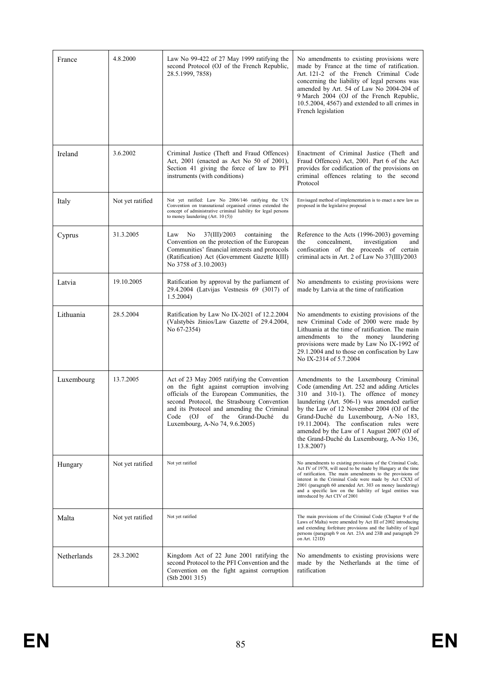| France      | 4.8.2000         | Law No 99-422 of 27 May 1999 ratifying the<br>second Protocol (OJ of the French Republic,<br>28.5.1999, 7858)                                                                                                                                                                                                                                                                                                                  | No amendments to existing provisions were<br>made by France at the time of ratification.<br>Art. 121-2 of the French Criminal Code<br>concerning the liability of legal persons was<br>amended by Art. 54 of Law No 2004-204 of<br>9 March 2004 (OJ of the French Republic,<br>$10.5.2004$ , $4567$ ) and extended to all crimes in<br>French legislation                                                            |
|-------------|------------------|--------------------------------------------------------------------------------------------------------------------------------------------------------------------------------------------------------------------------------------------------------------------------------------------------------------------------------------------------------------------------------------------------------------------------------|----------------------------------------------------------------------------------------------------------------------------------------------------------------------------------------------------------------------------------------------------------------------------------------------------------------------------------------------------------------------------------------------------------------------|
| Ireland     | 3.6.2002         | Criminal Justice (Theft and Fraud Offences)<br>Act, 2001 (enacted as Act No 50 of 2001),<br>Section 41 giving the force of law to PFI<br>instruments (with conditions)                                                                                                                                                                                                                                                         | Enactment of Criminal Justice (Theft and<br>Fraud Offences) Act, 2001. Part 6 of the Act<br>provides for codification of the provisions on<br>criminal offences relating to the second<br>Protocol                                                                                                                                                                                                                   |
| Italy       | Not yet ratified | Not yet ratified: Law No 2006/146 ratifying the UN<br>Convention on transnational organised crimes extended the<br>concept of administrative criminal liability for legal persons<br>to money laundering $(Art. 10(5))$                                                                                                                                                                                                        | Envisaged method of implementation is to enact a new law as<br>proposed in the legislative proposal                                                                                                                                                                                                                                                                                                                  |
| Cyprus      | 31.3.2005        | 37(III)/2003<br>Law<br>No<br>containing<br>the<br>Convention on the protection of the European<br>Communities' financial interests and protocols<br>(Ratification) Act (Government Gazette I(III)<br>No 3758 of 3.10.2003)                                                                                                                                                                                                     | Reference to the Acts (1996-2003) governing<br>concealment,<br>investigation<br>the<br>and<br>confiscation of the proceeds of certain<br>criminal acts in Art. 2 of Law No 37(III)/2003                                                                                                                                                                                                                              |
| Latvia      | 19.10.2005       | Ratification by approval by the parliament of<br>29.4.2004 (Latvijas Vestnesis 69 (3017) of<br>1.5.2004                                                                                                                                                                                                                                                                                                                        | No amendments to existing provisions were<br>made by Latvia at the time of ratification                                                                                                                                                                                                                                                                                                                              |
| Lithuania   | 28.5.2004        | Ratification by Law No IX-2021 of 12.2.2004<br>(Valstybės žinios/Law Gazette of 29.4.2004,<br>No 67-2354)                                                                                                                                                                                                                                                                                                                      | No amendments to existing provisions of the<br>new Criminal Code of 2000 were made by<br>Lithuania at the time of ratification. The main<br>amendments to the money laundering<br>provisions were made by Law No IX-1992 of<br>29.1.2004 and to those on confiscation by Law<br>No IX-2314 of 5.7.2004                                                                                                               |
| Luxembourg  | 13.7.2005        | Act of 23 May 2005 ratifying the Convention<br>on the fight against corruption involving<br>officials of the European Communities, the<br>second Protocol, the Strasbourg Convention<br>and its Protocol and amending the Criminal<br>Code (OJ<br>of the<br>Grand-Duché<br>du<br>Luxembourg, A-No 74, 9.6.2005)                                                                                                                | Amendments to the Luxembourg Criminal<br>Code (amending Art. 252 and adding Articles<br>310 and 310-1). The offence of money<br>laundering (Art. 506-1) was amended earlier<br>by the Law of 12 November 2004 (OJ of the<br>Grand-Duché du Luxembourg, A-No 183,<br>19.11.2004). The confiscation rules were<br>amended by the Law of 1 August 2007 (OJ of<br>the Grand-Duché du Luxembourg, A-No 136,<br>13.8.2007) |
| Hungary     | Not yet ratified | Not yet ratified<br>No amendments to existing provisions of the Criminal Code,<br>Act IV of 1978, will need to be made by Hungary at the time<br>of ratification. The main amendments to the provisions of<br>interest in the Criminal Code were made by Act CXXI of<br>2001 (paragraph 60 amended Art. 303 on money laundering)<br>and a specific law on the liability of legal entities was<br>introduced by Act CIV of 2001 |                                                                                                                                                                                                                                                                                                                                                                                                                      |
| Malta       | Not yet ratified | Not yet ratified                                                                                                                                                                                                                                                                                                                                                                                                               | The main provisions of the Criminal Code (Chapter 9 of the<br>Laws of Malta) were amended by Act III of 2002 introducing<br>and extending forfeiture provisions and the liability of legal<br>persons (paragraph 9 on Art. 23A and 23B and paragraph 29<br>on Art. 121D)                                                                                                                                             |
| Netherlands | 28.3.2002        | Kingdom Act of 22 June 2001 ratifying the<br>second Protocol to the PFI Convention and the<br>Convention on the fight against corruption<br>(Stb 2001 315)                                                                                                                                                                                                                                                                     | No amendments to existing provisions were<br>made by the Netherlands at the time of<br>ratification                                                                                                                                                                                                                                                                                                                  |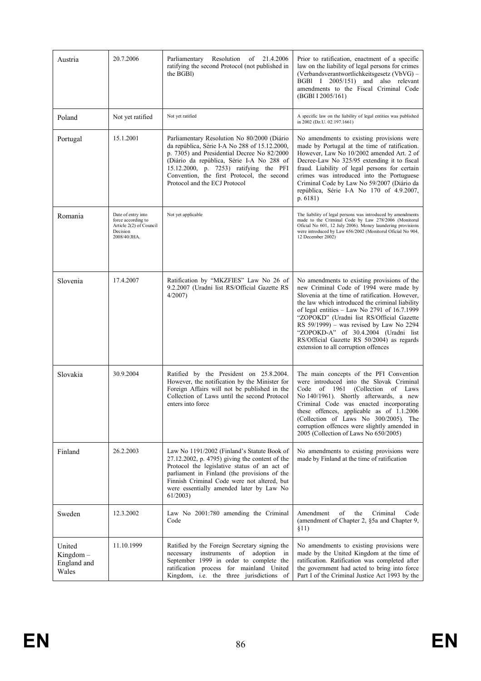| Austria                                       | 20.7.2006                                                                                       | Resolution<br>of<br>21.4.2006<br>Parliamentary<br>ratifying the second Protocol (not published in<br>the BGBI)                                                                                                                                                                                                    | Prior to ratification, enactment of a specific<br>law on the liability of legal persons for crimes<br>(Verbandsverantwortlichkeitsgesetz (VbVG) -<br>BGBI I 2005/151) and also relevant<br>amendments to the Fiscal Criminal Code<br>(BGBI I 2005/161)                                                                                                                                                                                                              |
|-----------------------------------------------|-------------------------------------------------------------------------------------------------|-------------------------------------------------------------------------------------------------------------------------------------------------------------------------------------------------------------------------------------------------------------------------------------------------------------------|---------------------------------------------------------------------------------------------------------------------------------------------------------------------------------------------------------------------------------------------------------------------------------------------------------------------------------------------------------------------------------------------------------------------------------------------------------------------|
| Poland                                        | Not yet ratified                                                                                | Not yet ratified                                                                                                                                                                                                                                                                                                  | A specific law on the liability of legal entities was published<br>in 2002 (Dz.U. 02.197.1661)                                                                                                                                                                                                                                                                                                                                                                      |
| Portugal                                      | 15.1.2001                                                                                       | Parliamentary Resolution No 80/2000 (Diário<br>da república, Série I-A No 288 of 15.12.2000,<br>p. 7305) and Presidential Decree No 82/2000<br>(Diário da república, Série I-A No 288 of<br>15.12.2000, p. 7253) ratifying the PFI<br>Convention, the first Protocol, the second<br>Protocol and the ECJ Protocol | No amendments to existing provisions were<br>made by Portugal at the time of ratification.<br>However, Law No 10/2002 amended Art. 2 of<br>Decree-Law No 325/95 extending it to fiscal<br>fraud. Liability of legal persons for certain<br>crimes was introduced into the Portuguese<br>Criminal Code by Law No 59/2007 (Diário da<br>república, Série I-A No 170 of 4.9.2007,<br>p. $6181$ )                                                                       |
| Romania                                       | Date of entry into<br>force according to<br>Article 2(2) of Council<br>Decision<br>2008/40/JHA. | Not yet applicable                                                                                                                                                                                                                                                                                                | The liability of legal persons was introduced by amendments<br>made to the Criminal Code by Law 278/2006 (Monitorul<br>Oficial No 601, 12 July 2006). Money laundering provisions<br>were introduced by Law 656/2002 (Monitorul Oficial No 904,<br>12 December 2002)                                                                                                                                                                                                |
| Slovenia                                      | 17.4.2007                                                                                       | Ratification by "MKZFIES" Law No 26 of<br>9.2.2007 (Uradni list RS/Official Gazette RS<br>$4/2007$ )                                                                                                                                                                                                              | No amendments to existing provisions of the<br>new Criminal Code of 1994 were made by<br>Slovenia at the time of ratification. However,<br>the law which introduced the criminal liability<br>of legal entities $-$ Law No 2791 of 16.7.1999<br>"ZOPOKD" (Uradni list RS/Official Gazette<br>RS 59/1999) – was revised by Law No 2294<br>"ZOPOKD-A" of 30.4.2004 (Uradni list<br>RS/Official Gazette RS 50/2004) as regards<br>extension to all corruption offences |
| Slovakia                                      | 30.9.2004                                                                                       | Ratified by the President on 25.8.2004.<br>However, the notification by the Minister for<br>Foreign Affairs will not be published in the<br>Collection of Laws until the second Protocol<br>enters into force                                                                                                     | The main concepts of the PFI Convention<br>were introduced into the Slovak Criminal<br>Code<br>of 1961<br>(Collection)<br>of Laws<br>No 140/1961). Shortly afterwards, a new<br>Criminal Code was enacted incorporating<br>these offences, applicable as of 1.1.2006<br>(Collection of Laws No 300/2005). The<br>corruption offences were slightly amended in<br>2005 (Collection of Laws No 650/2005)                                                              |
| Finland                                       | 26.2.2003                                                                                       | Law No 1191/2002 (Finland's Statute Book of<br>$27.12.2002$ , p. 4795) giving the content of the<br>Protocol the legislative status of an act of<br>parliament in Finland (the provisions of the<br>Finnish Criminal Code were not altered, but<br>were essentially amended later by Law No<br>61/2003            | No amendments to existing provisions were<br>made by Finland at the time of ratification                                                                                                                                                                                                                                                                                                                                                                            |
| Sweden                                        | 12.3.2002                                                                                       | Law No 2001:780 amending the Criminal<br>Code                                                                                                                                                                                                                                                                     | of<br>Amendment<br>the<br>Criminal<br>Code<br>(amendment of Chapter 2, §5a and Chapter 9,<br>\$11)                                                                                                                                                                                                                                                                                                                                                                  |
| United<br>$Kingdom -$<br>England and<br>Wales | 11.10.1999                                                                                      | Ratified by the Foreign Secretary signing the<br>necessary instruments of adoption<br>in<br>September 1999 in order to complete the<br>ratification process for mainland United<br>Kingdom, i.e. the three jurisdictions of                                                                                       | No amendments to existing provisions were<br>made by the United Kingdom at the time of<br>ratification. Ratification was completed after<br>the government had acted to bring into force<br>Part I of the Criminal Justice Act 1993 by the                                                                                                                                                                                                                          |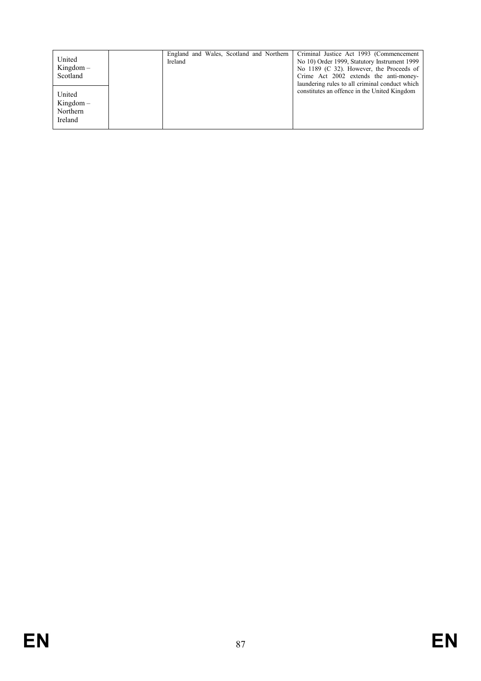| United<br>$Kingdom -$<br>Scotland            | England and Wales, Scotland and Northern<br>Ireland |  | Criminal Justice Act 1993 (Commencement<br>No 10) Order 1999, Statutory Instrument 1999<br>No 1189 (C 32). However, the Proceeds of<br>Crime Act 2002 extends the anti-money-<br>laundering rules to all criminal conduct which |
|----------------------------------------------|-----------------------------------------------------|--|---------------------------------------------------------------------------------------------------------------------------------------------------------------------------------------------------------------------------------|
| United<br>$Kingdom -$<br>Northern<br>Ireland |                                                     |  | constitutes an offence in the United Kingdom                                                                                                                                                                                    |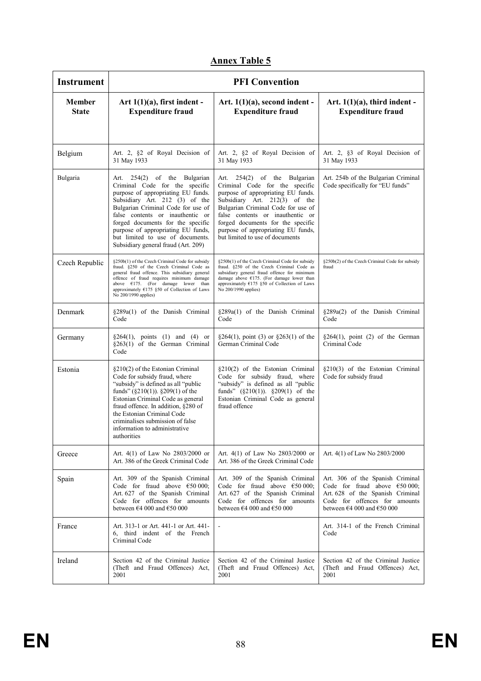| <b>Instrument</b>             |                                                                                                                                                                                                                                                                                                                                                                        | <b>PFI Convention</b>                                                                                                                                                                                                                                                                                                         |                                                                                                                                                                                                    |
|-------------------------------|------------------------------------------------------------------------------------------------------------------------------------------------------------------------------------------------------------------------------------------------------------------------------------------------------------------------------------------------------------------------|-------------------------------------------------------------------------------------------------------------------------------------------------------------------------------------------------------------------------------------------------------------------------------------------------------------------------------|----------------------------------------------------------------------------------------------------------------------------------------------------------------------------------------------------|
| <b>Member</b><br><b>State</b> | Art $1(1)(a)$ , first indent -<br><b>Expenditure fraud</b>                                                                                                                                                                                                                                                                                                             | Art. $1(1)(a)$ , second indent -<br><b>Expenditure fraud</b>                                                                                                                                                                                                                                                                  | Art. $1(1)(a)$ , third indent -<br><b>Expenditure fraud</b>                                                                                                                                        |
|                               |                                                                                                                                                                                                                                                                                                                                                                        |                                                                                                                                                                                                                                                                                                                               |                                                                                                                                                                                                    |
| Belgium                       | Art. 2, §2 of Royal Decision of<br>31 May 1933                                                                                                                                                                                                                                                                                                                         | Art. 2, §2 of Royal Decision of<br>31 May 1933                                                                                                                                                                                                                                                                                | Art. 2, §3 of Royal Decision of<br>31 May 1933                                                                                                                                                     |
| Bulgaria                      | Art. 254(2) of the Bulgarian<br>Criminal Code for the specific<br>purpose of appropriating EU funds.<br>Subsidiary Art. 212 (3) of the<br>Bulgarian Criminal Code for use of<br>false contents or inauthentic or<br>forged documents for the specific<br>purpose of appropriating EU funds,<br>but limited to use of documents.<br>Subsidiary general fraud (Art. 209) | Art. 254(2) of the Bulgarian<br>Criminal Code for the specific<br>purpose of appropriating EU funds.<br>Subsidiary Art. 212(3) of the<br>Bulgarian Criminal Code for use of<br>false contents or inauthentic or<br>forged documents for the specific<br>purpose of appropriating EU funds,<br>but limited to use of documents | Art. 254b of the Bulgarian Criminal<br>Code specifically for "EU funds"                                                                                                                            |
| Czech Republic                | §250b(1) of the Czech Criminal Code for subsidy<br>fraud. §250 of the Czech Criminal Code as<br>general fraud offence. This subsidiary general<br>offence of fraud requires minimum damage<br>above $E175$ . (For damage lower than<br>approximately $E175$ §50 of Collection of Laws<br>No 200/1990 applies)                                                          | §250b(1) of the Czech Criminal Code for subsidy<br>fraud. §250 of the Czech Criminal Code as<br>subsidiary general fraud offence for minimum<br>damage above $E175$ . (For damage lower than<br>approximately $E175$ §50 of Collection of Laws<br>No 200/1990 applies)                                                        | §250b(2) of the Czech Criminal Code for subsidy<br>fraud                                                                                                                                           |
| Denmark                       | §289a(1) of the Danish Criminal<br>Code                                                                                                                                                                                                                                                                                                                                | §289a(1) of the Danish Criminal<br>Code                                                                                                                                                                                                                                                                                       | §289a(2) of the Danish Criminal<br>Code                                                                                                                                                            |
| Germany                       | $\S264(1)$ , points (1) and (4) or<br>§263(1) of the German Criminal<br>Code                                                                                                                                                                                                                                                                                           | $\S 264(1)$ , point (3) or $\S 263(1)$ of the<br>German Criminal Code                                                                                                                                                                                                                                                         | $§264(1)$ , point (2) of the German<br>Criminal Code                                                                                                                                               |
| Estonia                       | §210(2) of the Estonian Criminal<br>Code for subsidy fraud, where<br>"subsidy" is defined as all "public<br>funds" $(\S 210(1))$ . $\S 209(1)$ of the<br>Estonian Criminal Code as general<br>fraud offence. In addition, §280 of<br>the Estonian Criminal Code<br>criminalises submission of false<br>information to administrative<br>authorities                    | $\S210(2)$ of the Estonian Criminal<br>Code for subsidy fraud, where<br>"subsidy" is defined as all "public<br>funds" $(\S 210(1))$ . $\S 209(1)$ of the<br>Estonian Criminal Code as general<br>fraud offence                                                                                                                | §210(3) of the Estonian Criminal<br>Code for subsidy fraud                                                                                                                                         |
| Greece                        | Art. $4(1)$ of Law No 2803/2000 or<br>Art. 386 of the Greek Criminal Code                                                                                                                                                                                                                                                                                              | Art. $4(1)$ of Law No $2803/2000$ or<br>Art. 386 of the Greek Criminal Code                                                                                                                                                                                                                                                   | Art. 4(1) of Law No 2803/2000                                                                                                                                                                      |
| Spain                         | Art. 309 of the Spanish Criminal<br>Code for fraud above $\epsilon$ 50 000;<br>Art. 627 of the Spanish Criminal<br>Code for offences for amounts<br>between $\epsilon$ 4 000 and $\epsilon$ 50 000                                                                                                                                                                     | Art. 309 of the Spanish Criminal<br>Code for fraud above $\epsilon$ 50 000;<br>Art. 627 of the Spanish Criminal<br>Code for offences for amounts<br>between $\epsilon$ 4 000 and $\epsilon$ 50 000                                                                                                                            | Art. 306 of the Spanish Criminal<br>Code for fraud above $\epsilon$ 50 000;<br>Art. 628 of the Spanish Criminal<br>Code for offences for amounts<br>between $\epsilon$ 4 000 and $\epsilon$ 50 000 |
| France                        | Art. 313-1 or Art. 441-1 or Art. 441-<br>6, third indent of the French<br>Criminal Code                                                                                                                                                                                                                                                                                |                                                                                                                                                                                                                                                                                                                               | Art. 314-1 of the French Criminal<br>Code                                                                                                                                                          |
| Ireland                       | Section 42 of the Criminal Justice<br>(Theft and Fraud Offences) Act,<br>2001                                                                                                                                                                                                                                                                                          | Section 42 of the Criminal Justice<br>(Theft and Fraud Offences) Act,<br>2001                                                                                                                                                                                                                                                 | Section 42 of the Criminal Justice<br>(Theft and Fraud Offences) Act,<br>2001                                                                                                                      |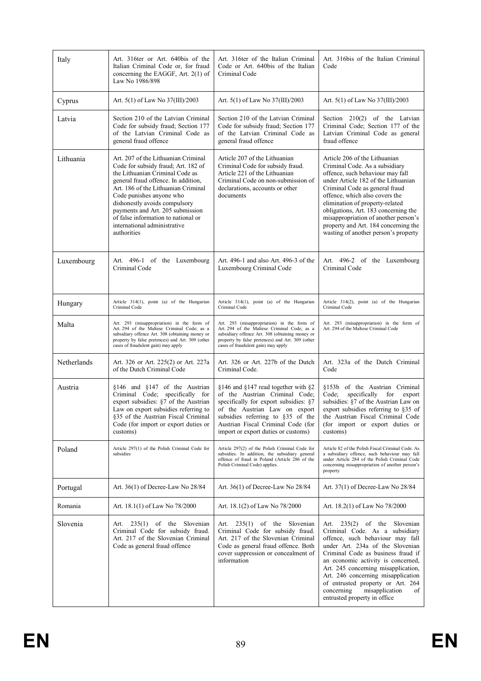| Italy       | Art. 316ter or Art. 640bis of the<br>Italian Criminal Code or, for fraud<br>concerning the EAGGF, Art. $2(1)$ of<br>Law No 1986/898                                                                                                                                                                                                                                                | Art. 316ter of the Italian Criminal<br>Art. 316bis of the Italian Criminal<br>Code or Art. 640bis of the Italian<br>Code<br>Criminal Code                                                                                                                                |                                                                                                                                                                                                                                                                                                                                                                                                                   |
|-------------|------------------------------------------------------------------------------------------------------------------------------------------------------------------------------------------------------------------------------------------------------------------------------------------------------------------------------------------------------------------------------------|--------------------------------------------------------------------------------------------------------------------------------------------------------------------------------------------------------------------------------------------------------------------------|-------------------------------------------------------------------------------------------------------------------------------------------------------------------------------------------------------------------------------------------------------------------------------------------------------------------------------------------------------------------------------------------------------------------|
| Cyprus      | Art. $5(1)$ of Law No $37(III)/2003$                                                                                                                                                                                                                                                                                                                                               | Art. $5(1)$ of Law No $37(III)/2003$                                                                                                                                                                                                                                     | Art. 5(1) of Law No 37(III)/2003                                                                                                                                                                                                                                                                                                                                                                                  |
| Latvia      | Section 210 of the Latvian Criminal<br>Code for subsidy fraud; Section 177<br>of the Latvian Criminal Code as<br>general fraud offence                                                                                                                                                                                                                                             | Section 210 of the Latvian Criminal<br>Code for subsidy fraud; Section 177<br>of the Latvian Criminal Code as<br>general fraud offence                                                                                                                                   | Section $210(2)$ of the Latvian<br>Criminal Code; Section 177 of the<br>Latvian Criminal Code as general<br>fraud offence                                                                                                                                                                                                                                                                                         |
| Lithuania   | Art. 207 of the Lithuanian Criminal<br>Code for subsidy fraud; Art. 182 of<br>the Lithuanian Criminal Code as<br>general fraud offence. In addition,<br>Art. 186 of the Lithuanian Criminal<br>Code punishes anyone who<br>dishonestly avoids compulsory<br>payments and Art. 205 submission<br>of false information to national or<br>international administrative<br>authorities | Article 207 of the Lithuanian<br>Criminal Code for subsidy fraud.<br>Article 221 of the Lithuanian<br>Criminal Code on non-submission of<br>declarations, accounts or other<br>documents                                                                                 | Article 206 of the Lithuanian<br>Criminal Code. As a subsidiary<br>offence, such behaviour may fall<br>under Article 182 of the Lithuanian<br>Criminal Code as general fraud<br>offence, which also covers the<br>elimination of property-related<br>obligations, Art. 183 concerning the<br>misappropriation of another person's<br>property and Art. 184 concerning the<br>wasting of another person's property |
| Luxembourg  | Art. 496-1 of the Luxembourg<br>Criminal Code                                                                                                                                                                                                                                                                                                                                      | Art. 496-1 and also Art. 496-3 of the<br>Luxembourg Criminal Code                                                                                                                                                                                                        | Art. 496-2 of the Luxembourg<br>Criminal Code                                                                                                                                                                                                                                                                                                                                                                     |
| Hungary     | Article 314(1), point (a) of the Hungarian<br>Criminal Code                                                                                                                                                                                                                                                                                                                        | Article 314(1), point (a) of the Hungarian<br>Criminal Code                                                                                                                                                                                                              | Article 314(2), point (a) of the Hungarian<br>Criminal Code                                                                                                                                                                                                                                                                                                                                                       |
| Malta       | Art. 293 (misappropriation) in the form of<br>Art. 294 of the Maltese Criminal Code; as a<br>subsidiary offence Art. 308 (obtaining money or<br>property by false pretences) and Art. 309 (other<br>cases of fraudulent gain) may apply                                                                                                                                            | Art. 293 (misappropriation) in the form of<br>Art. 294 of the Maltese Criminal Code; as a<br>subsidiary offence Art. 308 (obtaining money or<br>property by false pretences) and Art. 309 (other<br>cases of fraudulent gain) may apply                                  | Art. 293 (misappropriation) in the form of<br>Art. 294 of the Maltese Criminal Code                                                                                                                                                                                                                                                                                                                               |
| Netherlands | Art. 326 or Art. 225(2) or Art. 227a<br>of the Dutch Criminal Code                                                                                                                                                                                                                                                                                                                 | Art. 326 or Art. 227b of the Dutch<br>Criminal Code.                                                                                                                                                                                                                     | Art. 323a of the Dutch Criminal<br>Code                                                                                                                                                                                                                                                                                                                                                                           |
| Austria     | $§146$ and $§147$ of the Austrian<br>Criminal Code; specifically for<br>export subsidies: §7 of the Austrian<br>Law on export subsidies referring to<br>§35 of the Austrian Fiscal Criminal<br>Code (for import or export duties or<br>customs)                                                                                                                                    | $§146$ and $§147$ read together with $§2$<br>of the Austrian Criminal Code;<br>specifically for export subsidies: \$7<br>of the Austrian Law on export<br>subsidies referring to §35 of the<br>Austrian Fiscal Criminal Code (for<br>import or export duties or customs) | §153b of the Austrian Criminal<br>specifically<br>for<br>Code;<br>export<br>subsidies: §7 of the Austrian Law on<br>export subsidies referring to §35 of<br>the Austrian Fiscal Criminal Code<br>(for import or export duties or<br>customs)                                                                                                                                                                      |
| Poland      | Article 297(1) of the Polish Criminal Code for<br>subsidies                                                                                                                                                                                                                                                                                                                        | Article 297(2) of the Polish Criminal Code for<br>subsidies. In addition, the subsidiary general<br>offence of fraud in Poland (Article 286 of the<br>Polish Criminal Code) applies.                                                                                     | Article 82 of the Polish Fiscal Criminal Code. As<br>a subsidiary offence, such behaviour may fall<br>under Article 284 of the Polish Criminal Code<br>concerning misappropriation of another person's<br>property                                                                                                                                                                                                |
| Portugal    | Art. 36(1) of Decree-Law No 28/84                                                                                                                                                                                                                                                                                                                                                  | Art. $36(1)$ of Decree-Law No $28/84$                                                                                                                                                                                                                                    | Art. 37(1) of Decree-Law No 28/84                                                                                                                                                                                                                                                                                                                                                                                 |
| Romania     | Art. 18.1(1) of Law No 78/2000                                                                                                                                                                                                                                                                                                                                                     | Art. 18.1(2) of Law No 78/2000                                                                                                                                                                                                                                           | Art. 18.2(1) of Law No 78/2000                                                                                                                                                                                                                                                                                                                                                                                    |
| Slovenia    | Art. 235(1) of the Slovenian<br>Criminal Code for subsidy fraud.<br>Art. 217 of the Slovenian Criminal<br>Code as general fraud offence                                                                                                                                                                                                                                            | Art. 235(1) of the Slovenian<br>Criminal Code for subsidy fraud.<br>Art. 217 of the Slovenian Criminal<br>Code as general fraud offence. Both<br>cover suppression or concealment of<br>information                                                                      | Art. 235(2) of the Slovenian<br>Criminal Code. As a subsidiary<br>offence, such behaviour may fall<br>under Art. 234a of the Slovenian<br>Criminal Code as business fraud if<br>an economic activity is concerned,<br>Art. 245 concerning misapplication,<br>Art. 246 concerning misapplication<br>of entrusted property or Art. 264<br>concerning<br>misapplication<br>of<br>entrusted property in office        |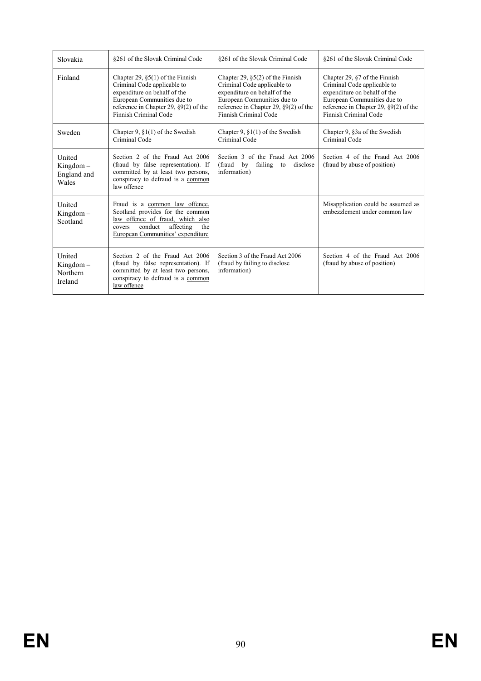| Slovakia                                      | §261 of the Slovak Criminal Code                                                                                                                                                                       | §261 of the Slovak Criminal Code                                                                                                                                                                       | §261 of the Slovak Criminal Code                                                                                                                                                                     |
|-----------------------------------------------|--------------------------------------------------------------------------------------------------------------------------------------------------------------------------------------------------------|--------------------------------------------------------------------------------------------------------------------------------------------------------------------------------------------------------|------------------------------------------------------------------------------------------------------------------------------------------------------------------------------------------------------|
| Finland                                       | Chapter 29, $\S5(1)$ of the Finnish<br>Criminal Code applicable to<br>expenditure on behalf of the<br>European Communities due to<br>reference in Chapter 29, $\S9(2)$ of the<br>Finnish Criminal Code | Chapter 29, $\S5(2)$ of the Finnish<br>Criminal Code applicable to<br>expenditure on behalf of the<br>European Communities due to<br>reference in Chapter 29, $\S9(2)$ of the<br>Finnish Criminal Code | Chapter 29, $\S$ 7 of the Finnish<br>Criminal Code applicable to<br>expenditure on behalf of the<br>European Communities due to<br>reference in Chapter 29, $\S9(2)$ of the<br>Finnish Criminal Code |
| Sweden                                        | Chapter 9, $\S1(1)$ of the Swedish<br>Criminal Code                                                                                                                                                    | Chapter 9, $\S1(1)$ of the Swedish<br>Criminal Code                                                                                                                                                    | Chapter 9, §3a of the Swedish<br>Criminal Code                                                                                                                                                       |
| United<br>$Kingdom -$<br>England and<br>Wales | Section 2 of the Fraud Act 2006<br>(fraud by false representation). If<br>committed by at least two persons,<br>conspiracy to defraud is a common<br>law offence                                       | Section 3 of the Fraud Act 2006<br>by<br>failing to<br>(fraud<br>disclose<br>information)                                                                                                              | Section 4 of the Fraud Act 2006<br>(fraud by abuse of position)                                                                                                                                      |
| United<br>$Kingdom -$<br>Scotland             | Fraud is a common law offence.<br>Scotland provides for the common<br>law offence of fraud, which also<br>affecting<br>conduct<br>the<br>covers<br>European Communities' expenditure                   |                                                                                                                                                                                                        | Misapplication could be assumed as<br>embezzlement under common law                                                                                                                                  |
| United<br>$Kingdom -$<br>Northern<br>Ireland  | Section 2 of the Fraud Act 2006<br>(fraud by false representation). If<br>committed by at least two persons,<br>conspiracy to defraud is a common<br>law offence                                       | Section 3 of the Fraud Act 2006<br>(fraud by failing to disclose)<br>information)                                                                                                                      | Section 4 of the Fraud Act 2006<br>(fraud by abuse of position)                                                                                                                                      |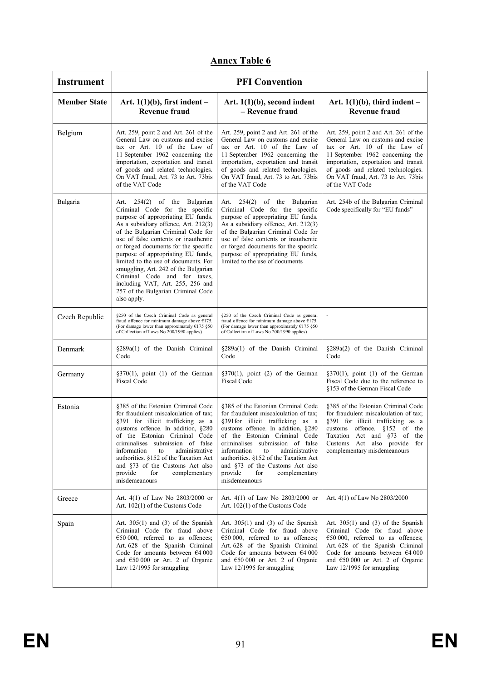| <b>Instrument</b>   | <b>PFI Convention</b>                                                                                                                                                                                                                                                                                                                                                                                                                                                                                             |                                                                                                                                                                                                                                                                                                                                                                                                    |                                                                                                                                                                                                                                                                                        |  |  |
|---------------------|-------------------------------------------------------------------------------------------------------------------------------------------------------------------------------------------------------------------------------------------------------------------------------------------------------------------------------------------------------------------------------------------------------------------------------------------------------------------------------------------------------------------|----------------------------------------------------------------------------------------------------------------------------------------------------------------------------------------------------------------------------------------------------------------------------------------------------------------------------------------------------------------------------------------------------|----------------------------------------------------------------------------------------------------------------------------------------------------------------------------------------------------------------------------------------------------------------------------------------|--|--|
| <b>Member State</b> | Art. $1(1)(b)$ , first indent –<br><b>Revenue fraud</b>                                                                                                                                                                                                                                                                                                                                                                                                                                                           | Art. $1(1)(b)$ , second indent<br>- Revenue fraud                                                                                                                                                                                                                                                                                                                                                  | Art. $1(1)(b)$ , third indent –<br><b>Revenue fraud</b>                                                                                                                                                                                                                                |  |  |
| Belgium             | Art. 259, point 2 and Art. 261 of the<br>General Law on customs and excise<br>tax or Art. 10 of the Law of<br>11 September 1962 concerning the<br>importation, exportation and transit<br>of goods and related technologies.<br>On VAT fraud, Art. 73 to Art. 73bis<br>of the VAT Code                                                                                                                                                                                                                            | Art. 259, point 2 and Art. 261 of the<br>General Law on customs and excise<br>tax or Art. 10 of the Law of<br>11 September 1962 concerning the<br>importation, exportation and transit<br>of goods and related technologies.<br>On VAT fraud, Art. 73 to Art. 73bis<br>of the VAT Code                                                                                                             | Art. 259, point 2 and Art. 261 of the<br>General Law on customs and excise<br>tax or Art. 10 of the Law of<br>11 September 1962 concerning the<br>importation, exportation and transit<br>of goods and related technologies.<br>On VAT fraud, Art. 73 to Art. 73bis<br>of the VAT Code |  |  |
| Bulgaria            | Art. 254(2) of the Bulgarian<br>Criminal Code for the specific<br>purpose of appropriating EU funds.<br>As a subsidiary offence, Art. 212(3)<br>of the Bulgarian Criminal Code for<br>use of false contents or inauthentic<br>or forged documents for the specific<br>purpose of appropriating EU funds,<br>limited to the use of documents. For<br>smuggling, Art. 242 of the Bulgarian<br>Criminal Code and for taxes,<br>including VAT, Art. 255, 256 and<br>257 of the Bulgarian Criminal Code<br>also apply. | Art. 254(2) of the Bulgarian<br>Criminal Code for the specific<br>purpose of appropriating EU funds.<br>As a subsidiary offence, Art. 212(3)<br>of the Bulgarian Criminal Code for<br>use of false contents or inauthentic<br>or forged documents for the specific<br>purpose of appropriating EU funds,<br>limited to the use of documents                                                        | Art. 254b of the Bulgarian Criminal<br>Code specifically for "EU funds"                                                                                                                                                                                                                |  |  |
| Czech Republic      | §250 of the Czech Criminal Code as general<br>fraud offence for minimum damage above $E175$ .<br>(For damage lower than approximately $£175$ §50<br>of Collection of Laws No 200/1990 applies)                                                                                                                                                                                                                                                                                                                    | §250 of the Czech Criminal Code as general<br>fraud offence for minimum damage above $£175$ .<br>(For damage lower than approximately $£175$ §50<br>of Collection of Laws No 200/1990 applies)                                                                                                                                                                                                     |                                                                                                                                                                                                                                                                                        |  |  |
| Denmark             | §289a(1) of the Danish Criminal<br>Code                                                                                                                                                                                                                                                                                                                                                                                                                                                                           | §289a(1) of the Danish Criminal<br>Code                                                                                                                                                                                                                                                                                                                                                            | §289a(2) of the Danish Criminal<br>Code                                                                                                                                                                                                                                                |  |  |
| Germany             | $\S370(1)$ , point (1) of the German<br><b>Fiscal Code</b>                                                                                                                                                                                                                                                                                                                                                                                                                                                        | $\S370(1)$ , point (2) of the German<br><b>Fiscal Code</b>                                                                                                                                                                                                                                                                                                                                         | $§370(1)$ , point (1) of the German<br>Fiscal Code due to the reference to<br>§153 of the German Fiscal Code                                                                                                                                                                           |  |  |
| Estonia             | \$385 of the Estonian Criminal Code<br>for fraudulent miscalculation of tax;<br>§391 for illicit trafficking as a<br>customs offence. In addition, §280<br>of the Estonian Criminal Code<br>criminalises submission of false<br>information<br>administrative<br>to<br>authorities. §152 of the Taxation Act<br>and §73 of the Customs Act also<br>provide<br>for<br>complementary<br>misdemeanours                                                                                                               | §385 of the Estonian Criminal Code<br>for fraudulent miscalculation of tax;<br>§391 for illicit trafficking as a<br>customs offence. In addition, §280<br>of the Estonian Criminal Code<br>criminalises submission of false<br>information<br>administrative<br>to<br>authorities. §152 of the Taxation Act<br>and §73 of the Customs Act also<br>provide<br>for<br>complementary<br>misdemeanours | §385 of the Estonian Criminal Code<br>for fraudulent miscalculation of tax;<br>§391 for illicit trafficking as a<br>customs offence. §152 of the<br>Taxation Act and §73 of the<br>Customs Act also provide for<br>complementary misdemeanours                                         |  |  |
| Greece              | Art. $4(1)$ of Law No 2803/2000 or<br>Art. $102(1)$ of the Customs Code                                                                                                                                                                                                                                                                                                                                                                                                                                           | Art. $4(1)$ of Law No 2803/2000 or<br>Art. 102(1) of the Customs Code                                                                                                                                                                                                                                                                                                                              | Art. 4(1) of Law No 2803/2000                                                                                                                                                                                                                                                          |  |  |
| Spain               | Art. $305(1)$ and (3) of the Spanish<br>Criminal Code for fraud above<br>$€50000$ , referred to as offences;<br>Art. 628 of the Spanish Criminal<br>Code for amounts between $€4000$<br>and $650000$ or Art. 2 of Organic<br>Law 12/1995 for smuggling                                                                                                                                                                                                                                                            | Art. $305(1)$ and (3) of the Spanish<br>Criminal Code for fraud above<br>$€50000$ , referred to as offences;<br>Art. 628 of the Spanish Criminal<br>Code for amounts between $€4000$<br>and €50 000 or Art. 2 of Organic<br>Law 12/1995 for smuggling                                                                                                                                              | Art. $305(1)$ and (3) of the Spanish<br>Criminal Code for fraud above<br>$\epsilon$ 50 000, referred to as offences;<br>Art. 628 of the Spanish Criminal<br>Code for amounts between $€4000$<br>and €50 000 or Art. 2 of Organic<br>Law 12/1995 for smuggling                          |  |  |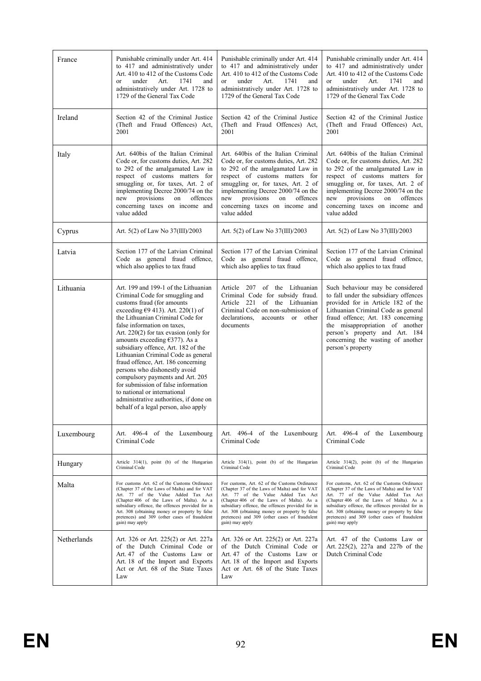| France      | Punishable criminally under Art. 414                                                                                                                                                                                                                                                                                                                                                                                                                                                                                                                                                                                                                            | Punishable criminally under Art. 414                                                                                                                                                        | Punishable criminally under Art. 414                                                                                                                                                                                                                                                                                        |
|-------------|-----------------------------------------------------------------------------------------------------------------------------------------------------------------------------------------------------------------------------------------------------------------------------------------------------------------------------------------------------------------------------------------------------------------------------------------------------------------------------------------------------------------------------------------------------------------------------------------------------------------------------------------------------------------|---------------------------------------------------------------------------------------------------------------------------------------------------------------------------------------------|-----------------------------------------------------------------------------------------------------------------------------------------------------------------------------------------------------------------------------------------------------------------------------------------------------------------------------|
|             | to 417 and administratively under                                                                                                                                                                                                                                                                                                                                                                                                                                                                                                                                                                                                                               | to 417 and administratively under                                                                                                                                                           | to 417 and administratively under                                                                                                                                                                                                                                                                                           |
|             | Art. 410 to 412 of the Customs Code                                                                                                                                                                                                                                                                                                                                                                                                                                                                                                                                                                                                                             | Art. 410 to 412 of the Customs Code                                                                                                                                                         | Art. 410 to 412 of the Customs Code                                                                                                                                                                                                                                                                                         |
|             | under                                                                                                                                                                                                                                                                                                                                                                                                                                                                                                                                                                                                                                                           | under                                                                                                                                                                                       | under                                                                                                                                                                                                                                                                                                                       |
|             | Art.                                                                                                                                                                                                                                                                                                                                                                                                                                                                                                                                                                                                                                                            | Art.                                                                                                                                                                                        | Art.                                                                                                                                                                                                                                                                                                                        |
|             | 1741                                                                                                                                                                                                                                                                                                                                                                                                                                                                                                                                                                                                                                                            | 1741                                                                                                                                                                                        | 1741                                                                                                                                                                                                                                                                                                                        |
|             | and                                                                                                                                                                                                                                                                                                                                                                                                                                                                                                                                                                                                                                                             | and                                                                                                                                                                                         | and                                                                                                                                                                                                                                                                                                                         |
|             | or                                                                                                                                                                                                                                                                                                                                                                                                                                                                                                                                                                                                                                                              | or                                                                                                                                                                                          | $\alpha$                                                                                                                                                                                                                                                                                                                    |
|             | administratively under Art. 1728 to                                                                                                                                                                                                                                                                                                                                                                                                                                                                                                                                                                                                                             | administratively under Art. 1728 to                                                                                                                                                         | administratively under Art. 1728 to                                                                                                                                                                                                                                                                                         |
|             | 1729 of the General Tax Code                                                                                                                                                                                                                                                                                                                                                                                                                                                                                                                                                                                                                                    | 1729 of the General Tax Code                                                                                                                                                                | 1729 of the General Tax Code                                                                                                                                                                                                                                                                                                |
| Ireland     | Section 42 of the Criminal Justice                                                                                                                                                                                                                                                                                                                                                                                                                                                                                                                                                                                                                              | Section 42 of the Criminal Justice                                                                                                                                                          | Section 42 of the Criminal Justice                                                                                                                                                                                                                                                                                          |
|             | (Theft and Fraud Offences) Act,                                                                                                                                                                                                                                                                                                                                                                                                                                                                                                                                                                                                                                 | (Theft and Fraud Offences) Act,                                                                                                                                                             | (Theft and Fraud Offences) Act,                                                                                                                                                                                                                                                                                             |
|             | 2001                                                                                                                                                                                                                                                                                                                                                                                                                                                                                                                                                                                                                                                            | 2001                                                                                                                                                                                        | 2001                                                                                                                                                                                                                                                                                                                        |
| Italy       | Art. 640bis of the Italian Criminal                                                                                                                                                                                                                                                                                                                                                                                                                                                                                                                                                                                                                             | Art. 640bis of the Italian Criminal                                                                                                                                                         | Art. 640bis of the Italian Criminal                                                                                                                                                                                                                                                                                         |
|             | Code or, for customs duties, Art. 282                                                                                                                                                                                                                                                                                                                                                                                                                                                                                                                                                                                                                           | Code or, for customs duties, Art. 282                                                                                                                                                       | Code or, for customs duties, Art. 282                                                                                                                                                                                                                                                                                       |
|             | to 292 of the amalgamated Law in                                                                                                                                                                                                                                                                                                                                                                                                                                                                                                                                                                                                                                | to 292 of the amalgamated Law in                                                                                                                                                            | to 292 of the amalgamated Law in                                                                                                                                                                                                                                                                                            |
|             | respect of customs matters for                                                                                                                                                                                                                                                                                                                                                                                                                                                                                                                                                                                                                                  | respect of customs matters for                                                                                                                                                              | respect of customs matters for                                                                                                                                                                                                                                                                                              |
|             | smuggling or, for taxes, Art. 2 of                                                                                                                                                                                                                                                                                                                                                                                                                                                                                                                                                                                                                              | smuggling or, for taxes, Art. 2 of                                                                                                                                                          | smuggling or, for taxes, Art. 2 of                                                                                                                                                                                                                                                                                          |
|             | implementing Decree 2000/74 on the                                                                                                                                                                                                                                                                                                                                                                                                                                                                                                                                                                                                                              | implementing Decree 2000/74 on the                                                                                                                                                          | implementing Decree 2000/74 on the                                                                                                                                                                                                                                                                                          |
|             | new                                                                                                                                                                                                                                                                                                                                                                                                                                                                                                                                                                                                                                                             | provisions                                                                                                                                                                                  | provisions                                                                                                                                                                                                                                                                                                                  |
|             | provisions                                                                                                                                                                                                                                                                                                                                                                                                                                                                                                                                                                                                                                                      | offences                                                                                                                                                                                    | new                                                                                                                                                                                                                                                                                                                         |
|             | on                                                                                                                                                                                                                                                                                                                                                                                                                                                                                                                                                                                                                                                              | new                                                                                                                                                                                         | on                                                                                                                                                                                                                                                                                                                          |
|             | offences                                                                                                                                                                                                                                                                                                                                                                                                                                                                                                                                                                                                                                                        | on                                                                                                                                                                                          | offences                                                                                                                                                                                                                                                                                                                    |
|             | concerning taxes on income and                                                                                                                                                                                                                                                                                                                                                                                                                                                                                                                                                                                                                                  | concerning taxes on income and                                                                                                                                                              | concerning taxes on income and                                                                                                                                                                                                                                                                                              |
|             | value added                                                                                                                                                                                                                                                                                                                                                                                                                                                                                                                                                                                                                                                     | value added                                                                                                                                                                                 | value added                                                                                                                                                                                                                                                                                                                 |
| Cyprus      | Art. $5(2)$ of Law No $37(III)/2003$                                                                                                                                                                                                                                                                                                                                                                                                                                                                                                                                                                                                                            | Art. 5(2) of Law No 37(III)/2003                                                                                                                                                            | Art. 5(2) of Law No 37(III)/2003                                                                                                                                                                                                                                                                                            |
| Latvia      | Section 177 of the Latvian Criminal                                                                                                                                                                                                                                                                                                                                                                                                                                                                                                                                                                                                                             | Section 177 of the Latvian Criminal                                                                                                                                                         | Section 177 of the Latvian Criminal                                                                                                                                                                                                                                                                                         |
|             | Code as general fraud offence,                                                                                                                                                                                                                                                                                                                                                                                                                                                                                                                                                                                                                                  | Code as general fraud offence,                                                                                                                                                              | Code as general fraud offence,                                                                                                                                                                                                                                                                                              |
|             | which also applies to tax fraud                                                                                                                                                                                                                                                                                                                                                                                                                                                                                                                                                                                                                                 | which also applies to tax fraud                                                                                                                                                             | which also applies to tax fraud                                                                                                                                                                                                                                                                                             |
| Lithuania   | Art. 199 and 199-1 of the Lithuanian<br>Criminal Code for smuggling and<br>customs fraud (for amounts<br>exceeding $\epsilon$ 9 413). Art. 220(1) of<br>the Lithuanian Criminal Code for<br>false information on taxes.<br>Art. $220(2)$ for tax evasion (only for<br>amounts exceeding $\epsilon$ 377). As a<br>subsidiary offence, Art. 182 of the<br>Lithuanian Criminal Code as general<br>fraud offence, Art. 186 concerning<br>persons who dishonestly avoid<br>compulsory payments and Art. 205<br>for submission of false information<br>to national or international<br>administrative authorities, if done on<br>behalf of a legal person, also apply | Article 207 of the Lithuanian<br>Criminal Code for subsidy fraud.<br>Article 221 of the Lithuanian<br>Criminal Code on non-submission of<br>declarations.<br>accounts or other<br>documents | Such behaviour may be considered<br>to fall under the subsidiary offences<br>provided for in Article 182 of the<br>Lithuanian Criminal Code as general<br>fraud offence; Art. 183 concerning<br>the misappropriation of another<br>person's property and Art. 184<br>concerning the wasting of another<br>person's property |
| Luxembourg  | Art. 496-4 of the Luxembourg                                                                                                                                                                                                                                                                                                                                                                                                                                                                                                                                                                                                                                    | Art. 496-4 of the Luxembourg                                                                                                                                                                | Art. 496-4 of the Luxembourg                                                                                                                                                                                                                                                                                                |
|             | Criminal Code                                                                                                                                                                                                                                                                                                                                                                                                                                                                                                                                                                                                                                                   | Criminal Code                                                                                                                                                                               | Criminal Code                                                                                                                                                                                                                                                                                                               |
| Hungary     | Article 314(1), point (b) of the Hungarian                                                                                                                                                                                                                                                                                                                                                                                                                                                                                                                                                                                                                      | Article 314(1), point (b) of the Hungarian                                                                                                                                                  | Article 314(2), point (b) of the Hungarian                                                                                                                                                                                                                                                                                  |
|             | Criminal Code                                                                                                                                                                                                                                                                                                                                                                                                                                                                                                                                                                                                                                                   | Criminal Code                                                                                                                                                                               | Criminal Code                                                                                                                                                                                                                                                                                                               |
| Malta       | For customs Art. 62 of the Customs Ordinance                                                                                                                                                                                                                                                                                                                                                                                                                                                                                                                                                                                                                    | For customs, Art. 62 of the Customs Ordinance                                                                                                                                               | For customs, Art. 62 of the Customs Ordinance                                                                                                                                                                                                                                                                               |
|             | (Chapter 37 of the Laws of Malta) and for VAT                                                                                                                                                                                                                                                                                                                                                                                                                                                                                                                                                                                                                   | (Chapter 37 of the Laws of Malta) and for VAT                                                                                                                                               | (Chapter 37 of the Laws of Malta) and for VAT                                                                                                                                                                                                                                                                               |
|             | Art. 77 of the Value Added Tax Act                                                                                                                                                                                                                                                                                                                                                                                                                                                                                                                                                                                                                              | Art. 77 of the Value Added Tax Act                                                                                                                                                          | Art. 77 of the Value Added Tax Act                                                                                                                                                                                                                                                                                          |
|             | (Chapter 406 of the Laws of Malta). As a                                                                                                                                                                                                                                                                                                                                                                                                                                                                                                                                                                                                                        | (Chapter 406 of the Laws of Malta). As a                                                                                                                                                    | (Chapter 406 of the Laws of Malta). As a                                                                                                                                                                                                                                                                                    |
|             | subsidiary offence, the offences provided for in                                                                                                                                                                                                                                                                                                                                                                                                                                                                                                                                                                                                                | subsidiary offence, the offences provided for in                                                                                                                                            | subsidiary offence, the offences provided for in                                                                                                                                                                                                                                                                            |
|             | Art. 308 (obtaining money or property by false                                                                                                                                                                                                                                                                                                                                                                                                                                                                                                                                                                                                                  | Art. 308 (obtaining money or property by false                                                                                                                                              | Art. 308 (obtaining money or property by false                                                                                                                                                                                                                                                                              |
|             | pretences) and 309 (other cases of fraudulent                                                                                                                                                                                                                                                                                                                                                                                                                                                                                                                                                                                                                   | pretences) and 309 (other cases of fraudulent                                                                                                                                               | pretences) and 309 (other cases of fraudulent                                                                                                                                                                                                                                                                               |
|             | gain) may apply                                                                                                                                                                                                                                                                                                                                                                                                                                                                                                                                                                                                                                                 | gain) may apply                                                                                                                                                                             | gain) may apply                                                                                                                                                                                                                                                                                                             |
| Netherlands | Art. 326 or Art. 225(2) or Art. 227a<br>of the Dutch Criminal Code or<br>Art. 47 of the Customs Law or<br>Art. 18 of the Import and Exports<br>Act or Art. 68 of the State Taxes<br>Law                                                                                                                                                                                                                                                                                                                                                                                                                                                                         | Art. 326 or Art. 225(2) or Art. 227a<br>of the Dutch Criminal Code or<br>Art. 47 of the Customs Law or<br>Art. 18 of the Import and Exports<br>Act or Art. 68 of the State Taxes<br>Law     | Art. 47 of the Customs Law or<br>Art. 225(2), 227a and 227b of the<br>Dutch Criminal Code                                                                                                                                                                                                                                   |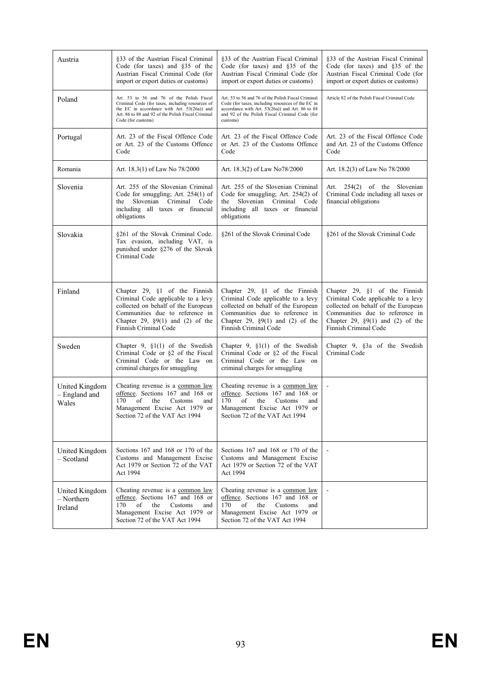| Austria                                   | §33 of the Austrian Fiscal Criminal<br>Code (for taxes) and $§35$ of the<br>Austrian Fiscal Criminal Code (for<br>import or export duties or customs)                                                                    | §33 of the Austrian Fiscal Criminal<br>Code (for taxes) and $§35$ of the<br>Austrian Fiscal Criminal Code (for<br>import or export duties or customs)                                                                    | §33 of the Austrian Fiscal Criminal<br>Code (for taxes) and $§35$ of the<br>Austrian Fiscal Criminal Code (for<br>import or export duties or customs)                                                           |
|-------------------------------------------|--------------------------------------------------------------------------------------------------------------------------------------------------------------------------------------------------------------------------|--------------------------------------------------------------------------------------------------------------------------------------------------------------------------------------------------------------------------|-----------------------------------------------------------------------------------------------------------------------------------------------------------------------------------------------------------------|
| Poland                                    | Art. 53 to 56 and 76 of the Polish Fiscal<br>Criminal Code (for taxes, including resources of<br>the EC in accordance with Art. 53(26a)) and<br>Art. 86 to 88 and 92 of the Polish Fiscal Criminal<br>Code (for customs) | Art. 53 to 56 and 76 of the Polish Fiscal Criminal<br>Code (for taxes, including resources of the EC in<br>accordance with Art. 53(26a)) and Art. 86 to 88<br>and 92 of the Polish Fiscal Criminal Code (for<br>customs) | Article 82 of the Polish Fiscal Criminal Code                                                                                                                                                                   |
| Portugal                                  | Art. 23 of the Fiscal Offence Code<br>or Art. 23 of the Customs Offence<br>Code                                                                                                                                          | Art. 23 of the Fiscal Offence Code<br>or Art. 23 of the Customs Offence<br>Code                                                                                                                                          | Art. 23 of the Fiscal Offence Code<br>and Art. 23 of the Customs Offence<br>Code                                                                                                                                |
| Romania                                   | Art. 18.3(1) of Law No 78/2000                                                                                                                                                                                           | Art. 18.3(2) of Law No78/2000                                                                                                                                                                                            | Art. 18.2(3) of Law No 78/2000                                                                                                                                                                                  |
| Slovenia                                  | Art. 255 of the Slovenian Criminal<br>Code for smuggling; Art. $254(1)$ of<br>Slovenian Criminal Code<br>the<br>including all taxes or financial<br>obligations                                                          | Art. 255 of the Slovenian Criminal<br>Code for smuggling; Art. $254(2)$ of<br>Slovenian Criminal Code<br>the<br>including all taxes or financial<br>obligations                                                          | Art. 254(2) of the Slovenian<br>Criminal Code including all taxes or<br>financial obligations                                                                                                                   |
| Slovakia                                  | §261 of the Slovak Criminal Code.<br>Tax evasion, including VAT, is<br>punished under §276 of the Slovak<br>Criminal Code                                                                                                | §261 of the Slovak Criminal Code                                                                                                                                                                                         | §261 of the Slovak Criminal Code                                                                                                                                                                                |
| Finland                                   | Chapter 29, $§1$ of the Finnish<br>Criminal Code applicable to a levy<br>collected on behalf of the European<br>Communities due to reference in<br>Chapter 29, $\S9(1)$ and (2) of the<br>Finnish Criminal Code          | Chapter 29, $§1$ of the Finnish<br>Criminal Code applicable to a levy<br>collected on behalf of the European<br>Communities due to reference in<br>Chapter 29, $\S9(1)$ and (2) of the<br>Finnish Criminal Code          | Chapter 29, $§1$ of the Finnish<br>Criminal Code applicable to a levy<br>collected on behalf of the European<br>Communities due to reference in<br>Chapter 29, $\S9(1)$ and (2) of the<br>Finnish Criminal Code |
| Sweden                                    | Chapter 9, $\S1(1)$ of the Swedish<br>Criminal Code or §2 of the Fiscal<br>Criminal Code or the Law on<br>criminal charges for smuggling                                                                                 | Chapter 9, §1(1) of the Swedish<br>Criminal Code or §2 of the Fiscal<br>Criminal Code or the Law on<br>criminal charges for smuggling                                                                                    | Chapter 9, §3a of the Swedish<br>Criminal Code                                                                                                                                                                  |
| United Kingdom<br>- England and<br>Wales  | Cheating revenue is a common law<br>offence. Sections 167 and 168 or<br>of<br>170<br>the<br>Customs<br>and<br>Management Excise Act 1979 or<br>Section 72 of the VAT Act 1994                                            | Cheating revenue is a common law<br>offence. Sections 167 and 168 or<br>170<br>of<br>the<br>Customs<br>and<br>Management Excise Act 1979 or<br>Section 72 of the VAT Act 1994                                            |                                                                                                                                                                                                                 |
| United Kingdom<br>– Scotland              | Sections 167 and 168 or 170 of the<br>Customs and Management Excise<br>Act 1979 or Section 72 of the VAT<br>Act 1994                                                                                                     | Sections 167 and 168 or 170 of the<br>Customs and Management Excise<br>Act 1979 or Section 72 of the VAT<br>Act 1994                                                                                                     |                                                                                                                                                                                                                 |
| United Kingdom<br>$-$ Northern<br>Ireland | Cheating revenue is a common law<br>offence. Sections 167 and 168 or<br>170<br>of<br>the<br>Customs<br>and<br>Management Excise Act 1979 or<br>Section 72 of the VAT Act 1994                                            | Cheating revenue is a common law<br>offence. Sections 167 and 168 or<br>170<br>of<br>the<br>Customs<br>and<br>Management Excise Act 1979 or<br>Section 72 of the VAT Act 1994                                            |                                                                                                                                                                                                                 |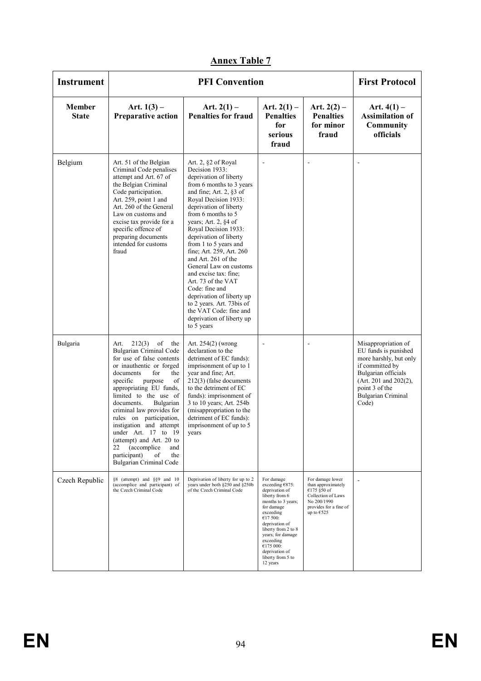| <b>Instrument</b>      |                                                                                                                                                                                                                                                                                                                                                                                                                                                                                          | <b>PFI Convention</b>                                                                                                                                                                                                                                                                                                                                                                                                                                                                                                                                                            |                                                                                                                                                                                                                                                                           |                                                                                                                                      | <b>First Protocol</b>                                                                                                                                                                             |
|------------------------|------------------------------------------------------------------------------------------------------------------------------------------------------------------------------------------------------------------------------------------------------------------------------------------------------------------------------------------------------------------------------------------------------------------------------------------------------------------------------------------|----------------------------------------------------------------------------------------------------------------------------------------------------------------------------------------------------------------------------------------------------------------------------------------------------------------------------------------------------------------------------------------------------------------------------------------------------------------------------------------------------------------------------------------------------------------------------------|---------------------------------------------------------------------------------------------------------------------------------------------------------------------------------------------------------------------------------------------------------------------------|--------------------------------------------------------------------------------------------------------------------------------------|---------------------------------------------------------------------------------------------------------------------------------------------------------------------------------------------------|
| Member<br><b>State</b> | Art. $1(3)$ –<br><b>Preparative action</b>                                                                                                                                                                                                                                                                                                                                                                                                                                               | Art. $2(1)$ –<br><b>Penalties for fraud</b>                                                                                                                                                                                                                                                                                                                                                                                                                                                                                                                                      | Art. $2(1)$ –<br><b>Penalties</b><br>for<br>serious<br>fraud                                                                                                                                                                                                              | Art. $2(2)$ –<br><b>Penalties</b><br>for minor<br>fraud                                                                              | Art. $4(1)$ –<br><b>Assimilation of</b><br>Community<br>officials                                                                                                                                 |
| Belgium                | Art. 51 of the Belgian<br>Criminal Code penalises<br>attempt and Art. 67 of<br>the Belgian Criminal<br>Code participation.<br>Art. 259, point 1 and<br>Art. 260 of the General<br>Law on customs and<br>excise tax provide for a<br>specific offence of<br>preparing documents<br>intended for customs<br>fraud                                                                                                                                                                          | Art. 2, §2 of Royal<br>Decision 1933:<br>deprivation of liberty<br>from 6 months to 3 years<br>and fine; Art. $2, §3$ of<br>Royal Decision 1933:<br>deprivation of liberty<br>from 6 months to 5<br>years; Art. 2, §4 of<br>Royal Decision 1933:<br>deprivation of liberty<br>from 1 to 5 years and<br>fine; Art. 259, Art. 260<br>and Art. 261 of the<br>General Law on customs<br>and excise tax: fine;<br>Art. 73 of the VAT<br>Code: fine and<br>deprivation of liberty up<br>to 2 years. Art. 73bis of<br>the VAT Code: fine and<br>deprivation of liberty up<br>to 5 years |                                                                                                                                                                                                                                                                           |                                                                                                                                      |                                                                                                                                                                                                   |
| Bulgaria               | 212(3)<br>of<br>Art.<br>the<br><b>Bulgarian Criminal Code</b><br>for use of false contents<br>or inauthentic or forged<br>documents<br>for<br>the<br>specific<br>purpose<br>of<br>appropriating EU funds,<br>limited to the use of<br>documents.<br>Bulgarian<br>criminal law provides for<br>rules on participation,<br>instigation and attempt<br>under Art. 17 to 19<br>(attempt) and Art. 20 to<br>22<br>(accomplice)<br>and<br>participant)<br>of<br>the<br>Bulgarian Criminal Code | Art. 254(2) (wrong<br>declaration to the<br>detriment of EC funds):<br>imprisonment of up to 1<br>year and fine; Art.<br>$212(3)$ (false documents<br>to the detriment of EC<br>funds): imprisonment of<br>3 to 10 years; Art. 254b<br>(misappropriation to the<br>detriment of EC funds):<br>imprisonment of up to 5<br>years                                                                                                                                                                                                                                                   | $\overline{\phantom{a}}$                                                                                                                                                                                                                                                  |                                                                                                                                      | Misappropriation of<br>EU funds is punished<br>more harshly, but only<br>if committed by<br>Bulgarian officials<br>(Art. 201 and 202(2)),<br>point 3 of the<br><b>Bulgarian Criminal</b><br>Code) |
| Czech Republic         | §8 (attempt) and §§9 and 10<br>(accomplice and participant) of<br>the Czech Criminal Code                                                                                                                                                                                                                                                                                                                                                                                                | Deprivation of liberty for up to 2<br>years under both §250 and §250b<br>of the Czech Criminal Code                                                                                                                                                                                                                                                                                                                                                                                                                                                                              | For damage<br>exceeding €875:<br>deprivation of<br>liberty from 6<br>months to 3 years;<br>for damage<br>exceeding<br>€17 500:<br>deprivation of<br>liberty from 2 to 8<br>vears; for damage<br>exceeding<br>€175 000:<br>deprivation of<br>liberty from 5 to<br>12 years | For damage lower<br>than approximately<br>€175 §50 of<br>Collection of Laws<br>No 200/1990<br>provides for a fine of<br>up to $€525$ |                                                                                                                                                                                                   |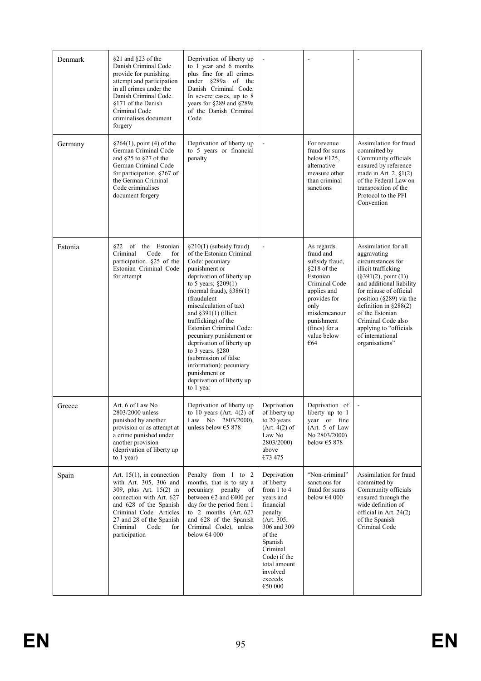| Denmark | §21 and §23 of the<br>Danish Criminal Code<br>provide for punishing<br>attempt and participation<br>in all crimes under the<br>Danish Criminal Code.<br>\$171 of the Danish<br>Criminal Code<br>criminalises document<br>forgery           | Deprivation of liberty up<br>to 1 year and 6 months<br>plus fine for all crimes<br>under §289a of the<br>Danish Criminal Code.<br>In severe cases, up to 8<br>years for §289 and §289a<br>of the Danish Criminal<br>Code                                                                                                                                                                                                                                                                     |                                                                                                                                                                                                                   |                                                                                                                                                                                                   |                                                                                                                                                                                                                                                                                                                                       |
|---------|--------------------------------------------------------------------------------------------------------------------------------------------------------------------------------------------------------------------------------------------|----------------------------------------------------------------------------------------------------------------------------------------------------------------------------------------------------------------------------------------------------------------------------------------------------------------------------------------------------------------------------------------------------------------------------------------------------------------------------------------------|-------------------------------------------------------------------------------------------------------------------------------------------------------------------------------------------------------------------|---------------------------------------------------------------------------------------------------------------------------------------------------------------------------------------------------|---------------------------------------------------------------------------------------------------------------------------------------------------------------------------------------------------------------------------------------------------------------------------------------------------------------------------------------|
| Germany | $§264(1)$ , point (4) of the<br>German Criminal Code<br>and $§25$ to $§27$ of the<br>German Criminal Code<br>for participation. §267 of<br>the German Criminal<br>Code criminalises<br>document forgery                                    | Deprivation of liberty up<br>to 5 years or financial<br>penalty                                                                                                                                                                                                                                                                                                                                                                                                                              | $\blacksquare$                                                                                                                                                                                                    | For revenue<br>fraud for sums<br>below $\epsilon$ 125,<br>alternative<br>measure other<br>than criminal<br>sanctions                                                                              | Assimilation for fraud<br>committed by<br>Community officials<br>ensured by reference<br>made in Art. 2, $\S1(2)$<br>of the Federal Law on<br>transposition of the<br>Protocol to the PFI<br>Convention                                                                                                                               |
| Estonia | 822 of the Estonian<br>Criminal<br>Code<br>for<br>participation. §25 of the<br>Estonian Criminal Code<br>for attempt                                                                                                                       | $\S210(1)$ (subsidy fraud)<br>of the Estonian Criminal<br>Code: pecuniary<br>punishment or<br>deprivation of liberty up<br>to 5 years; §209(1)<br>(normal fraud), $§386(1)$<br>(fraudulent<br>miscalculation of tax)<br>and $§391(1)$ (illicit<br>trafficking) of the<br>Estonian Criminal Code:<br>pecuniary punishment or<br>deprivation of liberty up<br>to 3 years. $§280$<br>(submission of false<br>information): pecuniary<br>punishment or<br>deprivation of liberty up<br>to 1 year |                                                                                                                                                                                                                   | As regards<br>fraud and<br>subsidy fraud.<br>§218 of the<br>Estonian<br>Criminal Code<br>applies and<br>provides for<br>only<br>misdemeanour<br>punishment<br>(fines) for a<br>value below<br>€64 | Assimilation for all<br>aggravating<br>circumstances for<br>illicit trafficking<br>$(\$391(2), point (1))$<br>and additional liability<br>for misuse of official<br>position $(\S 289)$ via the<br>definition in $\S 288(2)$<br>of the Estonian<br>Criminal Code also<br>applying to "officials<br>of international<br>organisations" |
| Greece  | Art. 6 of Law No<br>2803/2000 unless<br>punished by another<br>provision or as attempt at<br>a crime punished under<br>another provision<br>(deprivation of liberty up<br>to 1 year)                                                       | Deprivation of liberty up<br>to 10 years (Art. $4(2)$ of<br>Law No 2803/2000),<br>unless below $€5$ 878                                                                                                                                                                                                                                                                                                                                                                                      | Deprivation<br>of liberty up<br>to 20 years<br>(Art. 4(2) of<br>Law No<br>2803/2000)<br>above<br>€73 475                                                                                                          | Deprivation of<br>liberty up to $\perp$<br>vear or fine<br>(Art. 5 of Law<br>No 2803/2000)<br>below $€5878$                                                                                       |                                                                                                                                                                                                                                                                                                                                       |
| Spain   | Art. $15(1)$ , in connection<br>with Art. 305, 306 and<br>309, plus Art. 15(2) in<br>connection with Art. 627<br>and 628 of the Spanish<br>Criminal Code. Articles<br>27 and 28 of the Spanish<br>Criminal<br>Code<br>for<br>participation | Penalty from 1 to 2<br>months, that is to say a<br>pecuniary penalty<br>of<br>between $\epsilon$ 2 and $\epsilon$ 400 per<br>day for the period from 1<br>to 2 months (Art. 627<br>and 628 of the Spanish<br>Criminal Code), unless<br>below $€4000$                                                                                                                                                                                                                                         | Deprivation<br>of liberty<br>from $1$ to $4$<br>years and<br>financial<br>penalty<br>(Art. 305,<br>306 and 309<br>of the<br>Spanish<br>Criminal<br>Code) if the<br>total amount<br>involved<br>exceeds<br>€50 000 | "Non-criminal"<br>sanctions for<br>fraud for sums<br>below $€4000$                                                                                                                                | Assimilation for fraud<br>committed by<br>Community officials<br>ensured through the<br>wide definition of<br>official in Art. 24(2)<br>of the Spanish<br>Criminal Code                                                                                                                                                               |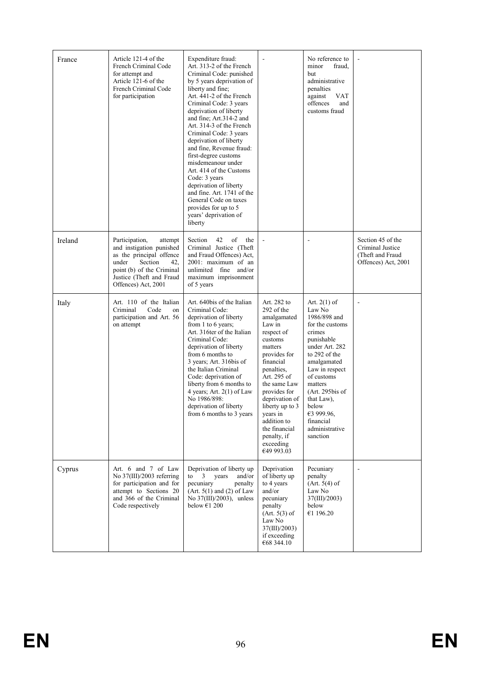| France  | Article 121-4 of the<br>French Criminal Code<br>for attempt and<br>Article 121-6 of the<br>French Criminal Code<br>for participation                                                         | Expenditure fraud:<br>Art. 313-2 of the French<br>Criminal Code: punished<br>by 5 years deprivation of<br>liberty and fine:<br>Art. 441-2 of the French<br>Criminal Code: 3 years<br>deprivation of liberty<br>and fine; Art.314-2 and<br>Art. 314-3 of the French<br>Criminal Code: 3 years<br>deprivation of liberty<br>and fine, Revenue fraud:<br>first-degree customs<br>misdemeanour under<br>Art. 414 of the Customs<br>Code: 3 years<br>deprivation of liberty<br>and fine. Art. 1741 of the<br>General Code on taxes<br>provides for up to 5<br>years' deprivation of<br>liberty |                                                                                                                                                                                                                                                                                                             | No reference to<br>minor<br>fraud.<br>but<br>administrative<br>penalties<br>against<br>VAT<br>offences<br>and<br>customs fraud                                                                                                                                                         |                                                                                  |
|---------|----------------------------------------------------------------------------------------------------------------------------------------------------------------------------------------------|-------------------------------------------------------------------------------------------------------------------------------------------------------------------------------------------------------------------------------------------------------------------------------------------------------------------------------------------------------------------------------------------------------------------------------------------------------------------------------------------------------------------------------------------------------------------------------------------|-------------------------------------------------------------------------------------------------------------------------------------------------------------------------------------------------------------------------------------------------------------------------------------------------------------|----------------------------------------------------------------------------------------------------------------------------------------------------------------------------------------------------------------------------------------------------------------------------------------|----------------------------------------------------------------------------------|
| Ireland | Participation,<br>attempt<br>and instigation punished<br>as the principal offence<br>under<br>Section<br>42.<br>point (b) of the Criminal<br>Justice (Theft and Fraud<br>Offences) Act, 2001 | 42<br>of<br>Section<br>the<br>Criminal Justice (Theft<br>and Fraud Offences) Act,<br>2001: maximum of an<br>unlimited fine and/or<br>maximum imprisonment<br>of 5 years                                                                                                                                                                                                                                                                                                                                                                                                                   |                                                                                                                                                                                                                                                                                                             | ÷,                                                                                                                                                                                                                                                                                     | Section 45 of the<br>Criminal Justice<br>(Theft and Fraud<br>Offences) Act, 2001 |
| Italy   | Art. 110 of the Italian<br>Criminal<br>Code<br>on<br>participation and Art. 56<br>on attempt                                                                                                 | Art. 640bis of the Italian<br>Criminal Code:<br>deprivation of liberty<br>from $1$ to $6$ years;<br>Art. 316ter of the Italian<br>Criminal Code:<br>deprivation of liberty<br>from 6 months to<br>3 years; Art. 316bis of<br>the Italian Criminal<br>Code: deprivation of<br>liberty from 6 months to<br>4 years; Art. 2(1) of Law<br>No 1986/898:<br>deprivation of liberty<br>from 6 months to 3 years                                                                                                                                                                                  | Art. 282 to<br>292 of the<br>amalgamated<br>Law in<br>respect of<br>customs<br>matters<br>provides for<br>financial<br>penalties,<br>Art. 295 of<br>the same Law<br>provides for<br>deprivation of<br>liberty up to 3<br>years in<br>addition to<br>the financial<br>penalty, if<br>exceeding<br>€49 993.03 | Art. $2(1)$ of<br>Law No<br>1986/898 and<br>for the customs<br>crimes<br>punishable<br>under Art. 282<br>to 292 of the<br>amalgamated<br>Law in respect<br>of customs<br>matters<br>$(Art. 295$ bis of<br>that Law),<br>below<br>€3 999.96,<br>financial<br>administrative<br>sanction |                                                                                  |
| Cyprus  | Art. 6 and 7 of Law<br>No $37(III)/2003$ referring<br>for participation and for<br>attempt to Sections 20<br>and 366 of the Criminal<br>Code respectively                                    | Deprivation of liberty up<br>to<br>years<br>and/or<br>3<br>pecuniary<br>penalty<br>(Art. 5(1) and (2) of Law)<br>No $37(III)/2003$ ), unless<br>below $61200$                                                                                                                                                                                                                                                                                                                                                                                                                             | Deprivation<br>of liberty up<br>to 4 years<br>and/or<br>pecuniary<br>penalty<br>(Art. 5(3) of)<br>Law No<br>37(III)/2003)<br>if exceeding<br>€68 344.10                                                                                                                                                     | Pecuniary<br>penalty<br>(Art. 5(4) of<br>Law No<br>37(III)/2003)<br>below<br>€1 196.20                                                                                                                                                                                                 |                                                                                  |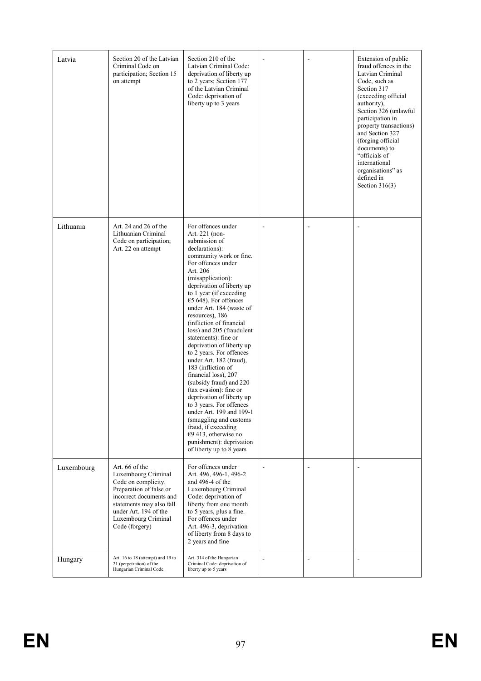| Latvia     | Section 20 of the Latvian<br>Criminal Code on<br>participation; Section 15<br>on attempt                                                                                                                         | Section 210 of the<br>Latvian Criminal Code:<br>deprivation of liberty up<br>to 2 years; Section 177<br>of the Latvian Criminal<br>Code: deprivation of<br>liberty up to 3 years                                                                                                                                                                                                                                                                                                                                                                                                                                                                                                                                                                                                         |                          |                          | Extension of public<br>fraud offences in the<br>Latvian Criminal<br>Code, such as<br>Section 317<br>(exceeding official<br>authority),<br>Section 326 (unlawful<br>participation in<br>property transactions)<br>and Section 327<br>(forging official<br>documents) to<br>"officials of<br>international<br>organisations" as<br>defined in<br>Section $316(3)$ |
|------------|------------------------------------------------------------------------------------------------------------------------------------------------------------------------------------------------------------------|------------------------------------------------------------------------------------------------------------------------------------------------------------------------------------------------------------------------------------------------------------------------------------------------------------------------------------------------------------------------------------------------------------------------------------------------------------------------------------------------------------------------------------------------------------------------------------------------------------------------------------------------------------------------------------------------------------------------------------------------------------------------------------------|--------------------------|--------------------------|-----------------------------------------------------------------------------------------------------------------------------------------------------------------------------------------------------------------------------------------------------------------------------------------------------------------------------------------------------------------|
| Lithuania  | Art. 24 and 26 of the<br>Lithuanian Criminal<br>Code on participation;<br>Art. 22 on attempt                                                                                                                     | For offences under<br>Art. 221 (non-<br>submission of<br>declarations):<br>community work or fine.<br>For offences under<br>Art. 206<br>(misapplication):<br>deprivation of liberty up<br>to 1 year (if exceeding<br>€5 648). For offences<br>under Art. 184 (waste of<br>resources), 186<br>(infliction of financial<br>loss) and 205 (fraudulent<br>statements): fine or<br>deprivation of liberty up<br>to 2 years. For offences<br>under Art. 182 (fraud),<br>183 (infliction of<br>financial loss), 207<br>(subsidy fraud) and 220<br>(tax evasion): fine or<br>deprivation of liberty up<br>to 3 years. For offences<br>under Art. 199 and 199-1<br>(smuggling and customs)<br>fraud, if exceeding<br>€9 413, otherwise no<br>punishment): deprivation<br>of liberty up to 8 years |                          |                          |                                                                                                                                                                                                                                                                                                                                                                 |
| Luxembourg | Art. 66 of the<br>Luxembourg Criminal<br>Code on complicity.<br>Preparation of false or<br>incorrect documents and<br>statements may also fall<br>under Art. 194 of the<br>Luxembourg Criminal<br>Code (forgery) | For offences under<br>Art. 496, 496-1, 496-2<br>and 496-4 of the<br>Luxembourg Criminal<br>Code: deprivation of<br>liberty from one month<br>to 5 years, plus a fine.<br>For offences under<br>Art. 496-3, deprivation<br>of liberty from 8 days to<br>2 years and fine                                                                                                                                                                                                                                                                                                                                                                                                                                                                                                                  | $\overline{\phantom{a}}$ | $\overline{\phantom{a}}$ |                                                                                                                                                                                                                                                                                                                                                                 |
| Hungary    | Art. 16 to 18 (attempt) and 19 to<br>21 (perpetration) of the<br>Hungarian Criminal Code.                                                                                                                        | Art. 314 of the Hungarian<br>Criminal Code: deprivation of<br>liberty up to 5 years                                                                                                                                                                                                                                                                                                                                                                                                                                                                                                                                                                                                                                                                                                      |                          | $\overline{a}$           |                                                                                                                                                                                                                                                                                                                                                                 |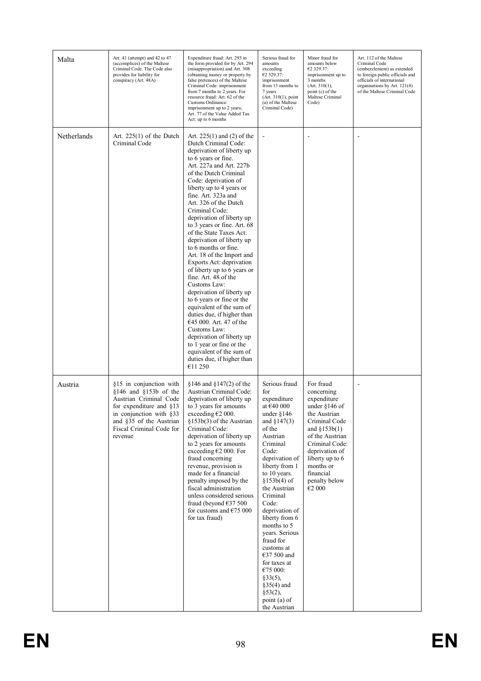| Malta       | Art. 41 (attempt) and 42 to 47<br>(accomplices) of the Maltese<br>Criminal Code. The Code also<br>provides for liability for<br>conspiracy (Art. 48A)                                                     | Expenditure fraud: Art. 293 in<br>the form provided for by Art. 294<br>(misappropriation) and Art. 308<br>(obtaining money or property by<br>false pretences) of the Maltese<br>Criminal Code: imprisonment<br>from 7 months to 2 years. For<br>resource fraud: Art. 62 of the<br>Customs Ordinance:<br>imprisonment up to 2 years;<br>Art. 77 of the Value Added Tax<br>Act: up to 6 months                                                                                                                                                                                                                                                                                                                                                                                                                                                                | Serious fraud for<br>amounts<br>exceeding<br>€2 329.37:<br>imprisonment<br>from 13 months to<br>7 years<br>(Art. 310(1), point)<br>(a) of the Maltese<br>Criminal Code)                                                                                                                                                                                                                                                                                   | Minor fraud for<br>amounts below<br>€2 329.37:<br>imprisonment up to<br>3 months<br>(Art. 310(1),<br>point (c) of the<br>Maltese Criminal<br>Code)                                                                                          | Art. 112 of the Maltese<br>Criminal Code<br>(embezzlement) as extended<br>to foreign public officials and<br>officials of international<br>organisations by Art. 121(4)<br>of the Maltese Criminal Code |
|-------------|-----------------------------------------------------------------------------------------------------------------------------------------------------------------------------------------------------------|-------------------------------------------------------------------------------------------------------------------------------------------------------------------------------------------------------------------------------------------------------------------------------------------------------------------------------------------------------------------------------------------------------------------------------------------------------------------------------------------------------------------------------------------------------------------------------------------------------------------------------------------------------------------------------------------------------------------------------------------------------------------------------------------------------------------------------------------------------------|-----------------------------------------------------------------------------------------------------------------------------------------------------------------------------------------------------------------------------------------------------------------------------------------------------------------------------------------------------------------------------------------------------------------------------------------------------------|---------------------------------------------------------------------------------------------------------------------------------------------------------------------------------------------------------------------------------------------|---------------------------------------------------------------------------------------------------------------------------------------------------------------------------------------------------------|
| Netherlands | Art. $225(1)$ of the Dutch<br>Criminal Code                                                                                                                                                               | Art. $225(1)$ and (2) of the<br>Dutch Criminal Code:<br>deprivation of liberty up<br>to 6 years or fine.<br>Art. 227a and Art. 227b<br>of the Dutch Criminal<br>Code: deprivation of<br>liberty up to 4 years or<br>fine. Art. 323a and<br>Art. 326 of the Dutch<br>Criminal Code:<br>deprivation of liberty up<br>to 3 years or fine. Art. 68<br>of the State Taxes Act:<br>deprivation of liberty up<br>to 6 months or fine.<br>Art. 18 of the Import and<br>Exports Act: deprivation<br>of liberty up to 6 years or<br>fine. Art. 48 of the<br>Customs Law:<br>deprivation of liberty up<br>to 6 years or fine or the<br>equivalent of the sum of<br>duties due, if higher than<br>€45 000. Art. 47 of the<br>Customs Law:<br>deprivation of liberty up<br>to 1 year or fine or the<br>equivalent of the sum of<br>duties due, if higher than<br>€11 250 |                                                                                                                                                                                                                                                                                                                                                                                                                                                           |                                                                                                                                                                                                                                             |                                                                                                                                                                                                         |
| Austria     | §15 in conjunction with<br>$$146$ and $$153b$ of the<br>Austrian Criminal Code<br>for expenditure and §13<br>in conjunction with $§$ 33<br>and §35 of the Austrian<br>Fiscal Criminal Code for<br>revenue | $$146$ and $$147(2)$ of the<br>Austrian Criminal Code:<br>deprivation of liberty up<br>to 3 years for amounts<br>exceeding €2 000.<br>§153b(3) of the Austrian<br>Criminal Code:<br>deprivation of liberty up<br>to 2 years for amounts<br>exceeding $€2 000$ . For<br>fraud concerning<br>revenue, provision is<br>made for a financial<br>penalty imposed by the<br>fiscal administration<br>unless considered serious<br>fraud (beyond $€37500$<br>for customs and $€75000$<br>for tax fraud)                                                                                                                                                                                                                                                                                                                                                            | Serious fraud<br>for<br>expenditure<br>at $€40000$<br>under $§146$<br>and $$147(3)$<br>of the<br>Austrian<br>Criminal<br>Code:<br>deprivation of<br>liberty from 1<br>to 10 years.<br>$$153b(4)$ of<br>the Austrian<br>Criminal<br>Code:<br>deprivation of<br>liberty from 6<br>months to 5<br>years. Serious<br>fraud for<br>customs at<br>€37 500 and<br>for taxes at<br>€75 000:<br>§33(5),<br>$§35(4)$ and<br>§53(2),<br>point (a) of<br>the Austrian | For fraud<br>concerning<br>expenditure<br>under $§146$ of<br>the Austrian<br>Criminal Code<br>and $$153b(1)$<br>of the Austrian<br>Criminal Code:<br>deprivation of<br>liberty up to 6<br>months or<br>financial<br>penalty below<br>€2 000 |                                                                                                                                                                                                         |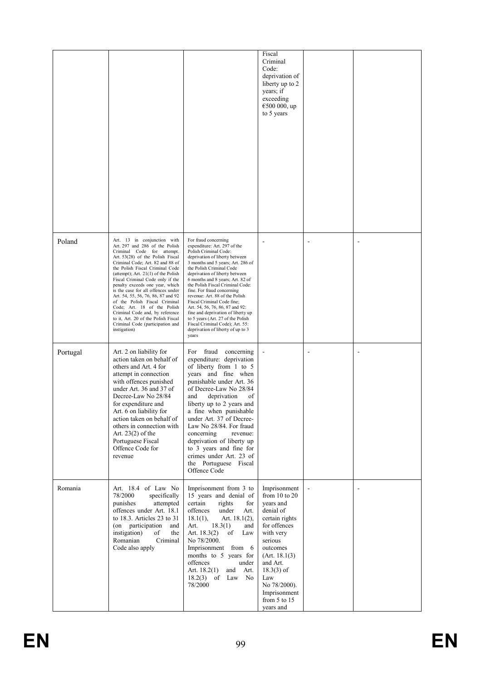|          |                                                                                                                                                                                                                                                                                                                                                                                                                                                                                                                                                                                                  |                                                                                                                                                                                                                                                                                                                                                                                                                                                                                                                                                                                         | Fiscal<br>Criminal<br>Code:<br>deprivation of<br>liberty up to 2<br>years; if<br>exceeding<br>€500 000, up<br>to 5 years                                                                                                                            |    |  |
|----------|--------------------------------------------------------------------------------------------------------------------------------------------------------------------------------------------------------------------------------------------------------------------------------------------------------------------------------------------------------------------------------------------------------------------------------------------------------------------------------------------------------------------------------------------------------------------------------------------------|-----------------------------------------------------------------------------------------------------------------------------------------------------------------------------------------------------------------------------------------------------------------------------------------------------------------------------------------------------------------------------------------------------------------------------------------------------------------------------------------------------------------------------------------------------------------------------------------|-----------------------------------------------------------------------------------------------------------------------------------------------------------------------------------------------------------------------------------------------------|----|--|
| Poland   | Art. 13 in conjunction with<br>Art. 297 and 286 of the Polish<br>Criminal Code for attempt.<br>Art. 53(28) of the Polish Fiscal<br>Criminal Code; Art. 82 and 88 of<br>the Polish Fiscal Criminal Code<br>(attempt); Art. $21(1)$ of the Polish<br>Fiscal Criminal Code only if the<br>penalty exceeds one year, which<br>is the case for all offences under<br>Art. 54, 55, 56, 76, 86, 87 and 92<br>of the Polish Fiscal Criminal<br>Code; Art. 18 of the Polish<br>Criminal Code and, by reference<br>to it, Art. 20 of the Polish Fiscal<br>Criminal Code (participation and<br>instigation) | For fraud concerning<br>expenditure: Art. 297 of the<br>Polish Criminal Code:<br>deprivation of liberty between<br>3 months and 5 years; Art. 286 of<br>the Polish Criminal Code<br>deprivation of liberty between<br>6 months and 8 years; Art. 82 of<br>the Polish Fiscal Criminal Code:<br>fine. For fraud concerning<br>revenue: Art. 88 of the Polish<br>Fiscal Criminal Code fine;<br>Art. 54, 56, 76, 86, 87 and 92:<br>fine and deprivation of liberty up<br>to 5 years (Art. 27 of the Polish<br>Fiscal Criminal Code); Art. 55:<br>deprivation of liberty of up to 3<br>years |                                                                                                                                                                                                                                                     |    |  |
| Portugal | Art. 2 on liability for<br>action taken on behalf of<br>others and Art. 4 for<br>attempt in connection<br>with offences punished<br>under Art. 36 and 37 of<br>Decree-Law No 28/84<br>for expenditure and<br>Art. 6 on liability for<br>action taken on behalf of<br>others in connection with<br>Art. $23(2)$ of the<br>Portuguese Fiscal<br>Offence Code for<br>revenue                                                                                                                                                                                                                        | fraud concerning<br>For<br>expenditure: deprivation<br>of liberty from 1 to 5<br>years and fine when<br>punishable under Art. 36<br>of Decree-Law No 28/84<br>deprivation<br>and<br>of<br>liberty up to 2 years and<br>a tine when punishable<br>under Art. 37 of Decree-<br>Law No 28/84. For fraud<br>concerning<br>revenue:<br>deprivation of liberty up<br>to 3 years and fine for<br>crimes under Art. 23 of<br>the Portuguese Fiscal<br>Offence Code                                                                                                                              |                                                                                                                                                                                                                                                     | ÷. |  |
| Romania  | Art. 18.4 of Law No<br>78/2000<br>specifically<br>punishes<br>attempted<br>offences under Art. 18.1<br>to $18.3$ . Articles $23$ to $31$<br>(on participation<br>and<br>instigation)<br>of<br>the<br>Romanian<br>Criminal<br>Code also apply                                                                                                                                                                                                                                                                                                                                                     | Imprisonment from 3 to<br>15 years and denial of<br>certain<br>rights<br>for<br>offences<br>under<br>Art.<br>$18.1(1)$ ,<br>Art. $18.1(2)$ ,<br>Art.<br>18.3(1)<br>and<br>Art. $18.3(2)$<br>of<br>Law<br>No 78/2000.<br>Imprisonment from 6<br>months to 5 years for<br>offences<br>under<br>Art. $18.2(1)$<br>and<br>Art.<br>18.2(3)<br>of Law<br>No<br>78/2000                                                                                                                                                                                                                        | Imprisonment<br>from $10$ to $20$<br>years and<br>denial of<br>certain rights<br>for offences<br>with very<br>serious<br>outcomes<br>(Art. 18.1(3))<br>and Art.<br>$18.3(3)$ of<br>Law<br>No 78/2000).<br>Imprisonment<br>from 5 to 15<br>vears and |    |  |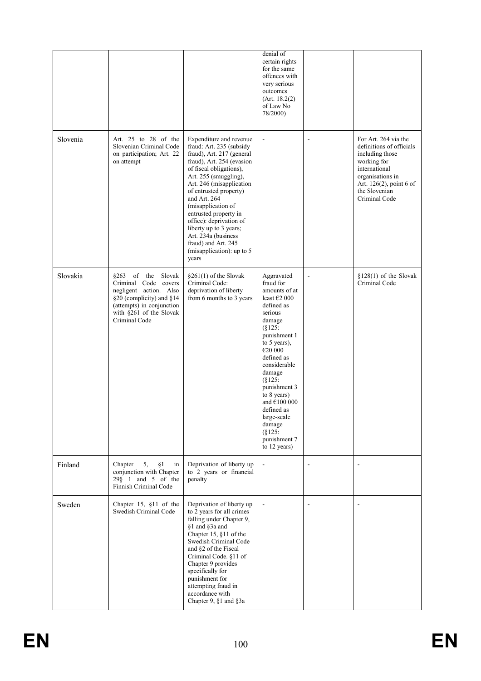|          |                                                                                                                                                                                |                                                                                                                                                                                                                                                                                                                                                                                                                                 | denial of<br>certain rights<br>for the same<br>offences with<br>very serious<br>outcomes<br>(Art. 18.2(2))<br>of Law No<br>78/2000)                                                                                                                                                                                                                   |                          |                                                                                                                                                                                      |
|----------|--------------------------------------------------------------------------------------------------------------------------------------------------------------------------------|---------------------------------------------------------------------------------------------------------------------------------------------------------------------------------------------------------------------------------------------------------------------------------------------------------------------------------------------------------------------------------------------------------------------------------|-------------------------------------------------------------------------------------------------------------------------------------------------------------------------------------------------------------------------------------------------------------------------------------------------------------------------------------------------------|--------------------------|--------------------------------------------------------------------------------------------------------------------------------------------------------------------------------------|
| Slovenia | Art. 25 to 28 of the<br>Slovenian Criminal Code<br>on participation; Art. 22<br>on attempt                                                                                     | Expenditure and revenue<br>fraud: Art. 235 (subsidy<br>fraud), Art. 217 (general<br>fraud), Art. 254 (evasion<br>of fiscal obligations),<br>Art. 255 (smuggling),<br>Art. 246 (misapplication<br>of entrusted property)<br>and Art. 264<br>(misapplication of<br>entrusted property in<br>office): deprivation of<br>liberty up to 3 years;<br>Art. 234a (business<br>fraud) and Art. 245<br>(misapplication): up to 5<br>years |                                                                                                                                                                                                                                                                                                                                                       | $\overline{a}$           | For Art. 264 via the<br>definitions of officials<br>including those<br>working for<br>international<br>organisations in<br>Art. 126(2), point 6 of<br>the Slovenian<br>Criminal Code |
| Slovakia | $8263$ of the<br>Slovak<br>Criminal Code covers<br>negligent action. Also<br>§20 (complicity) and §14<br>(attempts) in conjunction<br>with §261 of the Slovak<br>Criminal Code | $$261(1)$ of the Slovak<br>Criminal Code:<br>deprivation of liberty<br>from 6 months to 3 years                                                                                                                                                                                                                                                                                                                                 | Aggravated<br>fraud for<br>amounts of at<br>least $\epsilon$ 2 000<br>defined as<br>serious<br>damage<br>(S125)<br>punishment 1<br>to 5 years),<br>€20 000<br>defined as<br>considerable<br>damage<br>$(\S 125)$<br>punishment 3<br>to 8 years)<br>and $€100000$<br>defined as<br>large-scale<br>damage<br>$(8125)$ :<br>punishment 7<br>to 12 years) | $\overline{\phantom{a}}$ | $$128(1)$ of the Slovak<br>Criminal Code                                                                                                                                             |
| Finland  | Chapter<br>5,<br>§1<br>in<br>conjunction with Chapter<br>$29\S$ 1 and 5 of the<br>Finnish Criminal Code                                                                        | Deprivation of liberty up<br>to 2 years or financial<br>penalty                                                                                                                                                                                                                                                                                                                                                                 |                                                                                                                                                                                                                                                                                                                                                       | $\blacksquare$           | $\blacksquare$                                                                                                                                                                       |
| Sweden   | Chapter 15, §11 of the<br>Swedish Criminal Code                                                                                                                                | Deprivation of liberty up<br>to 2 years for all crimes<br>falling under Chapter 9,<br>§1 and §3a and<br>Chapter 15, §11 of the<br>Swedish Criminal Code<br>and §2 of the Fiscal<br>Criminal Code. §11 of<br>Chapter 9 provides<br>specifically for<br>punishment for<br>attempting fraud in<br>accordance with<br>Chapter 9, §1 and §3a                                                                                         |                                                                                                                                                                                                                                                                                                                                                       | $\overline{a}$           |                                                                                                                                                                                      |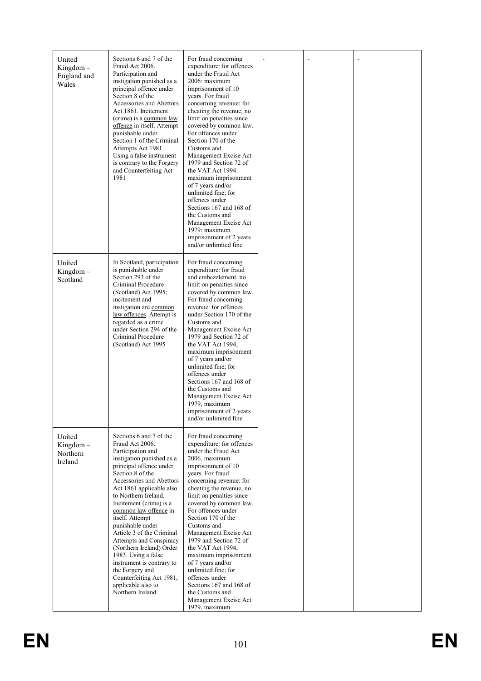| United<br>$Kingdom -$<br>England and<br>Wales | Sections 6 and 7 of the<br>Fraud Act 2006.<br>Participation and<br>instigation punished as a<br>principal offence under<br>Section 8 of the<br>Accessories and Abettors<br>Act 1861. Incitement<br>(crime) is a common law<br>offence in itself. Attempt<br>punishable under<br>Section 1 of the Criminal<br>Attempts Act 1981.<br>Using a false instrument<br>is contrary to the Forgery<br>and Counterfeiting Act<br>1981                                                                                                                             | For fraud concerning<br>expenditure: for offences<br>under the Fraud Act<br>2006: maximum<br>imprisonment of 10<br>vears. For fraud<br>concerning revenue: for<br>cheating the revenue, no<br>limit on penalties since<br>covered by common law.<br>For offences under<br>Section 170 of the<br>Customs and<br>Management Excise Act<br>1979 and Section 72 of<br>the VAT Act 1994:<br>maximum imprisonment<br>of 7 years and/or<br>unlimited fine; for<br>offences under<br>Sections 167 and 168 of<br>the Customs and<br>Management Excise Act<br>1979: maximum<br>imprisonment of 2 years<br>and/or unlimited fine |  |  |
|-----------------------------------------------|---------------------------------------------------------------------------------------------------------------------------------------------------------------------------------------------------------------------------------------------------------------------------------------------------------------------------------------------------------------------------------------------------------------------------------------------------------------------------------------------------------------------------------------------------------|-----------------------------------------------------------------------------------------------------------------------------------------------------------------------------------------------------------------------------------------------------------------------------------------------------------------------------------------------------------------------------------------------------------------------------------------------------------------------------------------------------------------------------------------------------------------------------------------------------------------------|--|--|
| United<br>Kingdom-<br>Scotland                | In Scotland, participation<br>is punishable under<br>Section 293 of the<br>Criminal Procedure<br>(Scotland) Act 1995;<br>incitement and<br>instigation are common<br>law offences. Attempt is<br>regarded as a crime<br>under Section 294 of the<br>Criminal Procedure<br>(Scotland) Act 1995                                                                                                                                                                                                                                                           | For fraud concerning<br>expenditure: for fraud<br>and embezzlement, no<br>limit on penalties since<br>covered by common law.<br>For fraud concerning<br>revenue: for offences<br>under Section 170 of the<br>Customs and<br>Management Excise Act<br>1979 and Section 72 of<br>the VAT Act 1994,<br>maximum imprisonment<br>of 7 years and/or<br>unlimited fine; for<br>offences under<br>Sections 167 and 168 of<br>the Customs and<br>Management Excise Act<br>1979, maximum<br>imprisonment of 2 years<br>and/or unlimited fine                                                                                    |  |  |
| United<br>Kingdom-<br>Northern<br>Ireland     | Sections 6 and 7 of the<br>Fraud Act 2006.<br>Participation and<br>instigation punished as a<br>principal offence under<br>Section 8 of the<br>Accessories and Abettors<br>Act 1861 applicable also<br>to Northern Ireland.<br>Incitement (crime) is a<br>common law offence in<br>itself. Attempt<br>punishable under<br>Article 3 of the Criminal<br>Attempts and Conspiracy<br>(Northern Ireland) Order<br>1983. Using a false<br>instrument is contrary to<br>the Forgery and<br>Counterfeiting Act 1981,<br>applicable also to<br>Northern Ireland | For fraud concerning<br>expenditure: for offences<br>under the Fraud Act<br>2006, maximum<br>imprisonment of 10<br>years. For fraud<br>concerning revenue: for<br>cheating the revenue, no<br>limit on penalties since<br>covered by common law.<br>For offences under<br>Section 170 of the<br>Customs and<br>Management Excise Act<br>1979 and Section 72 of<br>the VAT Act 1994,<br>maximum imprisonment<br>of 7 years and/or<br>unlimited fine; for<br>offences under<br>Sections 167 and 168 of<br>the Customs and<br>Management Excise Act<br>1979, maximum                                                     |  |  |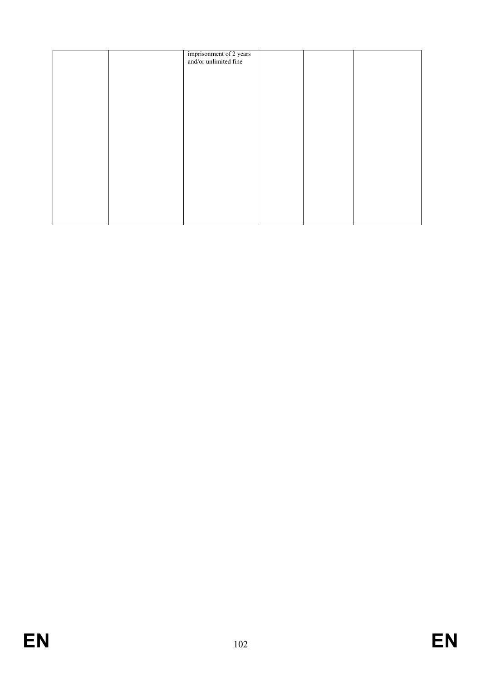| imprisonment of 2 years<br>and/or unlimited fine |  |  |
|--------------------------------------------------|--|--|
|                                                  |  |  |
|                                                  |  |  |
|                                                  |  |  |
|                                                  |  |  |
|                                                  |  |  |
|                                                  |  |  |
|                                                  |  |  |
|                                                  |  |  |
|                                                  |  |  |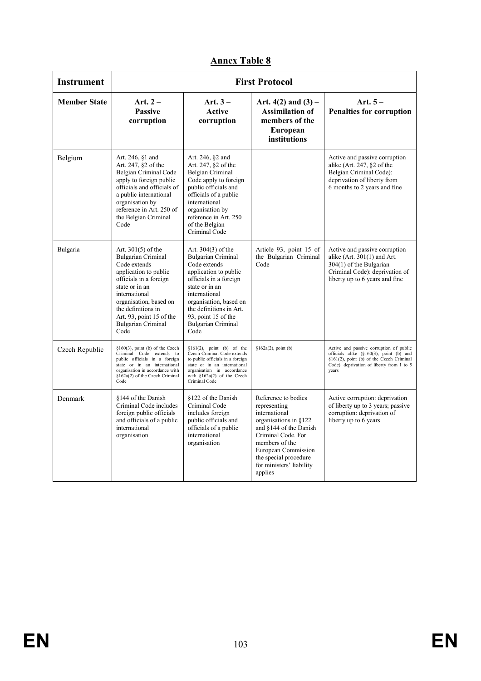| <b>Instrument</b>   | <b>First Protocol</b>                                                                                                                                                                                                                                                      |                                                                                                                                                                                                                                                                 |                                                                                                                                                                                                                                        |                                                                                                                                                                                      |  |
|---------------------|----------------------------------------------------------------------------------------------------------------------------------------------------------------------------------------------------------------------------------------------------------------------------|-----------------------------------------------------------------------------------------------------------------------------------------------------------------------------------------------------------------------------------------------------------------|----------------------------------------------------------------------------------------------------------------------------------------------------------------------------------------------------------------------------------------|--------------------------------------------------------------------------------------------------------------------------------------------------------------------------------------|--|
| <b>Member State</b> | Art. $2-$<br><b>Passive</b><br>corruption                                                                                                                                                                                                                                  | Art. $3-$<br>Active<br>corruption                                                                                                                                                                                                                               | Art. $4(2)$ and $(3)$ –<br><b>Assimilation of</b><br>members of the<br><b>European</b><br>institutions                                                                                                                                 | Art. $5-$<br><b>Penalties for corruption</b>                                                                                                                                         |  |
| Belgium             | Art. 246, §1 and<br>Art. 247, §2 of the<br>Belgian Criminal Code<br>apply to foreign public<br>officials and officials of<br>a public international<br>organisation by<br>reference in Art. 250 of<br>the Belgian Criminal<br>Code                                         | Art. 246, §2 and<br>Art. 247, §2 of the<br><b>Belgian Criminal</b><br>Code apply to foreign<br>public officials and<br>officials of a public<br>international<br>organisation by<br>reference in Art. 250<br>of the Belgian<br>Criminal Code                    |                                                                                                                                                                                                                                        | Active and passive corruption<br>alike (Art. $247,$ $\S$ 2 of the<br>Belgian Criminal Code):<br>deprivation of liberty from<br>6 months to 2 years and fine                          |  |
| Bulgaria            | Art. $301(5)$ of the<br><b>Bulgarian Criminal</b><br>Code extends<br>application to public<br>officials in a foreign<br>state or in an<br>international<br>organisation, based on<br>the definitions in<br>Art. 93, point $15$ of the<br><b>Bulgarian Criminal</b><br>Code | Art. 304(3) of the<br>Bulgarian Criminal<br>Code extends<br>application to public<br>officials in a foreign<br>state or in an<br>international<br>organisation, based on<br>the definitions in Art.<br>93, point 15 of the<br><b>Bulgarian Criminal</b><br>Code | Article 93, point 15 of<br>the Bulgarian Criminal<br>Code                                                                                                                                                                              | Active and passive corruption<br>alike $(Art. 301(1)$ and Art.<br>$304(1)$ of the Bulgarian<br>Criminal Code): deprivation of<br>liberty up to 6 years and fine                      |  |
| Czech Republic      | $§160(3)$ , point (b) of the Czech<br>Criminal Code extends to<br>public officials in a foreign<br>state or in an international<br>organisation in accordance with<br>§162a(2) of the Czech Criminal<br>Code                                                               | $§161(2)$ , point (b) of the<br>Czech Criminal Code extends<br>to public officials in a foreign<br>state or in an international<br>organisation in accordance<br>with $$162a(2)$ of the Czech<br>Criminal Code                                                  | $§162a(2)$ , point (b)                                                                                                                                                                                                                 | Active and passive corruption of public<br>officials alike (§160(3), point (b) and<br>§161(2), point (b) of the Czech Criminal<br>Code): deprivation of liberty from 1 to 5<br>vears |  |
| Denmark             | §144 of the Danish<br>Criminal Code includes<br>foreign public officials<br>and officials of a public<br>international<br>organisation                                                                                                                                     | §122 of the Danish<br>Criminal Code<br>includes foreign<br>public officials and<br>officials of a public<br>international<br>organisation                                                                                                                       | Reference to bodies<br>representing<br>international<br>organisations in §122<br>and §144 of the Danish<br>Criminal Code. For<br>members of the<br>European Commission<br>the special procedure<br>for ministers' liability<br>applies | Active corruption: deprivation<br>of liberty up to 3 years; passive<br>corruption: deprivation of<br>liberty up to 6 years                                                           |  |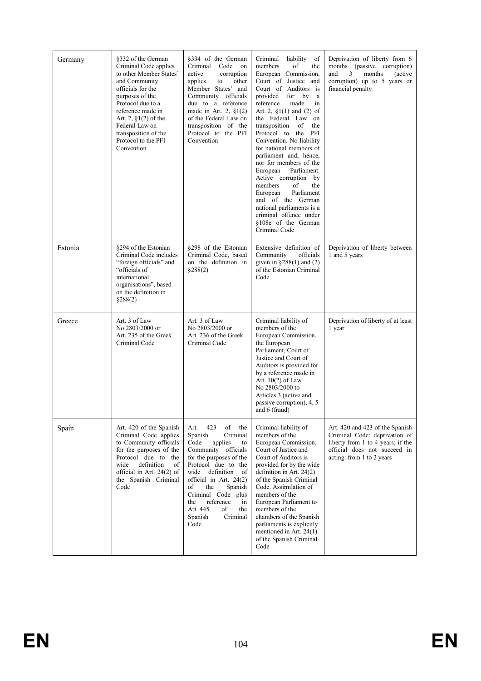| Germany | §332 of the German<br>Criminal Code applies<br>to other Member States'<br>and Community<br>officials for the<br>purposes of the<br>Protocol due to a<br>reference made in<br>Art. 2, $\S1(2)$ of the<br>Federal Law on<br>transposition of the<br>Protocol to the PFI<br>Convention | §334 of the German<br>Criminal<br>Code<br>on<br>active<br>corruption<br>applies<br>other<br>to<br>Member States' and<br>Community officials<br>due to a reference<br>made in Art. 2, $\S1(2)$<br>of the Federal Law on<br>transposition of the<br>Protocol to the PFI<br>Convention                                                     | Criminal<br>liability<br>of<br>members<br>the<br>of<br>European Commission,<br>Court of Justice and<br>Court of Auditors is<br>provided<br>for<br>by<br>a<br>reference<br>made<br>in<br>Art. 2, $\S1(1)$ and (2) of<br>the Federal Law on<br>transposition<br>of<br>the<br>Protocol to the PFI<br>Convention. No liability<br>for national members of<br>parliament and, hence,<br>nor for members of the<br>European<br>Parliament.<br>Active corruption by<br>members<br>of<br>the<br>European<br>Parliament<br>and of the German<br>national parliaments is a<br>criminal offence under<br>§108e of the German<br>Criminal Code | Deprivation of liberty from 6<br>months (passive corruption)<br>months<br>and<br>3<br>(active)<br>corruption) up to $5$ years or<br>financial penalty              |
|---------|-------------------------------------------------------------------------------------------------------------------------------------------------------------------------------------------------------------------------------------------------------------------------------------|-----------------------------------------------------------------------------------------------------------------------------------------------------------------------------------------------------------------------------------------------------------------------------------------------------------------------------------------|------------------------------------------------------------------------------------------------------------------------------------------------------------------------------------------------------------------------------------------------------------------------------------------------------------------------------------------------------------------------------------------------------------------------------------------------------------------------------------------------------------------------------------------------------------------------------------------------------------------------------------|--------------------------------------------------------------------------------------------------------------------------------------------------------------------|
| Estonia | §294 of the Estonian<br>Criminal Code includes<br>"foreign officials" and<br>"officials of<br>international<br>organisations", based<br>on the definition in<br>$\S 288(2)$                                                                                                         | §298 of the Estonian<br>Criminal Code, based<br>on the definition in<br>\$288(2)                                                                                                                                                                                                                                                        | Extensive definition of<br>Community<br>officials<br>given in $\S 288(1)$ and (2)<br>of the Estonian Criminal<br>Code                                                                                                                                                                                                                                                                                                                                                                                                                                                                                                              | Deprivation of liberty between<br>1 and 5 years                                                                                                                    |
| Greece  | Art. 3 of Law<br>No 2803/2000 or<br>Art. 235 of the Greek<br>Criminal Code                                                                                                                                                                                                          | Art. 3 of Law<br>No 2803/2000 or<br>Art. 236 of the Greek<br>Criminal Code                                                                                                                                                                                                                                                              | Criminal liability of<br>members of the<br>European Commission,<br>the European<br>Parliament, Court of<br>Justice and Court of<br>Auditors is provided for<br>by a reference made in<br>Art. 10(2) of Law<br>No 2803/2000 to<br>Articles 3 (active and<br>passive corruption), 4, 5<br>and $6 \text{ (fraud)}$                                                                                                                                                                                                                                                                                                                    | Deprivation of liberty of at least<br>1 year                                                                                                                       |
| Spain   | Art. 420 of the Spanish<br>Criminal Code applies<br>to Community officials<br>for the purposes of the<br>Protocol due to the<br>wide<br>definition<br>of<br>official in Art. 24(2) of<br>the Spanish Criminal<br>Code                                                               | 423<br>of<br>Art.<br>the<br>Criminal<br>Spanish<br>Code<br>applies<br>to<br>Community officials<br>for the purposes of the<br>Protocol due to the<br>wide<br>definition<br>of<br>official in Art. 24(2)<br>of<br>the<br>Spanish<br>Criminal Code plus<br>reference<br>the<br>in<br>Art. 445<br>of<br>the<br>Spanish<br>Criminal<br>Code | Criminal liability of<br>members of the<br>European Commission,<br>Court of Justice and<br>Court of Auditors is<br>provided for by the wide<br>definition in Art. $24(2)$<br>of the Spanish Criminal<br>Code. Assimilation of<br>members of the<br>European Parliament to<br>members of the<br>chambers of the Spanish<br>parliaments is explicitly<br>mentioned in Art. $24(1)$<br>of the Spanish Criminal<br>Code                                                                                                                                                                                                                | Art. 420 and 423 of the Spanish<br>Criminal Code: deprivation of<br>liberty from 1 to 4 years; if the<br>official does not succeed in<br>acting: from 1 to 2 years |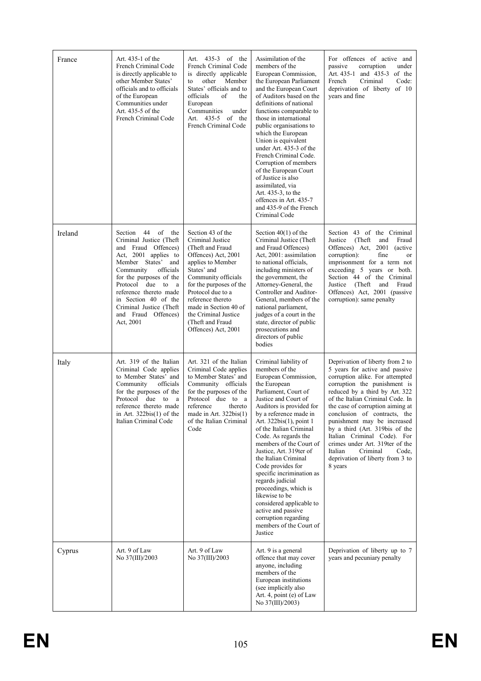| France  | Art. 435-1 of the<br>French Criminal Code<br>is directly applicable to<br>other Member States'<br>officials and to officials<br>of the European<br>Communities under<br>Art. 435-5 of the<br>French Criminal Code                                                                                                               | Art. 435-3 of the<br>French Criminal Code<br>is directly applicable<br>other<br>Member<br>to<br>States' officials and to<br>officials<br>of<br>the<br>European<br>Communities<br>under<br>Art. 435-5 of the<br>French Criminal Code                                                                          | Assimilation of the<br>members of the<br>European Commission,<br>the European Parliament<br>and the European Court<br>of Auditors based on the<br>definitions of national<br>functions comparable to<br>those in international<br>public organisations to<br>which the European<br>Union is equivalent<br>under Art. 435-3 of the<br>French Criminal Code.<br>Corruption of members<br>of the European Court<br>of Justice is also<br>assimilated, via<br>Art. 435-3, to the<br>offences in Art. 435-7<br>and 435-9 of the French<br>Criminal Code                                 | For offences of active and<br>corruption<br>passive<br>under<br>Art. 435-1 and 435-3 of the<br>Code:<br>French<br>Criminal<br>deprivation of liberty of 10<br>years and fine                                                                                                                                                                                                                                                                                                                      |
|---------|---------------------------------------------------------------------------------------------------------------------------------------------------------------------------------------------------------------------------------------------------------------------------------------------------------------------------------|--------------------------------------------------------------------------------------------------------------------------------------------------------------------------------------------------------------------------------------------------------------------------------------------------------------|------------------------------------------------------------------------------------------------------------------------------------------------------------------------------------------------------------------------------------------------------------------------------------------------------------------------------------------------------------------------------------------------------------------------------------------------------------------------------------------------------------------------------------------------------------------------------------|---------------------------------------------------------------------------------------------------------------------------------------------------------------------------------------------------------------------------------------------------------------------------------------------------------------------------------------------------------------------------------------------------------------------------------------------------------------------------------------------------|
| Ireland | 44<br>of<br>Section<br>the<br>Criminal Justice (Theft)<br>and Fraud Offences)<br>Act, 2001 applies to<br>Member States'<br>and<br>Community<br>officials<br>for the purposes of the<br>Protocol<br>due to<br>a<br>reference thereto made<br>in Section 40 of the<br>Criminal Justice (Theft<br>and Fraud Offences)<br>Act, 2001 | Section 43 of the<br>Criminal Justice<br>(Theft and Fraud<br>Offences) Act, 2001<br>applies to Member<br>States' and<br>Community officials<br>for the purposes of the<br>Protocol due to a<br>reference thereto<br>made in Section 40 of<br>the Criminal Justice<br>(Theft and Fraud<br>Offences) Act, 2001 | Section $40(1)$ of the<br>Criminal Justice (Theft)<br>and Fraud Offences)<br>Act, 2001: assimilation<br>to national officials,<br>including ministers of<br>the government, the<br>Attorney-General, the<br>Controller and Auditor-<br>General, members of the<br>national parliament,<br>judges of a court in the<br>state, director of public<br>prosecutions and<br>directors of public<br>bodies                                                                                                                                                                               | Section 43 of the Criminal<br>Justice<br>(Theft)<br>and<br>Fraud<br>Offences) Act,<br>2001<br><i>(active)</i><br>corruption):<br>fine<br>or<br>imprisonment for a term not<br>exceeding 5 years or both.<br>Section 44 of the Criminal<br>Justice (Theft<br>and<br>Fraud<br>Offences) Act, 2001 (passive<br>corruption): same penalty                                                                                                                                                             |
| Italy   | Art. 319 of the Italian<br>Criminal Code applies<br>to Member States' and<br>Community<br>officials<br>for the purposes of the<br>Protocol<br>due<br>to<br>a<br>reference thereto made<br>in Art. $322bis(1)$ of the<br>Italian Criminal Code                                                                                   | Art. 321 of the Italian<br>Criminal Code applies<br>to Member States' and<br>Community officials<br>for the purposes of the<br>Protocol due to a<br>reference<br>thereto<br>made in Art. $322bis(1)$<br>of the Italian Criminal<br>Code                                                                      | Criminal liability of<br>members of the<br>European Commission,<br>the European<br>Parliament, Court of<br>Justice and Court of<br>Auditors is provided for<br>by a reference made in<br>Art. 322bis(1), point 1<br>of the Italian Criminal<br>Code. As regards the<br>members of the Court of<br>Justice, Art. 319ter of<br>the Italian Criminal<br>Code provides for<br>specific incrimination as<br>regards judicial<br>proceedings, which is<br>likewise to be<br>considered applicable to<br>active and passive<br>corruption regarding<br>members of the Court of<br>Justice | Deprivation of liberty from 2 to<br>5 years for active and passive<br>corruption alike. For attempted<br>corruption the punishment is<br>reduced by a third by Art. 322<br>of the Italian Criminal Code. In<br>the case of corruption aiming at<br>conclusion of contracts, the<br>punishment may be increased<br>by a third (Art. 319bis of the<br>Italian Criminal Code). For<br>crimes under Art. 319ter of the<br>Criminal<br>Italian<br>Code.<br>deprivation of liberty from 3 to<br>8 years |
| Cyprus  | Art. 9 of Law<br>No 37(III)/2003                                                                                                                                                                                                                                                                                                | Art. 9 of Law<br>No 37(III)/2003                                                                                                                                                                                                                                                                             | Art. 9 is a general<br>offence that may cover<br>anyone, including<br>members of the<br>European institutions<br>(see implicitly also<br>Art. 4, point (e) of Law<br>No 37(III)/2003)                                                                                                                                                                                                                                                                                                                                                                                              | Deprivation of liberty up to 7<br>years and pecuniary penalty                                                                                                                                                                                                                                                                                                                                                                                                                                     |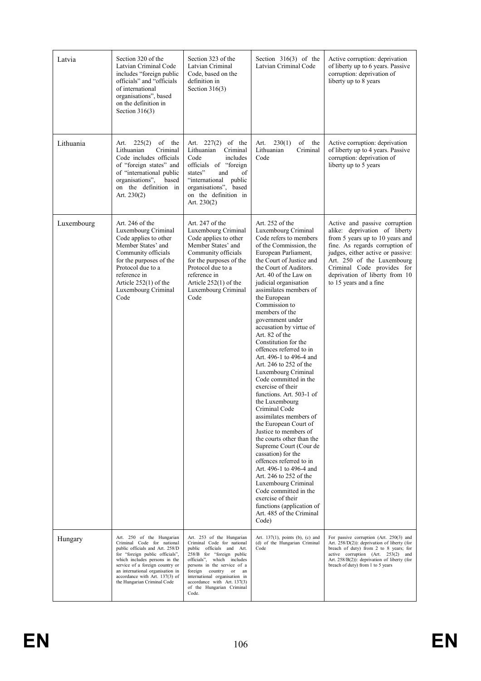| Latvia     | Section 320 of the<br>Latvian Criminal Code<br>includes "foreign public"<br>officials" and "officials<br>of international<br>organisations", based<br>on the definition in<br>Section $316(3)$                                                                                                         | Section 323 of the<br>Latvian Criminal<br>Code, based on the<br>definition in<br>Section $316(3)$                                                                                                                                                                                                             | Section $316(3)$ of the<br>Latvian Criminal Code                                                                                                                                                                                                                                                                                                                                                                                                                                                                                                                                                                                                                                                                                                                                                                                                                                                                                                                                                       | Active corruption: deprivation<br>of liberty up to 6 years. Passive<br>corruption: deprivation of<br>liberty up to 8 years                                                                                                                                                                       |
|------------|--------------------------------------------------------------------------------------------------------------------------------------------------------------------------------------------------------------------------------------------------------------------------------------------------------|---------------------------------------------------------------------------------------------------------------------------------------------------------------------------------------------------------------------------------------------------------------------------------------------------------------|--------------------------------------------------------------------------------------------------------------------------------------------------------------------------------------------------------------------------------------------------------------------------------------------------------------------------------------------------------------------------------------------------------------------------------------------------------------------------------------------------------------------------------------------------------------------------------------------------------------------------------------------------------------------------------------------------------------------------------------------------------------------------------------------------------------------------------------------------------------------------------------------------------------------------------------------------------------------------------------------------------|--------------------------------------------------------------------------------------------------------------------------------------------------------------------------------------------------------------------------------------------------------------------------------------------------|
| Lithuania  | 225(2)<br>of the<br>Art.<br>Lithuanian<br>Criminal<br>Code includes officials<br>of "foreign states" and<br>of "international public<br>organisations",<br>based<br>on the definition in<br>Art. $230(2)$                                                                                              | Art. $227(2)$ of the<br>Criminal<br>Lithuanian<br>Code<br>includes<br>officials of "foreign<br>states"<br>of<br>and<br>"international<br>public<br>organisations", based<br>on the definition in<br>Art. $230(2)$                                                                                             | of the<br>230(1)<br>Art.<br>Lithuanian<br>Criminal<br>Code                                                                                                                                                                                                                                                                                                                                                                                                                                                                                                                                                                                                                                                                                                                                                                                                                                                                                                                                             | Active corruption: deprivation<br>of liberty up to 4 years. Passive<br>corruption: deprivation of<br>liberty up to 5 years                                                                                                                                                                       |
| Luxembourg | Art. 246 of the<br>Luxembourg Criminal<br>Code applies to other<br>Member States' and<br>Community officials<br>for the purposes of the<br>Protocol due to a<br>reference in<br>Article $252(1)$ of the<br>Luxembourg Criminal<br>Code                                                                 | Art. 247 of the<br>Luxembourg Criminal<br>Code applies to other<br>Member States' and<br>Community officials<br>for the purposes of the<br>Protocol due to a<br>reference in<br>Article $252(1)$ of the<br>Luxembourg Criminal<br>Code                                                                        | Art. $252$ of the<br>Luxembourg Criminal<br>Code refers to members<br>of the Commission, the<br>European Parliament,<br>the Court of Justice and<br>the Court of Auditors.<br>Art. 40 of the Law on<br>judicial organisation<br>assimilates members of<br>the European<br>Commission to<br>members of the<br>government under<br>accusation by virtue of<br>Art. 82 of the<br>Constitution for the<br>offences referred to in<br>Art. 496-1 to 496-4 and<br>Art. 246 to 252 of the<br>Luxembourg Criminal<br>Code committed in the<br>exercise of their<br>functions. Art. 503-1 of<br>the Luxembourg<br>Criminal Code<br>assimilates members of<br>the European Court of<br>Justice to members of<br>the courts other than the<br>Supreme Court (Cour de<br>cassation) for the<br>offences referred to in<br>Art. 496-1 to 496-4 and<br>Art. 246 to 252 of the<br>Luxembourg Criminal<br>Code committed in the<br>exercise of their<br>functions (application of<br>Art. 485 of the Criminal<br>Code) | Active and passive corruption<br>alike: deprivation of liberty<br>from 5 years up to 10 years and<br>fine. As regards corruption of<br>judges, either active or passive:<br>Art. 250 of the Luxembourg<br>Criminal Code provides for<br>deprivation of liberty from 10<br>to 15 years and a fine |
| Hungary    | Art. 250 of the Hungarian<br>Criminal Code for national<br>public officials and Art. 258/D<br>for "foreign public officials",<br>which includes persons in the<br>service of a foreign country or<br>an international organisation in<br>accordance with Art. 137(3) of<br>the Hungarian Criminal Code | Art. 253 of the Hungarian<br>Criminal Code for national<br>public officials and Art.<br>258/B for "foreign public<br>officials", which includes<br>persons in the service of a<br>foreign country or an<br>international organisation in<br>accordance with Art. 137(3)<br>of the Hungarian Criminal<br>Code. | Art. 137(1), points (b), (c) and<br>(d) of the Hungarian Criminal<br>Code                                                                                                                                                                                                                                                                                                                                                                                                                                                                                                                                                                                                                                                                                                                                                                                                                                                                                                                              | For passive corruption (Art. 250(3) and<br>Art. 258/D(2)): deprivation of liberty (for<br>breach of duty) from 2 to 8 years; for<br>active corruption (Art. 253(2) and<br>Art. 258/B(2)): deprivation of liberty (for<br>breach of duty) from 1 to 5 years                                       |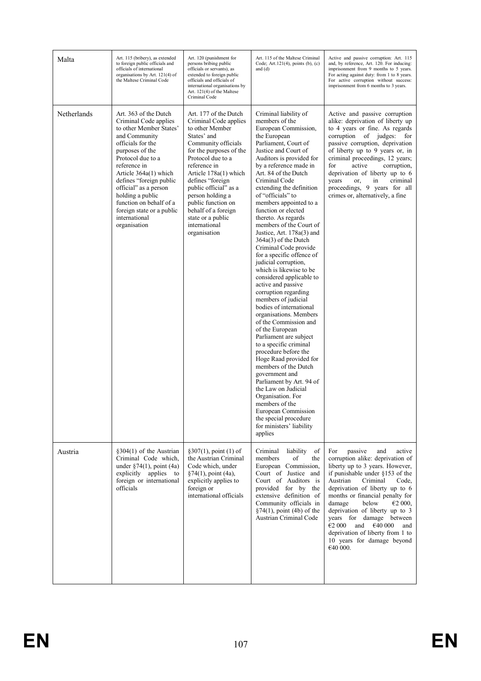| Malta       | Art. 115 (bribery), as extended<br>to foreign public officials and<br>officials of international<br>organisations by Art. 121(4) of<br>the Maltese Criminal Code                                                                                                                                                                                                  | Art. 120 (punishment for<br>persons bribing public<br>officials or servants), as<br>extended to foreign public<br>officials and officials of<br>international organisations by<br>Art. 121(4) of the Maltese<br>Criminal Code                                                                                                                                        | Art. 115 of the Maltese Criminal<br>Code; Art.121 $(4)$ , points $(b)$ , $(c)$<br>and $(d)$                                                                                                                                                                                                                                                                                                                                                                                                                                                                                                                                                                                                                                                                                                                                                                                                                                                                                                                                                                                           | Active and passive corruption: Art. 115<br>and, by reference, Art. 120. For inducing:<br>imprisonment from 9 months to 5 years.<br>For acting against duty: from 1 to 8 years.<br>For active corruption without success:<br>imprisonment from 6 months to 3 years.                                                                                                                                                                                           |
|-------------|-------------------------------------------------------------------------------------------------------------------------------------------------------------------------------------------------------------------------------------------------------------------------------------------------------------------------------------------------------------------|----------------------------------------------------------------------------------------------------------------------------------------------------------------------------------------------------------------------------------------------------------------------------------------------------------------------------------------------------------------------|---------------------------------------------------------------------------------------------------------------------------------------------------------------------------------------------------------------------------------------------------------------------------------------------------------------------------------------------------------------------------------------------------------------------------------------------------------------------------------------------------------------------------------------------------------------------------------------------------------------------------------------------------------------------------------------------------------------------------------------------------------------------------------------------------------------------------------------------------------------------------------------------------------------------------------------------------------------------------------------------------------------------------------------------------------------------------------------|--------------------------------------------------------------------------------------------------------------------------------------------------------------------------------------------------------------------------------------------------------------------------------------------------------------------------------------------------------------------------------------------------------------------------------------------------------------|
| Netherlands | Art. 363 of the Dutch<br>Criminal Code applies<br>to other Member States'<br>and Community<br>officials for the<br>purposes of the<br>Protocol due to a<br>reference in<br>Article 364a(1) which<br>defines "foreign public<br>official" as a person<br>holding a public<br>function on behalf of a<br>foreign state or a public<br>international<br>organisation | Art. 177 of the Dutch<br>Criminal Code applies<br>to other Member<br>States' and<br>Community officials<br>for the purposes of the<br>Protocol due to a<br>reference in<br>Article 178a(1) which<br>defines "foreign<br>public official" as a<br>person holding a<br>public function on<br>behalf of a foreign<br>state or a public<br>international<br>organisation | Criminal liability of<br>members of the<br>European Commission,<br>the European<br>Parliament, Court of<br>Justice and Court of<br>Auditors is provided for<br>by a reference made in<br>Art. 84 of the Dutch<br>Criminal Code<br>extending the definition<br>of "officials" to<br>members appointed to a<br>function or elected<br>thereto. As regards<br>members of the Court of<br>Justice, Art. 178a(3) and<br>$364a(3)$ of the Dutch<br>Criminal Code provide<br>for a specific offence of<br>judicial corruption,<br>which is likewise to be<br>considered applicable to<br>active and passive<br>corruption regarding<br>members of judicial<br>bodies of international<br>organisations. Members<br>of the Commission and<br>of the European<br>Parliament are subject<br>to a specific criminal<br>procedure before the<br>Hoge Raad provided for<br>members of the Dutch<br>government and<br>Parliament by Art. 94 of<br>the Law on Judicial<br>Organisation. For<br>members of the<br>European Commission<br>the special procedure<br>for ministers' liability<br>applies | Active and passive corruption<br>alike: deprivation of liberty up<br>to 4 years or fine. As regards<br>corruption<br>of judges:<br>for<br>passive corruption, deprivation<br>of liberty up to 9 years or, in<br>criminal proceedings, 12 years;<br>active<br>corruption,<br>for<br>deprivation of liberty up to 6<br>criminal<br>years<br>or.<br>in<br>proceedings, 9 years for all<br>crimes or, alternatively, a fine                                      |
| Austria     | §304(1) of the Austrian<br>Criminal Code which,<br>under $\S74(1)$ , point (4a)<br>explicitly applies<br>to<br>foreign or international<br>officials                                                                                                                                                                                                              | $§307(1)$ , point (1) of<br>the Austrian Criminal<br>Code which, under<br>$§74(1)$ , point (4a),<br>explicitly applies to<br>foreign or<br>international officials                                                                                                                                                                                                   | Criminal<br>liability<br>of<br>members<br>of<br>the<br>European Commission,<br>Court of Justice and<br>Court of Auditors is<br>provided for by the<br>extensive definition of<br>Community officials in<br>$\S 74(1)$ , point (4b) of the<br>Austrian Criminal Code                                                                                                                                                                                                                                                                                                                                                                                                                                                                                                                                                                                                                                                                                                                                                                                                                   | For<br>passive<br>and<br>active<br>corruption alike: deprivation of<br>liberty up to 3 years. However,<br>if punishable under §153 of the<br>Austrian<br>Criminal<br>Code.<br>deprivation of liberty up to 6<br>months or financial penalty for<br>below<br>damage<br>€2 000.<br>deprivation of liberty up to 3<br>years for damage between<br>€2 000<br>€40 000<br>and<br>and<br>deprivation of liberty from 1 to<br>10 years for damage beyond<br>€40 000. |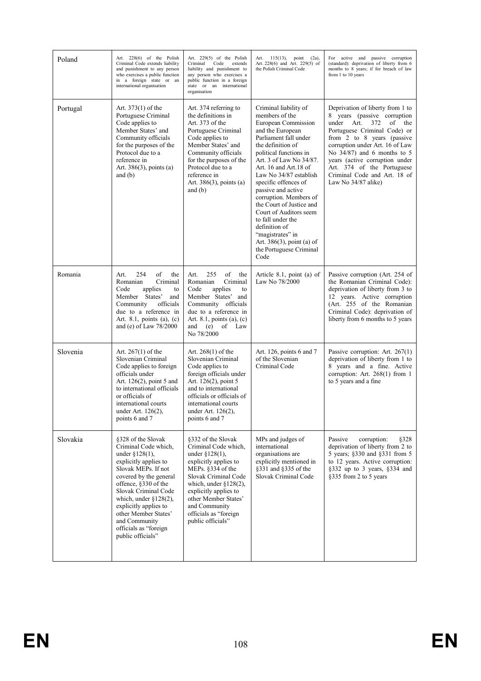| Poland   | Art. 228(6) of the Polish<br>Criminal Code extends liability<br>and punishment to any person<br>who exercises a public function<br>in a foreign state or an<br>international organisation                                                                                                                                             | Art. 229(5) of the Polish<br>Criminal<br>Code<br>extends<br>liability and punishment to<br>any person who exercises a<br>public function in a foreign<br>state or an international<br>organisation                                                                                | $115(13)$ , point $(2a)$ ,<br>Art.<br>Art. 228(6) and Art. 229(5) of<br>the Polish Criminal Code                                                                                                                                                                                                                                                                                                                                                                                                     | For active and passive corruption<br>(standard): deprivation of liberty from 6<br>months to 8 years; if for breach of law<br>from 1 to 10 years                                                                                                                                                                                                             |
|----------|---------------------------------------------------------------------------------------------------------------------------------------------------------------------------------------------------------------------------------------------------------------------------------------------------------------------------------------|-----------------------------------------------------------------------------------------------------------------------------------------------------------------------------------------------------------------------------------------------------------------------------------|------------------------------------------------------------------------------------------------------------------------------------------------------------------------------------------------------------------------------------------------------------------------------------------------------------------------------------------------------------------------------------------------------------------------------------------------------------------------------------------------------|-------------------------------------------------------------------------------------------------------------------------------------------------------------------------------------------------------------------------------------------------------------------------------------------------------------------------------------------------------------|
| Portugal | Art. 373(1) of the<br>Portuguese Criminal<br>Code applies to<br>Member States' and<br>Community officials<br>for the purposes of the<br>Protocol due to a<br>reference in<br>Art. $386(3)$ , points (a)<br>and $(b)$                                                                                                                  | Art. 374 referring to<br>the definitions in<br>Art. 373 of the<br>Portuguese Criminal<br>Code applies to<br>Member States' and<br>Community officials<br>for the purposes of the<br>Protocol due to a<br>reference in<br>Art. $386(3)$ , points (a)<br>and $(b)$                  | Criminal liability of<br>members of the<br>European Commission<br>and the European<br>Parliament fall under<br>the definition of<br>political functions in<br>Art. 3 of Law No 34/87.<br>Art. 16 and Art. 18 of<br>Law No 34/87 establish<br>specific offences of<br>passive and active<br>corruption. Members of<br>the Court of Justice and<br>Court of Auditors seem<br>to fall under the<br>definition of<br>"magistrates" in<br>Art. $386(3)$ , point (a) of<br>the Portuguese Criminal<br>Code | Deprivation of liberty from 1 to<br>8 years (passive corruption<br>under Art.<br>372<br>of<br>the<br>Portuguese Criminal Code) or<br>from 2 to 8 years (passive<br>corruption under Art. 16 of Law<br>No $34/87$ ) and 6 months to 5<br>years (active corruption under<br>Art. 374 of the Portuguese<br>Criminal Code and Art. 18 of<br>Law No 34/87 alike) |
| Romania  | 254<br>of<br>Art.<br>the<br>Criminal<br>Romanian<br>Code<br>applies<br>to<br>Member States'<br>and<br>officials<br>Community<br>due to a reference in<br>Art. 8.1, points (a), $(c)$<br>and (e) of Law 78/2000                                                                                                                        | 255<br>of<br>Art.<br>the<br>Criminal<br>Romanian<br>Code<br>applies<br>to<br>Member States' and<br>Community officials<br>due to a reference in<br>Art. 8.1, points (a), (c)<br>(e)<br>of Law<br>and<br>No 78/2000                                                                | Article 8.1, point (a) of<br>Law No 78/2000                                                                                                                                                                                                                                                                                                                                                                                                                                                          | Passive corruption (Art. 254 of<br>the Romanian Criminal Code):<br>deprivation of liberty from 3 to<br>12 years. Active corruption<br>(Art. 255 of the Romanian<br>Criminal Code): deprivation of<br>liberty from 6 months to 5 years                                                                                                                       |
| Slovenia | Art. $267(1)$ of the<br>Slovenian Criminal<br>Code applies to foreign<br>officials under<br>Art. $126(2)$ , point 5 and<br>to international officials<br>or officials of<br>international courts<br>under Art. 126(2),<br>points 6 and 7                                                                                              | Art. $268(1)$ of the<br>Slovenian Criminal<br>Code applies to<br>foreign officials under<br>Art. 126(2), point 5<br>and to international<br>officials or officials of<br>international courts<br>under Art. 126(2),<br>points 6 and 7                                             | Art. 126, points $6$ and $7$<br>of the Slovenian<br>Criminal Code                                                                                                                                                                                                                                                                                                                                                                                                                                    | Passive corruption: Art. $267(1)$<br>deprivation of liberty from 1 to<br>8 years and a fine. Active<br>corruption: Art. $268(1)$ from 1<br>to 5 years and a fine                                                                                                                                                                                            |
| Slovakia | §328 of the Slovak<br>Criminal Code which,<br>under $$128(1)$ ,<br>explicitly applies to<br>Slovak MEPs. If not<br>covered by the general<br>offence, §330 of the<br>Slovak Criminal Code<br>which, under $§128(2)$ ,<br>explicitly applies to<br>other Member States'<br>and Community<br>officials as "foreign<br>public officials" | §332 of the Slovak<br>Criminal Code which,<br>under $$128(1)$ ,<br>explicitly applies to<br>MEPs. §334 of the<br>Slovak Criminal Code<br>which, under $§128(2)$ ,<br>explicitly applies to<br>other Member States'<br>and Community<br>officials as "foreign<br>public officials" | MPs and judges of<br>international<br>organisations are<br>explicitly mentioned in<br>§331 and §335 of the<br>Slovak Criminal Code                                                                                                                                                                                                                                                                                                                                                                   | Passive<br>corruption:<br>§328<br>deprivation of liberty from 2 to<br>5 years; §330 and §331 from 5<br>to 12 years. Active corruption:<br>§332 up to 3 years, §334 and<br>§335 from 2 to 5 years                                                                                                                                                            |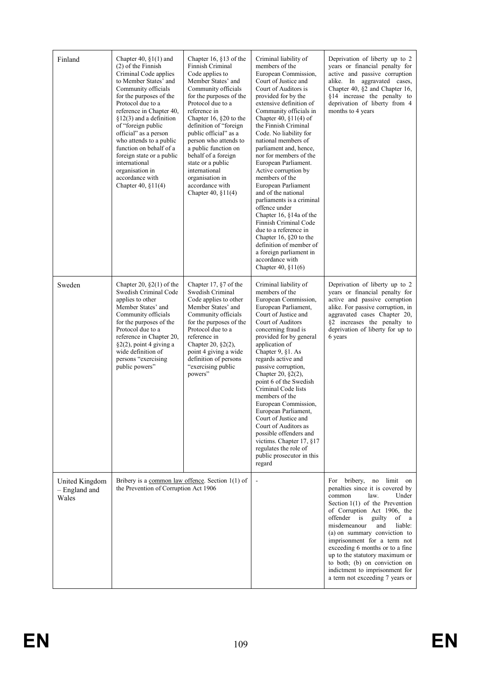| Finland                                  | Chapter 40, $\S1(1)$ and<br>$(2)$ of the Finnish<br>Criminal Code applies<br>to Member States' and<br>Community officials<br>for the purposes of the<br>Protocol due to a<br>reference in Chapter 40,<br>$§12(3)$ and a definition<br>of "foreign public<br>official" as a person<br>who attends to a public<br>function on behalf of a<br>foreign state or a public<br>international<br>organisation in<br>accordance with<br>Chapter 40, $$11(4)$ | Chapter 16, §13 of the<br>Finnish Criminal<br>Code applies to<br>Member States' and<br>Community officials<br>for the purposes of the<br>Protocol due to a<br>reference in<br>Chapter 16, §20 to the<br>definition of "foreign<br>public official" as a<br>person who attends to<br>a public function on<br>behalf of a foreign<br>state or a public<br>international<br>organisation in<br>accordance with<br>Chapter 40, §11(4) | Criminal liability of<br>members of the<br>European Commission,<br>Court of Justice and<br>Court of Auditors is<br>provided for by the<br>extensive definition of<br>Community officials in<br>Chapter 40, §11(4) of<br>the Finnish Criminal<br>Code. No liability for<br>national members of<br>parliament and, hence,<br>nor for members of the<br>European Parliament.<br>Active corruption by<br>members of the<br>European Parliament<br>and of the national<br>parliaments is a criminal<br>offence under<br>Chapter 16, $§14a$ of the<br>Finnish Criminal Code<br>due to a reference in<br>Chapter 16, $§20$ to the<br>definition of member of<br>a foreign parliament in<br>accordance with<br>Chapter 40, $§11(6)$ | Deprivation of liberty up to 2<br>years or financial penalty for<br>active and passive corruption<br>alike. In aggravated cases,<br>Chapter 40, §2 and Chapter 16,<br>§14 increase the penalty to<br>deprivation of liberty from 4<br>months to 4 years                                                                                                                                                                                                              |
|------------------------------------------|-----------------------------------------------------------------------------------------------------------------------------------------------------------------------------------------------------------------------------------------------------------------------------------------------------------------------------------------------------------------------------------------------------------------------------------------------------|-----------------------------------------------------------------------------------------------------------------------------------------------------------------------------------------------------------------------------------------------------------------------------------------------------------------------------------------------------------------------------------------------------------------------------------|-----------------------------------------------------------------------------------------------------------------------------------------------------------------------------------------------------------------------------------------------------------------------------------------------------------------------------------------------------------------------------------------------------------------------------------------------------------------------------------------------------------------------------------------------------------------------------------------------------------------------------------------------------------------------------------------------------------------------------|----------------------------------------------------------------------------------------------------------------------------------------------------------------------------------------------------------------------------------------------------------------------------------------------------------------------------------------------------------------------------------------------------------------------------------------------------------------------|
| Sweden                                   | Chapter 20, $\S2(1)$ of the<br>Swedish Criminal Code<br>applies to other<br>Member States' and<br>Community officials<br>for the purposes of the<br>Protocol due to a<br>reference in Chapter 20,<br>$\S2(2)$ , point 4 giving a<br>wide definition of<br>persons "exercising<br>public powers"                                                                                                                                                     | Chapter 17, $§7$ of the<br>Swedish Criminal<br>Code applies to other<br>Member States' and<br>Community officials<br>for the purposes of the<br>Protocol due to a<br>reference in<br>Chapter 20, $\S2(2)$ ,<br>point 4 giving a wide<br>definition of persons<br>"exercising public<br>powers"                                                                                                                                    | Criminal liability of<br>members of the<br>European Commission,<br>European Parliament,<br>Court of Justice and<br>Court of Auditors<br>concerning fraud is<br>provided for by general<br>application of<br>Chapter 9, §1. As<br>regards active and<br>passive corruption,<br>Chapter 20, §2(2),<br>point 6 of the Swedish<br>Criminal Code lists<br>members of the<br>European Commission,<br>European Parliament,<br>Court of Justice and<br>Court of Auditors as<br>possible offenders and<br>victims. Chapter 17, §17<br>regulates the role of<br>public prosecutor in this<br>regard                                                                                                                                   | Deprivation of liberty up to 2<br>years or financial penalty for<br>active and passive corruption<br>alike. For passive corruption, in<br>aggravated cases Chapter 20,<br>§2 increases the penalty to<br>deprivation of liberty for up to<br>6 years                                                                                                                                                                                                                 |
| United Kingdom<br>- England and<br>Wales | Bribery is a common law offence. Section $1(1)$ of<br>the Prevention of Corruption Act 1906                                                                                                                                                                                                                                                                                                                                                         |                                                                                                                                                                                                                                                                                                                                                                                                                                   |                                                                                                                                                                                                                                                                                                                                                                                                                                                                                                                                                                                                                                                                                                                             | For bribery, no limit on<br>penalties since it is covered by<br>common<br>law.<br>Under<br>Section $1(1)$ of the Prevention<br>of Corruption Act 1906, the<br>offender is guilty<br>of a<br>misdemeanour<br>and<br>liable:<br>(a) on summary conviction to<br>imprisonment for a term not<br>exceeding 6 months or to a fine<br>up to the statutory maximum or<br>to both; (b) on conviction on<br>indictment to imprisonment for<br>a term not exceeding 7 years or |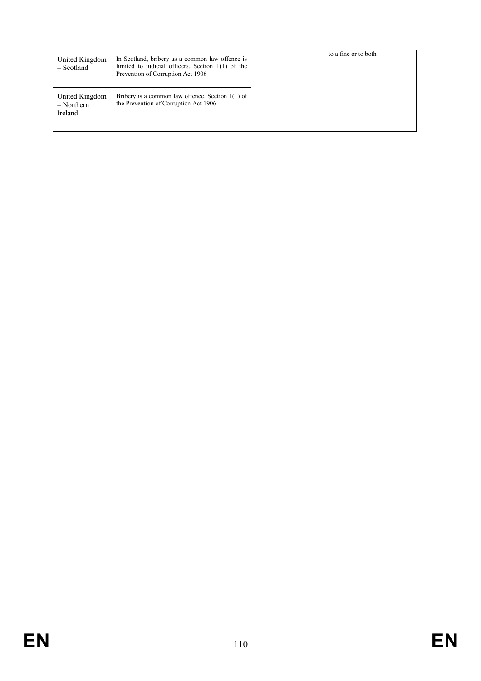| United Kingdom<br>- Scotland              | In Scotland, bribery as a common law offence is<br>limited to judicial officers. Section $1(1)$ of the<br>Prevention of Corruption Act 1906 | to a fine or to both |
|-------------------------------------------|---------------------------------------------------------------------------------------------------------------------------------------------|----------------------|
| United Kingdom<br>$-$ Northern<br>Ireland | Bribery is a common law offence. Section $1(1)$ of<br>the Prevention of Corruption Act 1906                                                 |                      |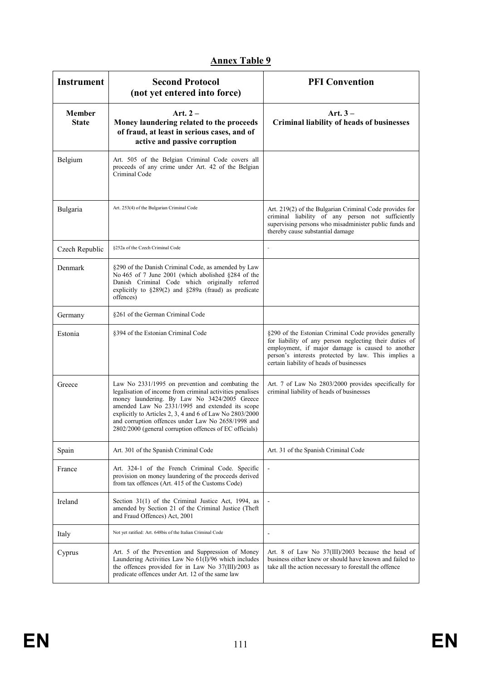| <b>Instrument</b>      | <b>Second Protocol</b><br>(not yet entered into force)                                                                                                                                                                                                                                                                                                                                        | <b>PFI</b> Convention                                                                                                                                                                                                                                                  |
|------------------------|-----------------------------------------------------------------------------------------------------------------------------------------------------------------------------------------------------------------------------------------------------------------------------------------------------------------------------------------------------------------------------------------------|------------------------------------------------------------------------------------------------------------------------------------------------------------------------------------------------------------------------------------------------------------------------|
| Member<br><b>State</b> | Art. $2-$<br>Money laundering related to the proceeds<br>of fraud, at least in serious cases, and of<br>active and passive corruption                                                                                                                                                                                                                                                         | Art. $3-$<br><b>Criminal liability of heads of businesses</b>                                                                                                                                                                                                          |
| Belgium                | Art. 505 of the Belgian Criminal Code covers all<br>proceeds of any crime under Art. 42 of the Belgian<br>Criminal Code                                                                                                                                                                                                                                                                       |                                                                                                                                                                                                                                                                        |
| Bulgaria               | Art. 253(4) of the Bulgarian Criminal Code                                                                                                                                                                                                                                                                                                                                                    | Art. 219(2) of the Bulgarian Criminal Code provides for<br>criminal liability of any person not sufficiently<br>supervising persons who misadminister public funds and<br>thereby cause substantial damage                                                             |
| Czech Republic         | §252a of the Czech Criminal Code                                                                                                                                                                                                                                                                                                                                                              | ÷.                                                                                                                                                                                                                                                                     |
| Denmark                | §290 of the Danish Criminal Code, as amended by Law<br>No 465 of 7 June 2001 (which abolished §284 of the<br>Danish Criminal Code which originally referred<br>explicitly to §289(2) and §289a (fraud) as predicate<br>offences)                                                                                                                                                              |                                                                                                                                                                                                                                                                        |
| Germany                | §261 of the German Criminal Code                                                                                                                                                                                                                                                                                                                                                              |                                                                                                                                                                                                                                                                        |
| Estonia                | §394 of the Estonian Criminal Code                                                                                                                                                                                                                                                                                                                                                            | §290 of the Estonian Criminal Code provides generally<br>for liability of any person neglecting their duties of<br>employment, if major damage is caused to another<br>person's interests protected by law. This implies a<br>certain liability of heads of businesses |
| Greece                 | Law No 2331/1995 on prevention and combating the<br>legalisation of income from criminal activities penalises<br>money laundering. By Law No 3424/2005 Greece<br>amended Law No 2331/1995 and extended its scope<br>explicitly to Articles 2, 3, 4 and 6 of Law No 2803/2000<br>and corruption offences under Law No 2658/1998 and<br>2802/2000 (general corruption offences of EC officials) | Art. 7 of Law No 2803/2000 provides specifically for<br>criminal liability of heads of businesses                                                                                                                                                                      |
| Spain                  | Art. 301 of the Spanish Criminal Code                                                                                                                                                                                                                                                                                                                                                         | Art. 31 of the Spanish Criminal Code                                                                                                                                                                                                                                   |
| France                 | Art. 324-1 of the French Criminal Code. Specific<br>provision on money laundering of the proceeds derived<br>from tax offences (Art. 415 of the Customs Code)                                                                                                                                                                                                                                 |                                                                                                                                                                                                                                                                        |
| Ireland                | Section 31(1) of the Criminal Justice Act, 1994, as<br>amended by Section 21 of the Criminal Justice (Theft<br>and Fraud Offences) Act, 2001                                                                                                                                                                                                                                                  |                                                                                                                                                                                                                                                                        |
| Italy                  | Not yet ratified: Art. 648bis of the Italian Criminal Code                                                                                                                                                                                                                                                                                                                                    | -                                                                                                                                                                                                                                                                      |
| Cyprus                 | Art. 5 of the Prevention and Suppression of Money<br>Laundering Activities Law No 61(I)/96 which includes<br>the offences provided for in Law No 37(III)/2003 as<br>predicate offences under Art. 12 of the same law                                                                                                                                                                          | Art. 8 of Law No 37(III)/2003 because the head of<br>business either knew or should have known and failed to<br>take all the action necessary to forestall the offence                                                                                                 |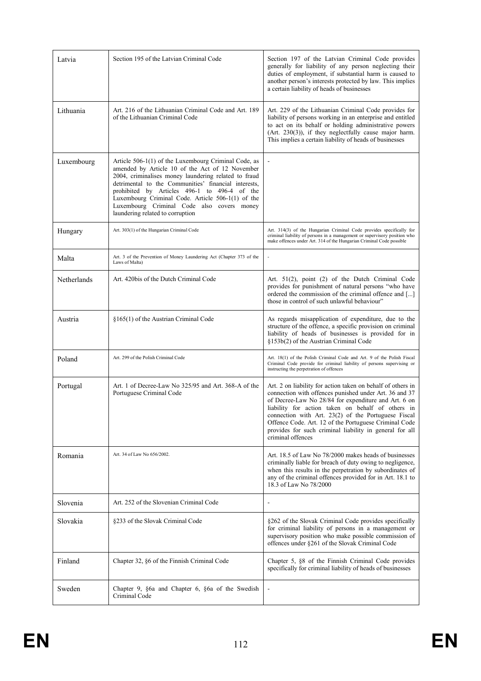| Latvia      | Section 195 of the Latvian Criminal Code                                                                                                                                                                                                                                                                                                                                                                       | Section 197 of the Latvian Criminal Code provides<br>generally for liability of any person neglecting their<br>duties of employment, if substantial harm is caused to<br>another person's interests protected by law. This implies<br>a certain liability of heads of businesses                                                                                                                                                   |
|-------------|----------------------------------------------------------------------------------------------------------------------------------------------------------------------------------------------------------------------------------------------------------------------------------------------------------------------------------------------------------------------------------------------------------------|------------------------------------------------------------------------------------------------------------------------------------------------------------------------------------------------------------------------------------------------------------------------------------------------------------------------------------------------------------------------------------------------------------------------------------|
| Lithuania   | Art. 216 of the Lithuanian Criminal Code and Art. 189<br>of the Lithuanian Criminal Code                                                                                                                                                                                                                                                                                                                       | Art. 229 of the Lithuanian Criminal Code provides for<br>liability of persons working in an enterprise and entitled<br>to act on its behalf or holding administrative powers<br>$(Art. 230(3))$ , if they neglectfully cause major harm.<br>This implies a certain liability of heads of businesses                                                                                                                                |
| Luxembourg  | Article 506-1(1) of the Luxembourg Criminal Code, as<br>amended by Article 10 of the Act of 12 November<br>2004, criminalises money laundering related to fraud<br>detrimental to the Communities' financial interests,<br>prohibited by Articles 496-1 to 496-4 of the<br>Luxembourg Criminal Code. Article 506-1(1) of the<br>Luxembourg Criminal Code also covers money<br>laundering related to corruption |                                                                                                                                                                                                                                                                                                                                                                                                                                    |
| Hungary     | Art. 303(1) of the Hungarian Criminal Code                                                                                                                                                                                                                                                                                                                                                                     | Art. 314(3) of the Hungarian Criminal Code provides specifically for<br>criminal liability of persons in a management or supervisory position who<br>make offences under Art. 314 of the Hungarian Criminal Code possible                                                                                                                                                                                                          |
| Malta       | Art. 3 of the Prevention of Money Laundering Act (Chapter 373 of the<br>Laws of Malta)                                                                                                                                                                                                                                                                                                                         | $\overline{a}$                                                                                                                                                                                                                                                                                                                                                                                                                     |
| Netherlands | Art. 420bis of the Dutch Criminal Code                                                                                                                                                                                                                                                                                                                                                                         | Art. 51(2), point (2) of the Dutch Criminal Code<br>provides for punishment of natural persons "who have<br>ordered the commission of the criminal offence and []<br>those in control of such unlawful behaviour"                                                                                                                                                                                                                  |
| Austria     | §165(1) of the Austrian Criminal Code                                                                                                                                                                                                                                                                                                                                                                          | As regards misapplication of expenditure, due to the<br>structure of the offence, a specific provision on criminal<br>liability of heads of businesses is provided for in<br>§153b(2) of the Austrian Criminal Code                                                                                                                                                                                                                |
| Poland      | Art. 299 of the Polish Criminal Code                                                                                                                                                                                                                                                                                                                                                                           | Art. 18(1) of the Polish Criminal Code and Art. 9 of the Polish Fiscal<br>Criminal Code provide for criminal liability of persons supervising or<br>instructing the perpetration of offences                                                                                                                                                                                                                                       |
| Portugal    | Art. 1 of Decree-Law No 325/95 and Art. 368-A of the<br>Portuguese Criminal Code                                                                                                                                                                                                                                                                                                                               | Art. 2 on liability for action taken on behalf of others in<br>connection with offences punished under Art. 36 and 37<br>of Decree-Law No 28/84 for expenditure and Art. 6 on<br>liability for action taken on behalf of others in<br>connection with Art. 23(2) of the Portuguese Fiscal<br>Offence Code. Art. 12 of the Portuguese Criminal Code<br>provides for such criminal liability in general for all<br>criminal offences |
| Romania     | Art. 34 of Law No 656/2002.                                                                                                                                                                                                                                                                                                                                                                                    | Art. 18.5 of Law No 78/2000 makes heads of businesses<br>criminally liable for breach of duty owing to negligence,<br>when this results in the perpetration by subordinates of<br>any of the criminal offences provided for in Art. 18.1 to<br>18.3 of Law No 78/2000                                                                                                                                                              |
| Slovenia    | Art. 252 of the Slovenian Criminal Code                                                                                                                                                                                                                                                                                                                                                                        |                                                                                                                                                                                                                                                                                                                                                                                                                                    |
| Slovakia    | §233 of the Slovak Criminal Code                                                                                                                                                                                                                                                                                                                                                                               | §262 of the Slovak Criminal Code provides specifically<br>for criminal liability of persons in a management or<br>supervisory position who make possible commission of<br>offences under §261 of the Slovak Criminal Code                                                                                                                                                                                                          |
| Finland     | Chapter 32, §6 of the Finnish Criminal Code                                                                                                                                                                                                                                                                                                                                                                    | Chapter 5, §8 of the Finnish Criminal Code provides<br>specifically for criminal liability of heads of businesses                                                                                                                                                                                                                                                                                                                  |
| Sweden      | Chapter 9, §6a and Chapter 6, §6a of the Swedish<br>Criminal Code                                                                                                                                                                                                                                                                                                                                              |                                                                                                                                                                                                                                                                                                                                                                                                                                    |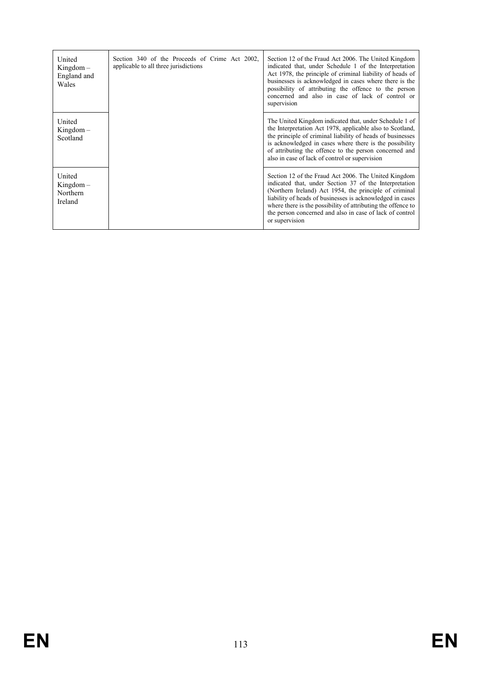| United<br>$Kingdom -$<br>England and<br>Wales | Section 340 of the Proceeds of Crime Act 2002,<br>applicable to all three jurisdictions | Section 12 of the Fraud Act 2006. The United Kingdom<br>indicated that, under Schedule 1 of the Interpretation<br>Act 1978, the principle of criminal liability of heads of<br>businesses is acknowledged in cases where there is the<br>possibility of attributing the offence to the person<br>concerned and also in case of lack of control or<br>supervision                    |
|-----------------------------------------------|-----------------------------------------------------------------------------------------|-------------------------------------------------------------------------------------------------------------------------------------------------------------------------------------------------------------------------------------------------------------------------------------------------------------------------------------------------------------------------------------|
| United<br>$Kingdom -$<br>Scotland             |                                                                                         | The United Kingdom indicated that, under Schedule 1 of<br>the Interpretation Act 1978, applicable also to Scotland,<br>the principle of criminal liability of heads of businesses<br>is acknowledged in cases where there is the possibility<br>of attributing the offence to the person concerned and<br>also in case of lack of control or supervision                            |
| United<br>$Kingdom -$<br>Northern<br>Ireland  |                                                                                         | Section 12 of the Fraud Act 2006. The United Kingdom<br>indicated that, under Section 37 of the Interpretation<br>(Northern Ireland) Act 1954, the principle of criminal<br>liability of heads of businesses is acknowledged in cases<br>where there is the possibility of attributing the offence to<br>the person concerned and also in case of lack of control<br>or supervision |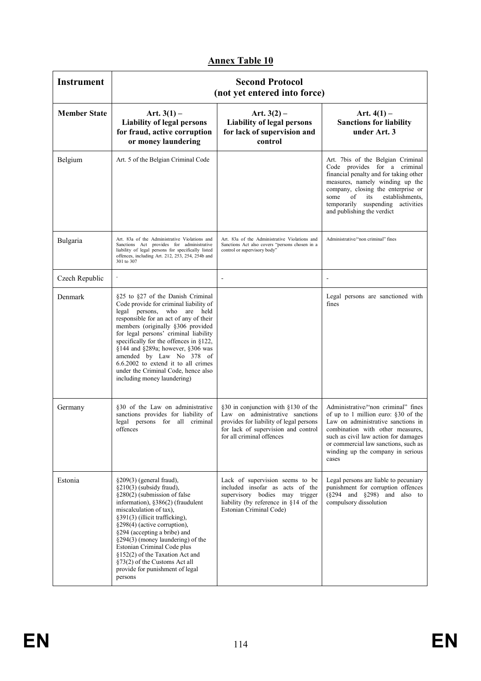| <b>Instrument</b>   | <b>Second Protocol</b><br>(not yet entered into force)                                                                                                                                                                                                                                                                                                                                                                                                        |                                                                                                                                                                                       |                                                                                                                                                                                                                                                                                                 |  |
|---------------------|---------------------------------------------------------------------------------------------------------------------------------------------------------------------------------------------------------------------------------------------------------------------------------------------------------------------------------------------------------------------------------------------------------------------------------------------------------------|---------------------------------------------------------------------------------------------------------------------------------------------------------------------------------------|-------------------------------------------------------------------------------------------------------------------------------------------------------------------------------------------------------------------------------------------------------------------------------------------------|--|
| <b>Member State</b> | Art. $3(1)$ –<br><b>Liability of legal persons</b><br>for fraud, active corruption<br>or money laundering                                                                                                                                                                                                                                                                                                                                                     | Art. $3(2)$ –<br><b>Liability of legal persons</b><br>for lack of supervision and<br>control                                                                                          | Art. $4(1)$ –<br><b>Sanctions for liability</b><br>under Art. 3                                                                                                                                                                                                                                 |  |
| Belgium             | Art. 5 of the Belgian Criminal Code                                                                                                                                                                                                                                                                                                                                                                                                                           |                                                                                                                                                                                       | Art. 7bis of the Belgian Criminal<br>Code provides for a criminal<br>financial penalty and for taking other<br>measures, namely winding up the<br>company, closing the enterprise or<br>establishments.<br>some<br>of<br>its<br>temporarily suspending activities<br>and publishing the verdict |  |
| Bulgaria            | Art. 83a of the Administrative Violations and<br>Sanctions Act provides for administrative<br>liability of legal persons for specifically listed<br>offences, including Art. 212, 253, 254, 254b and<br>301 to 307                                                                                                                                                                                                                                            | Art. 83a of the Administrative Violations and<br>Sanctions Act also covers "persons chosen in a<br>control or supervisory body"                                                       | Administrative/"non criminal" fines                                                                                                                                                                                                                                                             |  |
| Czech Republic      |                                                                                                                                                                                                                                                                                                                                                                                                                                                               |                                                                                                                                                                                       |                                                                                                                                                                                                                                                                                                 |  |
| Denmark             | §25 to §27 of the Danish Criminal<br>Code provide for criminal liability of<br>legal persons, who are<br>held<br>responsible for an act of any of their<br>members (originally §306 provided<br>for legal persons' criminal liability<br>specifically for the offences in §122,<br>§144 and §289a; however, §306 was<br>amended by Law No 378 of<br>6.6.2002 to extend it to all crimes<br>under the Criminal Code, hence also<br>including money laundering) |                                                                                                                                                                                       | Legal persons are sanctioned with<br>fines                                                                                                                                                                                                                                                      |  |
| Germany             | §30 of the Law on administrative<br>sanctions provides for liability of<br>legal persons for all criminal<br>offences                                                                                                                                                                                                                                                                                                                                         | §30 in conjunction with §130 of the<br>Law on administrative sanctions<br>provides for liability of legal persons<br>for lack of supervision and control<br>for all criminal offences | Administrative/"non criminal" fines<br>of up to 1 million euro: §30 of the<br>Law on administrative sanctions in<br>combination with other measures.<br>such as civil law action for damages<br>or commercial law sanctions, such as<br>winding up the company in serious<br>cases              |  |
| Estonia             | $\S209(3)$ (general fraud),<br>§210(3) (subsidy fraud),<br>§280(2) (submission of false<br>information), §386(2) (fraudulent<br>miscalculation of tax),<br>§391(3) (illicit trafficking),<br>§298(4) (active corruption),<br>§294 (accepting a bribe) and<br>§294(3) (money laundering) of the<br>Estonian Criminal Code plus<br>§152(2) of the Taxation Act and<br>§73(2) of the Customs Act all<br>provide for punishment of legal<br>persons               | Lack of supervision seems to be<br>included insofar as acts of the<br>supervisory bodies may trigger<br>liability (by reference in §14 of the<br>Estonian Criminal Code)              | Legal persons are liable to pecuniary<br>punishment for corruption offences<br>$(\S294$ and $\S298)$ and also to<br>compulsory dissolution                                                                                                                                                      |  |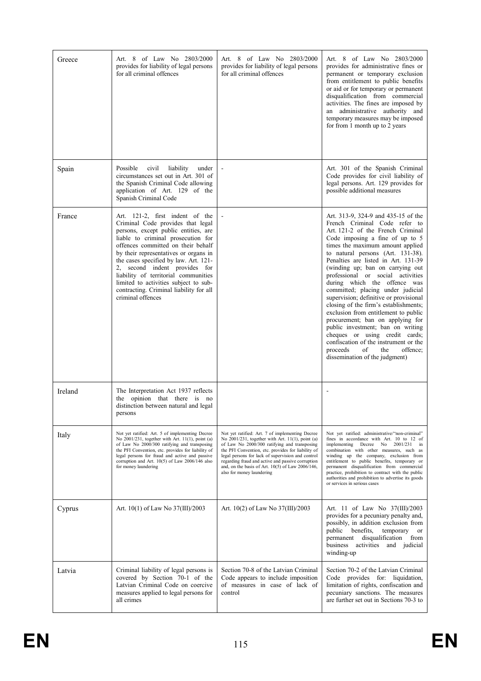| Greece  | Art. 8 of Law No 2803/2000<br>provides for liability of legal persons<br>for all criminal offences                                                                                                                                                                                                                                                                                                                                                           | Art. 8 of Law No 2803/2000<br>provides for liability of legal persons<br>for all criminal offences                                                                                                                                                                                                                                                                                                         | Art. 8 of Law No 2803/2000<br>provides for administrative fines or<br>permanent or temporary exclusion<br>from entitlement to public benefits<br>or aid or for temporary or permanent<br>disqualification from commercial<br>activities. The fines are imposed by<br>an administrative authority and<br>temporary measures may be imposed<br>for from 1 month up to 2 years                                                                                                                                                                                                                                                                                                                                                                                      |
|---------|--------------------------------------------------------------------------------------------------------------------------------------------------------------------------------------------------------------------------------------------------------------------------------------------------------------------------------------------------------------------------------------------------------------------------------------------------------------|------------------------------------------------------------------------------------------------------------------------------------------------------------------------------------------------------------------------------------------------------------------------------------------------------------------------------------------------------------------------------------------------------------|------------------------------------------------------------------------------------------------------------------------------------------------------------------------------------------------------------------------------------------------------------------------------------------------------------------------------------------------------------------------------------------------------------------------------------------------------------------------------------------------------------------------------------------------------------------------------------------------------------------------------------------------------------------------------------------------------------------------------------------------------------------|
| Spain   | Possible<br>civil<br>liability<br>under<br>circumstances set out in Art. 301 of<br>the Spanish Criminal Code allowing<br>application of Art. 129 of the<br>Spanish Criminal Code                                                                                                                                                                                                                                                                             |                                                                                                                                                                                                                                                                                                                                                                                                            | Art. 301 of the Spanish Criminal<br>Code provides for civil liability of<br>legal persons. Art. 129 provides for<br>possible additional measures                                                                                                                                                                                                                                                                                                                                                                                                                                                                                                                                                                                                                 |
| France  | Art. 121-2, first indent of the<br>Criminal Code provides that legal<br>persons, except public entities, are<br>liable to criminal prosecution for<br>offences committed on their behalf<br>by their representatives or organs in<br>the cases specified by law. Art. 121-<br>2, second indent provides for<br>liability of territorial communities<br>limited to activities subject to sub-<br>contracting. Criminal liability for all<br>criminal offences |                                                                                                                                                                                                                                                                                                                                                                                                            | Art. 313-9, 324-9 and 435-15 of the<br>French Criminal Code refer to<br>Art. 121-2 of the French Criminal<br>Code imposing a fine of up to 5<br>times the maximum amount applied<br>to natural persons (Art. 131-38).<br>Penalties are listed in Art. 131-39<br>(winding up; ban on carrying out<br>professional or social activities<br>during which the offence was<br>committed; placing under judicial<br>supervision; definitive or provisional<br>closing of the firm's establishments;<br>exclusion from entitlement to public<br>procurement; ban on applying for<br>public investment; ban on writing<br>cheques or using credit cards;<br>confiscation of the instrument or the<br>proceeds<br>of<br>the<br>offence:<br>dissemination of the judgment) |
| Ireland | The Interpretation Act 1937 reflects<br>the opinion that there is<br>no<br>distinction between natural and legal<br>persons                                                                                                                                                                                                                                                                                                                                  |                                                                                                                                                                                                                                                                                                                                                                                                            |                                                                                                                                                                                                                                                                                                                                                                                                                                                                                                                                                                                                                                                                                                                                                                  |
| Italy   | Not yet ratified: Art. 5 of implementing Decree<br>No $2001/231$ , together with Art. 11(1), point (a)<br>of Law No 2000/300 ratifying and transposing<br>the PFI Convention, etc. provides for liability of<br>legal persons for fraud and active and passive<br>corruption and Art. 10(5) of Law 2006/146 also<br>for money laundering                                                                                                                     | Not yet ratified: Art. 7 of implementing Decree<br>No $2001/231$ , together with Art. $11(1)$ , point (a)<br>of Law No 2000/300 ratifying and transposing<br>the PFI Convention, etc. provides for liability of<br>legal persons for lack of supervision and control<br>regarding fraud and active and passive corruption<br>and, on the basis of Art. 10(5) of Law 2006/146,<br>also for money laundering | Not yet ratified: administrative/"non-criminal"<br>fines in accordance with Art. 10 to 12 of<br>implementing<br>Decree No 2001/231<br>in<br>combination with other measures, such as<br>winding up the company, exclusion from<br>entitlement to public benefits, temporary or<br>permanent disqualification from commercial<br>practice, prohibition to contract with the public<br>authorities and prohibition to advertise its goods<br>or services in serious cases                                                                                                                                                                                                                                                                                          |
| Cyprus  | Art. 10(1) of Law No 37(III)/2003                                                                                                                                                                                                                                                                                                                                                                                                                            | Art. 10(2) of Law No 37(III)/2003                                                                                                                                                                                                                                                                                                                                                                          | Art. 11 of Law No 37(III)/2003<br>provides for a pecuniary penalty and,<br>possibly, in addition exclusion from<br>public<br>benefits,<br>temporary<br>or<br>disqualification from<br>permanent<br>business activities and judicial<br>winding-up                                                                                                                                                                                                                                                                                                                                                                                                                                                                                                                |
| Latvia  | Criminal liability of legal persons is<br>covered by Section 70-1 of the<br>Latvian Criminal Code on coercive<br>measures applied to legal persons for<br>all crimes                                                                                                                                                                                                                                                                                         | Section 70-8 of the Latvian Criminal<br>Code appears to include imposition<br>of measures in case of lack of<br>control                                                                                                                                                                                                                                                                                    | Section 70-2 of the Latvian Criminal<br>Code provides for: liquidation,<br>limitation of rights, confiscation and<br>pecuniary sanctions. The measures<br>are further set out in Sections 70-3 to                                                                                                                                                                                                                                                                                                                                                                                                                                                                                                                                                                |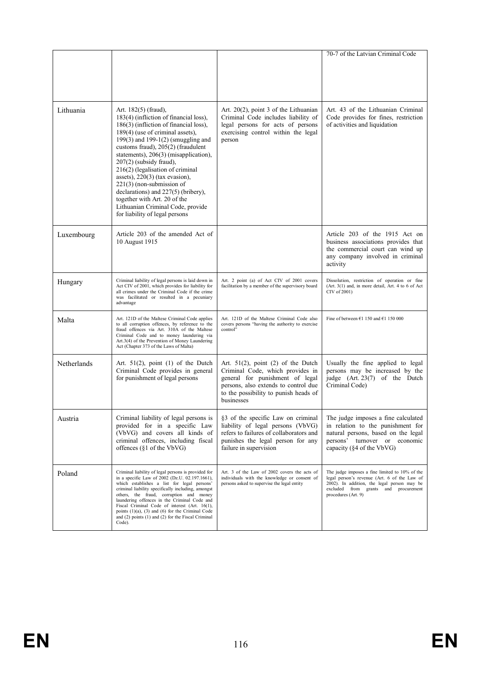|             |                                                                                                                                                                                                                                                                                                                                                                                                                                                                                                                                                       |                                                                                                                                                                                                             | 70-7 of the Latvian Criminal Code                                                                                                                                                                            |
|-------------|-------------------------------------------------------------------------------------------------------------------------------------------------------------------------------------------------------------------------------------------------------------------------------------------------------------------------------------------------------------------------------------------------------------------------------------------------------------------------------------------------------------------------------------------------------|-------------------------------------------------------------------------------------------------------------------------------------------------------------------------------------------------------------|--------------------------------------------------------------------------------------------------------------------------------------------------------------------------------------------------------------|
|             |                                                                                                                                                                                                                                                                                                                                                                                                                                                                                                                                                       |                                                                                                                                                                                                             |                                                                                                                                                                                                              |
| Lithuania   | Art. $182(5)$ (fraud),<br>183(4) (infliction of financial loss),<br>186(3) (infliction of financial loss),<br>189(4) (use of criminal assets),<br>199(3) and 199-1(2) (smuggling and<br>customs fraud), 205(2) (fraudulent<br>statements), 206(3) (misapplication),<br>$207(2)$ (subsidy fraud).<br>216(2) (legalisation of criminal<br>assets), $220(3)$ (tax evasion),<br>$221(3)$ (non-submission of<br>declarations) and 227(5) (bribery),<br>together with Art. 20 of the<br>Lithuanian Criminal Code, provide<br>for liability of legal persons | Art. $20(2)$ , point 3 of the Lithuanian<br>Criminal Code includes liability of<br>legal persons for acts of persons<br>exercising control within the legal<br>person                                       | Art. 43 of the Lithuanian Criminal<br>Code provides for fines, restriction<br>of activities and liquidation                                                                                                  |
| Luxembourg  | Article 203 of the amended Act of<br>10 August 1915                                                                                                                                                                                                                                                                                                                                                                                                                                                                                                   |                                                                                                                                                                                                             | Article 203 of the 1915 Act on<br>business associations provides that<br>the commercial court can wind up<br>any company involved in criminal<br>activity                                                    |
| Hungary     | Criminal liability of legal persons is laid down in<br>Act CIV of 2001, which provides for liability for<br>all crimes under the Criminal Code if the crime<br>was facilitated or resulted in a pecuniary<br>advantage                                                                                                                                                                                                                                                                                                                                | Art. 2 point (a) of Act CIV of 2001 covers<br>facilitation by a member of the supervisory board                                                                                                             | Dissolution, restriction of operation or fine<br>(Art. 3(1) and, in more detail, Art. 4 to 6 of Act<br>CIV of 2001)                                                                                          |
| Malta       | Art. 121D of the Maltese Criminal Code applies<br>to all corruption offences, by reference to the<br>fraud offences via Art. 310A of the Maltese<br>Criminal Code and to money laundering via<br>Art.3(4) of the Prevention of Money Laundering<br>Act (Chapter 373 of the Laws of Malta)                                                                                                                                                                                                                                                             | Art. 121D of the Maltese Criminal Code also<br>covers persons "having the authority to exercise<br>control"                                                                                                 | Fine of between $E1$ 150 and $E1$ 150 000                                                                                                                                                                    |
| Netherlands | Art. $51(2)$ , point (1) of the Dutch<br>Criminal Code provides in general<br>for punishment of legal persons                                                                                                                                                                                                                                                                                                                                                                                                                                         | Art. $51(2)$ , point (2) of the Dutch<br>Criminal Code, which provides in<br>general for punishment of legal<br>persons, also extends to control due<br>to the possibility to punish heads of<br>businesses | Usually the fine applied to legal<br>persons may be increased by the<br>judge (Art. 23(7) of the Dutch<br>Criminal Code)                                                                                     |
| Austria     | Criminal liability of legal persons is<br>provided for in a specific Law<br>(VbVG) and covers all kinds of<br>criminal offences, including fiscal<br>offences $(\S 1 \text{ of the VbVG})$                                                                                                                                                                                                                                                                                                                                                            | §3 of the specific Law on criminal<br>liability of legal persons (VbVG)<br>refers to failures of collaborators and<br>punishes the legal person for any<br>failure in supervision                           | The judge imposes a fine calculated<br>in relation to the punishment for<br>natural persons, based on the legal<br>persons' turnover or economic<br>capacity (§4 of the VbVG)                                |
| Poland      | Criminal liability of legal persons is provided for<br>in a specific Law of 2002 (Dz.U. 02.197.1661),<br>which establishes a list for legal persons'<br>criminal liability specifically including, amongst<br>others, the fraud, corruption and money<br>laundering offences in the Criminal Code and<br>Fiscal Criminal Code of interest (Art. 16(1),<br>points $(1)(a)$ , $(3)$ and $(6)$ for the Criminal Code<br>and (2) points (1) and (2) for the Fiscal Criminal<br>Code).                                                                     | Art. 3 of the Law of 2002 covers the acts of<br>individuals with the knowledge or consent of<br>persons asked to supervise the legal entity                                                                 | The judge imposes a fine limited to 10% of the<br>legal person's revenue (Art. 6 of the Law of<br>2002). In addition, the legal person may be<br>excluded from grants and procurement<br>procedures (Art. 9) |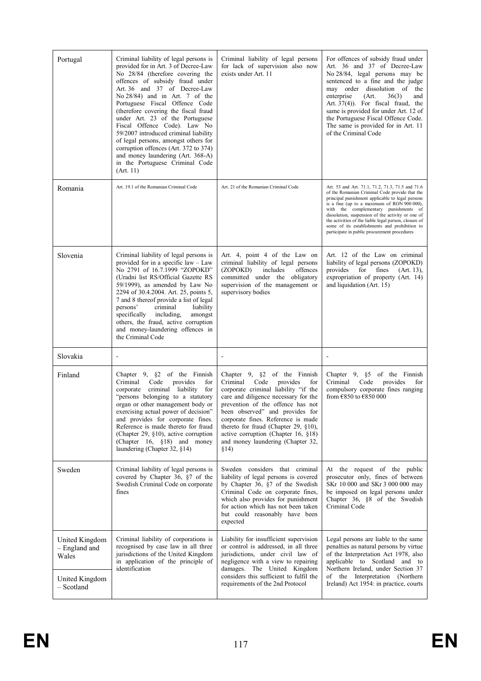| Criminal liability of legal persons is<br>provided for in Art. 3 of Decree-Law<br>No 28/84 (therefore covering the<br>offences of subsidy fraud under<br>Art. 36 and 37 of Decree-Law<br>No $28/84$ ) and in Art. 7 of the<br>Portuguese Fiscal Offence Code<br>(therefore covering the fiscal fraud<br>under Art. 23 of the Portuguese<br>Fiscal Offence Code). Law No<br>59/2007 introduced criminal liability<br>of legal persons, amongst others for<br>corruption offences (Art. 372 to 374)<br>and money laundering (Art. 368-A)<br>in the Portuguese Criminal Code<br>(Art. 11) | Criminal liability of legal persons<br>for lack of supervision also now<br>exists under Art. 11                                                                                                                                                                                                                                                                                                 | For offences of subsidy fraud under<br>Art. 36 and 37 of Decree-Law<br>No 28/84, legal persons may be<br>sentenced to a fine and the judge<br>may order dissolution of the<br>36(3)<br>enterprise<br>(Art.<br>and<br>Art. 37(4)). For fiscal fraud, the<br>same is provided for under Art. 12 of<br>the Portuguese Fiscal Offence Code.<br>The same is provided for in Art. 11<br>of the Criminal Code                                                        |
|----------------------------------------------------------------------------------------------------------------------------------------------------------------------------------------------------------------------------------------------------------------------------------------------------------------------------------------------------------------------------------------------------------------------------------------------------------------------------------------------------------------------------------------------------------------------------------------|-------------------------------------------------------------------------------------------------------------------------------------------------------------------------------------------------------------------------------------------------------------------------------------------------------------------------------------------------------------------------------------------------|---------------------------------------------------------------------------------------------------------------------------------------------------------------------------------------------------------------------------------------------------------------------------------------------------------------------------------------------------------------------------------------------------------------------------------------------------------------|
| Art. 19.1 of the Romanian Criminal Code                                                                                                                                                                                                                                                                                                                                                                                                                                                                                                                                                | Art. 21 of the Romanian Criminal Code                                                                                                                                                                                                                                                                                                                                                           | Art. 53 and Art. 71.1, 71.2, 71.3, 71.5 and 71.6<br>of the Romanian Criminal Code provide that the<br>principal punishment applicable to legal persons<br>is a fine (up to a maximum of RON 900 000),<br>with the complementary punishments of<br>dissolution, suspension of the activity or one of<br>the activities of the liable legal person, closure of<br>some of its establishments and prohibition to<br>participate in public procurement procedures |
| Criminal liability of legal persons is<br>provided for in a specific law - Law<br>No 2791 of 16.7.1999 "ZOPOKD"<br>(Uradni list RS/Official Gazette RS<br>59/1999), as amended by Law No<br>2294 of 30.4.2004. Art. 25, points 5,<br>7 and 8 thereof provide a list of legal<br>criminal<br>liability<br>persons'<br>specifically including,<br>amongst<br>others, the fraud, active corruption<br>and money-laundering offences in<br>the Criminal Code                                                                                                                               | Art. 4, point 4 of the Law on<br>criminal liability of legal persons<br>(ZOPOKD)<br>includes<br>offences<br>committed under the obligatory<br>supervision of the management or<br>supervisory bodies                                                                                                                                                                                            | Art. 12 of the Law on criminal<br>liability of legal persons (ZOPOKD)<br>for<br>provides<br>fines<br>$(Art. 13)$ ,<br>expropriation of property (Art. 14)<br>and liquidation (Art. 15)                                                                                                                                                                                                                                                                        |
| $\overline{a}$                                                                                                                                                                                                                                                                                                                                                                                                                                                                                                                                                                         |                                                                                                                                                                                                                                                                                                                                                                                                 |                                                                                                                                                                                                                                                                                                                                                                                                                                                               |
| Chapter $9, \S 2$ of the Finnish<br>Criminal<br>Code<br>provides<br>for<br>corporate criminal liability<br>for<br>"persons belonging to a statutory"<br>organ or other management body or<br>exercising actual power of decision"<br>and provides for corporate fines.<br>Reference is made thereto for fraud<br>(Chapter 29, $\S10$ ), active corruption<br>(Chapter 16, §18) and money<br>laundering (Chapter 32, §14)                                                                                                                                                               | Chapter 9, $\S$ 2 of the Finnish<br>Criminal Code<br>provides<br>for<br>corporate criminal liability "if the<br>care and diligence necessary for the<br>prevention of the offence has not<br>been observed" and provides for<br>corporate fines. Reference is made<br>thereto for fraud (Chapter 29, §10),<br>active corruption (Chapter 16, §18)<br>and money laundering (Chapter 32,<br>\$14) | Chapter 9, $\S5$ of the Finnish<br>Code<br>Criminal<br>provides<br>for<br>compulsory corporate fines ranging<br>from €850 to €850 000                                                                                                                                                                                                                                                                                                                         |
| Criminal liability of legal persons is<br>covered by Chapter 36, §7 of the<br>Swedish Criminal Code on corporate<br>fines                                                                                                                                                                                                                                                                                                                                                                                                                                                              | Sweden considers that criminal<br>liability of legal persons is covered<br>by Chapter 36, §7 of the Swedish<br>Criminal Code on corporate fines,<br>which also provides for punishment<br>for action which has not been taken<br>but could reasonably have been<br>expected                                                                                                                     | At the request of the public<br>prosecutor only, fines of between<br>SKr 10 000 and SKr 3 000 000 may<br>be imposed on legal persons under<br>Chapter 36, §8 of the Swedish<br>Criminal Code                                                                                                                                                                                                                                                                  |
| Criminal liability of corporations is<br>recognised by case law in all three<br>jurisdictions of the United Kingdom<br>in application of the principle of<br>identification                                                                                                                                                                                                                                                                                                                                                                                                            | Liability for insufficient supervision<br>or control is addressed, in all three<br>jurisdictions, under civil law of<br>negligence with a view to repairing<br>damages. The United Kingdom<br>considers this sufficient to fulfil the<br>requirements of the 2nd Protocol                                                                                                                       | Legal persons are liable to the same<br>penalties as natural persons by virtue<br>of the Interpretation Act 1978, also<br>applicable to Scotland and to<br>Northern Ireland, under Section 37<br>of the Interpretation (Northern<br>Ireland) Act 1954: in practice, courts                                                                                                                                                                                    |
|                                                                                                                                                                                                                                                                                                                                                                                                                                                                                                                                                                                        |                                                                                                                                                                                                                                                                                                                                                                                                 |                                                                                                                                                                                                                                                                                                                                                                                                                                                               |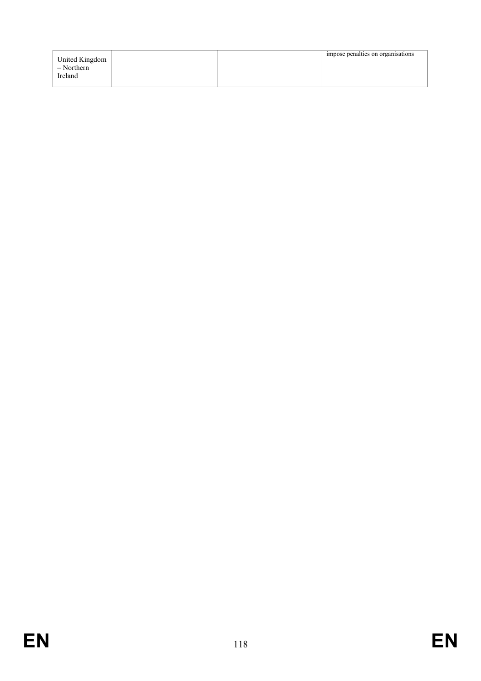| United Kingdom<br>$-$ Northern<br>Ireland |  | impose penalties on organisations |
|-------------------------------------------|--|-----------------------------------|
|                                           |  |                                   |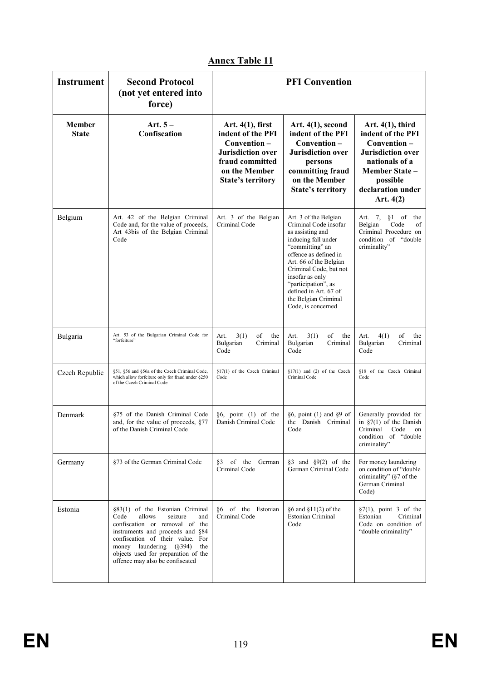| <b>Instrument</b>      | <b>Second Protocol</b><br>(not yet entered into<br>force)                                                                                                                                                                                                                                 | <b>PFI Convention</b>                                                                                                                               |                                                                                                                                                                                                                                                                                                            |                                                                                                                                                                         |
|------------------------|-------------------------------------------------------------------------------------------------------------------------------------------------------------------------------------------------------------------------------------------------------------------------------------------|-----------------------------------------------------------------------------------------------------------------------------------------------------|------------------------------------------------------------------------------------------------------------------------------------------------------------------------------------------------------------------------------------------------------------------------------------------------------------|-------------------------------------------------------------------------------------------------------------------------------------------------------------------------|
| Member<br><b>State</b> | Art. $5-$<br>Confiscation                                                                                                                                                                                                                                                                 | Art. $4(1)$ , first<br>indent of the PFI<br>Convention-<br><b>Jurisdiction</b> over<br>fraud committed<br>on the Member<br><b>State's territory</b> | Art. $4(1)$ , second<br>indent of the PFI<br>Convention-<br><b>Jurisdiction over</b><br>persons<br>committing fraud<br>on the Member<br><b>State's territory</b>                                                                                                                                           | Art. $4(1)$ , third<br>indent of the PFI<br>Convention-<br><b>Jurisdiction</b> over<br>nationals of a<br>Member State -<br>possible<br>declaration under<br>Art. $4(2)$ |
| Belgium                | Art. 42 of the Belgian Criminal<br>Code and, for the value of proceeds,<br>Art 43bis of the Belgian Criminal<br>Code                                                                                                                                                                      | Art. 3 of the Belgian<br>Criminal Code                                                                                                              | Art. 3 of the Belgian<br>Criminal Code insofar<br>as assisting and<br>inducing fall under<br>"committing" an<br>offence as defined in<br>Art. 66 of the Belgian<br>Criminal Code, but not<br>insofar as only<br>"participation", as<br>defined in Art. 67 of<br>the Belgian Criminal<br>Code, is concerned | Art. 7,<br>$§1$ of the<br>Code<br>Belgian<br>of<br>Criminal Procedure on<br>condition of "double<br>criminality"                                                        |
| Bulgaria               | Art. 53 of the Bulgarian Criminal Code for<br>"forfeiture"                                                                                                                                                                                                                                | of<br>3(1)<br>the<br>Art.<br>Bulgarian<br>Criminal<br>Code                                                                                          | of<br>Art.<br>3(1)<br>the<br>Bulgarian<br>Criminal<br>Code                                                                                                                                                                                                                                                 | of<br>Art.<br>4(1)<br>the<br>Bulgarian<br>Criminal<br>Code                                                                                                              |
| Czech Republic         | §51, §56 and §56a of the Czech Criminal Code,<br>which allow forfeiture only for fraud under §250<br>of the Czech Criminal Code                                                                                                                                                           | §17(1) of the Czech Criminal<br>Code                                                                                                                | $§17(1)$ and (2) of the Czech<br>Criminal Code                                                                                                                                                                                                                                                             | §18 of the Czech Criminal<br>Code                                                                                                                                       |
| Denmark                | §75 of the Danish Criminal Code<br>and, for the value of proceeds, §77<br>of the Danish Criminal Code                                                                                                                                                                                     | $§6$ , point (1) of the<br>Danish Criminal Code                                                                                                     | §6, point (1) and §9 of<br>the Danish Criminal<br>Code                                                                                                                                                                                                                                                     | Generally provided for<br>in $\S7(1)$ of the Danish<br>Criminal<br>Code<br>on<br>condition of "double<br>criminality"                                                   |
| Germany                | §73 of the German Criminal Code                                                                                                                                                                                                                                                           | §3 of the German<br>Criminal Code                                                                                                                   | §3 and §9 $(2)$ of the<br>German Criminal Code                                                                                                                                                                                                                                                             | For money laundering<br>on condition of "double<br>criminality" (§7 of the<br>German Criminal<br>Code)                                                                  |
| Estonia                | §83(1) of the Estonian Criminal<br>Code<br>allows<br>seizure<br>and<br>confiscation or removal of the<br>instruments and proceeds and §84<br>confiscation of their value. For<br>money laundering (§394)<br>the<br>objects used for preparation of the<br>offence may also be confiscated | §6 of the Estonian<br>Criminal Code                                                                                                                 | $§6$ and $§11(2)$ of the<br>Estonian Criminal<br>Code                                                                                                                                                                                                                                                      | $\S7(1)$ , point 3 of the<br>Estonian<br>Criminal<br>Code on condition of<br>"double criminality"                                                                       |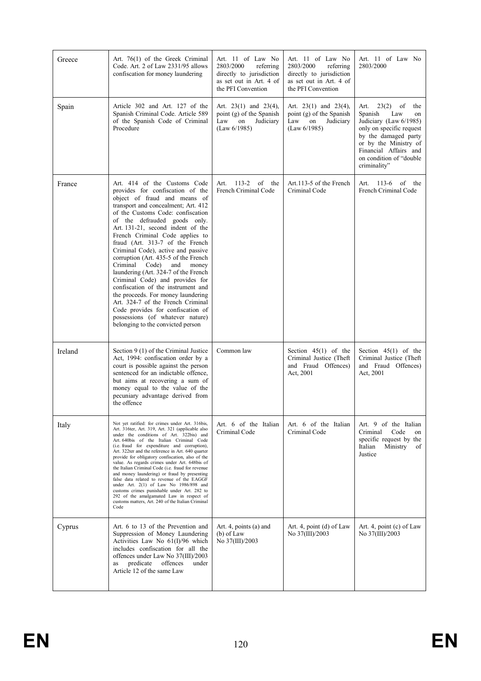| Greece  | Art. 76(1) of the Greek Criminal<br>Code. Art. 2 of Law 2331/95 allows<br>confiscation for money laundering                                                                                                                                                                                                                                                                                                                                                                                                                                                                                                                                                                                                                                                | Art. 11 of Law No<br>2803/2000<br>referring<br>directly to jurisdiction<br>as set out in Art. 4 of<br>the PFI Convention | Art. 11 of Law No<br>2803/2000<br>referring<br>directly to jurisdiction<br>as set out in Art. 4 of<br>the PFI Convention | Art. 11 of Law No<br>2803/2000                                                                                                                                                                                                |
|---------|------------------------------------------------------------------------------------------------------------------------------------------------------------------------------------------------------------------------------------------------------------------------------------------------------------------------------------------------------------------------------------------------------------------------------------------------------------------------------------------------------------------------------------------------------------------------------------------------------------------------------------------------------------------------------------------------------------------------------------------------------------|--------------------------------------------------------------------------------------------------------------------------|--------------------------------------------------------------------------------------------------------------------------|-------------------------------------------------------------------------------------------------------------------------------------------------------------------------------------------------------------------------------|
| Spain   | Article 302 and Art. 127 of the<br>Spanish Criminal Code. Article 589<br>of the Spanish Code of Criminal<br>Procedure                                                                                                                                                                                                                                                                                                                                                                                                                                                                                                                                                                                                                                      | Art. $23(1)$ and $23(4)$ ,<br>point (g) of the Spanish<br>Law<br>on<br>Judiciary<br>(Law 6/1985)                         | Art. $23(1)$ and $23(4)$ ,<br>point (g) of the Spanish<br>Law<br>on<br>Judiciary<br>(Law 6/1985)                         | $23(2)$ of<br>the<br>Art.<br>Spanish<br>Law<br>on<br>Judiciary (Law 6/1985)<br>only on specific request<br>by the damaged party<br>or by the Ministry of<br>Financial Affairs and<br>on condition of "double"<br>criminality" |
| France  | Art. 414 of the Customs Code<br>provides for confiscation of the<br>object of fraud and means of<br>transport and concealment; Art. 412<br>of the Customs Code: confiscation<br>of the defrauded goods only.<br>Art. 131-21, second indent of the<br>French Criminal Code applies to<br>fraud (Art. 313-7 of the French<br>Criminal Code), active and passive<br>corruption (Art. 435-5 of the French<br>Criminal<br>Code)<br>and<br>money<br>laundering (Art. 324-7 of the French<br>Criminal Code) and provides for<br>confiscation of the instrument and<br>the proceeds. For money laundering<br>Art. 324-7 of the French Criminal<br>Code provides for confiscation of<br>possessions (of whatever nature)<br>belonging to the convicted person       | of<br>$113 - 2$<br>the<br>Art.<br>French Criminal Code                                                                   | Art.113-5 of the French<br>Criminal Code                                                                                 | of<br>Art. 113-6<br>the<br>French Criminal Code                                                                                                                                                                               |
| Ireland | Section 9 (1) of the Criminal Justice<br>Act, 1994: confiscation order by a<br>court is possible against the person<br>sentenced for an indictable offence,<br>but aims at recovering a sum of<br>money equal to the value of the<br>pecuniary advantage derived from<br>the offence                                                                                                                                                                                                                                                                                                                                                                                                                                                                       | Common law                                                                                                               | Section $45(1)$ of the<br>Criminal Justice (Theft<br>and Fraud Offences)<br>Act, 2001                                    | Section $45(1)$ of the<br>Criminal Justice (Theft<br>and Fraud Offences)<br>Act, 2001                                                                                                                                         |
| Italy   | Not yet ratified: for crimes under Art. 316bis,<br>Art. 316ter, Art. 319, Art. 321 (applicable also<br>under the conditions of Art. 322bis) and<br>Art. 640bis of the Italian Criminal Code<br>(i.e. fraud for expenditure and corruption),<br>Art. 322ter and the reference in Art. 640 quarter<br>provide for obligatory confiscation, also of the<br>value. As regards crimes under Art. 648bis of<br>the Italian Criminal Code (i.e. fraud for revenue<br>and money laundering) or fraud by presenting<br>false data related to revenue of the EAGGF<br>under Art. 2(1) of Law No 1986/898 and<br>customs crimes punishable under Art. 282 to<br>292 of the amalgamated Law in respect of<br>customs matters, Art. 240 of the Italian Criminal<br>Code | Art. 6 of the Italian<br>Criminal Code                                                                                   | Art. 6 of the Italian<br>Criminal Code                                                                                   | Art. 9 of the Italian<br>Criminal<br>Code<br>on<br>specific request by the<br>Ministry<br>Italian<br>of<br>Justice                                                                                                            |
| Cyprus  | Art. 6 to 13 of the Prevention and<br>Suppression of Money Laundering<br>Activities Law No 61(I)/96 which<br>includes confiscation for all the<br>offences under Law No 37(III)/2003<br>predicate<br>offences<br>under<br>as<br>Article 12 of the same Law                                                                                                                                                                                                                                                                                                                                                                                                                                                                                                 | Art. 4, points (a) and<br>$(b)$ of Law<br>No 37(III)/2003                                                                | Art. 4, point (d) of Law<br>No 37(III)/2003                                                                              | Art. 4, point (c) of Law<br>No 37(III)/2003                                                                                                                                                                                   |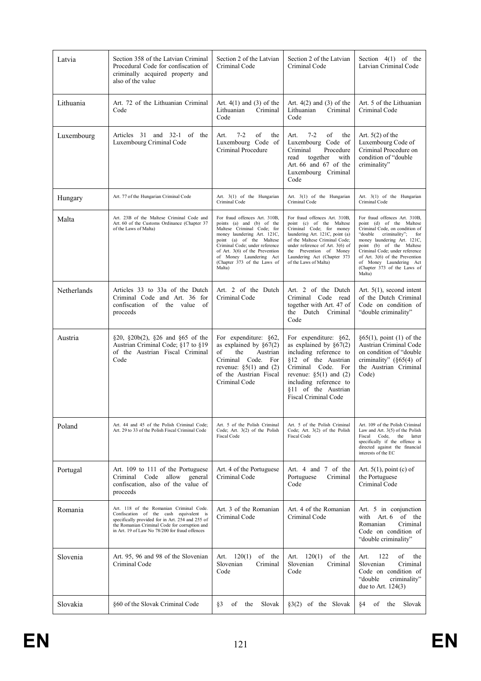| Latvia      | Section 358 of the Latvian Criminal<br>Procedural Code for confiscation of<br>criminally acquired property and<br>also of the value                                                                                                      | Section 2 of the Latvian<br>Criminal Code                                                                                                                                                                                                                                                   | Section 2 of the Latvian<br>Criminal Code                                                                                                                                                                                                                                         | Section $4(1)$ of the<br>Latvian Criminal Code                                                                                                                                                                                                                                                                                    |
|-------------|------------------------------------------------------------------------------------------------------------------------------------------------------------------------------------------------------------------------------------------|---------------------------------------------------------------------------------------------------------------------------------------------------------------------------------------------------------------------------------------------------------------------------------------------|-----------------------------------------------------------------------------------------------------------------------------------------------------------------------------------------------------------------------------------------------------------------------------------|-----------------------------------------------------------------------------------------------------------------------------------------------------------------------------------------------------------------------------------------------------------------------------------------------------------------------------------|
| Lithuania   | Art. 72 of the Lithuanian Criminal<br>Code                                                                                                                                                                                               | Art. $4(1)$ and $(3)$ of the<br>Lithuanian<br>Criminal<br>Code                                                                                                                                                                                                                              | Art. $4(2)$ and $(3)$ of the<br>Lithuanian<br>Criminal<br>Code                                                                                                                                                                                                                    | Art. 5 of the Lithuanian<br>Criminal Code                                                                                                                                                                                                                                                                                         |
| Luxembourg  | Articles 31 and 32-1 of the<br>Luxembourg Criminal Code                                                                                                                                                                                  | $7 - 2$<br>of<br>the<br>Art.<br>Luxembourg Code of<br>Criminal Procedure                                                                                                                                                                                                                    | $7 - 2$<br>of<br>Art.<br>the<br>Luxembourg Code of<br>Procedure<br>Criminal<br>together<br>with<br>read<br>Art. 66 and 67 of the<br>Luxembourg Criminal<br>Code                                                                                                                   | Art. $5(2)$ of the<br>Luxembourg Code of<br>Criminal Procedure on<br>condition of "double"<br>criminality"                                                                                                                                                                                                                        |
| Hungary     | Art. 77 of the Hungarian Criminal Code                                                                                                                                                                                                   | Art. 3(1) of the Hungarian<br>Criminal Code                                                                                                                                                                                                                                                 | Art. 3(1) of the Hungarian<br>Criminal Code                                                                                                                                                                                                                                       | Art. 3(1) of the Hungarian<br>Criminal Code                                                                                                                                                                                                                                                                                       |
| Malta       | Art. 23B of the Maltese Criminal Code and<br>Art. 60 of the Customs Ordinance (Chapter 37<br>of the Laws of Malta)                                                                                                                       | For fraud offences Art. 310B,<br>points (a) and (b) of the<br>Maltese Criminal Code; for<br>money laundering Art. 121C,<br>point (a) of the Maltese<br>Criminal Code; under reference<br>of Art. 3(6) of the Prevention<br>of Money Laundering Act<br>(Chapter 373 of the Laws of<br>Malta) | For fraud offences Art. 310B,<br>point (c) of the Maltese<br>Criminal Code; for money<br>laundering Art. 121C, point (a)<br>of the Maltese Criminal Code;<br>under reference of Art. $3(6)$ of<br>the Prevention of Money<br>Laundering Act (Chapter 373<br>of the Laws of Malta) | For fraud offences Art. 310B,<br>point (d) of the Maltese<br>Criminal Code, on condition of<br>criminality";<br>"double<br>for<br>money laundering Art. 121C,<br>point (b) of the Maltese<br>Criminal Code; under reference<br>of Art. 3(6) of the Prevention<br>of Money Laundering Act<br>(Chapter 373 of the Laws of<br>Malta) |
| Netherlands | Articles 33 to 33a of the Dutch<br>Criminal Code and Art. 36 for<br>confiscation of the value of<br>proceeds                                                                                                                             | Art. 2 of the Dutch<br>Criminal Code                                                                                                                                                                                                                                                        | Art. 2 of the Dutch<br>Criminal Code read<br>together with Art. 47 of<br>the Dutch Criminal<br>Code                                                                                                                                                                               | Art. $5(1)$ , second intent<br>of the Dutch Criminal<br>Code on condition of<br>"double criminality"                                                                                                                                                                                                                              |
| Austria     | §20, §20b(2), §26 and §65 of the<br>Austrian Criminal Code; §17 to §19<br>of the Austrian Fiscal Criminal<br>Code                                                                                                                        | For expenditure: §62,<br>as explained by $\S67(2)$<br>of<br>Austrian<br>the<br>Criminal Code. For<br>revenue: $\S5(1)$ and (2)<br>of the Austrian Fiscal<br>Criminal Code                                                                                                                   | For expenditure: §62,<br>as explained by $\S67(2)$<br>including reference to<br>§12 of the Austrian<br>Criminal Code. For<br>revenue: $\S5(1)$ and (2)<br>including reference to<br>§11 of the Austrian<br><b>Fiscal Criminal Code</b>                                            | $§65(1)$ , point (1) of the<br>Austrian Criminal Code<br>on condition of "double"<br>criminality" (§65(4) of<br>the Austrian Criminal<br>Code)                                                                                                                                                                                    |
| Poland      | Art. 44 and 45 of the Polish Criminal Code:<br>Art. 29 to 33 of the Polish Fiscal Criminal Code                                                                                                                                          | Art. 5 of the Polish Criminal<br>Code; Art. 3(2) of the Polish<br><b>Fiscal Code</b>                                                                                                                                                                                                        | Art. 5 of the Polish Criminal<br>Code; Art. 3(2) of the Polish<br>Fiscal Code                                                                                                                                                                                                     | Art. 109 of the Polish Criminal<br>Law and Art. $3(5)$ of the Polish<br>Fiscal<br>Code,<br>the<br>latter<br>specifically if the offence is<br>directed against the financial<br>interests of the EC                                                                                                                               |
| Portugal    | Art. 109 to 111 of the Portuguese<br>Code<br>allow<br>general<br>Criminal<br>confiscation, also of the value of<br>proceeds                                                                                                              | Art. 4 of the Portuguese<br>Criminal Code                                                                                                                                                                                                                                                   | Art. 4 and 7 of the<br>Portuguese<br>Criminal<br>Code                                                                                                                                                                                                                             | Art. $5(1)$ , point (c) of<br>the Portuguese<br>Criminal Code                                                                                                                                                                                                                                                                     |
| Romania     | Art. 118 of the Romanian Criminal Code.<br>Confiscation of the cash equivalent is<br>specifically provided for in Art. 254 and 255 of<br>the Romanian Criminal Code for corruption and<br>in Art. 19 of Law No 78/200 for fraud offences | Art. 3 of the Romanian<br>Criminal Code                                                                                                                                                                                                                                                     | Art. 4 of the Romanian<br>Criminal Code                                                                                                                                                                                                                                           | Art. 5 in conjunction<br>with Art. 6 of the<br>Romanian<br>Criminal<br>Code on condition of<br>"double criminality"                                                                                                                                                                                                               |
| Slovenia    | Art. 95, 96 and 98 of the Slovenian<br>Criminal Code                                                                                                                                                                                     | of the<br>Art.<br>120(1)<br>Slovenian<br>Criminal<br>Code                                                                                                                                                                                                                                   | 120(1)<br>of the<br>Art.<br>Slovenian<br>Criminal<br>Code                                                                                                                                                                                                                         | of<br>Art.<br>122<br>the<br>Slovenian<br>Criminal<br>Code on condition of<br>"double<br>criminality"<br>due to Art. $124(3)$                                                                                                                                                                                                      |
| Slovakia    | §60 of the Slovak Criminal Code                                                                                                                                                                                                          | §3<br>Slovak<br>of<br>the                                                                                                                                                                                                                                                                   | $\S3(2)$ of the Slovak                                                                                                                                                                                                                                                            | §4<br>of<br>Slovak<br>the                                                                                                                                                                                                                                                                                                         |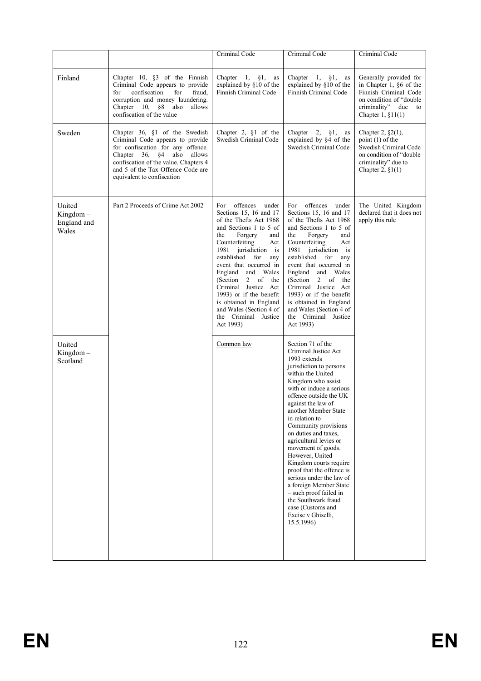|                                               |                                                                                                                                                                                                                                                              | Criminal Code                                                                                                                                                                                                                                                                                                                                                                                                                          | Criminal Code                                                                                                                                                                                                                                                                                                                                                                                                                                                                                                                                                                                   | Criminal Code                                                                                                                                           |
|-----------------------------------------------|--------------------------------------------------------------------------------------------------------------------------------------------------------------------------------------------------------------------------------------------------------------|----------------------------------------------------------------------------------------------------------------------------------------------------------------------------------------------------------------------------------------------------------------------------------------------------------------------------------------------------------------------------------------------------------------------------------------|-------------------------------------------------------------------------------------------------------------------------------------------------------------------------------------------------------------------------------------------------------------------------------------------------------------------------------------------------------------------------------------------------------------------------------------------------------------------------------------------------------------------------------------------------------------------------------------------------|---------------------------------------------------------------------------------------------------------------------------------------------------------|
| Finland                                       | Chapter 10, §3 of the Finnish<br>Criminal Code appears to provide<br>confiscation<br>for<br>for<br>fraud,<br>corruption and money laundering.<br>Chapter 10, §8 also<br>allows<br>confiscation of the value                                                  | Chapter $1, \S 1,$<br>as<br>explained by §10 of the<br>Finnish Criminal Code                                                                                                                                                                                                                                                                                                                                                           | Chapter $1, \S 1,$<br>as<br>explained by §10 of the<br>Finnish Criminal Code                                                                                                                                                                                                                                                                                                                                                                                                                                                                                                                    | Generally provided for<br>in Chapter 1, §6 of the<br>Finnish Criminal Code<br>on condition of "double"<br>criminality"<br>due to<br>Chapter $1, §11(1)$ |
| Sweden                                        | Chapter 36, §1 of the Swedish<br>Criminal Code appears to provide<br>for confiscation for any offence.<br>Chapter<br>36,<br>§4<br>also<br>allows<br>confiscation of the value. Chapters 4<br>and 5 of the Tax Offence Code are<br>equivalent to confiscation | Chapter 2, $§1$ of the<br>Swedish Criminal Code                                                                                                                                                                                                                                                                                                                                                                                        | Chapter $2, \S1,$<br>as<br>explained by §4 of the<br>Swedish Criminal Code                                                                                                                                                                                                                                                                                                                                                                                                                                                                                                                      | Chapter 2, $\S2(1)$ ,<br>point $(1)$ of the<br>Swedish Criminal Code<br>on condition of "double"<br>criminality" due to<br>Chapter 2, $\S1(1)$          |
| United<br>$Kingdom -$<br>England and<br>Wales | Part 2 Proceeds of Crime Act 2002                                                                                                                                                                                                                            | offences<br>For<br>under<br>Sections 15, 16 and 17<br>of the Thefts Act 1968<br>and Sections 1 to 5 of<br>the<br>Forgery<br>and<br>Counterfeiting<br>Act<br>1981<br>jurisdiction is<br>established for<br>any<br>event that occurred in<br>England and Wales<br>$2$ of<br>(Section<br>the<br>Criminal Justice Act<br>1993) or if the benefit<br>is obtained in England<br>and Wales (Section 4 of<br>the Criminal Justice<br>Act 1993) | offences<br>For<br>under<br>Sections 15, 16 and 17<br>of the Thefts Act 1968<br>and Sections 1 to 5 of<br>the<br>Forgery<br>and<br>Counterfeiting<br>Act<br>1981 jurisdiction is<br>established for<br>any<br>event that occurred in<br>England and Wales<br>$2$ of<br>(Section)<br>the<br>Criminal Justice Act<br>1993) or if the benefit<br>is obtained in England<br>and Wales (Section 4 of<br>the Criminal Justice<br>Act 1993)                                                                                                                                                            | The United Kingdom<br>declared that it does not<br>apply this rule                                                                                      |
| United<br>Kingdom-<br>Scotland                |                                                                                                                                                                                                                                                              | Common law                                                                                                                                                                                                                                                                                                                                                                                                                             | Section 71 of the<br>Criminal Justice Act<br>1993 extends<br>jurisdiction to persons<br>within the United<br>Kingdom who assist<br>with or induce a serious<br>offence outside the UK<br>against the law of<br>another Member State<br>in relation to<br>Community provisions<br>on duties and taxes.<br>agricultural levies or<br>movement of goods.<br>However, United<br>Kingdom courts require<br>proof that the offence is<br>serious under the law of<br>a foreign Member State<br>- such proof failed in<br>the Southwark fraud<br>case (Customs and<br>Excise v Ghiselli.<br>15.5.1996) |                                                                                                                                                         |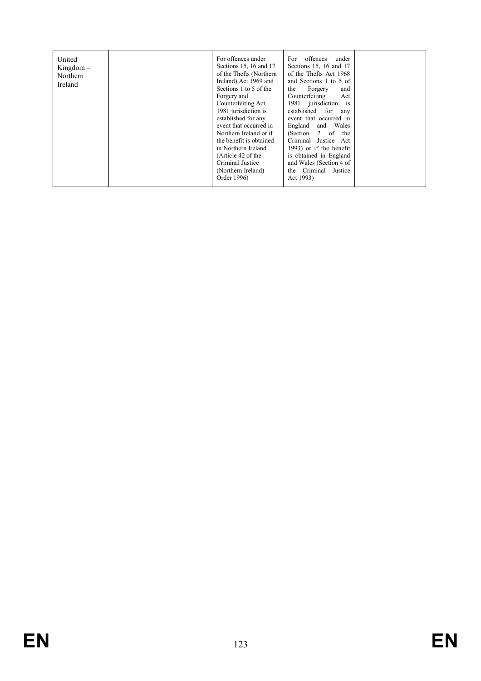| United<br>$Kingdom -$<br>Northern<br>Ireland | For offences under<br>Sections 15, 16 and 17<br>of the Thefts (Northern<br>Ireland) Act 1969 and<br>Sections 1 to 5 of the<br>Forgery and<br>Counterfeiting Act<br>1981 jurisdiction is<br>established for any<br>event that occurred in<br>Northern Ireland or if<br>the benefit is obtained<br>in Northern Ireland<br>(Article 42 of the<br>Criminal Justice<br>(Northern Ireland) | offences<br>under<br>For<br>Sections 15, 16 and 17<br>of the Thefts Act 1968<br>and Sections 1 to 5 of<br>Forgery<br>the<br>and<br>Counterfeiting<br>Act<br>1981 jurisdiction is<br>established for<br>any<br>event that occurred in<br>England<br>Wales<br>and<br>(Section $2$ of<br>the<br>Criminal Justice Act<br>1993) or if the benefit<br>is obtained in England<br>and Wales (Section 4 of<br>the Criminal<br>Justice |  |
|----------------------------------------------|--------------------------------------------------------------------------------------------------------------------------------------------------------------------------------------------------------------------------------------------------------------------------------------------------------------------------------------------------------------------------------------|------------------------------------------------------------------------------------------------------------------------------------------------------------------------------------------------------------------------------------------------------------------------------------------------------------------------------------------------------------------------------------------------------------------------------|--|
|                                              | Order 1996)                                                                                                                                                                                                                                                                                                                                                                          | Act 1993)                                                                                                                                                                                                                                                                                                                                                                                                                    |  |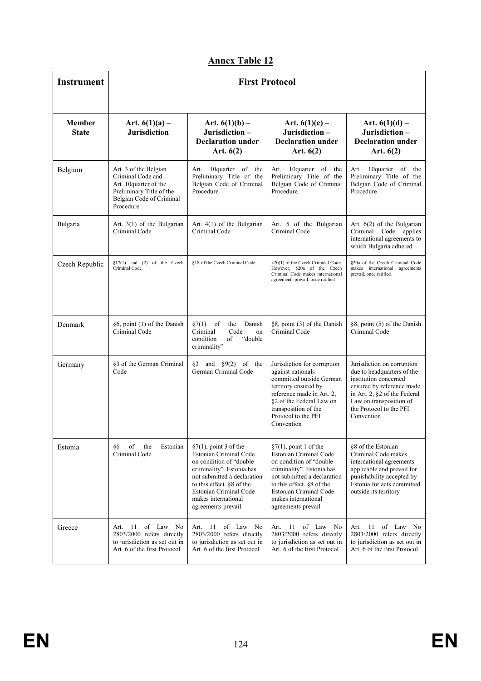| <b>Instrument</b>             | <b>First Protocol</b>                                                                                                                    |                                                                                                                                                                                                                                                |                                                                                                                                                                                                                                                |                                                                                                                                                                                                                    |
|-------------------------------|------------------------------------------------------------------------------------------------------------------------------------------|------------------------------------------------------------------------------------------------------------------------------------------------------------------------------------------------------------------------------------------------|------------------------------------------------------------------------------------------------------------------------------------------------------------------------------------------------------------------------------------------------|--------------------------------------------------------------------------------------------------------------------------------------------------------------------------------------------------------------------|
| <b>Member</b><br><b>State</b> | Art. $6(1)(a)$ –<br><b>Jurisdiction</b>                                                                                                  | Art. $6(1)(b)$ –<br>Jurisdiction-<br><b>Declaration under</b><br>Art. $6(2)$                                                                                                                                                                   | Art. $6(1)(c)$ –<br>Jurisdiction-<br><b>Declaration under</b><br>Art. $6(2)$                                                                                                                                                                   | Art. $6(1)(d)$ –<br>Jurisdiction-<br><b>Declaration under</b><br>Art. $6(2)$                                                                                                                                       |
| Belgium                       | Art. 3 of the Belgian<br>Criminal Code and<br>Art. 10quarter of the<br>Preliminary Title of the<br>Belgian Code of Criminal<br>Procedure | 10 quarter of the<br>Art.<br>Preliminary Title of the<br>Belgian Code of Criminal<br>Procedure                                                                                                                                                 | 10quarter of the<br>Art.<br>Preliminary Title of the<br>Belgian Code of Criminal<br>Procedure                                                                                                                                                  | 10quarter of the<br>Art.<br>Preliminary Title of the<br>Belgian Code of Criminal<br>Procedure                                                                                                                      |
| Bulgaria                      | Art. $3(1)$ of the Bulgarian<br>Criminal Code                                                                                            | Art. $4(1)$ of the Bulgarian<br>Criminal Code                                                                                                                                                                                                  | Art. 5 of the Bulgarian<br>Criminal Code                                                                                                                                                                                                       | Art. $6(2)$ of the Bulgarian<br>Criminal Code applies<br>international agreements to<br>which Bulgaria adhered                                                                                                     |
| Czech Republic                | $$17(1)$ and (2) of the Czech<br>Criminal Code                                                                                           | §18 of the Czech Criminal Code                                                                                                                                                                                                                 | §20(1) of the Czech Criminal Code.<br>However, §20a of the Czech<br>Criminal Code makes international<br>agreements prevail, once ratified                                                                                                     | 820a of the Czech Criminal Code<br>makes international agreements<br>prevail, once ratified                                                                                                                        |
| Denmark                       | §6, point (1) of the Danish<br>Criminal Code                                                                                             | §7(1)<br>of<br>the<br>Danish<br>Criminal<br>Code<br>on<br>"double<br>condition<br>of<br>criminality"                                                                                                                                           | §8, point (3) of the Danish<br>Criminal Code                                                                                                                                                                                                   | §8, point (5) of the Danish<br>Criminal Code                                                                                                                                                                       |
| Germany                       | §3 of the German Criminal<br>Code                                                                                                        | §3 and $§9(2)$ of the<br>German Criminal Code                                                                                                                                                                                                  | Jurisdiction for corruption<br>against nationals<br>committed outside German<br>territory ensured by<br>reference made in Art. 2.<br>§2 of the Federal Law on<br>transposition of the<br>Protocol to the PFI<br>Convention                     | Jurisdiction on corruption<br>due to headquarters of the<br>institution concerned<br>ensured by reference made<br>in Art. 2, §2 of the Federal<br>Law on transposition of<br>the Protocol to the PFI<br>Convention |
| Estonia                       | §6<br>of<br>Estonian<br>the<br>Criminal Code                                                                                             | $\S7(1)$ , point 3 of the<br>Estonian Criminal Code<br>on condition of "double<br>criminality". Estonia has<br>not submitted a declaration<br>to this effect. §8 of the<br>Estonian Criminal Code<br>makes international<br>agreements prevail | $\S7(1)$ , point 1 of the<br>Estonian Criminal Code<br>on condition of "double<br>criminality". Estonia has<br>not submitted a declaration<br>to this effect. §8 of the<br>Estonian Criminal Code<br>makes international<br>agreements prevail | §8 of the Estonian<br>Criminal Code makes<br>international agreements<br>applicable and prevail for<br>punishability accepted by<br>Estonia for acts committed<br>outside its territory                            |
| Greece                        | of Law No<br>Art.<br>-11<br>2803/2000 refers directly<br>to jurisdiction as set out in<br>Art. 6 of the first Protocol                   | Art. 11 of Law No<br>2803/2000 refers directly<br>to jurisdiction as set out in<br>Art. 6 of the first Protocol                                                                                                                                | Art. 11 of Law No<br>2803/2000 refers directly<br>to jurisdiction as set out in<br>Art. 6 of the first Protocol                                                                                                                                | - 11<br>of Law No<br>Art.<br>2803/2000 refers directly<br>to jurisdiction as set out in<br>Art. 6 of the first Protocol                                                                                            |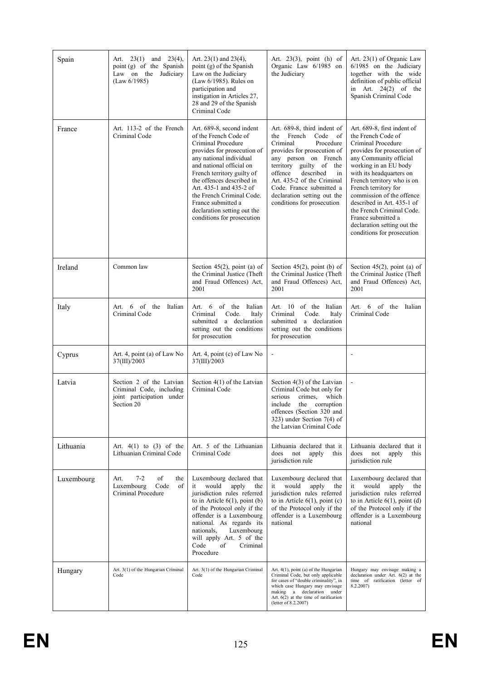| Spain      | Art. $23(1)$ and $23(4)$ ,<br>point (g) of the Spanish<br>Law on the Judiciary<br>(Law 6/1985)  | Art. $23(1)$ and $23(4)$ ,<br>point (g) of the Spanish<br>Law on the Judiciary<br>(Law 6/1985). Rules on<br>participation and<br>instigation in Articles 27,<br>28 and 29 of the Spanish<br>Criminal Code                                                                                                                                                            | Art. $23(3)$ , point (h) of<br>Organic Law 6/1985 on<br>the Judiciary                                                                                                                                                                                                                                                         | Art. 23(1) of Organic Law<br>6/1985 on the Judiciary<br>together with the wide<br>definition of public official<br>in Art. $24(2)$ of the<br>Spanish Criminal Code                                                                                                                                                                                                                                                     |
|------------|-------------------------------------------------------------------------------------------------|----------------------------------------------------------------------------------------------------------------------------------------------------------------------------------------------------------------------------------------------------------------------------------------------------------------------------------------------------------------------|-------------------------------------------------------------------------------------------------------------------------------------------------------------------------------------------------------------------------------------------------------------------------------------------------------------------------------|------------------------------------------------------------------------------------------------------------------------------------------------------------------------------------------------------------------------------------------------------------------------------------------------------------------------------------------------------------------------------------------------------------------------|
| France     | Art. 113-2 of the French<br>Criminal Code                                                       | Art. 689-8, second indent<br>of the French Code of<br>Criminal Procedure<br>provides for prosecution of<br>any national individual<br>and national official on<br>French territory guilty of<br>the offences described in<br>Art. 435-1 and 435-2 of<br>the French Criminal Code.<br>France submitted a<br>declaration setting out the<br>conditions for prosecution | Art. 689-8, third indent of<br>French<br>Code<br>the<br>of<br>Criminal<br>Procedure<br>provides for prosecution of<br>any person on French<br>territory guilty of<br>the<br>offence<br>described<br>in<br>Art. 435-2 of the Criminal<br>Code. France submitted a<br>declaration setting out the<br>conditions for prosecution | Art. 689-8, first indent of<br>the French Code of<br>Criminal Procedure<br>provides for prosecution of<br>any Community official<br>working in an EU body<br>with its headquarters on<br>French territory who is on<br>French territory for<br>commission of the offence<br>described in Art. 435-1 of<br>the French Criminal Code.<br>France submitted a<br>declaration setting out the<br>conditions for prosecution |
| Ireland    | Common law                                                                                      | Section $45(2)$ , point (a) of<br>the Criminal Justice (Theft<br>and Fraud Offences) Act,<br>2001                                                                                                                                                                                                                                                                    | Section $45(2)$ , point (b) of<br>the Criminal Justice (Theft<br>and Fraud Offences) Act.<br>2001                                                                                                                                                                                                                             | Section $45(2)$ , point (a) of<br>the Criminal Justice (Theft<br>and Fraud Offences) Act,<br>2001                                                                                                                                                                                                                                                                                                                      |
| Italy      | Art. 6 of the Italian<br>Criminal Code                                                          | Art. 6 of the Italian<br>Code.<br>Criminal<br>Italy<br>submitted a declaration<br>setting out the conditions<br>for prosecution                                                                                                                                                                                                                                      | Art. 10 of the Italian<br>Criminal<br>Code.<br>Italy<br>submitted a declaration<br>setting out the conditions<br>for prosecution                                                                                                                                                                                              | 6<br>of the<br>Italian<br>Art.<br>Criminal Code                                                                                                                                                                                                                                                                                                                                                                        |
| Cyprus     | Art. 4, point (a) of Law No<br>37(III)/2003                                                     | Art. 4, point (c) of Law No<br>37(III)/2003                                                                                                                                                                                                                                                                                                                          | ÷,                                                                                                                                                                                                                                                                                                                            | $\blacksquare$                                                                                                                                                                                                                                                                                                                                                                                                         |
| Latvia     | Section 2 of the Latvian<br>Criminal Code, including<br>joint participation under<br>Section 20 | Section 4(1) of the Latvian<br>Criminal Code                                                                                                                                                                                                                                                                                                                         | Section 4(3) of the Latvian<br>Criminal Code but only for<br>crimes,<br>which<br>serious<br>include the corruption<br>offences (Section 320 and<br>323) under Section $7(4)$ of<br>the Latvian Criminal Code                                                                                                                  |                                                                                                                                                                                                                                                                                                                                                                                                                        |
| Lithuania  | Art. $4(1)$ to $(3)$ of the<br>Lithuanian Criminal Code                                         | Art. 5 of the Lithuanian<br>Criminal Code                                                                                                                                                                                                                                                                                                                            | Lithuania declared that it<br>not<br>does<br>apply<br>this<br>jurisdiction rule                                                                                                                                                                                                                                               | Lithuania declared that it<br>not<br>does<br>apply<br>this<br>jurisdiction rule                                                                                                                                                                                                                                                                                                                                        |
| Luxembourg | Art.<br>$7 - 2$<br>of<br>the<br>Luxembourg<br>Code<br>of<br>Criminal Procedure                  | Luxembourg declared that<br>would<br>apply<br>it<br>the<br>jurisdiction rules referred<br>to in Article $6(1)$ , point (b)<br>of the Protocol only if the<br>offender is a Luxembourg<br>national. As regards its<br>nationals.<br>Luxembourg<br>will apply Art. 5 of the<br>Code<br>of<br>Criminal<br>Procedure                                                     | Luxembourg declared that<br>would<br>apply<br>it<br>the<br>jurisdiction rules referred<br>to in Article $6(1)$ , point (c)<br>of the Protocol only if the<br>offender is a Luxembourg<br>national                                                                                                                             | Luxembourg declared that<br>would<br>it<br>apply<br>the<br>jurisdiction rules referred<br>to in Article $6(1)$ , point (d)<br>of the Protocol only if the<br>offender is a Luxembourg<br>national                                                                                                                                                                                                                      |
| Hungary    | Art. 3(1) of the Hungarian Criminal<br>Code                                                     | Art. 3(1) of the Hungarian Criminal<br>Code                                                                                                                                                                                                                                                                                                                          | Art. $4(1)$ , point (a) of the Hungarian<br>Criminal Code, but only applicable<br>for cases of "double criminality", in<br>which case Hungary may envisage<br>making a declaration under<br>Art. $6(2)$ at the time of ratification<br>(letter of 8.2.2007)                                                                   | Hungary may envisage making a<br>declaration under Art. $6(2)$ at the<br>time of ratification (letter of<br>8.2.2007)                                                                                                                                                                                                                                                                                                  |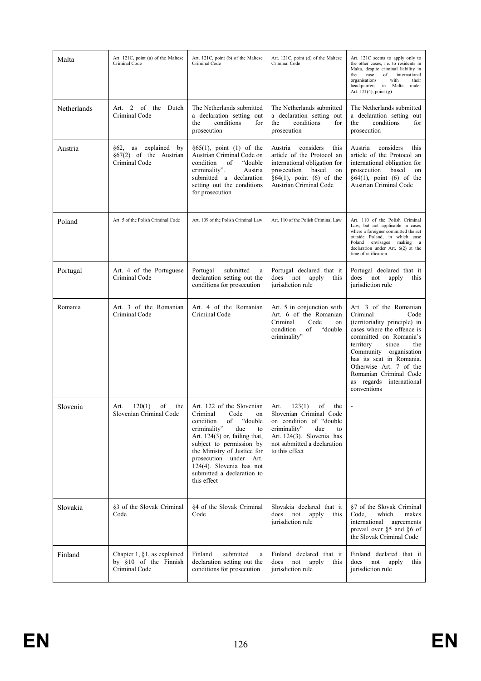| Malta       | Art. 121C, point (a) of the Maltese<br>Criminal Code                       | Art. 121C, point (b) of the Maltese<br>Criminal Code                                                                                                                                                                                                                                                             | Art. 121C, point (d) of the Maltese<br>Criminal Code                                                                                                                                         | Art. 121C seems to apply only to<br>the other cases, i.e. to residents in<br>Malta, despite criminal liability in<br>of<br>international<br>the<br>case<br>organisations<br>with<br>their<br>headquarters in Malta<br>under<br>Art. 121(4), point (g)                                                                  |
|-------------|----------------------------------------------------------------------------|------------------------------------------------------------------------------------------------------------------------------------------------------------------------------------------------------------------------------------------------------------------------------------------------------------------|----------------------------------------------------------------------------------------------------------------------------------------------------------------------------------------------|------------------------------------------------------------------------------------------------------------------------------------------------------------------------------------------------------------------------------------------------------------------------------------------------------------------------|
| Netherlands | Art. 2 of the Dutch<br>Criminal Code                                       | The Netherlands submitted<br>a declaration setting out<br>conditions<br>the<br>for<br>prosecution                                                                                                                                                                                                                | The Netherlands submitted<br>a declaration setting out<br>conditions<br>the<br>for<br>prosecution                                                                                            | The Netherlands submitted<br>a declaration setting out<br>conditions<br>the<br>for<br>prosecution                                                                                                                                                                                                                      |
| Austria     | §62,<br>explained<br>as<br>by<br>$§67(2)$ of the Austrian<br>Criminal Code | $§65(1)$ , point (1) of the<br>Austrian Criminal Code on<br>"double"<br>condition<br>of<br>criminality".<br>Austria<br>submitted a declaration<br>setting out the conditions<br>for prosecution                                                                                                                  | considers<br>Austria<br>this<br>article of the Protocol an<br>international obligation for<br>prosecution<br>based<br>on<br>$§64(1)$ , point (6) of the<br>Austrian Criminal Code            | considers<br>this<br>Austria<br>article of the Protocol an<br>international obligation for<br>prosecution<br>based<br>on<br>$§64(1)$ , point (6) of the<br>Austrian Criminal Code                                                                                                                                      |
| Poland      | Art. 5 of the Polish Criminal Code                                         | Art. 109 of the Polish Criminal Law                                                                                                                                                                                                                                                                              | Art. 110 of the Polish Criminal Law                                                                                                                                                          | Art. 110 of the Polish Criminal<br>Law, but not applicable in cases<br>where a foreigner committed the act<br>outside Poland, in which case<br>Poland envisages making a<br>declaration under Art. $6(2)$ at the<br>time of ratification                                                                               |
| Portugal    | Art. 4 of the Portuguese<br>Criminal Code                                  | Portugal<br>submitted<br>$\mathbf a$<br>declaration setting out the<br>conditions for prosecution                                                                                                                                                                                                                | Portugal declared that it<br>does<br>not<br>apply<br>this<br>jurisdiction rule                                                                                                               | Portugal declared that it<br>does<br>not<br>apply<br>this<br>jurisdiction rule                                                                                                                                                                                                                                         |
| Romania     | Art. 3 of the Romanian<br>Criminal Code                                    | Art. 4 of the Romanian<br>Criminal Code                                                                                                                                                                                                                                                                          | Art. 5 in conjunction with<br>Art. 6 of the Romanian<br>Criminal<br>Code<br>on<br>"double<br>condition<br>of<br>criminality"                                                                 | Art. 3 of the Romanian<br>Criminal<br>Code<br>(territoriality principle) in<br>cases where the offence is<br>committed on Romania's<br>territory<br>since<br>the<br>Community organisation<br>has its seat in Romania.<br>Otherwise Art. 7 of the<br>Romanian Criminal Code<br>as regards international<br>conventions |
| Slovenia    | 120(1)<br>of<br>the<br>Art.<br>Slovenian Criminal Code                     | Art. 122 of the Slovenian<br>Criminal<br>Code<br>on<br>of<br>"double"<br>condition<br>criminality"<br>due<br>to<br>Art. $124(3)$ or, failing that,<br>subject to permission by<br>the Ministry of Justice for<br>prosecution under Art.<br>124(4). Slovenia has not<br>submitted a declaration to<br>this effect | 123(1)<br>Art.<br>of<br>the<br>Slovenian Criminal Code<br>on condition of "double<br>criminality"<br>due<br>to<br>Art. 124(3). Slovenia has<br>not submitted a declaration<br>to this effect |                                                                                                                                                                                                                                                                                                                        |
| Slovakia    | §3 of the Slovak Criminal<br>Code                                          | §4 of the Slovak Criminal<br>Code                                                                                                                                                                                                                                                                                | Slovakia declared that it<br>does not<br>apply<br>this<br>jurisdiction rule                                                                                                                  | §7 of the Slovak Criminal<br>which<br>Code.<br>makes<br>international<br>agreements<br>prevail over §5 and §6 of<br>the Slovak Criminal Code                                                                                                                                                                           |
| Finland     | Chapter 1, $\S1$ , as explained<br>by §10 of the Finnish<br>Criminal Code  | Finland<br>submitted<br>a<br>declaration setting out the<br>conditions for prosecution                                                                                                                                                                                                                           | Finland declared that it<br>does not<br>apply<br>this<br>jurisdiction rule                                                                                                                   | Finland declared that it<br>does not<br>apply<br>this<br>jurisdiction rule                                                                                                                                                                                                                                             |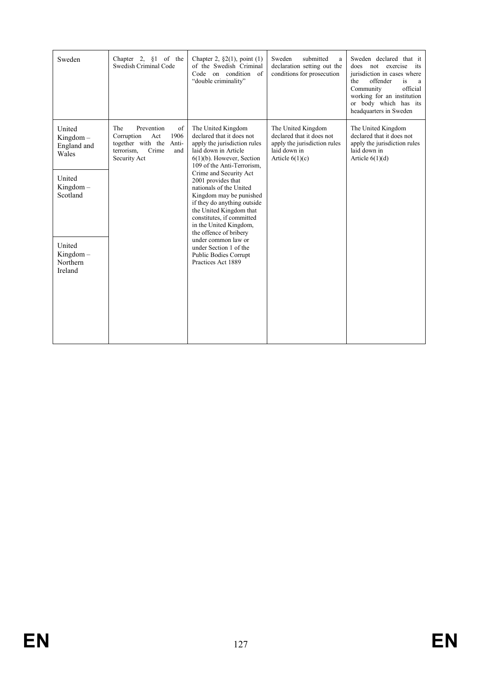| Sweden                                                                                                                             | Chapter 2, $§1$ of the<br>Swedish Criminal Code                                                                                  | Chapter 2, $\S2(1)$ , point (1)<br>of the Swedish Criminal<br>Code on condition of<br>"double criminality"                                                                                                                                                                                                                                                                                                                                                                                                                    | Sweden<br>submitted<br>a<br>declaration setting out the<br>conditions for prosecution                                | Sweden declared that it<br>not exercise<br>does<br>its<br>jurisdiction in cases where<br>the<br>offender<br>is<br>a<br>Community<br>official<br>working for an institution<br>or body which has its<br>headquarters in Sweden |
|------------------------------------------------------------------------------------------------------------------------------------|----------------------------------------------------------------------------------------------------------------------------------|-------------------------------------------------------------------------------------------------------------------------------------------------------------------------------------------------------------------------------------------------------------------------------------------------------------------------------------------------------------------------------------------------------------------------------------------------------------------------------------------------------------------------------|----------------------------------------------------------------------------------------------------------------------|-------------------------------------------------------------------------------------------------------------------------------------------------------------------------------------------------------------------------------|
| United<br>$Kingdom -$<br>England and<br>Wales<br>United<br>$Kingdom -$<br>Scotland<br>United<br>$Kingdom -$<br>Northern<br>Ireland | The<br>Prevention<br>of<br>1906<br>Corruption<br>Act<br>together with the<br>Anti-<br>terrorism.<br>Crime<br>and<br>Security Act | The United Kingdom<br>declared that it does not<br>apply the jurisdiction rules<br>laid down in Article<br>$6(1)(b)$ . However, Section<br>109 of the Anti-Terrorism.<br>Crime and Security Act<br>2001 provides that<br>nationals of the United<br>Kingdom may be punished<br>if they do anything outside<br>the United Kingdom that<br>constitutes, if committed<br>in the United Kingdom,<br>the offence of bribery<br>under common law or<br>under Section 1 of the<br><b>Public Bodies Corrupt</b><br>Practices Act 1889 | The United Kingdom<br>declared that it does not<br>apply the jurisdiction rules<br>laid down in<br>Article $6(1)(c)$ | The United Kingdom<br>declared that it does not<br>apply the jurisdiction rules<br>laid down in<br>Article $6(1)(d)$                                                                                                          |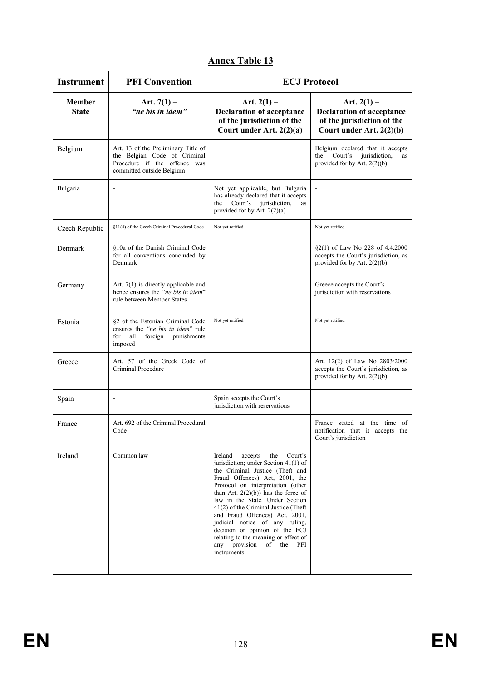| <b>Instrument</b>             | <b>PFI Convention</b>                                                                                                            | <b>ECJ Protocol</b>                                                                                                                                                                                                                                                                                                                                                                                                                                                                                         |                                                                                                             |  |
|-------------------------------|----------------------------------------------------------------------------------------------------------------------------------|-------------------------------------------------------------------------------------------------------------------------------------------------------------------------------------------------------------------------------------------------------------------------------------------------------------------------------------------------------------------------------------------------------------------------------------------------------------------------------------------------------------|-------------------------------------------------------------------------------------------------------------|--|
| <b>Member</b><br><b>State</b> | Art. $7(1)$ –<br>"ne bis in idem"                                                                                                | Art. $2(1)$ –<br><b>Declaration of acceptance</b><br>of the jurisdiction of the<br>Court under Art. 2(2)(a)                                                                                                                                                                                                                                                                                                                                                                                                 | Art. $2(1)$ –<br><b>Declaration of acceptance</b><br>of the jurisdiction of the<br>Court under Art. 2(2)(b) |  |
| Belgium                       | Art. 13 of the Preliminary Title of<br>the Belgian Code of Criminal<br>Procedure if the offence was<br>committed outside Belgium |                                                                                                                                                                                                                                                                                                                                                                                                                                                                                                             | Belgium declared that it accepts<br>Court's<br>jurisdiction,<br>the<br>as<br>provided for by Art. 2(2)(b)   |  |
| Bulgaria                      | ÷                                                                                                                                | Not yet applicable, but Bulgaria<br>has already declared that it accepts<br>Court's jurisdiction,<br>the<br>as<br>provided for by Art. $2(2)(a)$                                                                                                                                                                                                                                                                                                                                                            |                                                                                                             |  |
| Czech Republic                | §11(4) of the Czech Criminal Procedural Code                                                                                     | Not yet ratified                                                                                                                                                                                                                                                                                                                                                                                                                                                                                            | Not yet ratified                                                                                            |  |
| Denmark                       | §10a of the Danish Criminal Code<br>for all conventions concluded by<br>Denmark                                                  |                                                                                                                                                                                                                                                                                                                                                                                                                                                                                                             | §2(1) of Law No 228 of 4.4.2000<br>accepts the Court's jurisdiction, as<br>provided for by Art. 2(2)(b)     |  |
| Germany                       | Art. $7(1)$ is directly applicable and<br>hence ensures the "ne his in idem"<br>rule between Member States                       |                                                                                                                                                                                                                                                                                                                                                                                                                                                                                                             | Greece accepts the Court's<br>jurisdiction with reservations                                                |  |
| Estonia                       | §2 of the Estonian Criminal Code<br>ensures the " <i>ne bis in idem</i> " rule<br>for all<br>foreign<br>punishments<br>imposed   | Not yet ratified                                                                                                                                                                                                                                                                                                                                                                                                                                                                                            | Not yet ratified                                                                                            |  |
| Greece                        | Art. 57 of the Greek Code of<br>Criminal Procedure                                                                               |                                                                                                                                                                                                                                                                                                                                                                                                                                                                                                             | Art. 12(2) of Law No 2803/2000<br>accepts the Court's jurisdiction, as<br>provided for by Art. $2(2)(b)$    |  |
| Spain                         | $\overline{a}$                                                                                                                   | Spain accepts the Court's<br>jurisdiction with reservations                                                                                                                                                                                                                                                                                                                                                                                                                                                 |                                                                                                             |  |
| France                        | Art. 692 of the Criminal Procedural<br>Code                                                                                      |                                                                                                                                                                                                                                                                                                                                                                                                                                                                                                             | France stated at the time of<br>notification that it accepts the<br>Court's jurisdiction                    |  |
| Ireland                       | Common law                                                                                                                       | Ireland<br>accepts<br>the<br>Court's<br>jurisdiction; under Section 41(1) of<br>the Criminal Justice (Theft and<br>Fraud Offences) Act, 2001, the<br>Protocol on interpretation (other<br>than Art. $2(2)(b)$ has the force of<br>law in the State. Under Section<br>$41(2)$ of the Criminal Justice (Theft)<br>and Fraud Offences) Act, 2001,<br>judicial notice of any ruling,<br>decision or opinion of the ECJ<br>relating to the meaning or effect of<br>any provision of<br>the<br>PFI<br>instruments |                                                                                                             |  |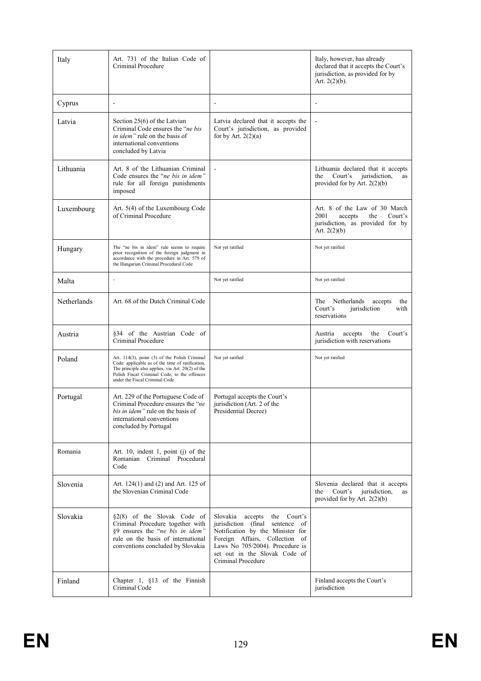| Italy       | Art. 731 of the Italian Code of<br>Criminal Procedure                                                                                                                                                                                    |                                                                                                                                                                                                                                    | Italy, however, has already<br>declared that it accepts the Court's<br>jurisdiction, as provided for by<br>Art. $2(2)(b)$ . |
|-------------|------------------------------------------------------------------------------------------------------------------------------------------------------------------------------------------------------------------------------------------|------------------------------------------------------------------------------------------------------------------------------------------------------------------------------------------------------------------------------------|-----------------------------------------------------------------------------------------------------------------------------|
| Cyprus      | $\overline{a}$                                                                                                                                                                                                                           | $\overline{\phantom{a}}$                                                                                                                                                                                                           | $\blacksquare$                                                                                                              |
| Latvia      | Section 25(6) of the Latvian<br>Criminal Code ensures the " <i>ne bis</i> "<br><i>in idem</i> " rule on the basis of<br>international conventions<br>concluded by Latvia                                                                 | Latvia declared that it accepts the<br>Court's jurisdiction, as provided<br>for by Art. $2(2)(a)$                                                                                                                                  |                                                                                                                             |
| Lithuania   | Art. 8 of the Lithuanian Criminal<br>Code ensures the "ne bis in idem"<br>rule for all foreign punishments<br>imposed                                                                                                                    | $\overline{\phantom{a}}$                                                                                                                                                                                                           | Lithuania declared that it accepts<br>Court's<br>jurisdiction,<br>the<br>as<br>provided for by Art. $2(2)(b)$               |
| Luxembourg  | Art. 5(4) of the Luxembourg Code<br>of Criminal Procedure                                                                                                                                                                                |                                                                                                                                                                                                                                    | Art. 8 of the Law of 30 March<br>2001<br>Court's<br>accepts<br>the<br>jurisdiction, as provided for by<br>Art. $2(2)(b)$    |
| Hungary     | The "ne bis in idem" rule seems to require<br>prior recognition of the foreign judgment in<br>accordance with the procedure in Art. 579 of<br>the Hungarian Criminal Procedural Code                                                     | Not yet ratified                                                                                                                                                                                                                   | Not yet ratified                                                                                                            |
| Malta       |                                                                                                                                                                                                                                          | Not yet ratified                                                                                                                                                                                                                   | Not yet ratified                                                                                                            |
| Netherlands | Art. 68 of the Dutch Criminal Code                                                                                                                                                                                                       |                                                                                                                                                                                                                                    | The<br>Netherlands<br>accepts<br>the<br>Court's<br>jurisdiction<br>with<br>reservations                                     |
| Austria     | §34 of the Austrian Code of<br>Criminal Procedure                                                                                                                                                                                        |                                                                                                                                                                                                                                    | the<br>accepts<br>Court's<br>Austria<br>jurisdiction with reservations                                                      |
| Poland      | Art. 114(3), point (3) of the Polish Criminal<br>Code: applicable as of the time of ratification.<br>The principle also applies, via Art. 20(2) of the<br>Polish Fiscal Criminal Code, to the offences<br>under the Fiscal Criminal Code | Not yet ratified                                                                                                                                                                                                                   | Not yet ratified                                                                                                            |
| Portugal    | Art. 229 of the Portuguese Code of<br>Criminal Procedure ensures the "ne<br>bis in idem" rule on the basis of<br>international conventions<br>concluded by Portugal                                                                      | Portugal accepts the Court's<br>jurisdiction (Art. 2 of the<br>Presidential Decree)                                                                                                                                                |                                                                                                                             |
| Romania     | Art. 10, indent 1, point $(i)$ of the<br>Romanian Criminal Procedural<br>Code                                                                                                                                                            |                                                                                                                                                                                                                                    |                                                                                                                             |
| Slovenia    | Art. 124(1) and (2) and Art. 125 of<br>the Slovenian Criminal Code                                                                                                                                                                       |                                                                                                                                                                                                                                    | Slovenia declared that it accepts<br>the<br>Court's<br>jurisdiction,<br>as<br>provided for by Art. $2(2)(b)$                |
| Slovakia    | §2(8) of the Slovak Code of<br>Criminal Procedure together with<br>§9 ensures the "ne bis in idem"<br>rule on the basis of international<br>conventions concluded by Slovakia                                                            | Slovakia accepts<br>the Court's<br>jurisdiction (final sentence of<br>Notification by the Minister for<br>Foreign Affairs, Collection of<br>Laws No 705/2004). Procedure is<br>set out in the Slovak Code of<br>Criminal Procedure |                                                                                                                             |
| Finland     | Chapter 1, $§13$ of the Finnish<br>Criminal Code                                                                                                                                                                                         |                                                                                                                                                                                                                                    | Finland accepts the Court's<br>jurisdiction                                                                                 |